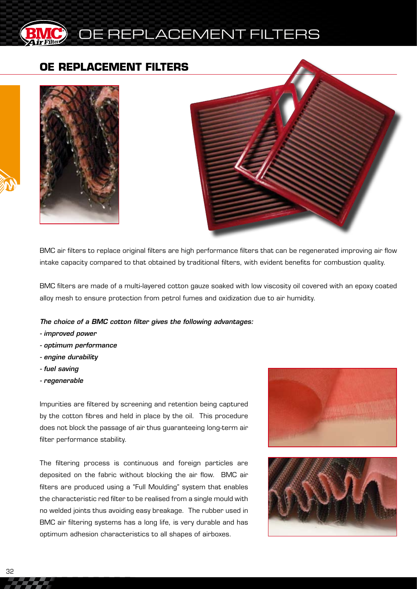

#### **OE REPLACEMENT FILTERS**





BMC air filters to replace original filters are high performance filters that can be regenerated improving air flow intake capacity compared to that obtained by traditional filters, with evident benefits for combustion quality.

BMC filters are made of a multi-layered cotton gauze soaked with low viscosity oil covered with an epoxy coated alloy mesh to ensure protection from petrol fumes and oxidization due to air humidity.

*The choice of a BMC cotton filter gives the following advantages:*

- *improved power*
- *optimum performance*
- *engine durability*
- *fuel saving*
- *regenerable*

Impurities are filtered by screening and retention being captured by the cotton fibres and held in place by the oil. This procedure does not block the passage of air thus guaranteeing long-term air filter performance stability.

The filtering process is continuous and foreign particles are deposited on the fabric without blocking the air flow. BMC air filters are produced using a "Full Moulding" system that enables the characteristic red filter to be realised from a single mould with no welded joints thus avoiding easy breakage. The rubber used in BMC air filtering systems has a long life, is very durable and has optimum adhesion characteristics to all shapes of airboxes.



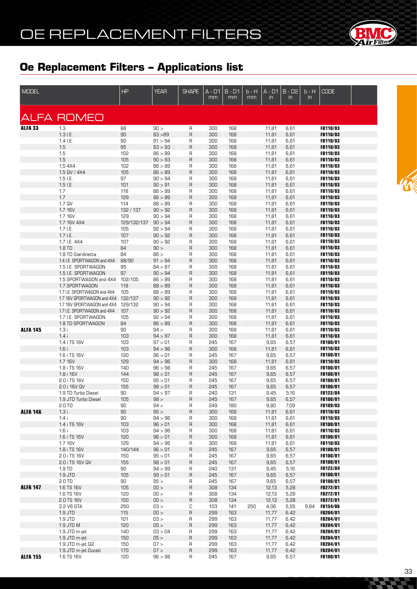

| <b>MODEL</b>    |                                                    | <b>HP</b>   | <b>YEAR</b>        | <b>SHAPE</b>            | A - D1<br>$\overline{mm}$ | $B - D1$<br>mm | b - H<br>mm | $A - D1$<br>$\mathsf{in}$ | $B - D2$<br>in | b - H<br>in. | <b>CODE</b>                 |  |
|-----------------|----------------------------------------------------|-------------|--------------------|-------------------------|---------------------------|----------------|-------------|---------------------------|----------------|--------------|-----------------------------|--|
|                 |                                                    |             |                    |                         |                           |                |             |                           |                |              |                             |  |
| <b>ALFA 33</b>  | <b>ALFA ROMEO</b><br>1.3                           | 88          | 90 >               | R                       | 300                       | 168            |             | 11,81                     | 6,61           |              | FB110/03                    |  |
|                 | $1.3$ I.E.                                         | 90          | 83 > 89            | $\mathsf R$             | 300                       | 168            |             | 11,81                     | 6,61           |              | FB110/03                    |  |
|                 | $1.4$ I.E.                                         | 90          | 91 > 94            | R                       | 300                       | 168            |             | 11,81                     | 6,61           |              | <b>FB110/03</b>             |  |
|                 | 1.5                                                | 95          | 83 > 93            | $\mathsf{R}$            | 300                       | 168            |             | 11,81                     | 6,61           |              | FB110/03                    |  |
|                 | 1.5                                                | 102         | 86 > 89            | R                       | 300                       | 168            |             | 11,81                     | 6,61           |              | <b>FB110/03</b>             |  |
|                 | 1.5                                                | 105         | 90 > 93            | $\mathsf R$             | 300                       | 168            |             | 11,81                     | 6,61           |              | FB110/03                    |  |
|                 | 1.5 4X4                                            | 102         | 86 > 89            | R                       | 300                       | 168            |             | 11,81                     | 6,61           |              | FB110/03                    |  |
|                 | 1.5 QV / 4X4                                       | 105         | 86 > 89            | $\mathsf R$             | 300                       | 168            |             | 11,81                     | 6,61           |              | FB110/03                    |  |
|                 | $1.5$ I.E.<br>$1.5$ I.E.                           | 97<br>101   | 90 > 94<br>90 > 91 | R<br>$\mathsf R$        | 300<br>300                | 168<br>168     |             | 11,81                     | 6,61<br>6,61   |              | <b>FB110/03</b><br>FB110/03 |  |
|                 | 1.7                                                | 118         | 86 > 89            | R                       | 300                       | 168            |             | 11,81<br>11,81            | 6,61           |              | <b>FB110/03</b>             |  |
|                 | 1.7                                                | 129         | 86 > 89            | $\sf R$                 | 300                       | 168            |             | 11,81                     | 6,61           |              | FB110/03                    |  |
|                 | 1.7 QV                                             | 114         | 88 > 89            | R                       | 300                       | 168            |             | 11,81                     | 6,61           |              | <b>FB110/03</b>             |  |
|                 | 1.7 16V                                            | 132/137     | 90 > 92            | $\mathsf R$             | 300                       | 168            |             | 11,81                     | 6,61           |              | FB110/03                    |  |
|                 | 1.7 16V                                            | 129         | 90 > 94            | R                       | 300                       | 168            |             | 11,81                     | 6,61           |              | <b>FB110/03</b>             |  |
|                 | 1.7 16V 4X4                                        | 129/132/137 | 90 > 94            | $\mathsf{R}$            | 300                       | 168            |             | 11,81                     | 6,61           |              | FB110/03                    |  |
|                 | $1.7$ I.E.                                         | 105         | 92 > 94            | R                       | 300                       | 168            |             | 11,81                     | 6,61           |              | <b>FB110/03</b>             |  |
|                 | $1.7$ I.E.                                         | 107         | 90 > 92            | $\mathsf R$             | 300                       | 168            |             | 11,81                     | 6,61           |              | FB110/03                    |  |
|                 | 1.7 I.E. 4X4                                       | 107         | 90 > 92            | R                       | 300                       | 168            |             | 11,81                     | 6,61           |              | FB110/03                    |  |
|                 | 1.8 TD                                             | 84          | 90 >               | $\sf R$                 | 300                       | 168            |             | 11,81                     | 6,61           |              | FB110/03                    |  |
|                 | 1.8 TD Giardinetta                                 | 84          | 86 >               | R                       | 300                       | 168            |             | 11,81                     | 6,61           |              | <b>FB110/03</b>             |  |
|                 | 1.4 I.E. SPORTWAGON and 4X4<br>1.5 I.E. SPORTWAGON | 88/90       | 91 > 94<br>84 > 87 | $\mathsf R$             | 300                       | 168            |             | 11,81                     | 6,61           |              | <b>FB110/03</b>             |  |
|                 | 1.5 I.E. SPORTWAGON                                | 95<br>97    | 90 > 94            | R<br>$\sf R$            | 300<br>300                | 168<br>168     |             | 11,81<br>11,81            | 6,61<br>6,61   |              | <b>FB110/03</b><br>FB110/03 |  |
|                 | 1.5 SPORTWAGON and 4X4                             | 102/105     | 86 > 89            | R                       | 300                       | 168            |             | 11,81                     | 6,61           |              | FB110/03                    |  |
|                 | 1.7 SPORTWAGON                                     | 118         | 88 > 89            | $\mathsf R$             | 300                       | 168            |             | 11,81                     | 6,61           |              | FB110/03                    |  |
|                 | 1.7 I.E. SPORTWAGON and 4X4                        | 105         | 88 > 89            | R                       | 300                       | 168            |             | 11,81                     | 6,61           |              | FB110/03                    |  |
|                 | 1.7 16V SPORTWAGON and 4X4                         | 132/137     | 90 > 92            | $\mathsf R$             | 300                       | 168            |             | 11,81                     | 6,61           |              | FB110/03                    |  |
|                 | 1.7 16V SPORTWAGON and 4X4                         | 129/132     | 90 > 94            | R                       | 300                       | 168            |             | 11,81                     | 6,61           |              | FB110/03                    |  |
|                 | 1.7 I.E. SPORTWAGON and 4X4                        | 107         | 90 > 92            | $\mathsf R$             | 300                       | 168            |             | 11,81                     | 6,61           |              | FB110/03                    |  |
|                 | 1.7 I.E. SPORTWAGON                                | 105         | 92 > 94            | R                       | 300                       | 168            |             | 11,81                     | 6,61           |              | FB110/03                    |  |
|                 | 1.8 TD SPORTWAGON                                  | 84          | 86 > 89            | $\mathsf R$             | 300                       | 168            |             | 11,81                     | 6,61           |              | FB110/03                    |  |
| <b>ALFA 145</b> | 1.3 i                                              | 90          | 94 >               | R                       | 300                       | 168            |             | 11,81                     | 6,61           |              | FB110/03                    |  |
|                 | 1.4i<br>1.4 i TS 16V                               | 103<br>103  | 94 > 97<br>97 > 01 | $\mathsf R$<br>R        | 300<br>245                | 168<br>167     |             | 11,81<br>9,65             | 6,61<br>6,57   |              | FB110/03<br>FB100/01        |  |
|                 | 1.6i                                               | 103         | 94 > 96            | $\sf R$                 | 300                       | 168            |             | 11,81                     | 6,61           |              | FB110/03                    |  |
|                 | 1.6 i TS 16V                                       | 120         | 96 > 01            | R                       | 245                       | 167            |             | 9,65                      | 6,57           |              | FB100/01                    |  |
|                 | 1.7 16V                                            | 129         | 94 > 96            | $\mathsf R$             | 300                       | 168            |             | 11,81                     | 6,61           |              | FB110/03                    |  |
|                 | 1.8 i TS 16V                                       | 140         | 96 > 98            | R                       | 245                       | 167            |             | 9,65                      | 6,57           |              | <b>FB100/01</b>             |  |
|                 | 1.8 i 16V                                          | 144         | 98 > 01            | $\mathsf R$             | 245                       | 167            |             | 9,65                      | 6,57           |              | <b>FB100/01</b>             |  |
|                 | 2.0 i TS 16V                                       | 150         | 95 > 01            | R                       | 245                       | 167            |             | 9,65                      | 6,57           |              | <b>FB100/01</b>             |  |
|                 | 2.0 i 16V QV                                       | 155         | 98 > 01            | $\mathsf R$             | 245                       | 167            |             | 9,65                      | 6,57           |              | FB100/01                    |  |
|                 | 1.9 TD Turbo Diesel                                | 90          | 94 > 97            | R                       | 240                       | 131            |             | 9,45                      | 5,16           |              | FB123/04                    |  |
|                 | 1.9 JTD Turbo Diesel                               | 105         | 98 >               | $\sf R$                 | 245                       | 167            |             | 9,65                      | 6,57           |              | FB100/01                    |  |
| <b>ALFA 146</b> | 2.0 TD                                             | 90<br>90    | 94 ><br>95 >       | R<br>R                  | 249<br>300                | 180            |             | 9,80                      | 7,09           |              | FB109/03<br>FB110/03        |  |
|                 | 1.3i<br>1.4i                                       | 90          | 94 > 96            | R                       | 300                       | 168<br>168     |             | 11,81<br>11,81            | 6,61<br>6,61   |              | FB110/03                    |  |
|                 | 1.4 i TS 16V                                       | 103         | 96 > 01            | R                       | 300                       | 168            |             | 11,81                     | 6,61           |              | FB100/01                    |  |
|                 | 1.6i                                               | 103         | 94 > 96            | R                       | 300                       | 168            |             | 11,81                     | 6,61           |              | FB110/03                    |  |
|                 | 1.6 i TS 16V                                       | 120         | 96 > 01            | $\sf R$                 | 300                       | 168            |             | 11,81                     | 6,61           |              | FB100/01                    |  |
|                 | 1.7 16V                                            | 129         | 94 > 96            | R                       | 300                       | 168            |             | 11,81                     | 6,61           |              | FB110/03                    |  |
|                 | 1.8 i TS 16V                                       | 140/144     | 96 > 01            | $\sf R$                 | 245                       | 167            |             | 9,65                      | 6,57           |              | FB100/01                    |  |
|                 | 2.0 i TS 16V                                       | 150         | 95 > 01            | $\mathsf{R}$            | 245                       | 167            |             | 9,65                      | 6,57           |              | FB100/01                    |  |
|                 | 2.0 i TS 16V QV                                    | 155         | 98 > 01            | $\sf R$                 | 245                       | 167            |             | 9,65                      | 6,57           |              | FB100/01                    |  |
|                 | 1.9 TD                                             | 90          | 94 > 99            | R                       | 240                       | 131            |             | 9,45                      | 5,16           |              | FB123/04                    |  |
|                 | 1.9 JTD<br>$2.0$ TD                                | 105<br>90   | 99 > 01<br>95 >    | $\sf R$<br>$\mathsf{R}$ | 245<br>245                | 167<br>167     |             | 9,65<br>9,65              | 6,57<br>6,57   |              | FB100/01<br>FB100/01        |  |
| <b>ALFA 147</b> | 1.6 TS 16V                                         | 105         | 100 >              | $\sf R$                 | 308                       | 134            |             | 12,13                     | 5,28           |              | FB272/01                    |  |
|                 | 1.6 TS 16V                                         | 120         | 100 >              | R                       | 308                       | 134            |             | 12,13                     | 5,28           |              | FB272/01                    |  |
|                 | 2.0 TS 16V                                         | 150         | 00 >               | R                       | 308                       | 134            |             | 12,13                     | 5,28           |              | FB272/01                    |  |
|                 | 3.2 V6 GTA                                         | 250         | < 50               | С                       | 103                       | 141            | 250         | 4,06                      | 5,55           | 9,84         | <b>FB154/06</b>             |  |
|                 | 1.9 JTD                                            | 115         | 100 >              | $\sf R$                 | 299                       | 163            |             | 11,77                     | 6,42           |              | FB284/01                    |  |
|                 | 1.9 JTD                                            | 101         | < 50               | R                       | 299                       | 163            |             | 11,77                     | 6,42           |              | FB284/01                    |  |
|                 | 1.9 JTD M                                          | 120         | 05 >               | R                       | 299                       | 163            |             | 11,77                     | 6,42           |              | FB284/01                    |  |
|                 | 1.9 JTD m-jet                                      | 140         | 03 > 04            | R                       | 299                       | 163            |             | 11,77                     | 6,42           |              | FB284/01                    |  |
|                 | 1.9 JTD m-jet                                      | 150         | 05 >               | R                       | 299                       | 163            |             | 11,77                     | 6,42           |              | FB284/01                    |  |
|                 | 1.9 JTD m-jet Q2<br>1.9 JTD m-jet Ducati           | 150<br>170  | 07 ><br>07 >       | R<br>$\sf R$            | 299<br>299                | 163<br>163     |             | 11,77<br>11,77            | 6,42<br>6,42   |              | FB284/01<br>FB284/01        |  |
| <b>ALFA 155</b> | 1.6 TS 16V                                         | 120         | 96 > 98            | R                       | 245                       | 167            |             | 9,65                      | 6,57           |              | FB100/01                    |  |
|                 |                                                    |             |                    |                         |                           |                |             |                           |                |              |                             |  |

**Section**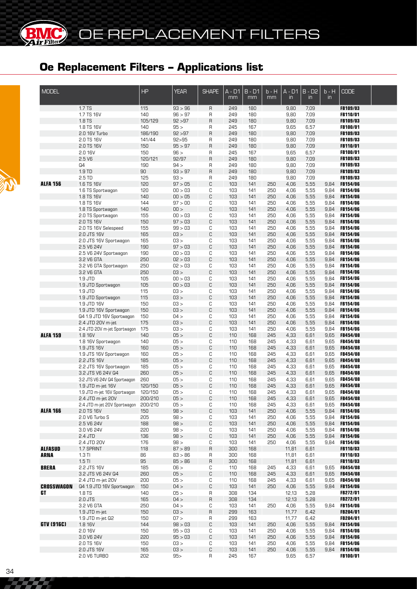**BMC** 

| <b>MODEL</b>      |                                                     | HP             | <b>YEAR</b>        | <b>SHAPE</b>      | A - D1<br>mm | B - D1<br>mm | $b - H$<br>mm | $A - D1$<br>$\mathsf{in}$ | $B - D2$<br>$\mathsf{in}$ | $b - H$<br>$\mathsf{in}$ | <b>CODE</b>                        |  |
|-------------------|-----------------------------------------------------|----------------|--------------------|-------------------|--------------|--------------|---------------|---------------------------|---------------------------|--------------------------|------------------------------------|--|
|                   | 1.7 TS                                              | 115            | 93 > 96            | $\mathsf{R}$      | 249          | 180          |               | 9,80                      | 7,09                      |                          | FB109/03                           |  |
|                   | 1.7 TS 16V                                          | 140            | 96 > 97            | R                 | 249          | 180          |               | 9,80                      | 7,09                      |                          | <b>FB110/01</b>                    |  |
|                   | 1.8 TS<br>1.8 TS 16V                                | 105/129<br>140 | 92 > 97<br>95 >    | $\mathsf{R}$<br>R | 249<br>245   | 180<br>167   |               | 9,80<br>9,65              | 7,09<br>6,57              |                          | <b>FB109/03</b><br>FB100/01        |  |
|                   | 2.0 16V Turbo                                       | 186/190        | 92 > 97            | $\sf B$           | 249          | 180          |               | 9,80                      | 7,09                      |                          | <b>FB109/03</b>                    |  |
|                   | 2.0 TS 16V                                          | 141/44         | 92 > 95            | R                 | 249          | 180          |               | 9,80                      | 7,09                      |                          | <b>FB109/03</b>                    |  |
|                   | 2.0 TS 16V                                          | 150            | 95 > 97            | R                 | 249          | 180          |               | 9,80                      | 7,09                      |                          | <b>FB110/01</b>                    |  |
|                   | 2.0 16V                                             | 150            | 96 >               | R                 | 245          | 167          |               | 9,65                      | 6,57                      |                          | <b>FB100/01</b>                    |  |
|                   | 2.5 V6                                              | 120/121        | 92/97              | $\sf B$           | 249          | 180          |               | 9,80                      | 7,09                      |                          | <b>FB109/03</b>                    |  |
|                   | Q4                                                  | 190            | 94 >               | $\mathsf{R}$      | 249          | 180          |               | 9,80                      | 7,09                      |                          | <b>FB109/03</b>                    |  |
|                   | 1.9 TD                                              | 90             | 93 > 97            | R                 | 249          | 180          |               | 9,80                      | 7,09                      |                          | FB109/03                           |  |
|                   | 2.5 TD                                              | 125            | 93 >               | R                 | 249          | 180          |               | 9,80                      | 7,09                      |                          | <b>FB109/03</b>                    |  |
| <b>ALFA 156</b>   | 1.6 TS 16V<br>1.6 TS Sportwagon                     | 120<br>120     | 97 > 05<br>00 > 03 | C<br>C            | 103<br>103   | 141<br>141   | 250<br>250    | 4,06<br>4,06              | 5,55<br>5,55              | 9,84<br>9,84             | FB154/06<br><b>FB154/06</b>        |  |
|                   | 1.8 TS 16V                                          | 140            | 00 > 05            | C                 | 103          | 141          | 250           | 4,06                      | 5,55                      | 9,84                     | <b>FB154/06</b>                    |  |
|                   | 1.8 TS 16V                                          | 144            | 97 > 00            | C                 | 103          | 141          | 250           | 4,06                      | 5,55                      | 9,84                     | <b>FB154/06</b>                    |  |
|                   | 1.8 TS Sportwagon                                   | 140            | 00 >               | $\mathbb C$       | 103          | 141          | 250           | 4,06                      | 5,55                      | 9,84                     | FB154/06                           |  |
|                   | 2.0 TS Sportwagon                                   | 155            | 00 > 03            | C                 | 103          | 141          | 250           | 4,06                      | 5,55                      | 9,84                     | <b>FB154/06</b>                    |  |
|                   | 2.0 TS 16V                                          | 150            | 97 > 03            | C                 | 103          | 141          | 250           | 4,06                      | 5,55                      | 9,84                     | <b>FB154/06</b>                    |  |
|                   | 2.0 TS 16V Selespeed                                | 155            | 99 > 03            | C                 | 103          | 141          | 250           | 4,06                      | 5,55                      | 9,84                     | <b>FB154/06</b>                    |  |
|                   | 2.0 JTS 16V                                         | 165            | $-50$              | C                 | 103          | 141          | 250           | 4,06                      | 5,55                      | 9,84                     | FB154/06                           |  |
|                   | 2.0 JTS 16V Sportwagon                              | 165            | 03 >               | C                 | 103          | 141          | 250           | 4,06                      | 5,55                      | 9,84                     | FB154/06                           |  |
|                   | 2.5 V6 24V<br>2.5 V6 24V Sportwagon                 | 190<br>190     | 97 > 03<br>00 > 03 | C<br>C            | 103<br>103   | 141<br>141   | 250<br>250    | 4,06<br>4,06              | 5,55<br>5,55              | 9,84<br>9,84             | <b>FB154/06</b><br><b>FB154/06</b> |  |
|                   | 3.2 V6 GTA                                          | 250            | 02 > 03            | C                 | 103          | 141          | 250           | 4,06                      | 5,55                      | 9,84                     | <b>FB154/06</b>                    |  |
|                   | 3.2 V6 GTA Sportwagon                               | 250            | 02 > 03            | C                 | 103          | 141          | 250           | 4,06                      | 5,55                      | 9,84                     | <b>FB154/06</b>                    |  |
|                   | 3.2 V6 GTA                                          | 250            | 03 >               | C                 | 103          | 141          | 250           | 4,06                      | 5,55                      | 9,84                     | <b>FB154/06</b>                    |  |
|                   | 1.9 JTD                                             | 105            | 00 > 03            | C                 | 103          | 141          | 250           | 4,06                      | 5,55                      | 9,84                     | <b>FB154/06</b>                    |  |
|                   | 1.9 JTD Sportwagon                                  | 105            | 00 > 03            | C                 | 103          | 141          | 250           | 4,06                      | 5,55                      | 9,84                     | <b>FB154/06</b>                    |  |
|                   | 1.9 JTD                                             | 115            | 03 >               | C                 | 103          | 141          | 250           | 4,06                      | 5,55                      | 9,84                     | <b>FB154/06</b>                    |  |
|                   | 1.9 JTD Sportwagon                                  | 115            | 03 >               | C                 | 103          | 141          | 250           | 4,06                      | 5,55                      | 9,84                     | <b>FB154/06</b>                    |  |
|                   | 1.9 JTD 16V                                         | 150            | 03 >               | C                 | 103          | 141          | 250           | 4,06                      | 5,55                      | 9,84                     | <b>FB154/06</b>                    |  |
|                   | 1.9 JTD 16V Sportwagon<br>Q4 1.9 JTD 16V Sportwagon | 150<br>150     | 03 ><br>04 >       | C<br>C            | 103<br>103   | 141<br>141   | 250<br>250    | 4,06<br>4,06              | 5,55<br>5,55              | 9,84<br>9,84             | <b>FB154/06</b><br><b>FB154/06</b> |  |
|                   | 2.4 JTD 20V m-jet                                   | 175            | 03 >               | C                 | 103          | 141          | 250           | 4,06                      | 5,55                      | 9,84                     | <b>FB154/06</b>                    |  |
|                   | 2.4 JTD 20V m-jet Sportwagon                        | 175            | 03 >               | C                 | 103          | 141          | 250           | 4,06                      | 5,55                      | 9,84                     | <b>FB154/06</b>                    |  |
| <b>ALFA 159</b>   | 1.8 16V                                             | 140            | 05 >               | C                 | 110          | 168          | 245           | 4,33                      | 6,61                      | 9,65                     | <b>FB454/08</b>                    |  |
|                   | 1.8 16V Sportwagon                                  | 140            | 05 >               | C                 | 110          | 168          | 245           | 4,33                      | 6,61                      | 9,65                     | <b>FB454/08</b>                    |  |
|                   | 1.9 JTS 16V                                         | 160            | 05 >               | C                 | 110          | 168          | 245           | 4,33                      | 6,61                      | 9,65                     | FB454/08                           |  |
|                   | 1.9 JTS 16V Sportwagon                              | 160            | 05 >               | C                 | 110          | 168          | 245           | 4,33                      | 6,61                      | 9,65                     | <b>FB454/08</b>                    |  |
|                   | 2.2 JTS 16V                                         | 185            | 05 >               | C                 | 110          | 168          | 245           | 4,33                      | 6,61                      | 9,65                     | FB454/08                           |  |
|                   | 2.2 JTS 16V Sportwagon                              | 185            | 05 >               | C                 | 110          | 168          | 245           | 4,33                      | 6,61                      | 9,65                     | FB454/08                           |  |
|                   | 3.2 JTS V6 24V Q4                                   | 260<br>260     | 05 ><br>05 >       | C<br>C            | 110<br>110   | 168<br>168   | 245<br>245    | 4,33<br>4,33              | 6,61<br>6,61              | 9,65<br>9,65             | FB454/08<br>FB454/08               |  |
|                   | 3.2 JTS V6 24V Q4 Sportwagon<br>1.9 JTD m-jet 16V   | 120/150        | 05 >               | C                 | 110          | 168          | 245           | 4,33                      | 6,61                      | 9,65                     | FB454/08                           |  |
|                   | 1.9 JTD m-jet 16V Sportwagon                        | 120/150        | 05 >               | C                 | 110          | 168          | 245           | 4,33                      | 6,61                      | 9,65                     | <b>FB454/08</b>                    |  |
|                   | 2.4 JTD m-jet 20V                                   | 200/210        | 05 >               | С                 | 110          | 168          | 245           | 4,33                      | 6,61                      | 9,65                     | FB454/08                           |  |
|                   | 2.4 JTD m-jet 20V Sportwagon                        | 200/210        | 05 >               | C                 | 110          | 168          | 245           | 4,33                      | 6,61                      | 9,65                     | <b>FB454/08</b>                    |  |
| <b>ALFA 166</b>   | 2.0 TS 16V                                          | 150            | 98 >               | C                 | 103          | 141          | 250           | 4,06                      | 5,55                      | 9,84                     | FB154/06                           |  |
|                   | 2.0 V6 Turbo S                                      | 205            | 98 >               | C                 | 103          | 141          | 250           | 4,06                      | 5,55                      | 9,84                     | <b>FB154/06</b>                    |  |
|                   | 2.5 V6 24V                                          | 188            | 98 >               | C                 | 103          | 141          | 250           | 4,06                      | 5,55                      | 9,84                     | FB154/06                           |  |
|                   | 3.0 V6 24V                                          | 220            | 98 >               | C                 | 103          | 141          | 250           | 4,06                      | 5,55                      | 9,84                     | <b>FB154/06</b>                    |  |
|                   | 2.4 JTD<br>2.4 JTD 20V                              | 136<br>176     | 98 ><br>98 >       | C<br>C            | 103<br>103   | 141          | 250<br>250    | 4,06                      | 5,55                      | 9,84                     | FB154/06                           |  |
| <b>ALFASUD</b>    | 1.7 SPRINT                                          | 118            | 87 > 89            | R                 | 300          | 141<br>168   |               | 4,06<br>11,81             | 5,55<br>6,61              | 9,84                     | <b>FB154/06</b><br>FB110/03        |  |
| <b>ARNA</b>       | $1.3$ TI                                            | 86             | 83 > 86            | R                 | 300          | 168          |               | 11,81                     | 6,61                      |                          | FB110/03                           |  |
|                   | $1.5$ TI                                            | 95             | 85 > 86            | $\mathsf{R}$      | 300          | 168          |               | 11,81                     | 6,61                      |                          | FB110/03                           |  |
| <b>BRERA</b>      | 2.2 JTS 16V                                         | 185            | 06 >               | C                 | 110          | 168          | 245           | 4,33                      | 6,61                      | 9,65                     | <b>FB454/08</b>                    |  |
|                   | 3.2 JTS V6 24V Q4                                   | 260            | 05 >               | C                 | 110          | 168          | 245           | 4,33                      | 6,61                      | 9,65                     | FB454/08                           |  |
|                   | 2.4 JTD m-jet 20V                                   | 200            | 05 >               | C                 | 110          | 168          | 245           | 4,33                      | 6,61                      | 9,65                     | <b>FB454/08</b>                    |  |
| <b>CROSSWAGON</b> | Q4 1.9 JTD 16V Sportwagon                           | 150            | 04 >               | C                 | 103          | 141          | 250           | 4,06                      | 5,55                      | 9,84                     | FB154/06                           |  |
| GT                | 1.8 TS                                              | 140            | 05 >               | R                 | 308          | 134          |               | 12,13                     | 5,28                      |                          | FB272/01                           |  |
|                   | 2.0 JTS                                             | 165            | 04 >               | $\mathsf{R}$      | 308          | 134          |               | 12,13                     | 5,28                      |                          | FB272/01                           |  |
|                   | 3.2 V6 GTA                                          | 250<br>150     | 04 ><br>C3 >       | С<br>$\sf B$      | 103<br>299   | 141<br>163   | 250           | 4,06<br>11,77             | 5,55<br>6,42              |                          | 9,84 FB154/06<br>FB284/01          |  |
|                   | 1.9 JTD m-jet<br>1.9 JTD m-jet Q2                   | 150            | 07 >               | R                 | 299          | 163          |               | 11,77                     | 6,42                      |                          | FB284/01                           |  |
| GTV (916C)        | 1.8 16V                                             | 144            | 98 > 03            | C                 | 103          | 141          | 250           | 4,06                      | 5,55                      | 9,84                     | FB154/06                           |  |
|                   | 2.0 16V                                             | 150            | 95 > 03            | С                 | 103          | 141          | 250           | 4,06                      | 5,55                      | 9,84                     | <b>FB154/06</b>                    |  |
|                   | 3.0 V6 24V                                          | 220            | 95 > 03            | C                 | 103          | 141          | 250           | 4,06                      | 5,55                      | 9,84                     | <b>FB154/06</b>                    |  |
|                   | 2.0 TS 16V                                          | 150            | $-50$              | C                 | 103          | 141          | 250           | 4,06                      | 5,55                      | 9,84                     | <b>FB154/06</b>                    |  |
|                   | 2.0 JTS 16V                                         | 165            | 03 >               | C                 | 103          | 141          | 250           | 4,06                      | 5,55                      | 9,84                     | <b>FB154/06</b>                    |  |
|                   | 2.0 V6 TURBO                                        | 202            | 95 >               | R                 | 245          | 167          |               | 9,65                      | 6,57                      |                          | FB100/01                           |  |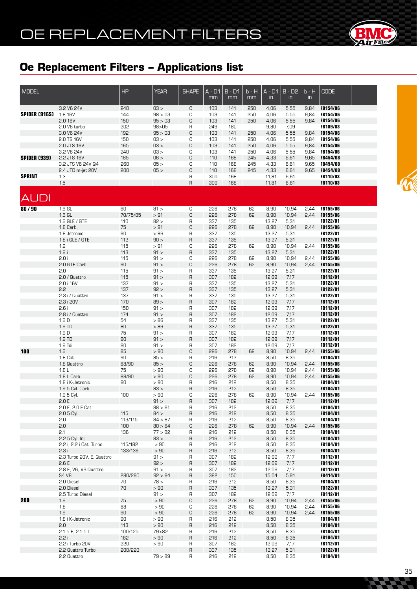

| <b>MODEL</b>         |                                       | <b>HP</b>   | <b>YEAR</b>     | <b>SHAPE</b>      | $A - D1$<br>mm | $B - D1$<br>mm | $b - H$<br>mm | $A - D1$<br>$\mathsf{in}$ | $B - D2$<br>$\mathsf{in}$ | $b - H$<br>$\mathsf{in}$ | <b>CODE</b>                        |  |
|----------------------|---------------------------------------|-------------|-----------------|-------------------|----------------|----------------|---------------|---------------------------|---------------------------|--------------------------|------------------------------------|--|
|                      | 3.2 V6 24V                            | 240         | 03 >            | C                 | 103            | 141            | 250           | 4,06                      | 5,55                      | 9,84                     | <b>FB154/06</b>                    |  |
| <b>SPIDER (916S)</b> | 1.8 16V                               | 144         | 98 > 03         | C                 | 103            | 141            | 250           | 4,06                      | 5,55                      | 9,84                     | <b>FB154/06</b>                    |  |
|                      | 2.0 16V                               | 150         | 95 > 03         | C                 | 103            | 141            | 250           | 4,06                      | 5,55                      | 9,84                     | <b>FB154/06</b>                    |  |
|                      | 2.0 V6 turbo                          | 202         | 98 > 05         | R                 | 249            | 180            |               | 9,80                      | 7,09                      |                          | FB109/03                           |  |
|                      | 3.0 V6 24V                            | 192         | 95 > 03         | C                 | 103            | 141            | 250           | 4,06                      | 5,55                      | 9,84                     | <b>FB154/06</b>                    |  |
|                      | 2.0 TS 16V                            | 150         | 03 >            | C                 | 103            | 141            | 250           | 4,06                      | 5,55                      | 9,84                     | <b>FB154/06</b>                    |  |
|                      | 2.0 JTS 16V                           | 165         | 03 >            | C                 | 103            | 141            | 250           | 4,06                      | 5,55                      | 9,84                     | FB154/06                           |  |
|                      | 3.2 V6 24V                            | 240         | 03 >            | C                 | 103            | 141            | 250           | 4,06                      | 5,55                      | 9,84                     | <b>FB154/06</b>                    |  |
| <b>SPIDER (939)</b>  | 2.2 JTS 16V                           | 185         | 06 >            | C                 | 110            | 168            | 245           | 4,33                      | 6,61                      | 9,65                     | FB454/08                           |  |
|                      | 3.2 JTS V6 24V Q4                     | 260         | 05 >            | C<br>C            | 110            | 168            | 245           | 4,33                      | 6,61                      | 9,65                     | FB454/08<br><b>FB454/08</b>        |  |
| <b>SPRINT</b>        | 2.4 JTD m-jet 20V<br>1.3              | 200         | 05 >            | R                 | 110<br>300     | 168<br>168     | 245           | 4,33<br>11,81             | 6,61<br>6,61              | 9,65                     | FB110/03                           |  |
|                      | 1.5                                   |             |                 | $\sf R$           | 300            | 168            |               | 11,81                     | 6,61                      |                          | FB110/03                           |  |
| AUDI                 |                                       |             |                 |                   |                |                |               |                           |                           |                          |                                    |  |
|                      |                                       |             |                 |                   |                |                |               |                           |                           |                          |                                    |  |
| 80/90                | $1.6 \text{ GL}$                      | 60          | 81 >            | С                 | 226            | 278            | 62            | 8,90                      | 10,94                     | 2,44                     | <b>FB155/06</b>                    |  |
|                      | $1.6$ GL                              | 70/75/85    | >91             | C                 | 226            | 278            | 62            | 8,90                      | 10,94                     | 2,44                     | <b>FB155/06</b>                    |  |
|                      | 1.6 GLE / GTE                         | 110         | 82 >            | R                 | 337            | 135            |               | 13,27                     | 5,31                      |                          | <b>FB122/01</b>                    |  |
|                      | 1.8 Carb.                             | 75          | $>91$           | C                 | 226            | 278            | 62            | 8,90                      | 10,94                     | 2,44                     | <b>FB155/06</b>                    |  |
|                      | 1.8 Jetronic                          | 90<br>112   | >86<br>90 >     | R                 | 337            | 135            |               | 13,27                     | 5,31                      |                          | <b>FB122/01</b><br>FB122/01        |  |
|                      | 1.8 i GLE / GTE<br>1.9                | 115         | > 91            | $\mathsf R$<br>С  | 337<br>226     | 135<br>278     | 62            | 13,27<br>8,90             | 5,31<br>10,94             | 2,44                     | <b>FB155/06</b>                    |  |
|                      | 1.9i                                  | 113         | 91 >            | $\overline{R}$    | 337            | 135            |               | 13,27                     | 5,31                      |                          | FB122/01                           |  |
|                      | 2.0 i                                 | 115         | 91 >            | С                 | 226            | 278            | 62            | 8,90                      | 10,94                     | 2,44                     | <b>FB155/06</b>                    |  |
|                      | 2.0 GTE Carb.                         | 90          | 91 >            | C                 | 226            | 278            | 62            | 8,90                      | 10,94                     | 2,44                     | <b>FB155/06</b>                    |  |
|                      | 2.0                                   | 115         | 91 >            | R                 | 337            | 135            |               | 13,27                     | 5,31                      |                          | FB122/01                           |  |
|                      | 2.0 / Quattro                         | 115         | 91 >            | $\overline{R}$    | 307            | 182            |               | 12,09                     | 7,17                      |                          | FB112/01                           |  |
|                      | 2.0 i 16V                             | 137         | 91 >            | R                 | 337            | 135            |               | 13,27                     | 5,31                      |                          | FB122/01                           |  |
|                      | 2.2                                   | 137         | 92 >            | $\overline{R}$    | 337            | 135            |               | 13,27                     | 5,31                      |                          | FB122/01                           |  |
|                      | 2.3 i / Quattro                       | 137         | 91 >            | R                 | 337            | 135            |               | 13,27                     | 5,31                      |                          | FB122/01                           |  |
|                      | 2.3 i 20V                             | 170         | 89 >            | $\overline{R}$    | 307            | 182            |               | 12,09                     | 7,17                      |                          | FB112/01                           |  |
|                      | 2.6i                                  | 150         | 91 >            | R                 | 307            | 182            |               | 12,09                     | 7,17                      |                          | FB112/01                           |  |
|                      | 2.8 i / Quattro                       | 174         | 91 >            | $\mathsf{R}$      | 307            | 182            |               | 12,09                     | 7,17                      |                          | FB112/01                           |  |
|                      | 1.6D                                  | 54          | $>86\,$         | R                 | 337            | 135            |               | 13,27                     | 5,31                      |                          | FB122/01                           |  |
|                      | 1.6 TD                                | 80          | >86             | $\overline{R}$    | 337            | 135            |               | 13,27                     | 5,31                      |                          | FB122/01                           |  |
|                      | 1.9D                                  | 75          | 91 >            | R                 | 307            | 182            |               | 12,09                     | 7,17                      |                          | FB112/01                           |  |
|                      | 1.9 TD                                | 90          | 91 >            | $\overline{R}$    | 307            | 182            |               | 12,09                     | 7,17                      |                          | FB112/01                           |  |
|                      | $1.9$ Tdi                             | 90          | 91 >            | R                 | 307            | 182            |               | 12,09                     | 7,17                      |                          | FB112/01                           |  |
| 100                  | 1.6                                   | 85          | > 90            | C                 | 226            | 278            | 62            | 8,90                      | 10,94                     | 2,44                     | <b>FB155/06</b>                    |  |
|                      | 1.8 Cat.<br>1.8 Quattro               | 90<br>88/90 | 85 ><br>85 >    | $\mathsf R$<br>C  | 216<br>226     | 212<br>278     | 62            | 8,50<br>8,90              | 8,35<br>10,94             | 2,44                     | <b>FB104/01</b><br><b>FB155/06</b> |  |
|                      | 1.8 <sub>L</sub>                      | 75          | > 90            | C                 | 226            | 278            | 62            | 8,90                      | 10,94                     | 2,44                     | <b>FB155/06</b>                    |  |
|                      | 1.8 L Carb.                           | 88/90       | $>90\,$         | $\mathbb C$       | 226            | 278            | 62            | 8,90                      | 10,94                     | 2,44                     | <b>FB155/06</b>                    |  |
|                      | 1.8 i K-Jetronic                      | 90          | $>90\,$         | $\mathsf R$       | 216            | 212            |               | 8,50                      | 8,35                      |                          | FB104/01                           |  |
|                      | 1.9 5 Cyl. Carb.                      |             | 83 >            | $\overline{R}$    | 216            | 212            |               | 8,50                      | 8,35                      |                          | FB104/01                           |  |
|                      | 1.9 5 Cyl.                            | 100         | $>90\,$         | C                 | 226            | 278            | 62            | 8,90                      | 10,94                     | 2,44                     | <b>FB155/06</b>                    |  |
|                      | 2.0 E                                 |             | 91 >            | $\sf R$           | 307            | 182            |               | 12,09                     | 7,17                      |                          | FB112/01                           |  |
|                      | 2.0 E, 2.0 E Cat.                     |             | 88 > 91         | R                 | 216            | 212            |               | 8,50                      | 8,35                      |                          | FB104/01                           |  |
|                      | 2.0 5 Cyl.                            | 115         | 84 >            | $\mathsf{R}$      | 216            | 212            |               | 8,50                      | 8,35                      |                          | FB104/01                           |  |
|                      | 2.0                                   | 113/115     | 84 > 87         | R                 | 216            | 212            |               | 8,50                      | 8,35                      |                          | FB104/01                           |  |
|                      | 2.0                                   | 100         | 80 > 84         | С                 | 226            | 278            | 62            | 8,90                      | 10,94                     | 2,44                     | <b>FB155/06</b>                    |  |
|                      | 2.1                                   | 136         | 77 > 82         | R                 | 216            | 212            |               | 8,50                      | 8,35                      |                          | <b>FB104/01</b>                    |  |
|                      | 2.2 5 Cyl. Inj.                       |             | 83 >            | $\overline{R}$    | 216            | 212            |               | 8,50                      | 8,35                      |                          | <b>FB104/01</b>                    |  |
|                      | 2.2 i, 2.2 i Cat. Turbo               | 115/182     | > 90            | R                 | 216            | 212            |               | 8,50                      | 8,35                      |                          | <b>FB104/01</b>                    |  |
|                      | 2.3i                                  | 133/136     | > 90            | $\sf R$           | 216            | 212            |               | 8,50                      | 8,35                      |                          | FB104/01                           |  |
|                      | 2.3 Turbo 20V, E, Quattro             |             | 91 >            | R                 | 307            | 182            |               | 12,09                     | 7,17                      |                          | <b>FB112/01</b>                    |  |
|                      | 2.6E                                  |             | 92 >            | R                 | 307            | 182            |               | 12,09                     | 7,17                      |                          | FB112/01                           |  |
|                      | 2.8 E, V6, V6 Quattro<br><b>S4 V8</b> | 280/290     | 91 ><br>92 > 94 | R<br>$\mathsf{R}$ | 307<br>382     | 182<br>150     |               | 12,09<br>15,04            | 7,17<br>5,91              |                          | FB112/01<br>FB414/01               |  |
|                      | 2.0 Diesel                            | 70          | 78 >            | R                 | 216            | 212            |               | 8,50                      | 8,35                      |                          | <b>FB104/01</b>                    |  |
|                      | 2.0 Diesel                            | 70          | >90             | $\sf R$           | 337            | 135            |               | 13,27                     | 5,31                      |                          | <b>FB122/01</b>                    |  |
|                      | 2.5 Turbo Diesel                      |             | 91 >            | R                 | 307            | 182            |               | 12,09                     | 7.17                      |                          | FB112/01                           |  |
| 200                  | 1.6                                   | 75          | > 90            | С                 | 226            | 278            | 62            | 8,90                      | 10,94                     | 2,44                     | <b>FB155/06</b>                    |  |
|                      | 1.8                                   | 88          | > 90            | С                 | 226            | 278            | 62            | 8,90                      | 10,94                     | 2,44                     | <b>FB155/06</b>                    |  |
|                      | 1.9                                   | 90          | >90             | C                 | 226            | 278            | 62            | 8,90                      | 10,94                     | 2,44                     | <b>FB155/06</b>                    |  |
|                      | 1.8 i K-Jetronic                      | 90          | >90             | R                 | 216            | 212            |               | 8,50                      | 8,35                      |                          | <b>FB104/01</b>                    |  |
|                      | 2.0                                   | 113         | > 90            | R                 | 216            | 212            |               | 8,50                      | 8,35                      |                          | FB104/01                           |  |
|                      | 2.1 5 E, 2.1 5 T                      | 100/125     | 79>82           | R                 | 216            | 212            |               | 8,50                      | 8,35                      |                          | <b>FB104/01</b>                    |  |
|                      | 2.2 i                                 | 182         | > 90            | R                 | 216            | 212            |               | 8,50                      | 8,35                      |                          | FB104/01                           |  |
|                      | 2.2 i Turbo 20V                       | 220         | >90             | R                 | 307            | 182            |               | 12,09                     | 7,17                      |                          | <b>FB112/01</b>                    |  |
|                      | 2.2 Quattro Turbo                     | 200/220     |                 | R                 | 337            | 135            |               | 13,27                     | 5,31                      |                          | <b>FB122/01</b>                    |  |
|                      | 2.2 Quattro                           |             | 79 > 89         | R                 | 216            | 212            |               | 8,50                      | 8,35                      |                          | <b>FB104/01</b>                    |  |

**FREE**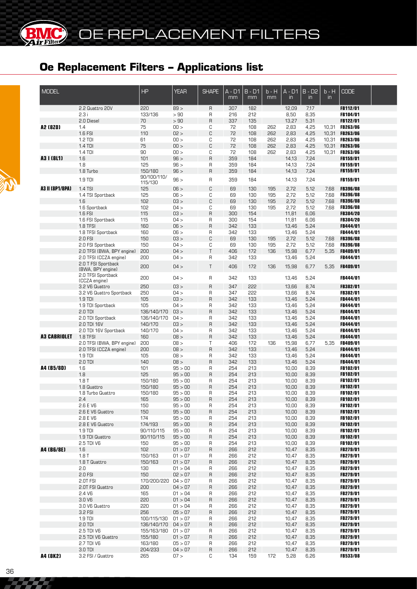| <b>MODEL</b>        |                                          | HP                         | <b>YEAR</b>        | <b>SHAPE</b>      | A - D1<br>mm | $B - D1$<br>mm | $b - H$<br>mm | $A - D1$<br>$\mathsf{in}$ | $B - D2$<br>$\mathsf{in}$ | $b - H$<br>$\mathsf{in}$ | <b>CODE</b>                        |  |
|---------------------|------------------------------------------|----------------------------|--------------------|-------------------|--------------|----------------|---------------|---------------------------|---------------------------|--------------------------|------------------------------------|--|
|                     | 2.2 Quattro 20V                          | 220                        | 89 >               | R                 | 307          | 182            |               | 12,09                     | 7,17                      |                          | FB112/01                           |  |
|                     | 2.3i                                     | 133/136                    | >90                | R                 | 216          | 212            |               | 8,50                      | 8,35                      |                          | <b>FB104/01</b>                    |  |
|                     | 2.0 Diesel                               | 70                         | >90                | R                 | 337          | 135            |               | 13,27                     | 5,31                      |                          | <b>FB122/01</b>                    |  |
| A2 (8Z0)            | 1.4                                      | 75                         | 00 >               | С                 | 72           | 108            | 262           | 2,83                      | 4,25                      | 10,31                    | <b>FB263/06</b>                    |  |
|                     | 1.6 FSI<br>$1.2$ TDI                     | 110<br>61                  | 02 ><br>00 >       | C<br>C            | 72<br>72     | 108<br>108     | 262<br>262    | 2,83<br>2,83              | 4,25<br>4,25              | 10,31<br>10,31           | <b>FB263/06</b><br><b>FB263/06</b> |  |
|                     | 1.4 TDI                                  | 75                         | 00 >               | C                 | 72           | 108            | 262           | 2,83                      | 4,25                      | 10,31                    | <b>FB263/06</b>                    |  |
|                     | 1.4 TDI                                  | 90                         | 00 >               | C                 | 72           | 108            | 262           | 2,83                      | 4,25                      | 10,31                    | <b>FB263/06</b>                    |  |
| A3   (8L1)          | 1.6                                      | 101                        | 96 >               | $\sf R$           | 359          | 184            |               | 14,13                     | 7,24                      |                          | FB159/01                           |  |
|                     | 1.8                                      | 125                        | 96 >               | R                 | 359          | 184            |               | 14,13                     | 7,24                      |                          | FB159/01                           |  |
|                     | 1.8 Turbo                                | 150/180                    | 96 >               | R                 | 359          | 184            |               | 14,13                     | 7,24                      |                          | FB159/01                           |  |
|                     | 1.9 TDI                                  | 90/100/110/<br>115/130     | 96 >               | R                 | 359          | 184            |               | 14,13                     | 7,24                      |                          | FB159/01                           |  |
| A3 II (8P1/8PA)     | 1.4 TSI                                  | 125                        | 06 >               | C                 | 69           | 130            | 195           | 2,72                      | 5,12                      | 7,68                     | <b>FB396/08</b>                    |  |
|                     | 1.4 TSI Sportback                        | 125                        | 06 >               | C                 | 69           | 130            | 195           | 2,72                      | 5,12                      | 7,68                     | <b>FB396/08</b>                    |  |
|                     | 1.6                                      | 102                        | 03 >               | C                 | 69           | 130            | 195           | 2,72                      | 5,12                      | 7,68                     | <b>FB396/08</b>                    |  |
|                     | 1.6 Sportback                            | 102                        | 04 >               | C                 | 69           | 130            | 195           | 2,72                      | 5,12                      | 7,68                     | <b>FB396/08</b>                    |  |
|                     | 1.6 FSI                                  | 115                        | 03 >               | $\mathsf R$       | 300          | 154            |               | 11,81                     | 6,06                      |                          | FB384/20                           |  |
|                     | 1.6 FSI Sportback<br>1.8 TFSI            | 115<br>160                 | 04 ><br>06 >       | R<br>R            | 300<br>342   | 154<br>133     |               | 11,81<br>13,46            | 6,06<br>5,24              |                          | FB384/20<br>FB444/01               |  |
|                     | 1.8 TFSI Sportback                       | 160                        | 06 >               | R                 | 342          | 133            |               | 13,46                     | 5,24                      |                          | <b>FB444/01</b>                    |  |
|                     | 2.0 FSI                                  | 150                        | 03 >               | C                 | 69           | 130            | 195           | 2,72                      | 5,12                      | 7,68                     | <b>FB396/08</b>                    |  |
|                     | 2.0 FSI Sportback                        | 150                        | 04 >               | C                 | 69           | 130            | 195           | 2,72                      | 5,12                      | 7,68                     | <b>FB396/08</b>                    |  |
|                     | 2.0 TFSI (BWA, BPY engine)               | 200                        | 04 >               | T                 | 406          | 172            | 136           | 15,98                     | 6,77                      | 5,35                     | <b>FB409/01</b>                    |  |
|                     | 2.0 TFSI (CCZA engine)                   | 200                        | 04 >               | R                 | 342          | 133            |               | 13,46                     | 5,24                      |                          | <b>FB444/01</b>                    |  |
|                     | 2.0 T FSI Sportback<br>(BWA, BPY engine) | 200                        | 04 >               | T                 | 406          | 172            | 136           | 15,98                     | 6,77                      | 5,35                     | FB409/01                           |  |
|                     | 2.0 TFSI Sportback<br>(CCZA engine)      | 200                        | 04 >               | R                 | 342          | 133            |               | 13,46                     | 5,24                      |                          | <b>FB444/01</b>                    |  |
|                     | 3.2 V6 Quattro                           | 250                        | 03 >               | $\mathsf{R}$      | 347          | 222            |               | 13,66                     | 8,74                      |                          | FB382/01                           |  |
|                     | 3.2 V6 Quattro Sportback                 | 250                        | 04 >               | R                 | 347          | 555            |               | 13,66                     | 8,74                      |                          | <b>FB382/01</b>                    |  |
|                     | 1.9 TDI                                  | 105                        | 03 >               | $\mathsf{R}$      | 342          | 133            |               | 13,46                     | 5,24                      |                          | FB444/01                           |  |
|                     | 1.9 TDI Sportback<br>2.0 TDI             | 105<br>136/140/170         | 04 ><br>03 >       | R<br>$\sf B$      | 342<br>342   | 133<br>133     |               | 13,46<br>13,46            | 5,24<br>5,24              |                          | <b>FB444/01</b><br>FB444/01        |  |
|                     | 2.0 TDI Sportback                        | 136/140/170                | 04 >               | R                 | 342          | 133            |               | 13,46                     | 5,24                      |                          | <b>FB444/01</b>                    |  |
|                     | 2.0 TDI 16V                              | 140/170                    | 03 >               | R                 | 342          | 133            |               | 13,46                     | 5,24                      |                          | FB444/01                           |  |
|                     | 2.0 TDI 16V Sportback                    | 140/170                    | 04 >               | R                 | 342          | 133            |               | 13,46                     | 5,24                      |                          | <b>FB444/01</b>                    |  |
| <b>A3 CABRIOLET</b> | 1.8 TFSI                                 | 160                        | 08 >               | R                 | 342          | 133            |               | 13,46                     | 5,24                      |                          | FB444/01                           |  |
|                     | 2.0 TFSI (BWA, BPY engine)               | 200                        | 08 >               | Τ                 | 406          | 172            | 136           | 15,98                     | 6,77                      | 5,35                     | <b>FB409/01</b>                    |  |
|                     | 2.0 TFSI (CCZA engine)                   | 200                        | 08 >               | R                 | 342          | 133            |               | 13,46                     | 5,24                      |                          | FB444/01                           |  |
|                     | 1.9 TDI                                  | 105                        | 08 >               | R                 | 342          | 133            |               | 13,46                     | 5,24                      |                          | FB444/01                           |  |
|                     | 2.0 TDI                                  | 140                        | 08 >               | $\sf R$           | 342          | 133            |               | 13,46                     | 5,24                      |                          | FB444/01                           |  |
| A4 (B5/8D)          | 1.6<br>1.8                               | 101<br>125                 | 95 > 00<br>95 > 00 | R<br>$\mathsf{R}$ | 254<br>254   | 213<br>213     |               | 10,00                     | 8,39<br>8,39              |                          | FB102/01<br><b>FB102/01</b>        |  |
|                     | 1.8T                                     | 150/180                    | 95 > 00            | R                 | 254          | 213            |               | 10,00<br>10,00            | 8,39                      |                          | FB102/01                           |  |
|                     | 1.8 Quattro                              | 150/180                    | 95 > 00            | $\mathsf{R}$      | 254          | 213            |               | 10,00                     | 8,39                      |                          | FB102/01                           |  |
|                     | 1.8 Turbo Quattro                        | 150/180                    | 95 > 00            | R                 | 254          | 213            |               | 10,00                     | 8,39                      |                          | FB102/01                           |  |
|                     | 2.4                                      | 165                        | 95 > 00            | R                 | 254          | 213            |               | 10,00                     | 8,39                      |                          | FB102/01                           |  |
|                     | 2.6 E V6                                 | 150                        | 95 > 00            | R                 | 254          | 213            |               | 10,00                     | 8,39                      |                          | FB102/01                           |  |
|                     | 2.6 E V6 Quattro                         | 150                        | 95 > 00            | R                 | 254          | 213            |               | 10,00                     | 8,39                      |                          | FB102/01                           |  |
|                     | 2.8 E V6                                 | 174                        | 95 > 00            | R                 | 254          | 213            |               | 10,00                     | 8,39                      |                          | FB102/01                           |  |
|                     | 2.8 E V6 Quattro                         | 174/193                    | 95 > 00            | R                 | 254          | 213            |               | 10,00                     | 8,39                      |                          | FB102/01                           |  |
|                     | $1.9$ TDI                                | 90/110/115                 | 95 > 00            | R                 | 254          | 213            |               | 10,00                     | 8,39                      |                          | <b>FB102/01</b>                    |  |
|                     | 1.9 TDI Quattro                          | 90/110/115                 | 95 > 00            | R                 | 254          | 213            |               | 10,00<br>10,00            | 8,39                      |                          | <b>FB102/01</b>                    |  |
| A4 (B6/8E)          | 2.5 TDI V6<br>1.6                        | 150<br>102                 | 95 > 00<br>01 > 07 | R<br>R            | 254<br>266   | 213<br>212     |               | 10,47                     | 8,39<br>8,35              |                          | <b>FB102/01</b><br>FB279/01        |  |
|                     | 1.8T                                     | 150/163                    | 01 > 07            | R                 | 266          | 212            |               | 10,47                     | 8,35                      |                          | FB279/01                           |  |
|                     | 1.8 T Quattro                            | 150/163                    | 01 > 07            | R                 | 266          | 212            |               | 10,47                     | 8,35                      |                          | <b>FB279/01</b>                    |  |
|                     | 2.0                                      | 130                        | 01 > 04            | R                 | 266          | 212            |               | 10,47                     | 8,35                      |                          | FB279/01                           |  |
|                     | 2.0 FSI                                  | 150                        | 02 > 07            | R                 | 266          | 212            |               | 10,47                     | 8,35                      |                          | FB279/01                           |  |
|                     | 2.OT FSI                                 | 170/200/220                | 04 > 07            | R                 | 266          | 212            |               | 10,47                     | 8,35                      |                          | <b>FB279/01</b>                    |  |
|                     | 2.0T FSI Quattro                         | 200                        | 04 > 07            | R                 | 266          | 212            |               | 10,47                     | 8,35                      |                          | FB279/01                           |  |
|                     | 2.4 V6                                   | 165                        | 01 > 04            | R                 | 266          | 212            |               | 10,47                     | 8,35                      |                          | <b>FB279/01</b>                    |  |
|                     | 3.0V6                                    | 220                        | 01 > 04            | R                 | 266          | 212            |               | 10,47                     | 8,35                      |                          | FB279/01                           |  |
|                     | 3.0 V6 Quattro                           | 220                        | 01 > 04            | R                 | 266          | 212            |               | 10,47                     | 8,35                      |                          | FB279/01                           |  |
|                     | 3.2 FSI                                  | 256                        | 05 > 07            | R                 | 266          | 212            |               | 10,47                     | 8,35                      |                          | FB279/01                           |  |
|                     | $1.9$ TDI<br>$2.0$ TDI                   | 100/115/130<br>136/140/170 | 01 > 07<br>04 > 07 | R<br>R            | 266<br>266   | 212<br>212     |               | 10,47<br>10,47            | 8,35<br>8,35              |                          | FB279/01<br>FB279/01               |  |
|                     | 2.5 TDI V6                               | 155/163/180                | 01 > 07            | R                 | 266          | 212            |               | 10,47                     | 8,35                      |                          | FB279/01                           |  |
|                     | 2.5 TDI V6 Quattro                       | 155/180                    | 01 > 07            | R                 | 266          | 212            |               | 10,47                     | 8,35                      |                          | FB279/01                           |  |
|                     | 2.7 TDI V6                               | 163/180                    | 05 > 07            | R                 | 266          | 212            |               | 10,47                     | 8,35                      |                          | FB279/01                           |  |
|                     | $3.0$ TDI                                | 204/233                    | 04 > 07            | R                 | 266          | 212            |               | 10,47                     | 8,35                      |                          | FB279/01                           |  |
| A4 (8K2)            | 3.2 FSI / Quattro                        | 265                        | 07 >               | С                 | 134          | 159            | 172           | 5,28                      | 6,26                      |                          | FB533/08                           |  |



**BMC**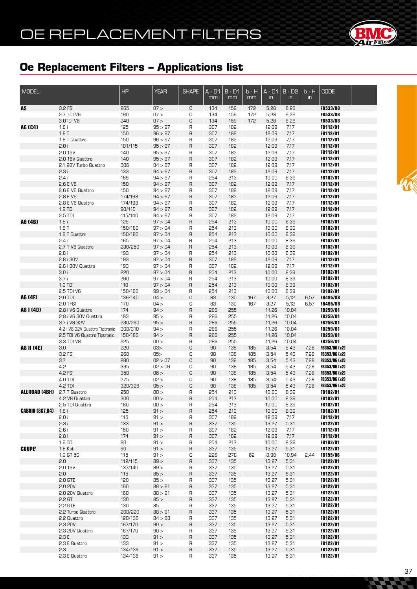

| <b>MODEL</b>           |                                                                | HP                 | <b>YEAR</b>        | <b>SHAPE</b>                  | $A - D1$<br>mm | $B - D1$<br>mm | $b - H$<br>mm | $A - D1$<br>in | $B - D2$<br>$\overline{m}$ | $b - H$<br>$\mathsf{in}$ | <b>CODE</b>                    |  |
|------------------------|----------------------------------------------------------------|--------------------|--------------------|-------------------------------|----------------|----------------|---------------|----------------|----------------------------|--------------------------|--------------------------------|--|
| A5                     | 3.2 FSI                                                        | 265                | 07 >               | C                             | 134            | 159            | 172           | 5,28           | 6,26                       |                          | <b>FB533/08</b>                |  |
|                        | 2.7 TDI V6                                                     | 190                | 07 >               | C                             | 134            | 159            | 172           | 5,28           | 6,26                       |                          | FB533/08                       |  |
|                        | 3.0TDI V6                                                      | 240                | 07 >               | C                             | 134            | 159            | 172           | 5,28           | 6,26                       |                          | FB533/08                       |  |
| A6 (C4)                | 1.8i<br>1.8T                                                   | 125<br>150         | 95 > 97<br>96 > 97 | $\mathsf R$<br>$\overline{R}$ | 307<br>307     | 182<br>182     |               | 12,09<br>12,09 | 7,17<br>7,17               |                          | FB112/01<br>FB112/01           |  |
|                        | 1.8 T Quattro                                                  | 150                | 96 > 97            | R                             | 307            | 182            |               | 12,09          | 7,17                       |                          | <b>FB112/01</b>                |  |
|                        | 2.0i                                                           | 101/115            | 95 > 97            | $\mathsf{R}$                  | 307            | 182            |               | 12,09          | 7,17                       |                          | FB112/01                       |  |
|                        | 2.0 16V                                                        | 140                | 95 > 97            | R                             | 307            | 182            |               | 12,09          | 7,17                       |                          | FB112/01                       |  |
|                        | 2.0 16V Quattro                                                | 140                | 95 > 97            | $\overline{R}$                | 307            | 182            |               | 12,09          | 7,17                       |                          | FB112/01                       |  |
|                        | 2.1 20V Turbo Quattro                                          | 306                | 84 > 87            | R                             | 307            | 182            |               | 12,09          | 7,17                       |                          | <b>FB112/01</b>                |  |
|                        | 2.3i                                                           | 133                | 94 > 97            | $\overline{R}$                | 307            | 182            |               | 12,09          | 7,17                       |                          | FB112/01                       |  |
|                        | 2.4i<br>2.6 E V6                                               | 165<br>150         | 94 > 97<br>94 > 97 | R<br>R                        | 254<br>307     | 213<br>182     |               | 10,00<br>12,09 | 8,39<br>7,17               |                          | <b>FB102/01</b><br>FB112/01    |  |
|                        | 2.6 E V6 Quattro                                               | 150                | 94 > 97            | R                             | 307            | 182            |               | 12,09          | 7,17                       |                          | <b>FB112/01</b>                |  |
|                        | 2.8 E V6                                                       | 174/193            | 94 > 97            | $\overline{R}$                | 307            | 182            |               | 12,09          | 7,17                       |                          | FB112/01                       |  |
|                        | 2.8 E V6 Quattro                                               | 174/193            | 94 > 97            | R                             | 307            | 182            |               | 12,09          | 7,17                       |                          | FB112/01                       |  |
|                        | 1.9 TDI                                                        | 90/110             | 94 > 97            | R                             | 307            | 182            |               | 12,09          | 7,17                       |                          | FB112/01                       |  |
|                        | 2.5 TDI                                                        | 115/140            | 94 > 97            | R                             | 307            | 182            |               | 12,09          | 7,17                       |                          | FB112/01                       |  |
| A6 (4B)                | 1.8i                                                           | 125                | 97 > 04            | $\overline{R}$                | 254            | 213            |               | 10,00          | 8,39                       |                          | FB102/01                       |  |
|                        | 1.8T<br>1.8 T Quattro                                          | 150/180<br>150/180 | 97 > 04<br>97 > 04 | R<br>R                        | 254<br>254     | 213<br>213     |               | 10,00<br>10,00 | 8,39<br>8,39               |                          | FB102/01<br>FB102/01           |  |
|                        | 2.4i                                                           | 165                | 97 > 04            | R                             | 254            | 213            |               | 10,00          | 8,39                       |                          | FB102/01                       |  |
|                        | 2.7 T V6 Quattro                                               | 230/250            | 97 > 04            | $\overline{R}$                | 254            | 213            |               | 10,00          | 8,39                       |                          | FB102/01                       |  |
|                        | 2.8i                                                           | 193                | 97 > 04            | R                             | 254            | 213            |               | 10,00          | 8,39                       |                          | FB102/01                       |  |
|                        | 2.8 i 30V                                                      | 193                | 97 > 04            | R                             | 307            | 182            |               | 12,09          | 7,17                       |                          | FB112/01                       |  |
|                        | 2.8 i 30V Quattro                                              | 193                | 97 > 04            | R                             | 307            | 182            |               | 12,09          | 7,17                       |                          | FB112/01                       |  |
|                        | 3.0i<br>3.7i                                                   | 220                | 97 > 04<br>97 > 04 | $\overline{R}$                | 254<br>254     | 213            |               | 10,00          | 8,39                       |                          | FB102/01<br>FB102/01           |  |
|                        | 1.9 TDI                                                        | 260<br>110         | 97 > 04            | R<br>$\overline{R}$           | 254            | 213<br>213     |               | 10,00<br>10,00 | 8,39<br>8,39               |                          | FB102/01                       |  |
|                        | 2.5 TDI V6                                                     | 150/180            | 99 > 04            | R                             | 254            | 213            |               | 10,00          | 8,39                       |                          | FB102/01                       |  |
| A6 (4F)                | 2.0 TDI                                                        | 136/140            | 04 >               | C                             | 83             | 130            | 167           | 3,27           | 5,12                       | 6,57                     | FB495/08                       |  |
|                        | 2.0 TFSI                                                       | 170                | 04 >               | C                             | 83             | 130            | 167           | 3,27           | 5,12                       | 6,57                     | FB495/08                       |  |
| A8 I (4D)              | 2.8 i V6 Quattro                                               | 174                | 94 >               | $\overline{R}$                | 286            | 255            |               | 11,26          | 10,04                      |                          | FB259/01                       |  |
|                        | 2.8 i V6 30V Quattro                                           | 193                | 95 >               | R                             | 286            | 255            |               | 11,26          | 10,04                      |                          | FB259/01                       |  |
|                        | 3.7 i V8 32V                                                   | 230/260            | 95 >               | $\overline{R}$                | 286            | 255            |               | 11,26          | 10,04                      |                          | FB259/01<br>FB259/01           |  |
|                        | 4.2 i V8 32V Quattro Tiptronic<br>2.5 TDI V6 Quattro Tiptronic | 300/310<br>150/180 | 94 ><br>94 >       | R<br>$\overline{R}$           | 286<br>286     | 255<br>255     |               | 11,26<br>11,26 | 10,04<br>10,04             |                          | FB259/01                       |  |
|                        | 3.3 TDI V8                                                     | 225                | 00 >               | R                             | 286            | 255            |               | 11,26          | 10,04                      |                          | FB259/01                       |  |
| <b>A8 II (4E)</b>      | 3.0                                                            | 220                | 03>                | C                             | 90             | 138            | 185           | 3,54           | 5,43                       | 7,28                     | FB353/06 (x2)                  |  |
|                        | 3.2 FSI                                                        | 260                | 05                 | C                             | 90             | 138            | 185           | 3,54           | 5,43                       | 7,28                     | FB353/06 (x2)                  |  |
|                        | 3.7                                                            | 280                | 02 > 07            | C                             | 90             | 138            | 185           | 3,54           | 5,43                       | 7,28                     | FB353/06 (x2)                  |  |
|                        | 4.2                                                            | 335                | 02 > 06            | C                             | 90             | 138            | 185           | 3,54           | 5,43                       | 7,28                     | FB353/06 (x2)                  |  |
|                        | 4.2 FSI<br>4.0 TDI                                             | 350<br>275         | 06 ><br>02 >       | C<br>C                        | 90<br>90       | 138<br>138     | 185<br>185    | 3,54           | 5,43                       | 7,28<br>7,28             | FB353/06 (x2)<br>FB353/06 (x2) |  |
|                        | 4.2 TDI                                                        | 320/326            | 05 >               | C                             | 90             | 138            | 185           | 3,54<br>3,54   | 5,43<br>5,43               | 7,28                     | FB353/06 (x2)                  |  |
| ALLROAD (4BH)          | 2.7 T Quattro                                                  | 250                | 00 >               | R                             | 254            | 213            |               | 10,00          | 8,39                       |                          | FB102/01                       |  |
|                        | 4.2 V8 Quattro                                                 | 300                | 00 >               | R                             | 254            | 213            |               | 10,00          | 8,39                       |                          | FB102/01                       |  |
|                        | 2.5 TDI Quattro                                                | 180                | 00 >               | R                             | 254            | 213            |               | 10,00          | 8,39                       |                          | FB102/01                       |  |
| <b>CABRIO (8G7,B4)</b> | 1.8i                                                           | 125                | 91 >               | $\sf R$                       | 254            | 213            |               | 10,00          | 8,39                       |                          | FB102/01                       |  |
|                        | 2.0 i                                                          | 115                | 91 >               | R                             | 307            | 182            |               | 12,09          | 7,17                       |                          | FB112/01                       |  |
|                        | 2.3i<br>2.6i                                                   | 133<br>150         | 91 ><br>91 >       | $\mathsf{R}$<br>R             | 337<br>307     | 135<br>182     |               | 13,27<br>12,09 | 5,31<br>7,17               |                          | FB122/01<br><b>FB112/01</b>    |  |
|                        | 2.8i                                                           | 174                | 91 >               | $\mathsf{R}$                  | 307            | 182            |               | 12,09          | 7,17                       |                          | FB112/01                       |  |
|                        | 1.9 TDi                                                        | 90                 | 91 >               | R                             | 254            | 213            |               | 10,00          | 8,39                       |                          | FB102/01                       |  |
| <b>COUPE'</b>          | $1.8$ Kat                                                      | 90                 | 91 >               | $\overline{R}$                | 337            | 135            |               | 13,27          | 5,31                       |                          | FB122/01                       |  |
|                        | 1.9 GT 5S                                                      | 115                | 91 >               | С                             | 226            | 278            | 62            | 8,90           | 10,94                      | 2,44                     | <b>FB155/06</b>                |  |
|                        | 2.0                                                            | 112/115            | 89 >               | $\overline{R}$                | 337            | 135            |               | 13,27          | 5,31                       |                          | FB122/01                       |  |
|                        | 2.0 16V                                                        | 137/140            | 89 >               | R                             | 337            | 135            |               | 13,27          | 5,31                       |                          | <b>FB122/01</b>                |  |
|                        | 2.0<br>2.0 GTE                                                 | 115<br>120         | 85 ><br>85 >       | $\overline{R}$<br>R           | 337<br>337     | 135<br>135     |               | 13,27<br>13,27 | 5,31<br>5,31               |                          | FB122/01<br><b>FB122/01</b>    |  |
|                        | 2.0 20V                                                        | 160                | 88 > 91            | $\overline{R}$                | 337            | 135            |               | 13,27          | 5,31                       |                          | FB122/01                       |  |
|                        | 2.0 20V Quattro                                                | 160                | 88 > 91            | R                             | 337            | 135            |               | 13,27          | 5,31                       |                          | <b>FB122/01</b>                |  |
|                        | 2.2 GT                                                         | 130                | 85 >               | $\overline{R}$                | 337            | 135            |               | 13,27          | 5,31                       |                          | FB122/01                       |  |
|                        | 2.2 GTE                                                        | 130                | 85                 | R                             | 337            | 135            |               | 13,27          | 5,31                       |                          | <b>FB122/01</b>                |  |
|                        | 2.2 Turbo Quattro                                              | 200/220            | 88 > 91            | $\overline{R}$                | 337            | 135            |               | 13,27          | 5,31                       |                          | FB122/01                       |  |
|                        | 2.2 Quattro                                                    | 120/136            | 84 > 88            | R                             | 337            | 135            |               | 13,27          | 5,31                       |                          | <b>FB122/01</b>                |  |
|                        | 2.3 20V<br>2.3 20V Quattro                                     | 167/170<br>167/170 | 90 ><br>90 >       | $\overline{R}$<br>R           | 337<br>337     | 135<br>135     |               | 13,27<br>13,27 | 5,31<br>5,31               |                          | FB122/01<br><b>FB122/01</b>    |  |
|                        | 2.3E                                                           | 133                | 91 >               | $\overline{R}$                | 337            | 135            |               | 13,27          | 5,31                       |                          | FB122/01                       |  |
|                        | 2.3 E Quattro                                                  | 133                | 91 >               | R                             | 337            | 135            |               | 13,27          | 5,31                       |                          | <b>FB122/01</b>                |  |
|                        | 2.3                                                            | 134/136            | 91 >               | $\sf R$                       | 337            | 135            |               | 13,27          | 5,31                       |                          | FB122/01                       |  |
|                        | 2.3 E Quattro                                                  | 134/136            | 91 >               | R                             | 337            | 135            |               | 13,27          | 5,31                       |                          | FB122/01                       |  |

**SEPTING**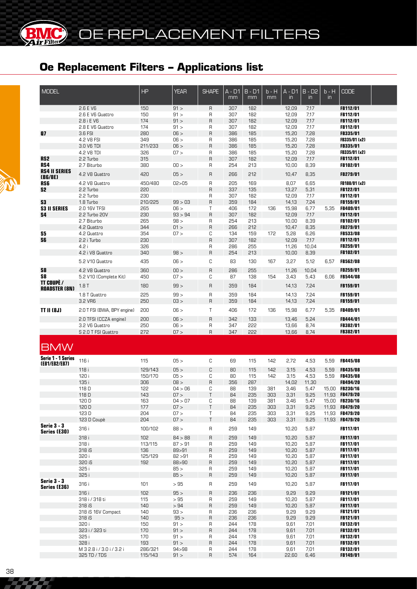**®**

r Filter

| <b>MODEL</b>                       |                             | <b>HP</b>  | <b>YEAR</b>  | <b>SHAPE</b>      | A - D1<br>mm | $B - D1$<br>mm | b - H<br>mm | $A - D1$<br>$\mathsf{in}$ | $B - D2$<br>$\mathsf{in}$ | b - H<br>$\mathsf{in}$ | <b>CODE</b>          |  |
|------------------------------------|-----------------------------|------------|--------------|-------------------|--------------|----------------|-------------|---------------------------|---------------------------|------------------------|----------------------|--|
|                                    |                             |            |              |                   |              |                |             |                           |                           |                        |                      |  |
|                                    | 2.6 E V6                    | 150        | 91 >         | R                 | 307          | 182            |             | 12,09                     | 7,17                      |                        | FB112/01             |  |
|                                    | 2.6 E V6 Quattro            | 150        | 91 >         | R                 | 307          | 182            |             | 12,09                     | 7,17                      |                        | FB112/01             |  |
|                                    | 2.8 i E V6                  | 174        | 91 >         | $\mathsf{R}$      | 307          | 182<br>182     |             | 12,09                     | 7,17                      |                        | FB112/01             |  |
| 87                                 | 2.8 E V6 Quattro<br>3.6 FSI | 174<br>280 | 91 ><br>06 > | R<br>$\mathsf{R}$ | 307<br>386   | 185            |             | 12,09                     | 7,17                      |                        | FB112/01<br>FB335/01 |  |
|                                    | 4.2 V8 FSI                  | 349        | 06 >         | R                 | 386          | 185            |             | 15,20<br>15,20            | 7,28<br>7,28              |                        | FB335/01 (x2)        |  |
|                                    | 3.0 V6 TDI                  | 211/233    | 06 >         | $\mathsf{R}$      | 386          | 185            |             | 15,20                     | 7,28                      |                        | <b>FB335/01</b>      |  |
|                                    | 4.2 V8 TDI                  | 326        | 07 >         | R                 | 386          | 185            |             | 15,20                     | 7,28                      |                        | FB335/01 (x2)        |  |
| RS <sub>2</sub>                    | 2.2 Turbo                   | 315        |              | $\sf B$           | 307          | 182            |             | 12,09                     | 7,17                      |                        | FB112/01             |  |
| RS4                                | 2.7 Biturbo                 | 380        | 00 >         | R                 | 254          | 213            |             | 10,00                     | 8,39                      |                        | FB102/01             |  |
| <b>RS4 II SERIES</b>               |                             |            |              |                   |              |                |             |                           |                           |                        |                      |  |
| (B6/8E)                            | 4.2 V8 Quattro              | 420        | 05 >         | $\mathsf{R}$      | 266          | 212            |             | 10,47                     | 8,35                      |                        | FB279/01             |  |
| RS6                                | 4.2 V8 Quattro              | 450/480    | 02 > 05      | $\sf R$           | 205          | 169            |             | 8,07                      | 6,65                      |                        | FB188/01 (x2)        |  |
| S2                                 | 2.2 Turbo                   | 220        |              | $\sf B$           | 337          | 135            |             | 13,27                     | 5,31                      |                        | <b>FB122/01</b>      |  |
|                                    | 2.2 Turbo                   | 230        |              | R                 | 307          | 182            |             | 12,09                     | 7,17                      |                        | <b>FB112/01</b>      |  |
| S <sub>3</sub>                     | 1.8 Turbo                   | 210/225    | 99 > 03      | $\mathsf{R}$      | 359          | 184            |             | 14,13                     | 7,24                      |                        | <b>FB159/01</b>      |  |
| <b>S3 II SERIES</b>                | 2.0 16V TFSI                | 265        | 06 >         | Τ                 | 406          | 172            | 136         | 15,98                     | 6,77                      | 5,35                   | <b>FB409/01</b>      |  |
| S4                                 | 2.2 Turbo 20V               | 230        | 93 > 94      | $\sf B$           | 307          | 182            |             | 12,09                     | 7,17                      |                        | <b>FB112/01</b>      |  |
|                                    | 2.7 Biturbo                 | 265        | 98 >         | R                 | 254          | 213            |             | 10,00                     | 8,39                      |                        | FB102/01             |  |
|                                    | 4.2 Quattro                 | 344        | 01 >         | $\sf B$           | 266          | 212            |             | 10,47                     | 8,35                      |                        | <b>FB279/01</b>      |  |
| S5                                 | 4.2 Quattro                 | 354        | 07 >         | С                 | 134          | 159            | 172         | 5,28                      | 6,26                      |                        | <b>FB533/08</b>      |  |
| S6                                 | 2.2 i Turbo                 | 230        |              | $\sf B$           | 307          | 182            |             | 12,09                     | 7,17                      |                        | <b>FB112/01</b>      |  |
|                                    | 4.2 i                       | 326        |              | R                 | 286          | 255            |             | 11,26                     | 10,04                     |                        | FB259/01             |  |
|                                    | 4.2 i V8 Quattro            | 340        | 98 >         | $\sf B$           | 254          | 213            |             | 10,00                     | 8,39                      |                        | FB102/01             |  |
|                                    | 5.2 V10 Quattro             | 435        | 06 >         | C                 | 83           | 130            | 167         | 3,27                      | 5,12                      | 6,57                   | <b>FB562/08</b>      |  |
|                                    |                             |            |              |                   |              |                |             |                           |                           |                        |                      |  |
| S8                                 | 4.2 V8 Quattro              | 360        | 00 >         | $\mathsf{R}$      | 286          | 255            |             | 11,26                     | 10,04                     |                        | <b>FB259/01</b>      |  |
| S8                                 | 5.2 V10 (Complete Kit)      | 450        | 07 >         | C                 | 87           | 138            | 154         | 3,43                      | 5,43                      | 6,06                   | <b>FB544/08</b>      |  |
| TT COUPÉ /                         | 1.8T                        | 180        | 99 >         | $\sf B$           | 359          | 184            |             | 14,13                     | 7,24                      |                        | FB159/01             |  |
| <b>ROADSTER (8N)</b>               |                             |            |              |                   |              |                |             |                           |                           |                        |                      |  |
|                                    | 1.8 T Quattro               | 225        | 99 >         | $\mathsf{R}$      | 359          | 184            |             | 14,13                     | 7,24                      |                        | FB159/01             |  |
|                                    | 3.2 VR6                     | 250        | 03 >         | $\mathsf{R}$      | 359          | 184            |             | 14,13                     | 7,24                      |                        | FB159/01             |  |
| <b>TT II (8J)</b>                  | 2.0 T FSI (BWA, BPY engine) | 200        | 06 >         | T                 | 406          | 172            | 136         | 15,98                     | 6,77                      | 5,35                   | FB409/01             |  |
|                                    | 2.0 TFSI (CCZA engine)      | 200        | 06 >         | $\sf R$           | 342          | 133            |             | 13,46                     | 5,24                      |                        | FB444/01             |  |
|                                    | 3.2 V6 Quattro              | 250        | 06 >         | R                 | 347          | 555            |             | 13,66                     | 8,74                      |                        | <b>FB382/01</b>      |  |
|                                    | S 2.0 T FSI Quattro         | 272        | 07 >         | $\sf B$           | 347          | 555            |             | 13,66                     | 8,74                      |                        | <b>FB382/01</b>      |  |
|                                    |                             |            |              |                   |              |                |             |                           |                           |                        |                      |  |
|                                    |                             |            |              |                   |              |                |             |                           |                           |                        |                      |  |
| <b>BMW</b>                         |                             |            |              |                   |              |                |             |                           |                           |                        |                      |  |
| Serie 1 - 1 Series                 |                             |            |              |                   |              |                |             |                           |                           |                        |                      |  |
| (E81/E82/E87)                      | 116 i                       | 115        | 05 >         | С                 | 69           | 115            | 142         | 2,72                      | 4,53                      | 5,59                   | FB445/08             |  |
|                                    | 118 i                       | 129/143    | 05 >         | $\mathbb C$       | 80           | 115            | 142         | 3,15                      | 4,53                      | 5,59                   | FB435/08             |  |
|                                    | 120 i                       | 150/170    | 05 >         | C                 | 80           | 115            | 142         | 3,15                      | 4,53                      | 5,59                   | <b>FB435/08</b>      |  |
|                                    | 135 i                       | 306        | 08 >         | $\overline{R}$    | 356          | 287            |             | 14,02                     | 11,30                     |                        | FB494/20             |  |
|                                    | 118 D                       | 122        | 04 > 06      | C                 | 88           | 139            | 381         | 3,46                      | 5,47                      |                        | 15,00 FB230/16       |  |
|                                    | 118 D                       | 143        | 07 >         | T                 | 84           | 235            | 303         | 3,31                      | 9,25                      |                        | 11,93 FB479/20       |  |
|                                    | 120 D                       | 163        | 04 > 07      | С                 | 88           | 139            | 381         | 3,46                      | 5,47                      |                        | 15,00 FB230/16       |  |
|                                    | 120 D                       | 177        | 07 >         | Τ                 | 84           | 235            | 303         | 3,31                      | 9,25                      |                        | 11,93 FB479/20       |  |
|                                    | 123 D                       | 204        | 07 >         | Τ                 | 84           | 235            | 303         | 3,31                      | 9,25                      |                        | 11,93 FB479/20       |  |
|                                    | 123 D Coupè                 | 204        | 07 >         | T                 | 84           | 235            | 303         | 3,31                      | 9,25                      |                        | 11,93 FB479/20       |  |
| <b>Serie 3 - 3</b><br>Series (E30) | 316 i                       | 100/102    | 88 >         | R                 | 259          | 149            |             | 10,20                     | 5,87                      |                        | <b>FB117/01</b>      |  |
|                                    | 318 i                       | 102        | 84 > 88      | $\mathsf{R}$      | 259          | 149            |             | 10,20                     | 5,87                      |                        | <b>FB117/01</b>      |  |
|                                    | 318 i                       | 113/115    | 87 > 91      | R                 | 259          | 149            |             | 10,20                     | 5,87                      |                        | <b>FB117/01</b>      |  |
|                                    | 318 iS                      | 136        | 89>91        | $\mathsf{R}$      | 259          | 149            |             | 10,20                     | 5,87                      |                        | <b>FB117/01</b>      |  |
|                                    | 320 i                       | 125/129    | 82 > 91      | R                 | 259          | 149            |             | 10,20                     | 5,87                      |                        | <b>FB117/01</b>      |  |
|                                    | 320 iS                      | 192        | 88>90        | R                 | 259          | 149            |             | 10,20                     | 5,87                      |                        | <b>FB117/01</b>      |  |
|                                    | 325 i                       |            | 85 >         | R                 | 259          | 149            |             | 10,20                     | 5,87                      |                        | <b>FB117/01</b>      |  |
|                                    | 325i                        |            | 85 >         | R                 | 259          | 149            |             | 10,20                     | 5,87                      |                        | <b>FB117/01</b>      |  |
| <b>Serie 3 - 3</b>                 |                             |            |              |                   |              |                |             |                           |                           |                        |                      |  |
| Series (E36)                       | 316 i                       | 101        | >95          | R                 | 259          | 149            |             | 10,20                     | 5,87                      |                        | <b>FB117/01</b>      |  |
|                                    | 316 i                       | 102        | 95 >         | $\sf B$           | 236          | 236            |             | 9,29                      | 9,29                      |                        | FB121/01             |  |
|                                    | 318 i / 318 ti              | 115        | >95          | R                 | 259          | 149            |             | 10,20                     | 5,87                      |                        | <b>FB117/01</b>      |  |
|                                    | 318 iS                      | 140        | >94          | $\mathsf{R}$      | 259          | 149            |             | 10,20                     | 5,87                      |                        | FB117/01             |  |
|                                    | 318 iS 16V Compact          | 140        | 93 >         | R                 | 236          | 236            |             | 9,29                      | 9,29                      |                        | <b>FB121/01</b>      |  |
|                                    | 318 iS                      | 140        | 95 >         | R                 | 236          | 236            |             | 9,29                      | 9,29                      |                        | <b>FB121/01</b>      |  |
|                                    | 320 i                       | 150        | 91 >         | R                 | 244          | 178            |             | 9,61                      | 7,01                      |                        | <b>FB132/01</b>      |  |
|                                    | 323 i / 323 ti              | 170        | 91 >         | $\mathsf{R}$      | 244          | 178            |             | 9,61                      | 7,01                      |                        | <b>FB132/01</b>      |  |
|                                    | 325 i                       | 170        | 91 >         | R                 | 244          | 178            |             | 9,61                      | 7.01                      |                        | <b>FB132/01</b>      |  |
|                                    | 328 i                       | 193        | 91 >         | $\mathsf{R}$      | 244          | 178            |             | 9,61                      | 7,01                      |                        | FB132/01             |  |
|                                    | M 3 2.8 i / 3.0 i / 3.2 i   | 286/321    | 94 > 98      | R                 | 244          | 178            |             | 9,61                      | 7,01                      |                        | <b>FB132/01</b>      |  |
|                                    | 325 TD / TDS                | 115/143    | 91 >         | $\mathsf{R}$      | 574          | 164            |             | 22,60                     | 6,46                      |                        | FB149/01             |  |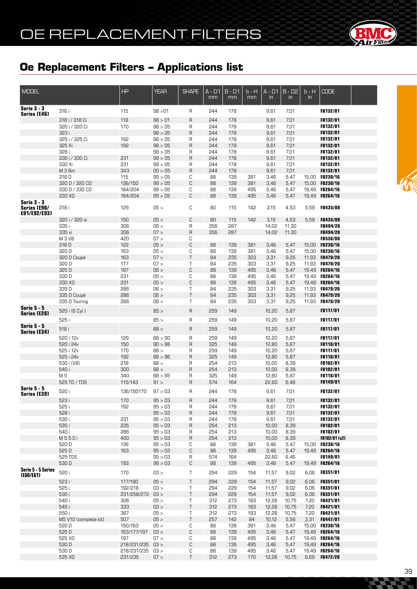

| <b>MODEL</b>                                       |                                  | <b>HP</b>          | <b>YEAR</b>        | <b>SHAPE</b>     | A - D1<br>mm | $B - D1$<br>mm | $b - H$<br>mm | $A - D1$<br>$\mathsf{in}$ | $B - D2$<br>$\mathsf{in}$ | $b - H$<br>in. | <b>CODE</b>                      |  |
|----------------------------------------------------|----------------------------------|--------------------|--------------------|------------------|--------------|----------------|---------------|---------------------------|---------------------------|----------------|----------------------------------|--|
| <b>Serie 3 - 3</b>                                 | 316 i                            | 115                | 98 > 01            | R                | 244          | 178            |               | 9,61                      | 7,01                      |                | FB132/01                         |  |
| Series (E46)                                       |                                  |                    | 98 > 01            |                  | 244          | 178            |               |                           |                           |                | FB132/01                         |  |
|                                                    | 318 i / 318 Ci<br>320 i / 320 Ci | 118<br>170         | 98 > 05            | $\mathsf R$<br>R | 244          | 178            |               | 9,61<br>9,61              | 7,01<br>7,01              |                | FB132/01                         |  |
|                                                    | 323 i                            |                    | 98 > 05            | $\mathsf R$      | 244          | 178            |               | 9,61                      | 7,01                      |                | FB132/01                         |  |
|                                                    | 325 i / 325 Ci                   | 192                | 98 > 05            | R                | 244          | 178            |               | 9,61                      | 7,01                      |                | <b>FB132/01</b>                  |  |
|                                                    | 325 Xi                           | 192                | 98 > 05            | $\mathsf R$      | 244          | 178            |               | 9,61                      | 7,01                      |                | FB132/01                         |  |
|                                                    | 328 i                            |                    | 98 > 05            | R                | 244          | 178            |               | 9,61                      | 7,01                      |                | <b>FB132/01</b>                  |  |
|                                                    | 330 i / 330 Ci                   | 231                | 99 > 05            | $\mathsf R$      | 244          | 178            |               | 9,61                      | 7,01                      |                | FB132/01                         |  |
|                                                    | 330 Xi                           | 231                | 99 > 05            | R                | 244          | 178            |               | 9,61                      | 7,01                      |                | <b>FB132/01</b>                  |  |
|                                                    | M 3 6m                           | 343                | 00 > 05            | $\sf R$          | 244          | 178            |               | 9,61                      | 7,01                      |                | FB132/01                         |  |
|                                                    | 318D                             | 115                | 99 > 05            | С                | 88           | 139            | 381           | 3,46                      | 5,47                      |                | 15,00 FB230/16                   |  |
|                                                    | 320 D / 320 CD                   | 136/150            | 99 > 05            | С                | 88           | 139            | 381           | 3,46                      | 5,47                      | 15,00          | <b>FB230/16</b>                  |  |
|                                                    | 330 D / 330 CD                   | 184/204            | 99 > 05            | С                | 88           | 139            | 495           | 3,46                      | 5,47                      |                | 19,49 FB264/16                   |  |
|                                                    | 330 XD                           | 184/204            | 99 > 05            | C                | 88           | 139            | 495           | 3,46                      | 5,47                      |                | 19,49 FB264/16                   |  |
| <b>Serie 3 - 3</b><br>Series (E90/<br>E91/E92/E93) | 318 i                            | 129                | 05 >               | C                | 80           | 115            | 142           | 3,15                      | 4,53                      | 5,59           | <b>FB435/08</b>                  |  |
|                                                    | 320 i / 320 si                   | 150                | 05 >               | C                | 80           | 115            | 142           | 3,15                      | 4,53                      | 5,59           | FB435/08                         |  |
|                                                    | 335 i                            | 306                | 06 >               | R                | 356          | 287            |               | 14,02                     | 11,30                     |                | <b>FB494/20</b>                  |  |
|                                                    | 335 xi                           | 306                | 07 >               | $\sf R$          | 356          | 287            |               | 14,02                     | 11,30                     |                | <b>FB494/20</b>                  |  |
|                                                    | M 3 V8                           | 420                | 07 >               | С                |              |                |               |                           |                           |                | <b>FB536/08</b>                  |  |
|                                                    | 318D                             | 122                | 05 >               | С                | 88           | 139            | 381           | 3,46                      | 5,47                      |                | 15,00 FB230/16                   |  |
|                                                    | 320 D                            | 163                | 05 >               | С                | 88           | 139            | 381           | 3,46                      | 5,47                      |                | 15,00 FB230/16                   |  |
|                                                    | 320 D Coupè                      | 163                | 07 >               | $\sf T$          | 84           | 235            | 303           | 3,31                      | 9,25                      |                | 11.93 FB479/20                   |  |
|                                                    | 320 D                            | 177                | 07 >               | Τ                | 84           | 235            | 303           | 3,31                      | 9,25                      |                | 11,93 FB479/20                   |  |
|                                                    | 325 D<br>330 D                   | 197<br>231         | 06 ><br>05 >       | С<br>С           | 88<br>88     | 139<br>139     | 495<br>495    | 3,46<br>3,46              | 5,47<br>5,47              |                | 19,49 FB264/16<br>19,49 FB264/16 |  |
|                                                    | 330 XD                           | 231                | 05 >               | С                | 88           | 139            | 495           | 3,46                      | 5,47                      |                | 19,49 FB264/16                   |  |
|                                                    | 335D                             | 286                | 06 >               | Τ                | 84           | 235            | 303           | 3,31                      | 9,25                      |                | 11,93 FB479/20                   |  |
|                                                    | 335 D Coupè                      | 286                | 06 >               | Τ                | 84           | 235            | 303           | 3,31                      | 9,25                      |                | 11,93 FB479/20                   |  |
|                                                    | 335 D Touring                    | 286                | 06 >               | Τ                | 84           | 235            | 303           | 3,31                      | 9,25                      |                | 11,93 FB479/20                   |  |
| <b>Serie 5 - 5</b><br><b>Series (E28)</b>          | 520 i (6 Cyl.)                   |                    | 85 >               | $\mathsf{R}$     | 259          | 149            |               | 10,20                     | 5,87                      |                | <b>FB117/01</b>                  |  |
|                                                    | 525 i                            |                    | 85 >               | R                | 259          | 149            |               | 10,20                     | 5,87                      |                | <b>FB117/01</b>                  |  |
| <b>Serie 5 - 5</b><br><b>Series (E34)</b>          | 518 i                            |                    | 88 >               | $\mathsf{R}$     | 259          | 149            |               | 10,20                     | 5,87                      |                | <b>FB117/01</b>                  |  |
|                                                    | 520 i 12v                        | 129                | 88 > 90            | R                | 259          | 149            |               | 10,20                     | 5,87                      |                | <b>FB117/01</b>                  |  |
|                                                    | 520 i 24v                        | 150                | 90 > 96            | R                | 325          | 149            |               | 12,80                     | 5,87                      |                | FB118/01                         |  |
|                                                    | 525 i 12v                        | 170                | 88 >               | R                | 259          | 149            |               | 10,20                     | 5,87                      |                | <b>FB117/01</b>                  |  |
|                                                    | 525 i 24v<br>530 i (V8)          | 192<br>218         | 88 > 96<br>88 >    | $\sf R$<br>R     | 325<br>254   | 149<br>213     |               | 12,80<br>10,00            | 5,87<br>8,39              |                | FB118/01<br>FB102/01             |  |
|                                                    | 540 i                            | 300                | 88 >               | $\sf R$          | 254          | 213            |               | 10,00                     | 8,39                      |                | FB102/01                         |  |
|                                                    | M 5                              | 340                | 88 > 95            | R                | 325          | 149            |               | 12,80                     | 5,87                      |                | FB118/01                         |  |
|                                                    | 525 TD / TDS                     | 115/143            | 91 >               | $\mathsf R$      | 574          | 164            |               | 22,60                     | 6,46                      |                | FB149/01                         |  |
| <b>Serie 5 - 5</b><br><b>Series (E39)</b>          | 520 i                            | 136/150170         | 97 > 03            | R                | 244          | 178            |               | 9,61                      | 7,01                      |                | FB132/01                         |  |
|                                                    | 523 i                            | 170                | 95 > 03            | $\sf R$          | 244          | 178            |               | 9,61                      | 7,01                      |                | FB132/01                         |  |
|                                                    | 525 i                            | 192                | 95 > 03            | R                | 244          | 178            |               | 9,61                      | 7,01                      |                | FB132/01                         |  |
|                                                    | 528 i                            |                    | 95 > 03            | $\sf R$          | 244          | 178            |               | 9,61                      | 7,01                      |                | FB132/01                         |  |
|                                                    | 530 i                            | 231                | 95 > 03            | R                | 244          | 178            |               | 9,61                      | 7,01                      |                | <b>FB132/01</b>                  |  |
|                                                    | 535 i<br>540 i                   | 235                | 95 > 03<br>95 > 03 | $\sf R$          | 254          | 213            |               | 10,00                     | 8,39                      |                | FB102/01                         |  |
|                                                    | M 5 5.0 i                        | 286<br>400         | 95 > 03            | R<br>R           | 254<br>254   | 213<br>213     |               | 10,00<br>10,00            | 8,39<br>8,39              |                | <b>FB102/01</b><br>FB102/01 (x2) |  |
|                                                    | 520 D                            | 136                | 95 > 03            | С                | 88           | 139            | 381           | 3,46                      | 5,47                      |                | 15,00 FB230/16                   |  |
|                                                    | 525D                             | 163                | 95 > 03            | С                | 88           | 139            | 495           | 3,46                      | 5,47                      |                | 19,49 FB264/16                   |  |
|                                                    | 525 TDS                          |                    | 95 > 03            | R                | 574          | 164            |               | 22,60                     | 6,46                      |                | FB149/01                         |  |
|                                                    | 530 D                            | 193                | 98 > 03            | С                | 88           | 139            | 495           | 3,46                      | 5,47                      |                | 19,49 FB264/16                   |  |
| Serie 5 - 5 Series<br>(E60/E61)                    | 520 i                            | 170                | 03 >               | Τ                | 294          | 229            | 154           | 11,57                     | 9,02                      | 6,06           | FB351/01                         |  |
|                                                    | 523 i                            | 177/190            | 05 >               | Τ                | 294          | 229            | 154           | 11,57                     | 9,02                      | 6,06           | FB351/01                         |  |
|                                                    | 525 i                            | 192/218            | 03 >               | Τ                | 294          | 229            | 154           | 11,57                     | 9,02                      | 6,06           | FB351/01                         |  |
|                                                    | 530 i                            | 231/258/272        | 03 >               | Τ                | 294          | 229            | 154           | 11,57                     | 9,02                      | 6,06           | <b>FB351/01</b>                  |  |
|                                                    | 540 i                            | 306                | 05 >               | Τ                | 312          | 273            | 183           | 12,28                     | 10,75                     | 7,20           | <b>FB421/01</b>                  |  |
|                                                    | 545 i                            | 333                | 03 >               | Τ                | 312          | 273            | 183           | 12,28                     | 10,75                     | 7,20           | FB421/01                         |  |
|                                                    | 550 i                            | 367                | 05 >               | Τ                | 312          | 273            | 183           | 12,28                     | 10,75                     | 7,20           | <b>FB421/01</b>                  |  |
|                                                    | M5 V10 (complete kit)            | 507                | 05 >               | Τ                | 257          | 142            | 84            | 10,12                     | 5,59                      | 3,31           | FB447/01                         |  |
|                                                    | 520 D                            | 150/163            | 05 >               | С                | 88           | 139            | 381           | 3,46                      | 5,47                      |                | 15,00 FB230/16                   |  |
|                                                    | 525 D                            | 163/177/197        | 03 >               | С                | 88<br>88     | 139            | 495<br>495    | 3,46                      | 5,47                      |                | 19,49 FB264/16                   |  |
|                                                    | 525 XD<br>530 D                  | 197<br>218/231/235 | 07 ><br>03 >       | С<br>С           | 88           | 139<br>139     | 495           | 3,46<br>3,46              | 5,47<br>5,47              |                | 19,49 FB264/16<br>19,49 FB264/16 |  |
|                                                    | 530 D                            | 218/231/235        | 03 >               | С                | 88           | 139            | 495           | 3,46                      | 5,47                      |                | 19,49 FB264/16                   |  |
|                                                    | 535 XD                           | 231/235            | 07 >               | Τ                | 312          | 273            | 170           | 12,28                     | 10,75                     | 6,69           | FB472/20                         |  |
|                                                    |                                  |                    |                    |                  |              |                |               |                           |                           |                |                                  |  |

**CACA** 

**The Second Second**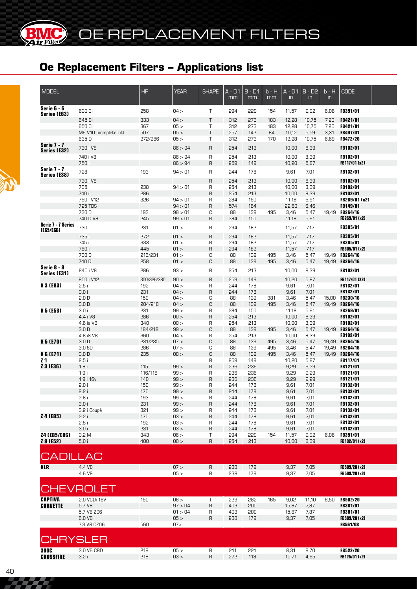| <b>MODEL</b>                    |                       | HP          | <b>YEAR</b> | <b>SHAPE</b>   | $A - D1$<br>mm | $B - D1$<br>mm | b - H<br>mm | $A - D1$<br>$\mathsf{in}$ | $B - D2$<br>$\overline{m}$ | b - H<br>in | <b>CODE</b>     |  |
|---------------------------------|-----------------------|-------------|-------------|----------------|----------------|----------------|-------------|---------------------------|----------------------------|-------------|-----------------|--|
| Serie 6 - 6<br>Series (E63)     | 630 Ci                | 258         | 04 >        | $\top$         | 294            | 229            | 154         | 11,57                     | 9,02                       | 6,06        | <b>FB351/01</b> |  |
|                                 | 645 Ci                | 333         | 04 >        | $\top$         | 312            | 273            | 183         | 12,28                     | 10,75                      | 7,20        | <b>FB421/01</b> |  |
|                                 | 650 Ci                | 367         | 05 >        | T              | 312            | 273            | 183         | 12,28                     | 10,75                      | 7,20        | <b>FB421/01</b> |  |
|                                 | M6 V10 (complete kit) | 507         | 05 >        | $\mathsf{T}$   | 257            | 142            | 84          | 10,12                     | 5,59                       | 3,31        | <b>FB447/01</b> |  |
|                                 | 635D                  | 272/286     | 05 >        | T.             | 312            | 273            | 170         | 12,28                     | 10,75                      | 6,69        | FB472/20        |  |
| <b>Serie 7 - 7</b>              |                       |             |             |                |                |                |             |                           |                            |             |                 |  |
| <b>Series (E32)</b>             | 730 i V8              |             | 86 > 94     | $\mathsf{R}$   | 254            | 213            |             | 10,00                     | 8,39                       |             | <b>FB102/01</b> |  |
|                                 | 740 i V8              |             | 86 > 94     | $\mathsf{R}$   | 254            | 213            |             | 10,00                     | 8,39                       |             | FB102/01        |  |
|                                 | 750 i                 |             | 86 > 94     | $\mathsf{R}$   | 259            | 149            |             | 10,20                     | 5,87                       |             | FB117/01 (x2)   |  |
| <b>Serie 7 - 7</b>              |                       |             |             |                |                |                |             |                           |                            |             |                 |  |
| Series (E38)                    | 728 i                 | 193         | 94 > 01     | R              | 244            | 178            |             | 9,61                      | 7,01                       |             | FB132/01        |  |
|                                 | 730 i V8              |             |             | $\mathsf{R}$   | 254            | 213            |             | 10,00                     | 8,39                       |             | <b>FB102/01</b> |  |
|                                 | 735 i                 | 238         | 94 > 01     | R              | 254            | 213            |             | 10,00                     | 8,39                       |             | FB102/01        |  |
|                                 | 740 i                 | 286         |             | $\mathsf{R}$   | 254            | 213            |             | 10,00                     | 8,39                       |             | FB102/01        |  |
|                                 | 750 i V12             | 326         | 94 > 01     | $\mathsf R$    | 284            | 150            |             | 11,18                     | 5,91                       |             | FB269/01 (x2)   |  |
|                                 | 725 TDS               |             | 94 > 01     | $\mathsf{R}$   | 574            | 164            |             | 22,60                     | 6,46                       |             | FB149/01        |  |
|                                 | 730 D                 | 193         | 98 > 01     | С              | 88             | 139            | 495         | 3,46                      | 5,47                       |             | 19,49 FB264/16  |  |
|                                 | 740 D V8              | 245         | 99 > 01     | $\mathsf{R}$   | 284            | 150            |             | 11,18                     | 5,91                       |             | FB269/01 (x2)   |  |
| Serie 7 - 7 Series<br>(E65/E66) | 730 i                 | 231         | 01 >        | R              | 294            | 182            |             | 11,57                     | 7,17                       |             | <b>FB305/01</b> |  |
|                                 | 735 i                 | 272         | 01 >        | $\mathsf{R}$   | 294            | 182            |             | 11,57                     | 7,17                       |             | <b>FB305/01</b> |  |
|                                 | 745 i                 | 333         | 01 >        | R              | 294            | 182            |             | 11,57                     | 7,17                       |             | <b>FB305/01</b> |  |
|                                 | 760 i                 | 445         | 01 >        | $\mathsf{R}$   | 294            | 182            |             | 11,57                     | 7,17                       |             | FB305/01 (x2)   |  |
|                                 | 730 D                 | 218/231     | 01 >        | С              | 88             | 139            | 495         | 3,46                      | 5,47                       |             | 19.49 FB264/16  |  |
|                                 | 740 D                 | 258         | 01 >        | C              | 88             | 139            | 495         | 3,46                      | 5,47                       |             | 19.49 FB264/16  |  |
| Serie 8 - 8                     | 840 i V8              | 286         | 93 >        | $\mathsf{R}$   | 254            | 213            |             | 10,00                     | 8,39                       |             | <b>FB102/01</b> |  |
| <b>Series (E31)</b>             | 850 i V12             | 300/326/380 | 90 >        | $\overline{R}$ | 259            | 149            |             | 10,20                     | 5,87                       |             | FB117/01 (X2)   |  |
| <b>X 3 (E83)</b>                | 2.5i                  | 192         | 04 >        | R              | 244            | 178            |             | 9,61                      | 7,01                       |             | FB132/01        |  |
|                                 | 3.0i                  | 231         | 04 >        | $\mathsf{R}$   | 244            | 178            |             | 9,61                      | 7,01                       |             | FB132/01        |  |
|                                 | 2.0 <sub>D</sub>      | 150         | 04 >        | С              | 88             | 139            | 381         | 3,46                      | 5,47                       |             | 15,00 FB230/16  |  |
|                                 | 3.0 <sub>D</sub>      | 204/218     | 04 >        | C              | 88             | 139            | 495         | 3,46                      | 5,47                       |             | 19.49 FB264/16  |  |
| <b>X 5 (E53)</b>                | 3.0 i                 | 231         | 99 >        | R              | 284            | 150            |             | 11,18                     | 5,91                       |             | <b>FB269/01</b> |  |
|                                 | 4.4 i V8              | 286         | 00 >        | $\mathsf{R}$   | 254            | 213            |             | 10,00                     | 8,39                       |             | <b>FB102/01</b> |  |
|                                 | 4.6 is V8             | 340         | 00 >        | R              | 254            | 213            |             | 10,00                     | 8,39                       |             | <b>FB102/01</b> |  |
|                                 | 3.0 <sub>D</sub>      | 184/218     | 99 >        | C              | 88             | 139            | 495         | 3,46                      | 5,47                       |             | 19.49 FB264/16  |  |
|                                 | 4.8 iS V8             | 360         | 04 >        | R              | 254            | 213            |             | 10,00                     | 8,39                       |             | <b>FB102/01</b> |  |
| <b>X 5 (E70)</b>                | 3.0 <sub>D</sub>      | 231/235     | 07 >        | C              | 88             | 139            | 495         | 3,46                      | 5,47                       |             | 19,49 FB264/16  |  |
|                                 | 3.0S                  | 286         | 07 >        | C              | 88             | 139            | 495         | 3,46                      | 5,47                       |             | 19,49 FB264/16  |  |
| <b>X 6 (E71)</b>                | 3.0 <sub>D</sub>      | 235         | 08 >        | C              | 88             | 139            | 495         | 3,46                      | 5,47                       |             | 19,49 FB264/16  |  |
| 21                              | 2.5i                  |             |             | R              | 259            | 149            |             | 10,20                     | 5,87                       |             | <b>FB117/01</b> |  |
| Z 3 (E36)                       | 1.8i                  | 115         | 99 >        | $\mathsf{R}$   | 236            | 236            |             | 9,29                      | 9,29                       |             | <b>FB121/01</b> |  |
|                                 | 1.9i                  | 116/118     | 99 >        | R              | 236            | 236            |             | 9,29                      | 9,29                       |             | <b>FB121/01</b> |  |
|                                 | 1.9 i 16v             | 140         | 99 >        | $\mathsf{R}$   | 236            | 236            |             | 9,29                      | 9,29                       |             | <b>FB121/01</b> |  |
|                                 | 2.0i                  | 150         | 99 >        | R              | 244            | 178            |             | 9,61                      | 7,01                       |             | <b>FB132/01</b> |  |
|                                 | 2.2i                  | 170         | 99 >        | $\mathsf{R}$   | 244            | 178            |             | 9,61                      | 7,01                       |             | FB132/01        |  |
|                                 | 5.R L                 | 193         | 99 >        | н              | 244            | 1/8            |             | 9,61                      | 7,01                       |             | <b>FB132/01</b> |  |
|                                 | 3.0 i                 | 231         | 99 >        | $\mathsf{R}$   | 244            | 178            |             | 9,61                      | 7,01                       |             | <b>FB132/01</b> |  |
|                                 | 3.2 i Coupè           | 321         | 99 >        | R              | 244            | 178            |             | 9,61                      | 7,01                       |             | FB132/01        |  |
| Z 4 (E85)                       | 2.2i                  | 170         | 03 >        | $\mathsf{R}$   | 244            | 178            |             | 9,61                      | 7,01                       |             | FB132/01        |  |
|                                 | 2.5i                  | 192         | 03 >        | R              | 244            | 178            |             | 9,61                      | 7,01                       |             | FB132/01        |  |
|                                 | 3.0 i                 | 231         | 03 >        | $\mathsf{R}$   | 244            | 178            |             | 9,61                      | 7,01                       |             | FB132/01        |  |
| Z4 (E85/E86)                    | 3.2M                  | 343         | 06 >        | Τ              | 294            | 229            | 154         | 11,57                     | 9,02                       | 6,06        | <b>FB351/01</b> |  |
| Z 8 (E52)                       | 5.0i                  | 400         | 00 >        | $\sf R$        | 254            | 213            |             | 10,00                     | 8,39                       |             | FB102/01 (x2)   |  |
| <b>CADILLAC</b>                 |                       |             |             |                |                |                |             |                           |                            |             |                 |  |
| <b>XLR</b>                      | 4.4 V8                |             | 07 >        | $\sf R$        | 238            | 179            |             | 9,37                      | 7,05                       |             | FB509/20 (x2)   |  |
|                                 | 4.6 V8                |             | 05 >        | $\sf R$        | 238            | 179            |             | 9,37                      | 7,05                       |             | FB509/20 (x2)   |  |
|                                 | <b>CHEVROLET</b>      |             |             |                |                |                |             |                           |                            |             |                 |  |
| <b>CAPTIVA</b>                  | 2.0 VCDi 16V          | 150         | 06 >        | Τ              | 229            | 282            | 165         | 9,02                      | 11,10                      | 6,50        | <b>FB502/20</b> |  |
| <b>CORVETTE</b>                 | 5.7 V8                |             | 97 > 04     | $\sf R$        | 403            | 200            |             | 15,87                     | 7,87                       |             | FB381/01        |  |
|                                 | 5.7 V8 Z06            |             | 01 > 04     | R              | 403            | 200            |             | 15,87                     | 7,87                       |             | <b>FB381/01</b> |  |
|                                 | 6.0 V8                |             | 05 >        | $\sf R$        | 238            | 179            |             | 9,37                      | 7,05                       |             | FB509/20 (x2)   |  |
|                                 | 7.3 V8 CZ06           | 560         | 07          |                |                |                |             |                           |                            |             | FB561/08        |  |
|                                 |                       |             |             |                |                |                |             |                           |                            |             |                 |  |
|                                 | HRYSLER               |             |             |                |                |                |             |                           |                            |             |                 |  |
| <b>300C</b>                     | 3.0 V6 CRD            | 218         | 05 >        | $\sf R$        | 211            | 221            |             | 8,31                      | 8,70                       |             | <b>FB522/20</b> |  |
| <b>CROSSFIRE</b>                | 3.2i                  | 218         | 03 >        | R              | 272            | 118            |             | 10,71                     | 4,65                       |             | FB125/01 (x2)   |  |
|                                 |                       |             |             |                |                |                |             |                           |                            |             |                 |  |



**®**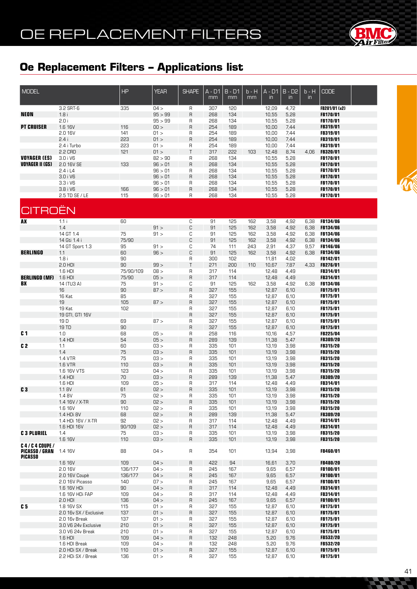

| MODEL                                         |                                      | HP                 | <b>YEAR</b>        | <b>SHAPE</b>        | $A - D1$<br>mm | $B - D1$<br>mm | $b - H$<br>mm | $A - D1$<br>in | $B - D2$<br>$\mathsf{in}$ | $b - H$<br>$\mathsf{in}$ | <b>CODE</b>                        |  |
|-----------------------------------------------|--------------------------------------|--------------------|--------------------|---------------------|----------------|----------------|---------------|----------------|---------------------------|--------------------------|------------------------------------|--|
|                                               | 3.2 SRT-6                            | 335                | 04 >               | R                   | 307            | 120            |               | 12,09          | 4,72                      |                          | FB281/01 (x2)                      |  |
| <b>NEON</b>                                   | 1.8i                                 |                    | 95 > 99            | $\overline{R}$      | 268            | 134            |               | 10,55          | 5,28                      |                          | FB170/01                           |  |
|                                               | 2.0 i                                |                    | 95 > 99            | R                   | 268            | 134            |               | 10,55          | 5,28                      |                          | FB170/01                           |  |
| <b>PT CRUISER</b>                             | 1.6 16V<br>2.0 16V                   | 116<br>141         | 00 ><br>01 >       | $\overline{R}$<br>R | 254<br>254     | 189<br>189     |               | 10,00<br>10,00 | 7,44<br>7,44              |                          | FB319/01<br>FB319/01               |  |
|                                               | 2.4i                                 | 223                | 01 >               | $\mathsf{R}$        | 254            | 189            |               | 10,00          | 7,44                      |                          | FB319/01                           |  |
|                                               | 2.4 i Turbo                          | 553                | 01 >               | R                   | 254            | 189            |               | 10,00          | 7,44                      |                          | FB319/01                           |  |
|                                               | 2.2 CRD                              | 121                | 01 >               | $\top$              | 317            | 222            | 103           | 12,48          | 8,74                      | 4,06                     | FB320/01                           |  |
| <b>VOYAGER (ES)</b><br><b>VOYAGER II (GS)</b> | 3.0 i V6<br>2.0 16V SE               | 133                | 82 > 90<br>96 > 01 | R<br>$\overline{R}$ | 268            | 134<br>134     |               | 10,55          | 5,28                      |                          | FB170/01<br>FB170/01               |  |
|                                               | 2.4 i L4                             |                    | 96 > 01            | R                   | 268<br>268     | 134            |               | 10,55<br>10,55 | 5,28<br>5,28              |                          | FB170/01                           |  |
|                                               | 3.0 i V6                             |                    | 96 > 01            | $\overline{R}$      | 268            | 134            |               | 10,55          | 5,28                      |                          | FB170/01                           |  |
|                                               | 3.3 i V6                             |                    | 96 > 01            | R                   | 268            | 134            |               | 10,55          | 5,28                      |                          | FB170/01                           |  |
|                                               | 3.8 i V6                             | 166                | 96 > 01            | $\mathsf R$         | 268            | 134            |               | 10,55          | 5,28                      |                          | <b>FB170/01</b>                    |  |
|                                               | 2.5 TD SE / LE                       | 115                | 96 > 01            | R                   | 268            | 134            |               | 10,55          | 5,28                      |                          | <b>FB170/01</b>                    |  |
| <b>CITROËN</b>                                |                                      |                    |                    |                     |                |                |               |                |                           |                          |                                    |  |
| <b>AX</b>                                     | 1.1i                                 | 60                 |                    | С                   | 91             | 125            | 162           | 3,58           | 4,92                      | 6,38                     | FB134/06                           |  |
|                                               | 1.4                                  |                    | 91 >               | $\mathbb C$         | 91             | 125            | 162           | 3,58           | 4,92                      | 6,38                     | FB134/06                           |  |
|                                               | 14 GT 1.4                            | 75                 | 91 >               | С                   | 91             | 125            | 162           | 3,58           | 4,92                      | 6,38                     | <b>FB134/06</b>                    |  |
|                                               | 14 Gti 1.4 i                         | 75/90              |                    | $\mathbb C$         | 91             | 125            | 162           | 3,58           | 4,92                      | 6,38                     | FB134/06                           |  |
| <b>BERLINGO</b>                               | 14 GT Sport 1.3<br>1.1               | 95<br>60           | 91 ><br>96 >       | С<br>C              | 74<br>91       | 111<br>125     | 243<br>162    | 2,91<br>3,58   | 4,37<br>4,92              | 9,57<br>6,38             | FB146/06<br><b>FB134/06</b>        |  |
|                                               | 1.8i                                 | 90                 |                    | R                   | 300            | 102            |               | 11,81          | 4,02                      |                          | FB142/01                           |  |
|                                               | $2.0$ HDI                            | 90                 | 99 >               | $\top$              | 271            | 200            | 110           | 10,67          | 7,87                      | 4,33                     | FB276/01                           |  |
|                                               | 1.6 HDI                              | 75/90/109          | 08 >               | R                   | 317            | 114            |               | 12,48          | 4,49                      |                          | FB314/01                           |  |
| <b>BERLINGO (MF)</b>                          | 1.6 HDI                              | 75/90              | 05 >               | $\overline{R}$      | 317            | 114            |               | 12,48          | 4,49                      |                          | FB314/01                           |  |
| BX                                            | 14 (TU3 A)                           | 75<br>90           | 91 ><br>87 >       | С<br>$\overline{R}$ | 91             | 125<br>155     | 162           | 3,58           | 4,92                      | 6,38                     | <b>FB134/06</b><br>FB175/01        |  |
|                                               | 16<br>16 Kat                         | 85                 |                    | R                   | 327<br>327     | 155            |               | 12,87<br>12,87 | 6,10<br>6,10              |                          | <b>FB175/01</b>                    |  |
|                                               | 19                                   | 105                | 87 >               | $\overline{R}$      | 327            | 155            |               | 12,87          | 6,10                      |                          | FB175/01                           |  |
|                                               | 19 Kat                               | 102                |                    | R                   | 327            | 155            |               | 12,87          | 6,10                      |                          | <b>FB175/01</b>                    |  |
|                                               | 19 GTI, GTI 16V                      |                    |                    | $\overline{R}$      | 327            | 155            |               | 12,87          | 6,10                      |                          | FB175/01                           |  |
|                                               | 19 D<br>19 TD                        | 69<br>90           | 87 >               | R<br>$\overline{R}$ | 327            | 155            |               | 12,87          | 6,10                      |                          | FB175/01                           |  |
| C <sub>1</sub>                                | 1.0                                  | 68                 | 05 >               | R                   | 327<br>258     | 155<br>116     |               | 12,87<br>10,16 | 6,10<br>4,57              |                          | FB175/01<br>FB225/04               |  |
|                                               | 1.4 HDI                              | 54                 | 05 >               | $\overline{R}$      | 289            | 139            |               | 11,38          | 5,47                      |                          | <b>FB309/20</b>                    |  |
| C <sub>2</sub>                                | 1.1                                  | 60                 | 03 >               | R                   | 335            | 101            |               | 13,19          | 3,98                      |                          | FB315/20                           |  |
|                                               | 1.4                                  | 75                 | 03 >               | $\mathsf{R}$        | 335            | 101            |               | 13,19          | 3,98                      |                          | FB315/20                           |  |
|                                               | 1.4 VTR                              | $75\,$             | 03 >               | R                   | 335            | 101            |               | 13,19          | 3,98                      |                          | FB315/20                           |  |
|                                               | 1.6 VTR<br>1.6 16V VTS               | 110<br>123         | 03 ><br>04 >       | $\mathsf{R}$<br>R   | 335<br>335     | 101<br>101     |               | 13,19<br>13,19 | 3,98<br>3,98              |                          | FB315/20<br>FB315/20               |  |
|                                               | 1.4 HDI                              | $70$               | 03 >               | $\mathsf{R}$        | 289            | 139            |               | 11,38          | 5,47                      |                          | FB309/20                           |  |
|                                               | 1.6 HDI                              | 109                | 05 >               | R                   | 317            | 114            |               | 12,48          | 4,49                      |                          | FB314/01                           |  |
| C <sub>3</sub>                                | 1.1 BV                               | 61                 | 02 >               | $\overline{R}$      | 335            | 101            |               | 13,19          | 3,98                      |                          | FB315/20                           |  |
|                                               | 1.4 BV                               | 75                 | 02 >               | R.                  | 335            | 101            |               | 13,19          | 3,98                      |                          | <b>FB315/20</b>                    |  |
|                                               | 1.4 16V / X-TR<br>1.6 16V            | 90<br>110          | 02 ><br>02 >       | R<br>R              | 335<br>335     | 101<br>101     |               | 13,19<br>13,19 | 3,98<br>3,98              |                          | <b>FB315/20</b><br><b>FB315/20</b> |  |
|                                               | 1.4 HDi 8V                           | 68                 | 02 >               | $\mathsf{R}$        | 289            | 139            |               | 11,38          | 5,47                      |                          | <b>FB309/20</b>                    |  |
|                                               | 1.4 HDi 16V / X-TR                   | 92                 | < 50               | R                   | 317            | 114            |               | 12,48          | 4,49                      |                          | <b>FB314/01</b>                    |  |
|                                               | 1.6 HDI 16V                          | 90/109             | 02 >               | $\mathsf{R}$        | 317            | 114            |               | 12,48          | 4,49                      |                          | FB314/01                           |  |
| <b>C 3 PLURIEL</b>                            | 1.4<br>1.6 16V                       | 75<br>110          | < 50<br>03 >       | R<br>R              | 335<br>335     | 101<br>101     |               | 13,19<br>13,19 | 3,98<br>3,98              |                          | <b>FB315/20</b><br>FB315/20        |  |
| <b>C4/C4 COUPE/</b><br><b>PICASSO / GRAN</b>  | 1.4 16V                              | 88                 | 04 >               | R                   | 354            | 101            |               | 13,94          | 3,98                      |                          | <b>FB460/01</b>                    |  |
| <b>PICASSO</b>                                |                                      |                    |                    |                     |                |                |               |                |                           |                          |                                    |  |
|                                               | 1.6 16V<br>2.0 16V                   | 109                | 04 >               | $\overline{R}$      | 422            | 94             |               | 16,61          | 3,70                      |                          | FB480/20                           |  |
|                                               | 2.0 16V Coupè                        | 136/177<br>136/177 | 04 ><br>04 >       | R<br>$\mathsf{R}$   | 245<br>245     | 167<br>167     |               | 9,65<br>9,65   | 6,57<br>6,57              |                          | <b>FB100/01</b><br>FB100/01        |  |
|                                               | 2.0 16V Picasso                      | 140                | 07 >               | R                   | 245            | 167            |               | 9,65           | 6,57                      |                          | <b>FB100/01</b>                    |  |
|                                               | 1.6 16V HDi                          | 90                 | 04 >               | $\mathsf{R}$        | 317            | 114            |               | 12,48          | 4,49                      |                          | <b>FB314/01</b>                    |  |
|                                               | 1.6 16V HDi FAP                      | 109                | 04 >               | R                   | 317            | 114            |               | 12,48          | 4,49                      |                          | <b>FB314/01</b>                    |  |
|                                               | $2.0$ HDI                            | 136                | 04 >               | $\mathsf{R}$        | 245            | 167            |               | 9,65           | 6,57                      |                          | FB100/01                           |  |
| C 5                                           | 1.8 16V SX<br>2.0 16v SX / Exclusive | 115<br>137         | 01 ><br>01 >       | R<br>$\overline{R}$ | 327<br>327     | 155<br>155     |               | 12,87<br>12,87 | 6,10<br>6,10              |                          | <b>FB175/01</b><br>FB175/01        |  |
|                                               | 2.0 16v Break                        | 137                | 01 >               | R                   | 327            | 155            |               | 12,87          | 6,10                      |                          | <b>FB175/01</b>                    |  |
|                                               | 3.0 V6 24v Exclusive                 | 210                | 01 >               | $\sf R$             | 327            | 155            |               | 12,87          | 6,10                      |                          | FB175/01                           |  |
|                                               | 3.0 V6 24v Break                     | 210                | 01 >               | R                   | 327            | 155            |               | 12,87          | 6,10                      |                          | <b>FB175/01</b>                    |  |
|                                               | $1.6$ HDI                            | 109                | 04 >               | R                   | 132            | 248            |               | 5,20           | 9,76                      |                          | <b>FB532/20</b>                    |  |
|                                               | 1.6 HDI Break<br>2.0 HDi SX / Break  | 109<br>110         | 04 ><br>01 >       | R<br>$\mathsf{R}$   | 132<br>327     | 248<br>155     |               | 5,20<br>12,87  | 9,76<br>6,10              |                          | <b>FB532/20</b><br><b>FB175/01</b> |  |
|                                               | 2.2 HDi SX / Break                   | 136                | 01 >               | R                   | 327            | 155            |               | 12,87          | 6,10                      |                          | <b>FB175/01</b>                    |  |

**Contract Contract Contract**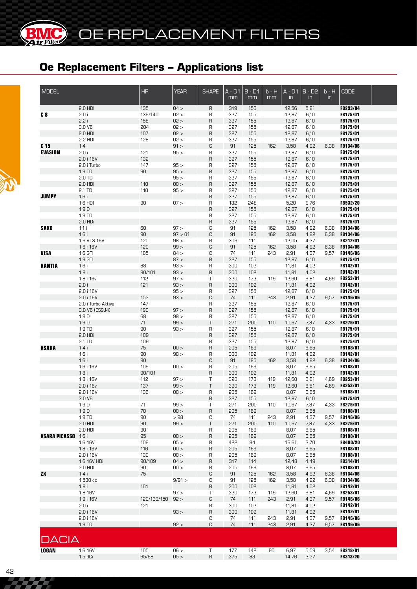**BMC** 

(BR

| <b>MODEL</b>                      |                    | HP          | <b>YEAR</b>  | <b>SHAPE</b> | $A - D1$<br>mm | $B - D1$<br>mm | b - H<br>mm | $A - D1$<br>$\mathsf{in}$ | $B - D2$<br>$\mathsf{in}$ | $b - H$<br>$\mathsf{in}$ | <b>CODE</b>                 |  |
|-----------------------------------|--------------------|-------------|--------------|--------------|----------------|----------------|-------------|---------------------------|---------------------------|--------------------------|-----------------------------|--|
|                                   | $2.0$ HDI          | 135         | 04 >         | R            | 319            | 150            |             | 12,56                     | 5,91                      |                          | FB293/04                    |  |
| C <sub>8</sub>                    | 2.0 i              | 136/140     | 02 >         | R            | 327            | 155            |             | 12,87                     | 6,10                      |                          | FB175/01                    |  |
|                                   | 2.2i               | 158         | 02 >         | R            | 327            | 155            |             | 12,87                     | 6,10                      |                          | FB175/01                    |  |
|                                   | 3.0 V6             | 204         | 02 >         | R            | 327            | 155            |             | 12,87                     | 6,10                      |                          | FB175/01                    |  |
|                                   | $2.0$ HDI          | 107         | 02 >         | $\sf R$      | 327            | 155            |             | 12,87                     | 6,10                      |                          | FB175/01                    |  |
|                                   | 2.2 HDI            | 128         | 02 >         | R            | 327            | 155            |             | 12,87                     | 6,10                      |                          | FB175/01                    |  |
| C <sub>15</sub><br><b>EVASION</b> | 1.4                | 121         | 91 ><br>95 > | С            | 91             | 125<br>155     | 162         | 3,58                      | 4,92                      | 6,38                     | <b>FB134/06</b><br>FB175/01 |  |
|                                   | 2.0 i<br>2.0 i 16V | 132         |              | R<br>$\sf R$ | 327<br>327     | 155            |             | 12,87                     | 6,10                      |                          | FB175/01                    |  |
|                                   | 2.0 i Turbo        | 147         | 95 >         | R            | 327            | 155            |             | 12,87<br>12,87            | 6,10<br>6,10              |                          | <b>FB175/01</b>             |  |
|                                   | 1.9 TD             | 90          | 95 >         | $\sf R$      | 327            | 155            |             | 12,87                     | 6,10                      |                          | FB175/01                    |  |
|                                   | 2.0 TD             |             | 95 >         | R            | 327            | 155            |             | 12,87                     | 6,10                      |                          | <b>FB175/01</b>             |  |
|                                   | $2.0$ HDI          | 110         | 00 >         | R            | 327            | 155            |             | 12,87                     | 6,10                      |                          | FB175/01                    |  |
|                                   | 2.1 TD             | 110         | 95 >         | R            | 327            | 155            |             | 12,87                     | 6,10                      |                          | <b>FB175/01</b>             |  |
| <b>JUMPY</b>                      | 1.6i               |             |              | $\sf R$      | 327            | 155            |             | 12,87                     | 6,10                      |                          | FB175/01                    |  |
|                                   | 1.6 HDI            | 90          | 07 >         | R            | 132            | 248            |             | 5,20                      | 9,76                      |                          | <b>FB532/20</b>             |  |
|                                   | 1.9D               |             |              | R            | 327            | 155            |             | 12,87                     | 6,10                      |                          | FB175/01                    |  |
|                                   | 1.9 TD             |             |              | R            | 327            | 155            |             | 12,87                     | 6,10                      |                          | FB175/01                    |  |
|                                   | $2.0$ HDi          |             |              | R            | 327            | 155            |             | 12,87                     | 6,10                      |                          | FB175/01                    |  |
| <b>SAXO</b>                       | 1.1i               | 60          | 97 >         | С            | 91             | 125            | 162         | 3,58                      | 4,92                      | 6,38                     | <b>FB134/06</b>             |  |
|                                   | 1.6i               | 90          | 97 > 01      | C            | 91             | 125            | 162         | 3,58                      | 4,92                      | 6,38                     | <b>FB134/06</b>             |  |
|                                   | 1.6 VTS 16V        | 120         | 98 >         | R            | 306            | 111            |             | 12,05                     | 4,37                      |                          | FB212/01                    |  |
|                                   | 1.6 i 16V          | 120         | 99 >         | С            | 91             | 125            | 162         | 3,58                      | 4,92                      | 6,38                     | <b>FB134/06</b>             |  |
| <b>VISA</b>                       | 1.6 GTI            | 105         | 84 >         | С            | 74             | 111            | 243         | 2,91                      | 4,37                      | 9,57                     | <b>FB146/06</b>             |  |
|                                   | 1.9 GTI            |             | 87 >         | $\sf R$      | 327            | 155            |             | 12,87                     | 6,10                      |                          | FB175/01                    |  |
| <b>XANTIA</b>                     | 1.6i               | 88          | $-58$        | R            | 300            | 102            |             | 11,81                     | 4,02                      |                          | FB142/01                    |  |
|                                   | 1.8i               | 90/101      | 93 >         | $\sf R$      | 300            | 102            |             | 11,81                     | 4,02                      |                          | FB142/01                    |  |
|                                   | 1.8 i 16v          | 112         | 97 >         | Τ            | 320            | 173            | 119         | 12,60                     | 6,81                      | 4,69                     | <b>FB253/01</b>             |  |
|                                   | 2.0i               | 121         | 93 >         | $\sf R$      | 300            | 102            |             | 11,81                     | 4,02                      |                          | FB142/01                    |  |
|                                   | 2.0 i 16V          |             | 95 >         | R            | 327            | 155            |             | 12,87                     | 6,10                      |                          | FB175/01                    |  |
|                                   | 2.0 i 16V          | 152         | 93 >         | С            | 74             | 111            | 243         | 2,91                      | 4,37                      | 9,57                     | <b>FB146/06</b>             |  |
|                                   | 2.0 i Turbo Aktiva | 147         |              | R            | 327            | 155            |             | 12,87                     | 6,10                      |                          | <b>FB175/01</b>             |  |
|                                   | 3.0 V6 (ES9J4)     | 190         | 97 >         | R            | 327            | 155            |             | 12,87                     | 6,10                      |                          | FB175/01                    |  |
|                                   | 1.9D               | 68          | 98 >         | R            | 327            | 155            |             | 12,87                     | 6,10                      |                          | FB175/01                    |  |
|                                   | 1.9D               | 71          | 99 >         | Τ            | 271            | 200            | 110         | 10,67                     | 7,87                      | 4,33                     | FB276/01<br><b>FB175/01</b> |  |
|                                   | 1.9 TD<br>2.0 HDi  | 90<br>109   | 93 >         | R            | 327<br>327     | 155<br>155     |             | 12,87                     | 6,10                      |                          | FB175/01                    |  |
|                                   | 2.1 TD             | 109         |              | $\sf R$<br>R | 327            | 155            |             | 12,87<br>12,87            | 6,10<br>6,10              |                          | <b>FB175/01</b>             |  |
| <b>XSARA</b>                      | 1.4i               | 75          | 00 >         | $\sf B$      | 205            | 169            |             | 8,07                      | 6,65                      |                          | FB188/01                    |  |
|                                   | 1.6i               | 90          | 98 >         | R            | 300            | 102            |             | 11,81                     | 4,02                      |                          | FB142/01                    |  |
|                                   | 1.6i               | 90          |              | С            | 91             | 125            | 162         | 3,58                      | 4,92                      | 6,38                     | <b>FB134/06</b>             |  |
|                                   | 1.6 i 16V          | 109         | 00 >         | $\sf R$      | 205            | 169            |             | 8,07                      | 6,65                      |                          | <b>FB188/01</b>             |  |
|                                   | 1.8i               | 90/101      |              | $\sf R$      | 300            | 102            |             | 11,81                     | 4,02                      |                          | FB142/01                    |  |
|                                   | 1.8 i 16V          | 112         | 97 >         | Τ            | 320            | 173            | 119         | 12,60                     | 6,81                      | 4,69                     | <b>FB253/01</b>             |  |
|                                   | 2.0 i 16v          | 137         | 99 >         | Τ            | 320            | 173            | 119         | 12,60                     | 6,81                      | 4,69                     | FB253/01                    |  |
|                                   | 2.0 i 16V          | 136         | 00 >         | $\sf R$      | 205            | 169            |             | 8,07                      | 6,65                      |                          | FB188/01                    |  |
|                                   | 3.0 V6             |             |              | R            | 327            | 155            |             | 12,87                     | 6,10                      |                          | FB175/01                    |  |
|                                   | 1.9D               | 71          | 99 >         | T            | 271            | 200            | 110         | 10,67                     | 7,87                      | 4,33                     | FB276/01                    |  |
|                                   | 1.9 <sub>D</sub>   | $70$        | 00 >         | $\mathsf R$  | 205            | 169            |             | 8,07                      | 6,65                      |                          | FB188/01                    |  |
|                                   | 1.9 TD             | 90          | >98          | С            | 74             | 111            | 243         | 2,91                      | 4,37                      | 9,57                     | FB146/06                    |  |
|                                   | $2.0$ HDI          | 90          | 99 >         | $\sf T$      | 271            | 200            | 110         | 10,67                     | 7,87                      | 4,33                     | FB276/01                    |  |
|                                   | $2.0$ HDI          | 90          |              | R            | 205            | 169            |             | 8,07                      | 6,65                      |                          | FB188/01                    |  |
| <b>XSARA PICASSO</b> 1.6 i        |                    | 95          | 00 >         | $\sf R$      | 205            | 169            |             | 8,07                      | 6,65                      |                          | FB188/01                    |  |
|                                   | 1.6 16V            | 109         | 05 >         | R            | 422            | 94             |             | 16,61                     | 3,70                      |                          | FB480/20                    |  |
|                                   | 1.8 i 16V          | 116         | 00 >         | $\mathsf{R}$ | 205            | 169            |             | 8,07                      | 6,65                      |                          | FB188/01                    |  |
|                                   | 2.0 i 16V          | 130         | 100 >        | R            | 205            | 169            |             | 8,07                      | 6,65                      |                          | FB188/01                    |  |
|                                   | 1.6 16V HDi        | 90/109      | 04 >         | $\mathsf{R}$ | 317            | 114            |             | 12,48                     | 4,49                      |                          | FB314/01                    |  |
|                                   | $2.0$ HDI          | 90          | 100 >        | R            | 205            | 169            |             | 8,07                      | 6,65                      |                          | FB188/01                    |  |
| <b>ZX</b>                         | 1.4i               | 75          |              | С            | 91             | 125            | 162         | 3,58                      | 4,92                      | 6,38                     | FB134/06                    |  |
|                                   | 1.580 cc           |             | 9/91 >       | С            | 91             | 125            | 162         | 3,58                      | 4,92                      | 6,38                     | <b>FB134/06</b>             |  |
|                                   | 1.8i               | 101         |              | $\sf R$      | 300            | 102            |             | 11,81                     | 4,02                      |                          | FB142/01                    |  |
|                                   | 1.8 16V            |             | 97 >         | Τ            | 320            | 173            | 119         | 12,60                     | 6,81                      | 4,69                     | <b>FB253/01</b>             |  |
|                                   | 1.9 i 16V          | 120/130/150 | 92 >         | C            | 74             | 111            | 243         | 2,91                      | 4,37                      | 9,57                     | <b>FB146/06</b>             |  |
|                                   | 2.0 i              | 121         |              | R            | 300            | 102            |             | 11,81                     | 4,02                      |                          | FB142/01                    |  |
|                                   | 2.0 i 16V          |             | 93 >         | $\mathsf R$  | 300            | 102            |             | 11,81                     | 4,02                      |                          | FB142/01                    |  |
|                                   | 2.0 i 16V          |             |              | С            | 74             | 111            | 243         | 2,91                      | 4,37                      | 9,57                     | <b>FB146/06</b>             |  |
|                                   | 1.9 TD             |             | 92 >         | C            | 74             | 111            | 243         | 2,91                      | 4,37                      | 9,57                     | <b>FB146/06</b>             |  |
| <b>DACIA</b>                      |                    |             |              |              |                |                |             |                           |                           |                          |                             |  |
| <b>LOGAN</b>                      | 1.6 16V            | 105         | 06 >         | $\top$       | 177            | 142            | 90          | 6,97                      | 5,59                      | 3,54                     | FB218/01                    |  |
|                                   | $1.5$ d $Ci$       | 65/68       | 05 >         | $\sf R$      | 375            | 83             |             | 14,76                     | 3,27                      |                          | FB313/20                    |  |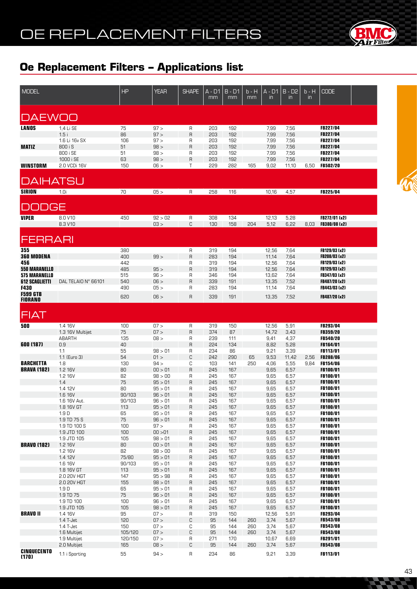

| <b>MODEL</b>                           |                               | HP           | <b>YEAR</b>        | <b>SHAPE</b>   | A - D1<br>mm | $B - D1$<br>mm | b - H<br>mm | $A - D1$<br>in | $B - D2$<br>$\mathsf{in}$ | $b - H$<br>$\mathsf{I}$ | <b>CODE</b>                        |  |
|----------------------------------------|-------------------------------|--------------|--------------------|----------------|--------------|----------------|-------------|----------------|---------------------------|-------------------------|------------------------------------|--|
|                                        |                               |              |                    |                |              |                |             |                |                           |                         |                                    |  |
| <b>DAEWOO</b>                          |                               |              |                    |                |              |                |             |                |                           |                         |                                    |  |
| <b>LANOS</b>                           | 1,4 Li SE                     | 75           | 97 >               | R              | 203          | 192            |             | 7,99           | 7,56                      |                         | FB227/04                           |  |
|                                        | 1.5i<br>1.6 Li 16v SX         | 86<br>106    | 97 ><br>97 >       | R<br>R         | 203<br>203   | 192<br>192     |             | 7,99<br>7,99   | 7,56<br>7,56              |                         | FB227/04<br><b>FB227/04</b>        |  |
| <b>MATIZ</b>                           | 800 i S                       | 51           | 98 >               | $\overline{R}$ | 203          | 192            |             | 7,99           | 7,56                      |                         | FB227/04                           |  |
|                                        | 800 i SE                      | 51           | 98 >               | R              | 203          | 192            |             | 7,99           | 7,56                      |                         | FB227/04                           |  |
| <b>WINSTORM</b>                        | 1000 i SE<br>2.0 VCDi 16V     | 63<br>150    | 98 ><br>06 >       | R<br>Т         | 203<br>229   | 192<br>282     | 165         | 7,99<br>9,02   | 7,56<br>11,10             | 6,50                    | FB227/04<br>FB502/20               |  |
|                                        |                               |              |                    |                |              |                |             |                |                           |                         |                                    |  |
| DAIHATSU                               |                               |              |                    |                |              |                |             |                |                           |                         |                                    |  |
| <b>SIRION</b>                          | 1.0i                          | 70           | 05 >               | R              | 258          | 116            |             | 10,16          | 4,57                      |                         | FB225/04                           |  |
| DDGE<br>$\Box$                         |                               |              |                    |                |              |                |             |                |                           |                         |                                    |  |
| <b>VIPER</b>                           | 8.0 V10                       | 450          | 92 > 02            | R              | 308          | 134            |             | 12,13          | 5,28                      |                         | FB272/01 (x2)                      |  |
|                                        | 8.3 V10                       |              | 03 >               | C              | 130          | 158            | 204         | 5,12           | 6,22                      | 8,03                    | FB380/08 (x2)                      |  |
| <b>FERRARI</b>                         |                               |              |                    |                |              |                |             |                |                           |                         |                                    |  |
| 355                                    |                               | 380          |                    | R              | 319          | 194            |             | 12,56          | 7,64                      |                         | FB129/03 (x2)                      |  |
| <b>360 MODENA</b>                      |                               | 400          | 99 >               | R              | 283          | 194            |             | 11,14          | 7,64                      |                         | FB208/03 (x2)                      |  |
| 456<br><b>550 MARANELLO</b>            |                               | 442<br>485   | 95 >               | R<br>R         | 319<br>319   | 194<br>194     |             | 12,56<br>12,56 | 7,64<br>7,64              |                         | FB129/03 (x2)<br>FB129/03 (x2)     |  |
| <b>575 MARANELLO</b>                   |                               | 515          | 96 >               | R              | 346          | 194            |             | 13,62          | 7,64                      |                         | FB347/03 (x2)                      |  |
| <b>612 SCAGLIETTI</b>                  | DAL TELAIO N° 66101           | 540          | 06 >               | R              | 339          | 191            |             | 13,35          | 7,52                      |                         | FB487/20 (x2)                      |  |
| <b>F430</b><br><b>F599 GTB</b>         |                               | 490          | 05 >               | R              | 283          | 194            |             | 11,14          | 7,64                      |                         | FB443/03 (x2)                      |  |
| <b>FIORANO</b>                         |                               | 620          | 06 >               | R              | 339          | 191            |             | 13,35          | 7,52                      |                         | FB487/20 (x2)                      |  |
| <b>FIAT</b>                            |                               |              |                    |                |              |                |             |                |                           |                         |                                    |  |
| 500                                    | 1.4 16V                       | 100          | 07 >               | R              | 319          | 150            |             | 12,56          | 5,91                      |                         | FB293/04                           |  |
|                                        | 1.3 16V Multijet<br>ABARTH    | 75<br>135    | 07 ><br>08 >       | R<br>R         | 374<br>239   | 87<br>111      |             | 14,72<br>9,41  | 3,43<br>4,37              |                         | <b>FB359/20</b><br><b>FB540/20</b> |  |
| 600 (187)                              | 0.9                           | 40           |                    | R              | 224          | 134            |             | 8,82           | 5,28                      |                         | <b>FB164/01</b>                    |  |
|                                        | 1.1                           | 55           | 98 > 01            | R              | 234          | 86             |             | 9,21           | 3,39                      |                         | <b>FB113/01</b>                    |  |
|                                        | 1.1 (Euro 3)                  | 54           | 01 >               | C              | 242          | 290            | 65<br>250   | 9,53           | 11,42                     | 2,56                    | <b>FB288/06</b>                    |  |
| <b>BARCHETTA</b><br><b>BRAVA (182)</b> | 1.8<br>1.2 16V                | 130<br>80    | 94 ><br>00 > 01    | С<br>R         | 103<br>245   | 141<br>167     |             | 4,06<br>9,65   | 5,55<br>6,57              | 9,84                    | <b>FB154/06</b><br>FB100/01        |  |
|                                        | 1.2 16V                       | 82           | 98 > 00            | R              | 245          | 167            |             | 9,65           | 6,57                      |                         | <b>FB100/01</b>                    |  |
|                                        | 1.4                           | 75           | 95 > 01            | R              | 245          | 167            |             | 9,65           | 6,57                      |                         | <b>FB100/01</b>                    |  |
|                                        | 1.4 12V<br>1.6 16V            | 80<br>90/103 | 95 > 01<br>96 > 01 | R<br>R         | 245<br>245   | 167<br>167     |             | 9,65<br>9,65   | 6,57<br>6,57              |                         | <b>FB100/01</b><br>FB100/01        |  |
|                                        | 1.6 16V Aut.                  | 90/103       | 96 > 01            | R              | 245          | 167            |             | 9,65           | 6,57                      |                         | FB100/01                           |  |
|                                        | 1.8 16V GT                    | 113          | 95 > 01            | R              | 245          | 167            |             | 9,65           | 6,57                      |                         | FB100/01                           |  |
|                                        | 1.9 <sub>D</sub>              | 65           | 95 > 01            | R              | 245          | 167            |             | 9,65           | 6,57                      |                         | FB100/01                           |  |
|                                        | 1.9 TD 75 S<br>1.9 TD 100 S   | 75<br>100    | 96 > 01<br>97 >    | R<br>R         | 245<br>245   | 167<br>167     |             | 9,65<br>9,65   | 6,57<br>6,57              |                         | FB100/01<br><b>FB100/01</b>        |  |
|                                        | 1.9 JTD 100                   | 100          | 00 > 01            | R              | 245          | 167            |             | 9,65           | 6,57                      |                         | FB100/01                           |  |
|                                        | 1.9 JTD 105                   | 105          | 98 > 01            | R              | 245          | 167            |             | 9,65           | 6,57                      |                         | FB100/01                           |  |
| <b>BRAVO (182)</b>                     | 1.2 16V                       | 80           | 00 > 01            | R              | 245          | 167            |             | 9,65           | 6,57                      |                         | FB100/01                           |  |
|                                        | 1.2 16V<br>1.4 12V            | 82<br>75/80  | 98 > 00<br>95 > 01 | R<br>R         | 245<br>245   | 167<br>167     |             | 9,65<br>9,65   | 6,57<br>6,57              |                         | FB100/01<br>FB100/01               |  |
|                                        | 1.6 16V                       | 90/103       | 95 > 01            | R              | 245          | 167            |             | 9,65           | 6,57                      |                         | FB100/01                           |  |
|                                        | 1.8 16V GT                    | 113          | 95 > 01            | R              | 245          | 167            |             | 9,65           | 6,57                      |                         | FB100/01                           |  |
|                                        | 2.0 20V HGT                   | 147          | 95 > 98            | R              | 245          | 167            |             | 9,65           | 6,57                      |                         | FB100/01                           |  |
|                                        | 2.0 20V HGT                   | 155<br>65    | 98 > 01<br>95 > 01 | R              | 245          | 167<br>167     |             | 9,65<br>9,65   | 6,57<br>6,57              |                         | FB100/01<br><b>FB100/01</b>        |  |
|                                        | 1.9 <sub>D</sub><br>1.9 TD 75 | 75           | 96 > 01            | R<br>R         | 245<br>245   | 167            |             | 9,65           | 6,57                      |                         | FB100/01                           |  |
|                                        | 1.9 TD 100                    | 100          | 96 > 01            | R              | 245          | 167            |             | 9,65           | 6,57                      |                         | FB100/01                           |  |
|                                        | 1.9 JTD 105                   | 105          | 98 > 01            | R              | 245          | 167            |             | 9,65           | 6,57                      |                         | FB100/01                           |  |
| <b>BRAVO II</b>                        | 1.4 16V                       | 95           | 07 >               | R              | 319          | 150            |             | 12,56          | 5,91                      |                         | FB293/04                           |  |
|                                        | 1.4 T-Jet<br>1.4 T-Jet        | 120<br>150   | 07 ><br>07 >       | С<br>С         | 95<br>95     | 144<br>144     | 260<br>260  | 3,74<br>3,74   | 5,67<br>5,67              |                         | FB543/08<br><b>FB543/08</b>        |  |
|                                        | 1.6 Multijet                  | 105/120      | 07 >               | С              | 95           | 144            | 260         | 3,74           | 5,67                      |                         | FB543/08                           |  |
|                                        | 1.9 Multijet                  | 120/150      | 07 >               | R              | 271          | 170            |             | 10,67          | 6,69                      |                         | FB291/01                           |  |
|                                        | 2.0 Multijet                  | 165          | 08 >               | С              | 95           | 144            | 260         | 3,74           | 5,67                      |                         | <b>FB543/08</b>                    |  |
| <b>CINQUECENTO</b><br>(170)            | 1.1 i Sporting                | 55           | 94 >               | R              | 234          | 86             |             | 9,21           | 3,39                      |                         | FB113/01                           |  |

**Province**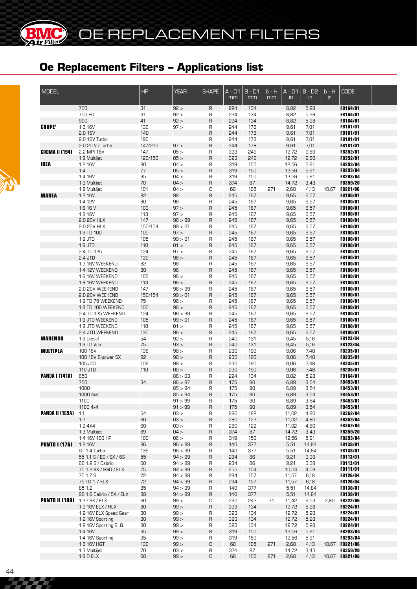**BMC** 

| <b>MODEL</b>           |                                    | <b>HP</b>      | <b>YEAR</b>        | <b>SHAPE</b> | $\overline{A}$ - $\overline{D1}$<br>mm | $B - D1$<br>mm | $b - H$<br>mm | $\overline{A - D1}$<br>$\mathsf{in}$ | $B - D2$<br>in | $b - H$<br>in | <b>CODE</b>                       |  |
|------------------------|------------------------------------|----------------|--------------------|--------------|----------------------------------------|----------------|---------------|--------------------------------------|----------------|---------------|-----------------------------------|--|
|                        | 700                                | 31             | 92 >               | R            | 224                                    | 134            |               | 8,82                                 | 5,28           |               | FB164/01                          |  |
|                        | 700 ED                             | 31             | 92 >               | R            | 224                                    | 134            |               | 8,82                                 | 5,28           |               | FB164/01                          |  |
|                        | 900                                | 41             | 92 >               | R            | 224                                    | 134            |               | 8,82                                 | 5,28           |               | <b>FB164/01</b>                   |  |
| <b>COUPE'</b>          | 1.8 16V<br>2.0 16V                 | 130<br>140     | 97 >               | R<br>R       | 244<br>244                             | 178<br>178     |               | 9,61<br>9,61                         | 7,01<br>7,01   |               | FB181/01<br>FB181/01              |  |
|                        | 2.0 16V Turbo                      | 190            |                    | R            | 244                                    | 178            |               | 9,61                                 | 7,01           |               | <b>FB181/01</b>                   |  |
|                        | 2.0 20 V / Turbo                   | 147/220        | 97 >               | R            | 244                                    | 178            |               | 9,61                                 | 7,01           |               | FB181/01                          |  |
| <b>CROMA II (194)</b>  | 2.2 MPI 16V                        | 147            | 05 >               | R            | 323                                    | 249            |               | 12,72                                | 9,80           |               | FB352/01                          |  |
|                        | 1.9 Multijet                       | 120/150        | 05 >               | $\sf R$      | 323                                    | 249            |               | 12,72                                | 9,80           |               | FB352/01                          |  |
| <b>IDEA</b>            | 1.2 16V                            | 80             | 04 >               | R            | 319                                    | 150            |               | 12,56                                | 5,91           |               | FB293/04                          |  |
|                        | 1.4                                | 77             | 05 >               | R            | 319                                    | 150            |               | 12,56                                | 5,91           |               | FB293/04                          |  |
|                        | 1.4 16V                            | 95<br>70       | 04 ><br>04 >       | R<br>R       | 319<br>374                             | 150<br>87      |               | 12,56<br>14,72                       | 5,91           |               | FB293/04<br>FB359/20              |  |
|                        | 1.3 Multijet<br>1.9 Multijet       | 101            | 04 >               | C            | 68                                     | 105            | 271           | 2,68                                 | 3,43<br>4,13   | 10,67         | <b>FB221/06</b>                   |  |
| <b>MAREA</b>           | 1.2 16V                            | 82             | 98                 | R            | 245                                    | 167            |               | 9,65                                 | 6,57           |               | FB100/01                          |  |
|                        | 1.4 12V                            | 80             | 96                 | R            | 245                                    | 167            |               | 9,65                                 | 6,57           |               | FB100/01                          |  |
|                        | 1.6 16 V                           | 103            | 97 >               | R            | 245                                    | 167            |               | 9,65                                 | 6,57           |               | FB100/01                          |  |
|                        | 1.8 16V                            | 113            | 97 >               | R            | 245                                    | 167            |               | 9,65                                 | 6,57           |               | FB100/01                          |  |
|                        | 2.0 20V HLX                        | 147            | 96 > 99            | R            | 245                                    | 167            |               | 9,65                                 | 6,57           |               | FB100/01                          |  |
|                        | 2.0 20V HLX                        | 150/154<br>100 | 99 > 01<br>97 >    | R<br>R       | 245<br>245                             | 167<br>167     |               | 9,65<br>9,65                         | 6,57           |               | FB100/01                          |  |
|                        | 1.9 TD 100<br>1.9 JTD              | 105            | 99 > 01            | R            | 245                                    | 167            |               | 9,65                                 | 6,57<br>6,57   |               | FB100/01<br>FB100/01              |  |
|                        | 1.9 JTD                            | 110            | 01 >               | R            | 245                                    | 167            |               | 9,65                                 | 6,57           |               | FB100/01                          |  |
|                        | 2.4 TD 125                         | 124            | 97 >               | R            | 245                                    | 167            |               | 9,65                                 | 6,57           |               | FB100/01                          |  |
|                        | 2.4 JTD                            | 130            | 96 >               | R            | 245                                    | 167            |               | 9,65                                 | 6,57           |               | FB100/01                          |  |
|                        | 1.2 16V WEEKEND                    | 82             | 98                 | R            | 245                                    | 167            |               | 9,65                                 | 6,57           |               | FB100/01                          |  |
|                        | 1.4 12V WEEKEND                    | 80             | 96                 | R            | 245                                    | 167            |               | 9,65                                 | 6,57           |               | FB100/01                          |  |
|                        | 1.6 16V WEEKEND<br>1.8 16V WEEKEND | 103<br>113     | 96 ><br>96 >       | R<br>R       | 245<br>245                             | 167<br>167     |               | 9,65<br>9,65                         | 6,57           |               | FB100/01<br>FB100/01              |  |
|                        | 2.0 20V WEEKEND                    | 147            | 96 > 99            | R            | 245                                    | 167            |               | 9,65                                 | 6,57<br>6,57   |               | FB100/01                          |  |
|                        | 2.0 20V WEEKEND                    | 150/154        | 99 > 01            | R            | 245                                    | 167            |               | 9,65                                 | 6,57           |               | FB100/01                          |  |
|                        | 1.9 TD 75 WEEKEND                  | 75             | 96 >               | R            | 245                                    | 167            |               | 9,65                                 | 6,57           |               | <b>FB100/01</b>                   |  |
|                        | 1.9 TD 100 WEEKEND                 | 100            | 96 >               | R            | 245                                    | 167            |               | 9,65                                 | 6,57           |               | <b>FB100/01</b>                   |  |
|                        | 2.4 TD 125 WEEKEND                 | 124            | 96 > 99            | R            | 245                                    | 167            |               | 9,65                                 | 6,57           |               | <b>FB100/01</b>                   |  |
|                        | 1.9 JTD WEEKEND                    | 105            | 99 > 01            | R            | 245                                    | 167            |               | 9,65                                 | 6,57           |               | <b>FB100/01</b>                   |  |
|                        | 1.9 JTD WEEKEND                    | 110            | 01 >               | R            | 245                                    | 167            |               | 9,65                                 | 6,57           |               | <b>FB100/01</b>                   |  |
| <b>MARENGO</b>         | 2.4 JTD WEEKEND<br>1.9 Diesel      | 130<br>54      | 96 ><br>92 >       | $\sf R$<br>R | 245<br>240                             | 167<br>131     |               | 9,65<br>9,45                         | 6,57<br>5,16   |               | FB100/01<br><b>FB123/04</b>       |  |
|                        | 1.9 TD Van                         | 75             | 93 >               | $\sf R$      | 240                                    | 131            |               | 9,45                                 | 5,16           |               | FB123/04                          |  |
| <b>MULTIPLA</b>        | 100 16V                            | 136            | 98 >               | R            | 230                                    | 190            |               | 9,06                                 | 7,48           |               | <b>FB235/01</b>                   |  |
|                        | 100 16V Bipower SX                 | 92             | 98 >               | $\sf R$      | 230                                    | 190            |               | 9,06                                 | 7,48           |               | FB235/01                          |  |
|                        | 105 JTD                            | 109            | 98 >               | R            | 230                                    | 190            |               | 9,06                                 | 7,48           |               | FB235/01                          |  |
|                        | 110 JTD                            | 110            | 00 >               | $\sf R$      | 230                                    | 190            |               | 9,06                                 | 7,48           |               | FB235/01                          |  |
| <b>PANDA I (141A)</b>  | 650<br>750                         | 34             | 86 > 03<br>86 > 97 | R<br>R       | 224<br>175                             | 134<br>90      |               | 8,82<br>6,89                         | 5,28<br>3,54   |               | FB164/01<br>FB453/01              |  |
|                        | 1000                               |                | 85 > 94            | R            | 175                                    | 90             |               | 6,89                                 | 3,54           |               | FB453/01                          |  |
|                        | 1000 4x4                           |                | 85 > 94            | R            | 175                                    | 90             |               | 6,89                                 | 3,54           |               | FB453/01                          |  |
|                        | 1100                               |                | 91 > 99            | R            | 175                                    | 90             |               | 6,89                                 | 3,54           |               | FB453/01                          |  |
|                        | 1100 4x4                           |                | 91 > 99            | R            | 175                                    | 90             |               | 6,89                                 | 3,54           |               | FB453/01                          |  |
| <b>PANDA II (169A)</b> | 1.1                                | 54             | 03 >               | R            | 280                                    | 122            |               | 11,02                                | 4,80           |               | FB362/04                          |  |
|                        | 1.2                                | 60             | 03 >               | R            | 280                                    | 122            |               | 11,02                                | 4,80           |               | FB362/04                          |  |
|                        | 1.2 4X4<br>1.3 Multijet            | 60<br>69       | 03 ><br>04 >       | R<br>R       | 280<br>374                             | 122<br>87      |               | 11,02<br>14,72                       | 4,80<br>3,43   |               | FB362/04<br>FB359/20              |  |
|                        | 1.4 16V 100 HP                     | 100            | 06 >               | R            | 319                                    | 150            |               | 12,56                                | 5,91           |               | FB293/04                          |  |
| <b>PUNTO I (176)</b>   | 1.2 16V                            | 86             | 96 > 99            | R            | 140                                    | 377            |               | 5,51                                 | 14,84          |               | FB138/01                          |  |
|                        | GT 1.4 Turbo                       | 136            | 96 > 99            | R            | 140                                    | 377            |               | 5,51                                 | 14,84          |               | <b>FB138/01</b>                   |  |
|                        | 55 1.1 S / ED / SX / 6S            | 55             | 94 > 99            | R            | 234                                    | 86             |               | 9,21                                 | 3,39           |               | FB113/01                          |  |
|                        | 60 1.2 S / Cabrio                  | 60             | 94 > 99            | R            | 234                                    | 86             |               | 9,21                                 | 3,39           |               | <b>FB113/01</b>                   |  |
|                        | 75 1.2 SX / HSD / ELX              | 75             | 94 > 99            | R            | 255                                    | 104            |               | 10,04                                | 4,09           |               | FB111/01                          |  |
|                        | 75 1.7 S                           | 72             | 94 > 99            | R            | 294                                    | 157            |               | 11,57                                | 6,18           |               | FB126/04                          |  |
|                        | 75 TD 1.7 ELX<br>85 1.2            | 72<br>85       | 94 > 99<br>94 > 99 | R<br>R       | 294<br>140                             | 157<br>377     |               | 11,57<br>5,51                        | 6,18<br>14,84  |               | FB126/04<br>FB138/01              |  |
|                        | 90 1.6 Cabrio / SX / ELX           | 88             | 94 > 99            | R            | 140                                    | 377            |               | 5,51                                 | 14,84          |               | FB138/01                          |  |
| <b>PUNTO II (188)</b>  | 1.2 / SX / ELX                     | 60             | 99 >               | C            | 290                                    | 242            | 71            | 11,42                                | 9,53           | 2,80          | <b>FB222/06</b>                   |  |
|                        | 1.2 16V ELX / HLX                  | 80             | 99 >               | R            | 323                                    | 134            |               | 12,72                                | 5,28           |               | <b>FB224/01</b>                   |  |
|                        | 1.2 16V ELX Speed Gear             | 80             | 99 >               | R            | 323                                    | 134            |               | 12,72                                | 5,28           |               | <b>FB224/01</b>                   |  |
|                        | 1.2 16V Sporting                   | 80             | 99 >               | R            | 323                                    | 134            |               | 12,72                                | 5,28           |               | FB224/01                          |  |
|                        | 1.2 16V Sporting S. G.             | 80             | 99 >               | R            | 323                                    | 134            |               | 12,72                                | 5,28           |               | <b>FB224/01</b>                   |  |
|                        | 1.4 16V                            | 95             | 99 >               | R            | 319                                    | 150            |               | 12,56                                | 5,91           |               | <b>FB293/04</b>                   |  |
|                        | 1.4 16V Sporting<br>1.8 16V HGT    | 95<br>130      | 99 ><br>99 >       | R<br>С       | 319<br>68                              | 150<br>105     | 271           | 12,56<br>2,68                        | 5,91<br>4,13   |               | <b>FB293/04</b><br>10,67 FB221/06 |  |
|                        | 1.3 Multijet                       | 70             | 03 >               | R            | 374                                    | 87             |               | 14,72                                | 3,43           |               | <b>FB359/20</b>                   |  |
|                        | 1.9 D ELX                          | 60             | 99 >               | С            | 68                                     | 105            | 271           | 2,68                                 | 4,13           |               | 10,67 FB221/06                    |  |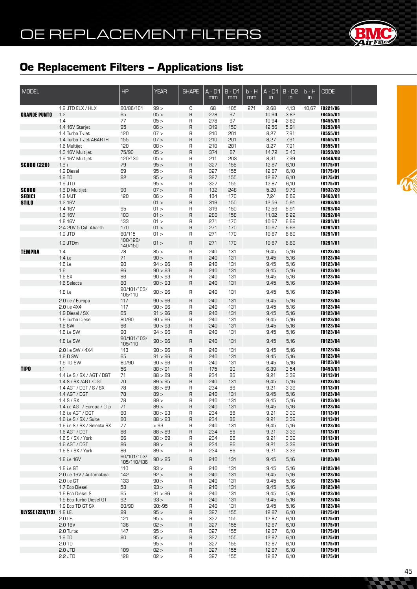

| <b>MODEL</b>                     |                                             | <b>HP</b>              | <b>YEAR</b>        | <b>SHAPE</b> | A - D1<br>mm | $B - D1$<br>mm | b - H<br>mm | $A - D1$<br>$\mathsf{in}$ | $B - D2$<br>$\mathsf{in}$ | $b - H$<br>$\mathsf{in}$ | <b>CODE</b>                        |  |
|----------------------------------|---------------------------------------------|------------------------|--------------------|--------------|--------------|----------------|-------------|---------------------------|---------------------------|--------------------------|------------------------------------|--|
|                                  | 1.9 JTD ELX / HLX                           | 80/86/101              | 99 >               | С            | 68           | 105            | 271         | 2,68                      | 4,13                      | 10,67                    | <b>FB221/06</b>                    |  |
| <b>GRANDE PUNTO</b>              | 1.2                                         | 65                     | 05 >               | R            | 278          | 97             |             | 10,94                     | 3,82                      |                          | FB455/01                           |  |
|                                  | 1.4                                         | 77                     | 05 >               | R            | 278          | 97             |             | 10,94                     | 3,82                      |                          | FB455/01                           |  |
|                                  | 1.4 16V Starjet                             | 95                     | 06 >               | R            | 319          | 150            |             | 12,56                     | 5,91                      |                          | FB293/04                           |  |
|                                  | 1.4 Turbo T-Jet                             | 120                    | 07 >               | R            | 210          | 201            |             | 8,27                      | 7,91                      |                          | FB555/01                           |  |
|                                  | 1.4 Turbo T-Jet ABARTH                      | 155                    | 07 >               | R            | 210          | 201            |             | 8,27                      | 7,91                      |                          | FB555/01                           |  |
|                                  | 1.6 Multijet                                | 120<br>75/90           | 08 ><br>05 >       | R<br>R       | 210<br>374   | 201<br>87      |             | 8,27                      | 7,91                      |                          | FB555/01<br>FB359/20               |  |
|                                  | 1.3 16V Multijet<br>1.9 16V Multijet        | 120/130                | 05 >               | R            | 211          | 203            |             | 14,72<br>8,31             | 3,43<br>7,99              |                          | FB446/03                           |  |
| <b>SCUDO (220)</b>               | 1.6i                                        | 79                     | 95 >               | R            | 327          | 155            |             | 12,87                     | 6,10                      |                          | FB175/01                           |  |
|                                  | 1.9 Diesel                                  | 69                     | 95 >               | R            | 327          | 155            |             | 12,87                     | 6,10                      |                          | FB175/01                           |  |
|                                  | 1.9 TD                                      | 92                     | 95 >               | R            | 327          | 155            |             | 12,87                     | 6,10                      |                          | FB175/01                           |  |
|                                  | 1.9 JTD                                     |                        | 95 >               | R            | 327          | 155            |             | 12,87                     | 6,10                      |                          | FB175/01                           |  |
| <b>SCUDO</b>                     | 1.6 D Multijet                              | 90                     | 07 >               | R            | 132          | 248            |             | 5,20                      | 9,76                      |                          | FB532/20                           |  |
| <b>SEDICI</b>                    | 1.9 MJT                                     | 120                    | 06 >               | R            | 184          | 170            |             | 7,24                      | 6,69                      |                          | FB463/01                           |  |
| <b>STILO</b>                     | 1.2 16V                                     |                        | 01 >               | R            | 319          | 150            |             | 12,56                     | 5,91                      |                          | FB293/04                           |  |
|                                  | 1.4 16V                                     | 95                     | 01 >               | R            | 319          | 150            |             | 12,56                     | 5,91                      |                          | FB293/04                           |  |
|                                  | 1.6 16V                                     | 103                    | 01 >               | R            | 280          | 158            |             | 11,02                     | 6,22                      |                          | FB292/04                           |  |
|                                  | 1.8 16V                                     | 133                    | 01 >               | R            | 271          | 170            |             | 10,67                     | 6,69                      |                          | FB291/01                           |  |
|                                  | 2.4 20V 5 Cyl. Abarth                       | 170                    | 01 >               | R            | 271          | 170            |             | 10,67                     | 6,69                      |                          | FB291/01                           |  |
|                                  | 1.9 JTD                                     | 80/115<br>100/120/     | 01 >               | R            | 271          | 170            |             | 10,67                     | 6,69                      |                          | FB291/01                           |  |
|                                  | 1.9 JTDm                                    | 140/150                | 01 >               | R            | 271          | 170            |             | 10,67                     | 6,69                      |                          | FB291/01                           |  |
| <b>TEMPRA</b>                    | 1.4                                         | 78                     | 85 >               | $\mathsf{R}$ | 240          | 131            |             | 9,45                      | 5,16                      |                          | FB123/04                           |  |
|                                  | $1.4$ i.e                                   | 71                     | 90 >               | $\mathsf{R}$ | 240          | 131            |             | 9,45                      | 5,16                      |                          | FB123/04                           |  |
|                                  | 1.6 i.e                                     | 90                     | 94 > 96            | R            | 240          | 131            |             | 9,45                      | 5,16                      |                          | FB123/04                           |  |
|                                  | 1.6                                         | 86                     | 90 > 93            | R            | 240          | 131            |             | 9,45                      | 5,16                      |                          | FB123/04                           |  |
|                                  | 1.6 SX                                      | 86                     | 90 > 93            | R            | 240          | 131            |             | 9,45                      | 5,16                      |                          | FB123/04                           |  |
|                                  | 1.6 Selecta                                 | 80                     | 90 > 93            | R            | 240          | 131            |             | 9,45                      | 5,16                      |                          | FB123/04                           |  |
|                                  | 1.8 i.e                                     | 90/101/103/<br>105/110 | 90 > 96            | R            | 240          | 131            |             | 9,45                      | 5,16                      |                          | FB123/04                           |  |
|                                  | 2.0 i.e / Europa                            | 117                    | 90 > 96            | R            | 240          | 131            |             | 9,45                      | 5,16                      |                          | FB123/04                           |  |
|                                  | 2.0 i.e 4X4                                 | 117                    | 90 > 96            | R            | 240          | 131            |             | 9,45                      | 5,16                      |                          | FB123/04                           |  |
|                                  | 1.9 Diesel / SX                             | 65                     | 91 > 96            | R            | 240          | 131            |             | 9,45                      | 5,16                      |                          | FB123/04                           |  |
|                                  | 1.9 Turbo Diesel                            | 80/90                  | 90 > 96            | R            | 240          | 131            |             | 9,45                      | 5,16                      |                          | FB123/04                           |  |
|                                  | 1.6 SW                                      | 86                     | 90 > 93            | R            | 240          | 131            |             | 9,45                      | 5,16                      |                          | FB123/04                           |  |
|                                  | 1.6 i.e SW                                  | 90                     | 94 > 96            | R            | 240          | 131            |             | 9,45                      | 5,16                      |                          | FB123/04                           |  |
|                                  | 1.8 i.e SW                                  | 90/101/103/            | 90 > 96            | R            | 240          | 131            |             | 9,45                      | 5,16                      |                          | FB123/04                           |  |
|                                  | 2.0 i.e SW / 4X4                            | 105/110<br>113         | 90 > 96            | R            | 240          | 131            |             | 9,45                      | 5,16                      |                          | FB123/04                           |  |
|                                  | 1.9 D SW                                    | 65                     | 91 > 96            | $\mathsf{R}$ | 240          | 131            |             | 9,45                      | 5,16                      |                          | FB123/04                           |  |
|                                  | 1.9 TD SW                                   | 80/90                  | 90 > 96            | R            | 240          | 131            |             | 9,45                      | 5,16                      |                          | FB123/04                           |  |
| <b>TIPO</b>                      | 1.1                                         | 56                     | 88 > 91            | $\mathsf{R}$ | 175          | 90             |             | 6,89                      | 3,54                      |                          | FB453/01                           |  |
|                                  | 1.4 i.e S / SX / AGT / DGT                  | 71                     | 88 > 89            | R            | 234          | 86             |             | 9,21                      | 3,39                      |                          | <b>FB113/01</b>                    |  |
|                                  | 1.4 S / SX / AGT / DGT                      | 70                     | 89 > 95            | R            | 240          | 131            |             | 9,45                      | 5,16                      |                          | FB123/04                           |  |
|                                  | 1.4 AGT / DGT / S / SX                      | 78                     | 88 > 89            | R            | 234          | 86             |             | 9,21                      | 3,39                      |                          | FB113/01                           |  |
|                                  | $1.4$ AGT / DGT                             | 78                     | 89 >               | R            | 240          | 131            |             | 9,45                      | 5,16                      |                          | FB123/04                           |  |
|                                  | $1.4$ S / SX                                | 78                     | 89 >               | R            | 240          | 131            |             | 9,45                      | 5,16                      |                          | FB123/04                           |  |
|                                  | 1.4 i.e AGT / Europa / Clip                 | 71                     | 89 >               | R            | 240          | 131            |             | 9,45                      | 5,16                      |                          | FB123/04                           |  |
|                                  | 1.6 i.e AGT / DGT<br>1.6 i.e S / SX / Suite | 80<br>80               | 88 > 93<br>88 > 93 | R<br>R       | 234<br>234   | 86<br>86       |             | 9,21<br>9,21              | 3,39<br>3,39              |                          | <b>FB113/01</b><br>FB113/01        |  |
|                                  | 1.6 i.e S / SX / Selecta SX                 | 77                     | >93                | R            | 240          | 131            |             | 9,45                      | 5,16                      |                          | FB123/04                           |  |
|                                  | 1.6 AGT / DGT                               | 86                     | 88 > 89            | R            | 234          | 86             |             | 9,21                      | 3,39                      |                          | FB113/01                           |  |
|                                  | $1.6$ S / SX / York                         | 86                     | 88 > 89            | R            | 234          | 86             |             | 9,21                      | 3,39                      |                          | <b>FB113/01</b>                    |  |
|                                  | 1.6 AGT / DGT                               | 86                     | 89 >               | R            | 234          | 86             |             | 9,21                      | 3,39                      |                          | FB113/01                           |  |
|                                  | $1.6$ S / SX / York                         | 86                     | 89 >               | R            | 234          | 86             |             | 9,21                      | 3,39                      |                          | <b>FB113/01</b>                    |  |
|                                  | 1.8 i.e 16V                                 | 90/101/103/            | 90 > 95            | R            | 240          | 131            |             | 9,45                      | 5,16                      |                          | FB123/04                           |  |
|                                  | 1.8 i.e GT                                  | 105/110/136<br>110     | 93 >               | R            | 240          | 131            |             | 9,45                      | 5,16                      |                          | FB123/04                           |  |
|                                  | 2.0 i.e 16V / Automatica                    | 142                    | 92 >               | R            | 240          | 131            |             | 9,45                      | 5,16                      |                          | FB123/04                           |  |
|                                  | 2.0 i.e GT                                  | 133                    | 90 >               | R            | 240          | 131            |             | 9,45                      | 5,16                      |                          | <b>FB123/04</b>                    |  |
|                                  | 1.7 Eco Diesel                              | 58                     | 93 >               | R            | 240          | 131            |             | 9,45                      | 5,16                      |                          | <b>FB123/04</b>                    |  |
|                                  | 1.9 Eco Diesel S                            | 65                     | 91 > 96            | R            | 240          | 131            |             | 9,45                      | 5,16                      |                          | <b>FB123/04</b>                    |  |
|                                  | 1.9 Eco Turbo Diesel GT                     | 92                     | 93 >               | R            | 240          | 131            |             | 9,45                      | 5,16                      |                          | <b>FB123/04</b>                    |  |
|                                  | 1.9 Eco TD GT SX                            | 80/90                  | 90 > 95            | R            | 240          | 131            |             | 9,45                      | 5,16                      |                          | <b>FB123/04</b>                    |  |
| <b>ULYSSE (220,179)</b> 1.8 I.E. |                                             | 99                     | 95 >               | R            | 327          | 155            |             | 12,87                     | 6,10                      |                          | <b>FB175/01</b>                    |  |
|                                  | 2.0 I.E.                                    | 121                    | 95 >               | R            | 327          | 155            |             | 12,87                     | 6,10                      |                          | <b>FB175/01</b>                    |  |
|                                  | 2.0 16V                                     | 136                    | 02 >               | R            | 327          | 155            |             | 12,87                     | 6,10                      |                          | <b>FB175/01</b>                    |  |
|                                  | 2.0 Turbo                                   | 147                    | 95 >               | R            | 327          | 155            |             | 12,87                     | 6,10                      |                          | <b>FB175/01</b>                    |  |
|                                  | 1.9 TD<br>2.0 TD                            | 90                     | 95 ><br>95 >       | R<br>R       | 327<br>327   | 155<br>155     |             | 12,87<br>12,87            | 6,10<br>6,10              |                          | <b>FB175/01</b><br><b>FB175/01</b> |  |
|                                  | 2.0 JTD                                     | 109                    | 02 >               | $\mathsf{R}$ | 327          | 155            |             | 12,87                     | 6,10                      |                          | <b>FB175/01</b>                    |  |
|                                  | 2.2 JTD                                     | 128                    | 02 >               | R            | 327          | 155            |             | 12,87                     | 6,10                      |                          | <b>FB175/01</b>                    |  |

**Second**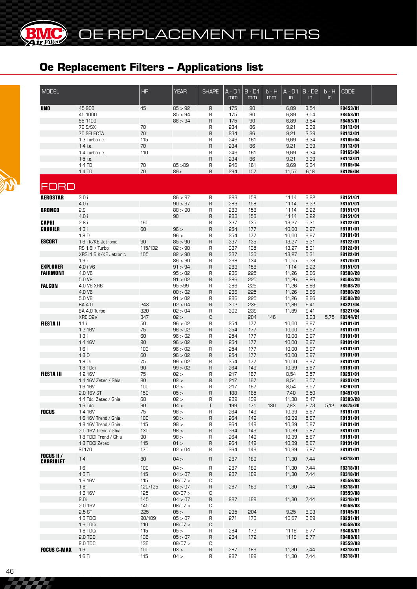**BMC** 

(BK

| <b>MODEL</b>                          |                                        | HP            | <b>YEAR</b>     | <b>SHAPE</b> | $A - D1$<br>mm | $B - D1$<br>mm | b - H<br>mm | $A - D1$<br>$\mathsf{in}$ | $B - \overline{D2}$<br>$\mathsf{in}$ | $b - H$<br>$\mathsf{in}$ | <b>CODE</b>                 |  |
|---------------------------------------|----------------------------------------|---------------|-----------------|--------------|----------------|----------------|-------------|---------------------------|--------------------------------------|--------------------------|-----------------------------|--|
| <b>UNO</b>                            | 45 900                                 | 45            | 85 > 92         | R            | 175            | 90             |             | 6,89                      | 3,54                                 |                          | FB453/01                    |  |
|                                       | 45 1000                                |               | 85 > 94         | R            | 175            | 90             |             | 6,89                      | 3,54                                 |                          | FB453/01                    |  |
|                                       | 55 1100                                |               | 86 > 94         | $\sf R$      | 175            | 90             |             | 6,89                      | 3,54                                 |                          | FB453/01                    |  |
|                                       | 70 S/SX                                | 70            |                 | R            | 234            | 86             |             | 9,21                      | 3,39                                 |                          | <b>FB113/01</b>             |  |
|                                       | 70 SELECTA                             | 70            |                 | $\sf B$      | 234            | 86             |             | 9,21                      | 3,39                                 |                          | FB113/01                    |  |
|                                       | 1.3 Turbo i.e.<br>1.4 i.e.             | 115<br>70     |                 | R<br>$\sf B$ | 246<br>234     | 161<br>86      |             | 9,69<br>9,21              | 6,34<br>3,39                         |                          | <b>FB165/04</b><br>FB113/01 |  |
|                                       | 1.4 Turbo i.e.                         | 110           |                 | R            | 246            | 161            |             | 9,69                      | 6,34                                 |                          | <b>FB165/04</b>             |  |
|                                       | 1.5 i.e.                               |               |                 | $\sf B$      | 234            | 86             |             | 9,21                      | 3,39                                 |                          | <b>FB113/01</b>             |  |
|                                       | 1.4 TD                                 | 70            | 85 > 89         | R            | 246            | 161            |             | 9,69                      | 6,34                                 |                          | FB165/04                    |  |
|                                       | 1.4 TD                                 | 70            | 89              | $\sf B$      | 294            | 157            |             | 11,57                     | 6,18                                 |                          | FB126/04                    |  |
| FORD                                  |                                        |               |                 |              |                |                |             |                           |                                      |                          |                             |  |
| <b>AEROSTAR</b>                       | 3.0i                                   |               | 86 > 97         | R            | 283            | 158            |             | 11,14                     | 6,22                                 |                          | FB151/01                    |  |
|                                       | 4.0 i                                  |               | 90 > 97         | $\sf B$      | 283            | 158            |             | 11,14                     | 6,22                                 |                          | FB151/01                    |  |
| <b>BRONCO</b>                         | 2.9                                    |               | 88 > 90         | R            | 283            | 158            |             | 11,14                     | 6,22                                 |                          | FB151/01                    |  |
|                                       | 4.0 i                                  |               | 90              | $\sf B$      | 283            | 158            |             | 11,14                     | 6,22                                 |                          | FB151/01                    |  |
| <b>CAPRI</b>                          | 2.8i                                   | 160           |                 | R            | 337            | 135            |             | 13,27                     | 5,31                                 |                          | FB122/01                    |  |
| <b>COURIER</b>                        | 1.3i                                   | 60            | 96 >            | $\sf B$      | 254            | 177            |             | 10,00                     | 6,97                                 |                          | FB101/01                    |  |
| <b>ESCORT</b>                         | 1.8 <sub>D</sub>                       | 90            | 96 ><br>85 > 90 | R<br>$\sf B$ | 254<br>337     | 177<br>135     |             | 10,00<br>13,27            | 6,97                                 |                          | <b>FB101/01</b><br>FB122/01 |  |
|                                       | 1.6 i K/KE-Jetronic<br>RS 1.6i / Turbo | 115/132       | 82 > 90         | R            | 337            | 135            |             | 13,27                     | 5,31<br>5,31                         |                          | FB122/01                    |  |
|                                       | XR3i 1.6 K/KE Jetronic                 | 105           | 82 > 90         | $\sf B$      | 337            | 135            |             | 13,27                     | 5,31                                 |                          | FB122/01                    |  |
|                                       | 1.9i                                   |               | 86 > 90         | R            | 268            | 134            |             | 10,55                     | 5,28                                 |                          | FB170/01                    |  |
| <b>EXPLORER</b>                       | 4.0 i V6                               |               | 91 > 94         | $\sf B$      | 283            | 158            |             | 11,14                     | 6,22                                 |                          | FB151/01                    |  |
| <b>FAIRMONT</b>                       | 4.0 V6                                 |               | 95 > 02         | R            | 286            | 225            |             | 11,26                     | 8,86                                 |                          | <b>FB508/20</b>             |  |
|                                       | 5.0 V8                                 |               | 91 > 02         | $\sf B$      | 286            | 225            |             | 11,26                     | 8,86                                 |                          | FB508/20                    |  |
| <b>FALCON</b>                         | 4.0 V6 XR6                             |               | 95 > 99         | R            | 286            | 225            |             | 11,26                     | 8,86                                 |                          | <b>FB508/20</b>             |  |
|                                       | 4.0 V6                                 |               | 00 > 02         | $\sf B$      | 286            | 225            |             | 11,26                     | 8,86                                 |                          | <b>FB508/20</b>             |  |
|                                       | 5.0 V8                                 |               | 91 > 02         | R            | 286            | 225            |             | 11,26                     | 8,86                                 |                          | <b>FB508/20</b>             |  |
|                                       | BA 4.0                                 | 243           | 02 > 04         | $\sf B$      | 302            | 239            |             | 11,89                     | 9,41                                 |                          | FB327/04                    |  |
|                                       | BA 4.0 Turbo                           | 320           | 02 > 04         | R            | 302            | 239            |             | 11,89                     | 9,41                                 |                          | FB327/04                    |  |
| <b>FIESTA II</b>                      | <b>XR8 32V</b>                         | 347           | 02 ><br>96 > 02 | $\mathbb C$  |                | 204            | 146         |                           | 8,03                                 | 5,75                     | FB344/21                    |  |
|                                       | 1.1i<br>1.2 16V                        | 50<br>75      | 96 > 02         | R<br>$\sf B$ | 254<br>254     | 177<br>177     |             | 10,00<br>10,00            | 6,97<br>6,97                         |                          | <b>FB101/01</b><br>FB101/01 |  |
|                                       | 1.3i                                   | 60            | 96 > 02         | R            | 254            | 177            |             | 10,00                     | 6,97                                 |                          | <b>FB101/01</b>             |  |
|                                       | 1.4 16V                                | 90            | 96 > 02         | $\sf B$      | 254            | 177            |             | 10,00                     | 6,97                                 |                          | <b>FB101/01</b>             |  |
|                                       | 1.6i                                   | 103           | 96 > 02         | R            | 254            | 177            |             | 10,00                     | 6,97                                 |                          | <b>FB101/01</b>             |  |
|                                       | 1.8 <sub>D</sub>                       | 60            | 96 > 02         | $\sf B$      | 254            | 177            |             | 10,00                     | 6,97                                 |                          | <b>FB101/01</b>             |  |
|                                       | 1.8 Di                                 | 75            | 99 > 02         | R            | 254            | 177            |             | 10,00                     | 6,97                                 |                          | FB101/01                    |  |
|                                       | 1.8 TDdi                               | 90            | 99 > 02         | $\sf B$      | 264            | 149            |             | 10,39                     | 5,87                                 |                          | <b>FB191/01</b>             |  |
| <b>FIESTA III</b>                     | 1.2 16V                                | 75            | 02 >            | R            | 217            | 167            |             | 8,54                      | 6,57                                 |                          | <b>FB297/01</b>             |  |
|                                       | 1.4 16V Zetec / Ghia                   | 80            | 02 >            | $\sf B$      | 217            | 167            |             | 8,54                      | 6,57                                 |                          | FB297/01                    |  |
|                                       | 1.6 16V                                | 100           | 02 >            | R            | 217            | 167            |             | 8,54                      | 6,57                                 |                          | <b>FB297/01</b>             |  |
|                                       | 2.0 16V ST                             | 150           | 05 >            | $\mathsf{R}$ | 188            | 165            |             | 7,40                      | 6,50                                 |                          | FB457/01                    |  |
|                                       | 1.4 Tdci Zetec / Ghia                  | 68<br>90      | 02 >            | R<br>$\top$  | 289            | 139            |             | 11,38                     | 5,47                                 |                          | <b>FB309/20</b>             |  |
| <b>FOCUS</b>                          | 1.6 Tdci<br>1.4 16V                    | 75            | 04 ><br>98 >    | R            | 199<br>264     | 171<br>149     | 130         | 7,83<br>10,39             | 6,73<br>5,87                         | 5,12                     | <b>FB475/20</b><br>FB191/01 |  |
|                                       | 1.6 16V Trend / Ghia                   | 100           | 98 >            | R            | 264            | 149            |             | 10,39                     | 5,87                                 |                          | FB191/01                    |  |
|                                       | 1.8 16V Trend / Ghia                   | 115           | 98 >            | R            | 264            | 149            |             | 10,39                     | 5,87                                 |                          | FB191/01                    |  |
|                                       | 2.0 16V Trend / Ghia                   | 130           | 98 >            | R            | 264            | 149            |             | 10,39                     | 5,87                                 |                          | FB191/01                    |  |
|                                       | 1.8 TDDI Trend / Ghia                  | 90            | 98 >            | R            | 264            | 149            |             | 10,39                     | 5,87                                 |                          | <b>FB191/01</b>             |  |
|                                       | 1.8 TDCi Zetec                         | 115           | 01 >            | R            | 264            | 149            |             | 10,39                     | 5,87                                 |                          | FB191/01                    |  |
|                                       | ST170                                  | 170           | 02 > 04         | R            | 264            | 149            |             | 10,39                     | 5,87                                 |                          | FB191/01                    |  |
| <b>FOCUS II</b> /<br><b>CABRIOLET</b> | 1.4i                                   | 80            | 04 >            | R            | 287            | 189            |             | 11,30                     | 7,44                                 |                          | FB318/01                    |  |
|                                       | 1.6i                                   | 100           | 04 >            | R            | 287            | 189            |             | 11,30                     | 7,44                                 |                          | <b>FB318/01</b>             |  |
|                                       | $1.6$ Ti                               | 115           | 04 > 07         | R            | 287            | 189            |             | 11,30                     | 7.44                                 |                          | FB318/01                    |  |
|                                       | 1.6 16V                                | 115           | 08/07 >         | С            |                |                |             |                           |                                      |                          | <b>FB559/08</b>             |  |
|                                       | 1.8i                                   | 120/125       | 03 > 07         | R            | 287            | 189            |             | 11,30                     | 7,44                                 |                          | FB318/01                    |  |
|                                       | 1.8 16V                                | 125           | 08/07 >         | С            |                |                |             |                           |                                      |                          | <b>FB559/08</b>             |  |
|                                       | 2.0i                                   | 145           | 04 > 07         | R            | 287            | 189            |             | 11,30                     | 7,44                                 |                          | FB318/01                    |  |
|                                       | 2.0 16V                                | 145           | 08/07 >         | С            |                |                |             |                           |                                      |                          | <b>FB559/08</b>             |  |
|                                       | 2.5 ST                                 | 225<br>90/109 | 05 ><br>05 > 07 | R            | 235<br>271     | 204<br>170     |             | 9,25                      | 8,03<br>6,69                         |                          | FB145/01<br><b>FB291/01</b> |  |
|                                       | 1.6 TDCi<br>1.6 TDCi                   | 110           | 08/07 >         | R<br>C       |                |                |             | 10,67                     |                                      |                          | <b>FB559/08</b>             |  |
|                                       | 1.8 TDCi                               | 115           | 05 >            | R            | 284            | 172            |             | 11,18                     | 6,77                                 |                          | <b>FB408/01</b>             |  |
|                                       | 2.0 TDCi                               | 136           | 05 > 07         | R            | 284            | 172            |             | 11,18                     | 6,77                                 |                          | FB408/01                    |  |
|                                       | 2.0 TDCi                               | 136           | 08/07 >         | С            |                |                |             |                           |                                      |                          | <b>FB559/08</b>             |  |
| <b>FOCUS C-MAX</b>                    | 1.6i                                   | 100           | 03 >            | $\sf R$      | 287            | 189            |             | 11,30                     | 7,44                                 |                          | FB318/01                    |  |
|                                       | $1.6$ Ti                               | 115           | 04 >            | R            | 287            | 189            |             | 11,30                     | 7,44                                 |                          | FB318/01                    |  |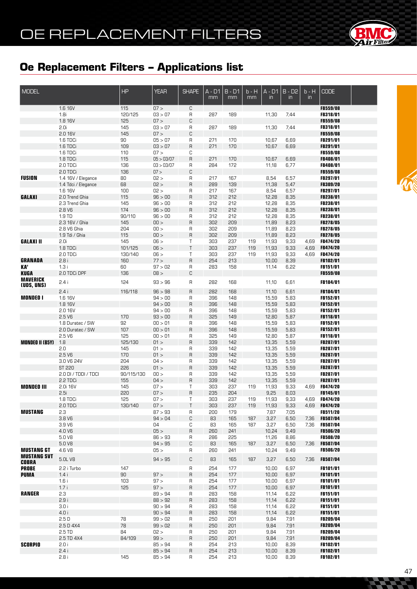

| <b>MODEL</b>           |                                | HP             | <b>YEAR</b>        | <b>SHAPE</b> | $A - D1$   | $B - D1$   | $b - H$    | $A - D1$       | $B - D2$       | $b - H$      | <b>CODE</b>                        |  |
|------------------------|--------------------------------|----------------|--------------------|--------------|------------|------------|------------|----------------|----------------|--------------|------------------------------------|--|
|                        |                                |                |                    |              | mm         | mm         | mm         | $\mathsf{in}$  | $\overline{m}$ | in           |                                    |  |
|                        | 1.6 16V                        | 115            | 07 >               | C            |            |            |            |                |                |              | FB559/08                           |  |
|                        | 1.8i                           | 120/125        | 03 > 07            | R            | 287        | 189        |            | 11,30          | 7,44           |              | <b>FB318/01</b>                    |  |
|                        | 1.8 16V<br>2.0i                | 125            | 07 >               | C            |            |            |            |                |                |              | <b>FB559/08</b>                    |  |
|                        | 2.0 16V                        | 145<br>145     | 03 > 07<br>07 >    | R<br>C       | 287        | 189        |            | 11,30          | 7,44           |              | <b>FB318/01</b><br><b>FB559/08</b> |  |
|                        | 1.6 TDCi                       | 90             | 05 > 07            | R            | 271        | 170        |            | 10,67          | 6,69           |              | FB291/01                           |  |
|                        | 1.6 TDCi                       | 109            | 03 > 07            | R            | 271        | 170        |            | 10,67          | 6,69           |              | FB291/01                           |  |
|                        | 1.6 TDCi                       | 110            | 07 >               | С            |            |            |            |                |                |              | <b>FB559/08</b>                    |  |
|                        | 1.8 TDCi                       | 115            | 05 > 03/07         | R            | 271        | 170        |            | 10,67          | 6,69           |              | FB408/01                           |  |
|                        | 2.0 TDCi                       | 136            | 03 > 03/07         | R            | 284        | 172        |            | 11,18          | 6,77           |              | FB408/01                           |  |
|                        | 2.0 TDCi                       | 136            | 07 >               | С            |            |            |            |                |                |              | <b>FB559/08</b>                    |  |
| <b>FUSION</b>          | 1.4 16V / Elegance             | 80<br>68       | 02 ><br>02 >       | R<br>R       | 217<br>289 | 167<br>139 |            | 8,54           | 6,57           |              | FB297/01<br>FB309/20               |  |
|                        | 1.4 Tdci / Elegance<br>1.6 16V | 100            | 02 >               | R            | 217        | 167        |            | 11,38<br>8,54  | 5,47<br>6,57   |              | FB297/01                           |  |
| GALAXI                 | 2.0 Trend Ghia                 | 115            | 96 > 00            | R            | 312        | 212        |            | 12,28          | 8,35           |              | FB238/01                           |  |
|                        | 2.3 Trend Ghia                 | 145            | 96 > 00            | R            | 312        | 212        |            | 12,28          | 8,35           |              | FB238/01                           |  |
|                        | 2.8V6                          | 174            | 96 > 00            | R            | 312        | 212        |            | 12,28          | 8,35           |              | FB238/01                           |  |
|                        | 1.9 TD                         | 90/110         | 96 > 00            | R            | 312        | 212        |            | 12,28          | 8,35           |              | FB238/01                           |  |
|                        | 2.3 16V / Ghia                 | 145            | 00 >               | R            | 302        | 209        |            | 11,89          | 8,23           |              | FB278/05                           |  |
|                        | 2.8 V6 Ghia                    | 204            | 00 >               | R            | 302        | 209        |            | 11,89          | 8,23           |              | FB278/05                           |  |
|                        | 1.9 Tdi / Ghia                 | 115            | 00 ><br>06 >       | R            | 302        | 209        |            | 11,89          | 8,23           |              | FB278/05                           |  |
| <b>GALAXI II</b>       | 2.0i<br>1.8 TDCi               | 145<br>101/125 | 06 >               | Τ<br>Τ       | 303<br>303 | 237<br>237 | 119<br>119 | 11,93<br>11,93 | 9,33<br>9,33   | 4,69<br>4,69 | <b>FB474/20</b><br>FB474/20        |  |
|                        | 2.0 TDCi                       | 130/140        | 06 >               | Τ            | 303        | 237        | 119        | 11,93          | 9,33           | 4,69         | <b>FB474/20</b>                    |  |
| <b>GRANADA</b>         | 2.8i                           | 160            | 77 >               | $\mathsf R$  | 254        | 213        |            | 10,00          | 8,39           |              | FB102/01                           |  |
| KA'                    | 1.3i                           | 60             | 97 > 02            | R            | 283        | 158        |            | 11,14          | 6,22           |              | FB151/01                           |  |
| <b>KUGA</b>            | 2.0 TDCi DPF                   | 136            | 08 >               | C            |            |            |            |                |                |              | <b>FB559/08</b>                    |  |
| <b>MAVERICK</b>        | 2.4i                           | 124            | 93 > 96            | R            | 282        | 168        |            | 11,10          | 6,61           |              | FB184/01                           |  |
| (UDS, UNS)             | 2.4i                           | 116/118        | 96 > 98            | $\sf R$      | 282        | 168        |            | 11,10          | 6,61           |              | <b>FB184/01</b>                    |  |
| <b>MONDEO I</b>        | 1.6 16V                        |                | 94 > 00            | R            | 396        | 148        |            | 15,59          | 5,83           |              | FB152/01                           |  |
|                        | 1.8 16V                        |                | 94 > 00            | R            | 396        | 148        |            | 15,59          | 5,83           |              | FB152/01                           |  |
|                        | 2.0 16V                        |                | 94 > 00            | R            | 396        | 148        |            | 15,59          | 5,83           |              | FB152/01                           |  |
|                        | 2.5V6                          | 170            | 93 > 00            | R            | 325        | 149        |            | 12,80          | 5,87           |              | FB118/01                           |  |
|                        | 1.8 Duratec / SW               | 92             | 00 > 01            | R            | 396        | 148        |            | 15,59          | 5,83           |              | FB152/01                           |  |
|                        | 2.0 Duratec / SW               | 107            | 00 > 01            | R            | 396        | 148        |            | 15,59          | 5,83           |              | FB152/01                           |  |
| <b>MONDEO II (B5Y)</b> | 2.5V6<br>1.8                   | 125<br>125/130 | 00 > 01<br>01 >    | R<br>R       | 325<br>339 | 149<br>142 |            | 12,80<br>13,35 | 5,87<br>5,59   |              | FB118/01<br>FB287/01               |  |
|                        | 2.0                            | 145            | 01 >               | R            | 339        | 142        |            | 13,35          | 5,59           |              | FB287/01                           |  |
|                        | 2.5V6                          | 170            | 01 >               | R            | 339        | 142        |            | 13,35          | 5,59           |              | FB287/01                           |  |
|                        | 3.0 V6 24V                     | 204            | 04 >               | R            | 339        | 142        |            | 13,35          | 5,59           |              | FB287/01                           |  |
|                        | ST 220                         | 226            | 01 >               | R            | 339        | 142        |            | 13,35          | 5,59           |              | FB287/01                           |  |
|                        | 2.0 DI / TDDI / TDCI           | 90/115/130     | 00 >               | R            | 339        | 142        |            | 13,35          | 5,59           |              | FB287/01                           |  |
|                        | 2.2 TDCi                       | 155            | 04 >               | R            | 339        | 142        |            | 13,35          | 5,59           |              | FB287/01                           |  |
| <b>MONDEO III</b>      | 2.0i 16V<br>2.5i               | 145<br>220     | 07 ><br>07 >       | T<br>R       | 303<br>235 | 237<br>204 | 119        | 11,93<br>9,25  | 9,33<br>8,03   | 4,69         | <b>FB474/20</b><br>FB145/01        |  |
|                        | 1.8 TDCi                       | 125            | 07 >               | Τ            | 303        | 237        | 119        | 11,93          | 9,33           | 4,69         | FB474/20                           |  |
|                        | 2.0 TDCi                       | 130/140        | 07 >               | T            | 303        | 237        | 119        | 11,93          | 9,33           | 4,69         | FB474/20                           |  |
| <b>MUSTANG</b>         | 2.3                            |                | 87 > 93            | R            | 200        | 179        |            | 7,87           | 7,05           |              | <b>FB511/20</b>                    |  |
|                        | 3.8 V6                         |                | 94 > 04            | С            | 83         | 165        | 187        | 3,27           | 6,50           | 7,36         | FB507/04                           |  |
|                        | 3.9 V6                         |                | 04                 | С            | 83         | 165        | 187        | 3,27           | 6,50           | 7,36         | FB507/04                           |  |
|                        | 4.0 V6                         |                | 05 >               | $\sf R$      | 260        | 241        |            | 10,24          | 9,49           |              | <b>FB506/20</b>                    |  |
|                        | 5.0 V8<br>5.0 V8               |                | 86 > 93<br>94 > 95 | R<br>С       | 286<br>83  | 225<br>165 | 187        | 11,26<br>3,27  | 8,86<br>6,50   | 7,36         | FB508/20<br>FB507/04               |  |
| <b>MUSTANG GT</b>      | 4.6 V8                         |                | 05 >               | R            | 260        | 241        |            | 10,24          | 9,49           |              | <b>FB506/20</b>                    |  |
| <b>MUSTANG SVT</b>     |                                |                |                    |              |            |            |            |                |                |              |                                    |  |
| <b>COBRA</b>           | 5.0L V8                        |                | 94 > 95            | С            | 83         | 165        | 187        | 3,27           | 6,50           | 7,36         | FB507/04                           |  |
| <b>PROBE</b>           | 2.2 i Turbo                    | 147            |                    | R            | 254        | 177        |            | 10,00          | 6,97           |              | FB101/01                           |  |
| <b>PUMA</b>            | 1.4i                           | 90             | 97 >               | $\sf R$      | 254        | 177        |            | 10,00          | 6,97           |              | FB101/01                           |  |
|                        | 1.6i                           | 103<br>125     | 97 ><br>97 >       | R            | 254<br>254 | 177        |            | 10,00          | 6,97           |              | FB101/01<br>FB101/01               |  |
| <b>RANGER</b>          | 1.7i<br>2.3                    |                | 89 > 94            | $\sf R$<br>R | 283        | 177<br>158 |            | 10,00<br>11,14 | 6,97<br>6,22   |              | FB151/01                           |  |
|                        | 2.9i                           |                | 88 > 92            | R            | 283        | 158        |            | 11,14          | 6,22           |              | FB151/01                           |  |
|                        | 3.0i                           |                | 90 > 94            | R            | 283        | 158        |            | 11,14          | 6,22           |              | FB151/01                           |  |
|                        | 4.0 i                          |                | 90 > 94            | R            | 283        | 158        |            | 11,14          | 6,22           |              | FB151/01                           |  |
|                        | 2.5D                           | 78             | 99 > 02            | R            | 250        | 201        |            | 9,84           | 7,91           |              | FB209/04                           |  |
|                        | 2.5 D 4X4                      | 78             | 99 > 02            | R            | 250        | 201        |            | 9,84           | 7,91           |              | FB209/04                           |  |
|                        | 2.5 TD                         | 84             | 02 >               | R            | 250        | 201        |            | 9,84           | 7,91           |              | FB209/04                           |  |
| <b>SCORPIO</b>         | 2.5 TD 4X4<br>2.0 i            | 84/109         | 99 ><br>85 > 94    | R<br>R       | 250<br>254 | 201<br>213 |            | 9,84<br>10,00  | 7,91<br>8,39   |              | FB209/04<br><b>FB102/01</b>        |  |
|                        | 2.4i                           |                | 85 > 94            | R            | 254        | 213        |            | 10,00          | 8,39           |              | FB102/01                           |  |
|                        | 2.8i                           | 145            | 85 > 94            | R            | 254        | 213        |            | 10,00          | 8,39           |              | FB102/01                           |  |



**CACHOOR**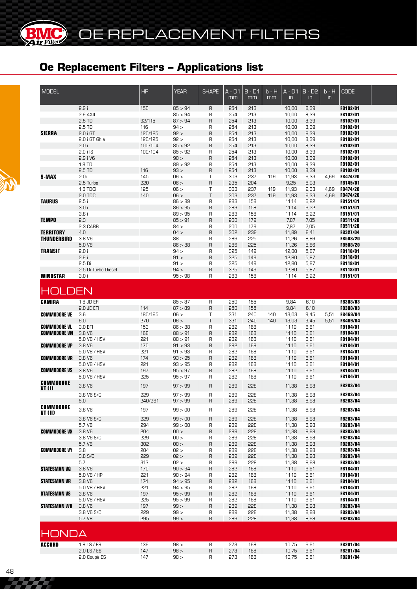**BIMC** 

| <b>MODEL</b>        |                                    | <b>HP</b>          | <b>YEAR</b>        | <b>SHAPE</b>      | A - D1<br>mm | $B - D1$<br>mm | b - H<br>mm | $A - D1$<br>$\mathsf{in}$ | $B - D2$<br>$\overline{m}$ | b - H<br>in | <b>CODE</b>                        |  |
|---------------------|------------------------------------|--------------------|--------------------|-------------------|--------------|----------------|-------------|---------------------------|----------------------------|-------------|------------------------------------|--|
|                     | 2.9i                               | 150                | 85 > 94            | R                 | 254          | 213            |             | 10,00                     | 8,39                       |             | FB102/01                           |  |
|                     | 2.9 4X4                            |                    | 85 > 94            | R                 | 254          | 213            |             | 10,00                     | 8,39                       |             | <b>FB102/01</b>                    |  |
|                     | 2.5 TD                             | 92/115             | 87 > 94            | R                 | 254          | 213            |             | 10,00                     | 8,39                       |             | FB102/01                           |  |
|                     | 2.5 TD                             | 116                | 94 >               | R                 | 254          | 213            |             | 10,00                     | 8,39                       |             | <b>FB102/01</b>                    |  |
| <b>SIERRA</b>       | $2.0$ i GT<br>2.0 i GT Ghia        | 120/125<br>120/125 | 92 ><br>92 >       | $\mathsf{R}$<br>R | 254<br>254   | 213<br>213     |             | 10,00                     | 8,39<br>8,39               |             | <b>FB102/01</b><br><b>FB102/01</b> |  |
|                     | 2.0i                               | 100/104            | 85 > 92            | $\mathsf{R}$      | 254          | 213            |             | 10,00<br>10,00            | 8,39                       |             | <b>FB102/01</b>                    |  |
|                     | $2.0$ i IS                         | 100/104            | 85 > 92            | R                 | 254          | 213            |             | 10,00                     | 8,39                       |             | FB102/01                           |  |
|                     | 2.9 i V6                           |                    | 90 >               | $\sf B$           | 254          | 213            |             | 10,00                     | 8,39                       |             | <b>FB102/01</b>                    |  |
|                     | 1.8 TD                             |                    | 89 > 92            | R                 | 254          | 213            |             | 10,00                     | 8,39                       |             | FB102/01                           |  |
|                     | 2.5 TD                             | 116                | 93 >               | $\sf B$           | 254          | 213            |             | 10,00                     | 8,39                       |             | FB102/01                           |  |
| S-MAX               | 2.0i                               | 145                | 06 >               | Τ                 | 303          | 237            | 119         | 11,93                     | 9,33                       | 4,69        | <b>FB474/20</b>                    |  |
|                     | 2.5 Turbo                          | 220                | 06 >               | $\sf B$           | 235          | 204            |             | 9,25                      | 8,03                       |             | <b>FB145/01</b>                    |  |
|                     | 1.8 TDCi                           | 125                | 06 >               | T                 | 303          | 237            | 119         | 11,93                     | 9,33                       | 4,69        | <b>FB474/20</b>                    |  |
|                     | 2.0 TDCi                           | 140                | 06 >               | T                 | 303          | 237            | 119         | 11,93                     | 9,33                       | 4,69        | FB474/20                           |  |
| <b>TAURUS</b>       | 2.5i                               |                    | 86 > 89            | R                 | 283          | 158            |             | 11,14                     | 6,22                       |             | <b>FB151/01</b>                    |  |
|                     | 3.0i<br>3.8i                       |                    | 86 > 95<br>89 > 95 | $\mathsf{R}$<br>R | 283<br>283   | 158<br>158     |             | 11,14<br>11,14            | 6,22<br>6,22               |             | <b>FB151/01</b><br><b>FB151/01</b> |  |
| <b>TEMPO</b>        | 2.3                                |                    | 85 > 91            | R                 | 200          | 179            |             | 7,87                      | 7,05                       |             | FB511/20                           |  |
|                     | 2.3 CARB                           |                    | 84 >               | R                 | 200          | 179            |             | 7,87                      | 7,05                       |             | <b>FB511/20</b>                    |  |
| <b>TERRITORY</b>    | 4.0                                |                    | 04 >               | $\mathsf{R}$      | 302          | 239            |             | 11,89                     | 9,41                       |             | FB327/04                           |  |
| <b>THUNDERBIRD</b>  | 3.8 <sub>V</sub> 6                 |                    | 88                 | R                 | 286          | 225            |             | 11,26                     | 8,86                       |             | <b>FB508/20</b>                    |  |
|                     | 5.0 V8                             |                    | 86 > 88            | $\sf B$           | 286          | 225            |             | 11,26                     | 8,86                       |             | <b>FB508/20</b>                    |  |
| <b>TRANSIT</b>      | 2.0i                               |                    | 94 >               | R                 | 325          | 149            |             | 12,80                     | 5,87                       |             | FB118/01                           |  |
|                     | 2.9i                               |                    | 91 >               | $\sf B$           | 325          | 149            |             | 12,80                     | 5,87                       |             | <b>FB118/01</b>                    |  |
|                     | 2.5 Di                             |                    | 91 >               | R                 | 325          | 149            |             | 12,80                     | 5,87                       |             | <b>FB118/01</b>                    |  |
|                     | 2.5 Di Turbo Diesel                |                    | 94 >               | $\sf B$           | 325          | 149            |             | 12,80                     | 5,87                       |             | <b>FB118/01</b>                    |  |
| <b>WINDSTAR</b>     | 3.0i                               |                    | 95 > 98            | R                 | 283          | 158            |             | 11,14                     | 6,22                       |             | FB151/01                           |  |
| OLDEN               |                                    |                    |                    |                   |              |                |             |                           |                            |             |                                    |  |
| <b>CAMIRA</b>       | 1.8 JD EFI                         |                    | 85 > 87            | R                 | 250          | 155            |             | 9,84                      | 6,10                       |             | FB308/03                           |  |
|                     | 2.0 JE EFI                         | 114                | 87 > 89            | $\sf B$           | 250          | 155            |             | 9,84                      | 6,10                       |             | <b>FB308/03</b>                    |  |
| <b>COMMODORE VE</b> | 3.6                                | 180/195            | 06 >               | T                 | 331          | 240            | 140         | 13,03                     | 9,45                       | 5,51        | FB469/04                           |  |
|                     | 6.0                                | 270                | 06 >               | $\top$            | 331          | 240            | 140         | 13,03                     | 9,45                       | 5,51        | FB469/04                           |  |
| <b>COMMODORE VL</b> | 3.0 EFI                            | 153                | 86 > 88            | R                 | 282          | 168            |             | 11,10                     | 6,61                       |             | <b>FB184/01</b>                    |  |
| <b>COMMODORE VN</b> | 3.8 <sub>V</sub> 6                 | 168                | 88 > 91            | $\mathsf{R}$      | 282          | 168            |             | 11,10                     | 6,61                       |             | <b>FB184/01</b>                    |  |
|                     | 5.0 V8 / HSV                       | 221                | 88 > 91            | R                 | 282          | 168            |             | 11,10                     | 6,61                       |             | FB184/01                           |  |
| <b>COMMODORE VP</b> | 3.8 <sub>V</sub> 6                 | 170                | 91 > 93            | $\sf B$           | 282          | 168            |             | 11,10                     | 6,61                       |             | FB184/01                           |  |
| <b>COMMODORE VR</b> | 5.0 V8 / HSV<br>3.8 <sub>V</sub> 6 | 221<br>174         | 91 > 93<br>93 > 95 | R<br>R            | 282<br>282   | 168<br>168     |             | 11,10<br>11,10            | 6,61<br>6,61               |             | <b>FB184/01</b><br><b>FB184/01</b> |  |
|                     | 5.0 V8 / HSV                       | 221                | 93 > 95            | R                 | 282          | 168            |             | 11,10                     | 6,61                       |             | <b>FB184/01</b>                    |  |
| <b>COMMODORE VS</b> | 3.8 <sub>V</sub> 6                 | 197                | 95 > 97            | R                 | 282          | 168            |             | 11,10                     | 6,61                       |             | <b>FB184/01</b>                    |  |
|                     | 5.0 V8 / HSV                       | 225                | 95 > 97            | R                 | 282          | 168            |             | 11,10                     | 6,61                       |             | FB184/01                           |  |
| <b>COMMODORE</b>    | 3.8 <sub>V</sub> 6                 | 197                | 97 > 99            | R                 | 289          | 228            |             | 11,38                     | 8,98                       |             | FB283/04                           |  |
| VT (I)              |                                    |                    |                    |                   |              |                |             |                           |                            |             |                                    |  |
|                     | 3.8 V6 S/C                         | 229                | 97 > 99            | R                 | 289          | 228            |             | 11,38                     | 8,98                       |             | FB283/04                           |  |
| <b>COMMODORE</b>    | 5.0                                | 240/261            | 97 > 99            | R                 | 289          | 228            |             | 11,38                     | 8,98                       |             | <b>FB283/04</b>                    |  |
| VT (II)             | 3.8 V6                             | 197                | 99 > 00            | R                 | 289          | 228            |             | 11,38                     | 8,98                       |             | FB283/04                           |  |
|                     | 3.8 V6 S/C                         | 229                | 99 > 00<br>99 > 00 | R                 | 289          | 228            |             | 11,38                     | 8,98                       |             | FB283/04<br>FB283/04               |  |
| <b>COMMODORE VX</b> | 5.7 V8<br>3.8 V6                   | 294<br>204         | 100 >              | R<br>R            | 289<br>289   | 228<br>228     |             | 11,38<br>11,38            | 8,98<br>8,98               |             | FB283/04                           |  |
|                     | 3.8 V6 S/C                         | 229                | 100 >              | R                 | 289          | 228            |             | 11,38                     | 8,98                       |             | <b>FB283/04</b>                    |  |
|                     | 5.7 V <sub>8</sub>                 | 302                | 100 >              | R                 | 289          | 228            |             | 11,38                     | 8,98                       |             | FB283/04                           |  |
| <b>COMMODORE VY</b> | 3.8                                | 204                | 02 >               | R                 | 289          | 228            |             | 11,38                     | 8,98                       |             | FB283/04                           |  |
|                     | 3.8 S/C                            | 229                | 02 >               | R                 | 289          | 228            |             | 11,38                     | 8,98                       |             | FB283/04                           |  |
|                     | 5.7                                | 313                | 02 >               | R                 | 289          | 228            |             | 11,38                     | 8,98                       |             | <b>FB283/04</b>                    |  |
| <b>STATESMAN VQ</b> | 3.8 V6                             | 170                | 90 > 94            | R                 | 282          | 168            |             | 11,10                     | 6,61                       |             | FB184/01                           |  |
|                     | 5.0 V8 / HP                        | 221                | 90 > 94            | R                 | 282          | 168            |             | 11,10                     | 6,61                       |             | <b>FB184/01</b>                    |  |
| <b>STATESMAN VR</b> | 3.8 <sub>V</sub> 6                 | 174                | 94 > 95            | R                 | 282          | 168            |             | 11,10                     | 6,61                       |             | FB184/01                           |  |
|                     | 5.0 V8 / HSV                       | 221                | 94 > 95            | R                 | 282          | 168            |             | 11,10                     | 6,61                       |             | <b>FB184/01</b>                    |  |
| <b>STATESMAN VS</b> | 3.8 V6                             | 197                | 95 > 99            | R                 | 282          | 168<br>168     |             | 11,10                     | 6,61                       |             | FB184/01                           |  |
| <b>STATESMAN WH</b> | 5.0 V8 / HSV<br>3.8 <sub>V</sub> 6 | 225<br>197         | 95 > 99<br>99 >    | R<br>R            | 282<br>289   | 228            |             | 11,10<br>11,38            | 6,61<br>8,98               |             | <b>FB184/01</b><br>FB283/04        |  |
|                     | 3.8 V6 S/C                         | 229                | 99 >               | R                 | 289          | 228            |             | 11,38                     | 8,98                       |             | <b>FB283/04</b>                    |  |
|                     | 5.7 V <sub>8</sub>                 | 295                | 99 >               | R                 | 289          | 228            |             | 11,38                     | 8,98                       |             | FB283/04                           |  |
|                     |                                    |                    |                    |                   |              |                |             |                           |                            |             |                                    |  |
| <b>HONDA</b>        |                                    |                    |                    |                   |              |                |             |                           |                            |             |                                    |  |
| <b>ACCORD</b>       | 1.8 LS / ES                        | 136                | 98 >               | R                 | 273          | 168            |             | 10,75                     | 6,61                       |             | FB201/04                           |  |
|                     | $2.0$ LS $/$ ES                    | 147                | 98 >               | R                 | 273          | 168            |             | 10,75                     | 6,61                       |             | FB201/04                           |  |
|                     | 2.0 Coupè ES                       | 147                | 98 >               | R                 | 273          | 168            |             | 10,75                     | 6,61                       |             | FB201/04                           |  |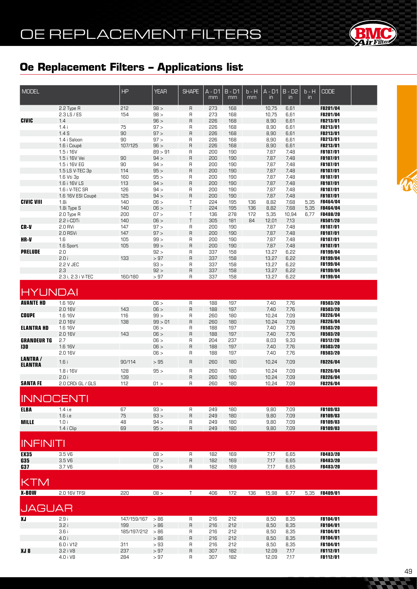# OE REPLACEMENT FILTERS



# **Oe Replacement Filters – Applications list**

| <b>MODEL</b>             |                    | HP          | <b>YEAR</b> | <b>SHAPE</b> | $A - D1$<br>mm | $B - D1$<br>mm | $b - H$<br>mm | $A - D1$<br>in | $B - D2$<br>in | $b - H$<br>$\mathsf{in}$ | <b>CODE</b>          |  |
|--------------------------|--------------------|-------------|-------------|--------------|----------------|----------------|---------------|----------------|----------------|--------------------------|----------------------|--|
|                          | 2.2 Type R         | 212         | 98 >        | R            | 273            | 168            |               | 10,75          | 6,61           |                          | FB201/04             |  |
|                          | $2.3$ LS $/$ ES    | 154         | 98 >        | R            | 273            | 168            |               | 10,75          | 6,61           |                          | FB201/04             |  |
| <b>CIVIC</b>             | 1.4                |             | 96 >        | $\mathsf R$  | 226            | 168            |               | 8,90           | 6,61           |                          | FB213/01             |  |
|                          | 1.4i               | 75          | 97 >        | R            | 226            | 168            |               | 8,90           | 6,61           |                          | FB213/01             |  |
|                          | 1.4S               | 90          | 97 >        | $\mathsf R$  | 226            | 168            |               | 8,90           | 6,61           |                          | FB213/01             |  |
|                          | 1.4 i Saloon       | 90          | 97 >        | R            | 226            | 168            |               | 8,90           | 6,61           |                          | FB213/01             |  |
|                          | 1.6 i Coupé        | 107/125     | 96 >        | R            | 226            | 168            |               | 8,90           | 6,61           |                          | FB213/01             |  |
|                          | 1.5 i 16V          |             | 89 > 91     | R            | 200            | 190            |               | 7,87           | 7,48           |                          | FB107/01             |  |
|                          | 1.5 i 16V Vei      | 90          | 94 >        | $\mathsf R$  | 200            | 190            |               | 7,87           | 7,48           |                          | <b>FB107/01</b>      |  |
|                          | 1.5 i 16V EG       | 90          | 94 >        | R            | 200            | 190            |               | 7,87           | 7,48           |                          | FB107/01             |  |
|                          | 1.5 LS V-TEC 3p    | 114         | 95 >        | $\mathsf R$  | 200            | 190            |               | 7,87           | 7,48           |                          | <b>FB107/01</b>      |  |
|                          | 1.6 Vti 3p         | 160         | 95 >        | R            | 200            | 190            |               | 7,87           | 7,48           |                          | <b>FB107/01</b>      |  |
|                          | 1.6 i 16V LS       | 113         | 94 >        | $\mathsf R$  | 200            | 190            |               | 7,87           | 7,48           |                          | FB107/01             |  |
|                          | 1.6 i V-TEC SR     | 126         | 94 >        | R            | 200            | 190            |               | 7,87           | 7,48           |                          | <b>FB107/01</b>      |  |
|                          | 1.6 16V ESI Coupé  | 125         | 94 >        | $\mathsf R$  | 200            | 190            |               | 7,87           | 7,48           |                          | FB107/01             |  |
| <b>CIVIC VIII</b>        | 1.8i               | 140         | 06 >        | Τ            | 224            | 195            | 136           | 8,82           | 7,68           | 5,35                     | <b>FB464/04</b>      |  |
|                          | 1.8i Type S        | 140         | 06 >        | $\top$       | 224            | 195            | 136           | 8,82           | 7,68           | 5,35                     | FB464/04             |  |
|                          | 2.0 Type R         | 200         | 07 >        | Τ            | 136            | 278            | 172           | 5,35           | 10,94          | 6,77                     | <b>FB488/20</b>      |  |
|                          | 2.2 i-CDTi         | 140         | 06 >        | $\top$       | 305            | 181            | 84            | 12,01          | 7,13           |                          | FB501/20             |  |
| <b>CR-V</b>              | 2.0 RVi            | 147         | 97 >        | R            | 200            | 190            |               | 7,87           | 7,48           |                          | FB107/01             |  |
|                          | 2.0 RSVi           | 147         | 97 >        | $\mathsf R$  | 200            | 190            |               | 7,87           | 7,48           |                          | FB107/01             |  |
| HR-V                     | 1.6                | 105         | 99 >        | R            | 200            | 190            |               | 7,87           | 7,48           |                          | FB107/01             |  |
|                          | 1.6 Sport          | 105         | 99 >        | $\mathsf R$  | 200            | 190            |               | 7,87           | 7,48           |                          | FB107/01             |  |
| <b>PRELUDE</b>           | 2.0                |             | 92 >        | R            | 337            | 158            |               | 13,27          | 6,22           |                          | FB199/04             |  |
|                          | 2.0i               | 133         | > 97        | $\mathsf R$  | 337            | 158            |               | 13,27          | 6,22           |                          | FB199/04             |  |
|                          | 2.2 V JEC          |             | 93 >        | R            | 337            | 158            |               | 13,27          | 6,22           |                          | FB199/04             |  |
|                          | 2.3                |             | 92 >        | $\mathsf R$  | 337            | 158            |               | 13,27          | 6,22           |                          | FB199/04             |  |
|                          | 2.3 i, 2.3 i V-TEC | 160/180     | $>97$       | $\sf R$      | 337            | 158            |               | 13,27          | 6,22           |                          | FB199/04             |  |
| <b>HYUNDAI</b>           |                    |             |             |              |                |                |               |                |                |                          |                      |  |
| <b>AVANTE HD</b>         | 1.6 16V            |             | 06 >        | R            | 188            | 197            |               | 7,40           | 7,76           |                          | <b>FB503/20</b>      |  |
|                          | 2.0 16V            | 143         | 06 >        | $\mathsf R$  | 188            | 197            |               | 7,40           | 7,76           |                          | <b>FB503/20</b>      |  |
| <b>COUPE</b>             | 1.6 16V            | 116         | 99 >        | R            | 260            | 180            |               | 10,24          | 7,09           |                          | <b>FB226/04</b>      |  |
|                          | 2.0 16V            | 138         | 99 > 01     | $\mathsf{R}$ | 260            | 180            |               | 10,24          | 7,09           |                          | FB226/04             |  |
| <b>ELANTRA HD</b>        | 1.6 16V            |             | 06 >        | R            | 188            | 197            |               | 7,40           | 7,76           |                          | <b>FB503/20</b>      |  |
|                          | 2.0 16V            | 143         | 06 >        | $\mathsf R$  | 188            | 197            |               | 7,40           | 7,76           |                          | FB503/20             |  |
| <b>GRANDEUR TG</b>       | 2.7                |             | 06 >        | R            | 204            | 237            |               | 8,03           | 9,33           |                          | <b>FB512/20</b>      |  |
| 130                      | 1.6 16V            |             | 06 >        | $\mathsf{R}$ | 188            | 197            |               | 7,40           | 7,76           |                          | FB503/20             |  |
|                          | 2.0 16V            |             | 06 >        | $\mathsf R$  | 188            | 197            |               | 7,40           | 7,76           |                          | FB503/20             |  |
| <b>LANTRA/</b>           |                    |             |             |              |                |                |               |                |                |                          |                      |  |
| <b>ELANTRA</b>           | 1.6i               | 90/114      | >95         | R            | 260            | 180            |               | 10,24          | 7,09           |                          | FB226/04             |  |
|                          | 1.8 i 16V          | 128         | 95 >        | $\sf R$      | 260            | 180            |               | 10,24          | 7,09           |                          | FB226/04             |  |
|                          | 2.0i               | 139         |             | $\mathsf{R}$ | 260            | 180            |               | 10,24          | 7,09           |                          | FB226/04             |  |
| <b>SANTA FE</b>          | 2.0 CRDi GL / GLS  | 112         | 01 >        | R            | 260            | 180            |               | 10,24          | 7,09           |                          | FB226/04             |  |
| <b>INNOCENTI</b>         |                    |             |             |              |                |                |               |                |                |                          |                      |  |
|                          |                    |             |             |              |                |                |               |                |                |                          |                      |  |
| <b>ELBA</b>              | 1.4 i.e            | 67          | 93 >        | $\sf R$      | 249            | 180            |               | 9,80           | 7,09           |                          | FB109/03             |  |
|                          | $1.6$ i.e          | $75\,$      | 93 >        | R            | 249            | 180            |               | 9,80           | 7,09           |                          | FB109/03             |  |
| <b>MILLE</b>             | 1.0i               | 48          | 94 >        | R            | 249            | 180            |               | 9,80           | 7,09           |                          | FB109/03             |  |
| <b>INFINITI</b>          | 1.4 i Clip         | 69          | 95 >        | $\mathsf R$  | 249            | 180            |               | 9,80           | 7,09           |                          | FB109/03             |  |
|                          |                    |             |             |              |                |                |               |                |                |                          |                      |  |
| <b>EX35</b>              | 3.5 <sub>V6</sub>  |             | 08 >        | R            | 182            | 169            |               | 7,17           | 6,65           |                          | FB483/20<br>FB483/20 |  |
| <b>G35</b><br><b>G37</b> | 3.5 <sub>V6</sub>  |             | 07 >        | $\mathsf R$  | 182            | 169            |               | 7,17           | 6,65           |                          | FB483/20             |  |
|                          | 3.7 V6             |             | 08 >        | R            | 182            | 169            |               | 7,17           | 6,65           |                          |                      |  |
| <b>KTM</b>               |                    |             |             |              |                |                |               |                |                |                          |                      |  |
| <b>X-BOW</b>             | 2.0 16V TFSI       | 220         | 08 >        | $\mathsf T$  | 406            | 172            | 136           | 15,98          | 6,77           |                          | 5,35 FB409/01        |  |
| <b>JAGUAR</b>            |                    |             |             |              |                |                |               |                |                |                          |                      |  |
| ΧJ                       | 2.9i               | 147/159/167 | >86         | R            | 216            | 212            |               | 8,50           | 8,35           |                          | FB104/01             |  |
|                          | 3.2i               | 199         | >86         | R            | 216            | 212            |               | 8,50           | 8,35           |                          | FB104/01             |  |
|                          | 3.6i               | 185/197/212 | >86         |              | 216            | 212            |               | 8,50           | 8,35           |                          | <b>FB104/01</b>      |  |
|                          | 4.0 i              |             |             | R            |                |                |               | 8,50           | 8,35           |                          | FB104/01             |  |
|                          |                    |             | >86         | R            | 216            | 212            |               |                |                |                          |                      |  |
|                          | 6.0 i V12          | 311         | >93         | R            | 216            | 212            |               | 8,50           | 8,35           |                          | <b>FB104/01</b>      |  |
| XJ 8                     | 3.2 i V8           | 237         | > 97        | R            | 307            | 182            |               | 12,09          | 7,17           |                          | FB112/01             |  |
|                          | 4.0 i V8           | 284         | >97         | R            | 307            | 182            |               | 12,09          | 7,17           |                          | FB112/01             |  |

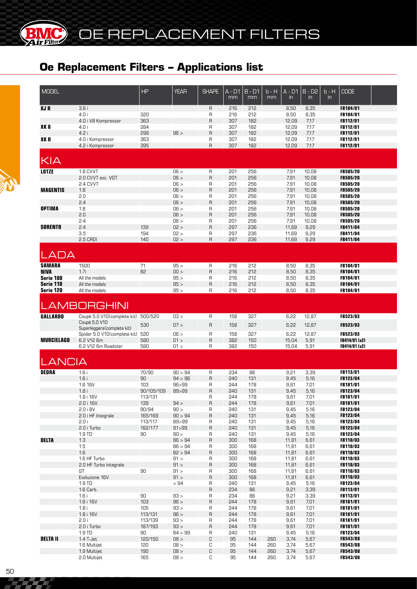

| <b>MODEL</b>             |                                              | <b>HP</b>             | <b>YEAR</b>     | <b>SHAPE</b>                      | A - D1<br>mm      | $B - D1$<br>mm    | $b - H$<br>mm | A - D1<br>$\mathsf{in}$ | $B - D2$<br>$\mathsf{in}$ | $b - H$<br>$\mathsf{in}$ | <b>CODE</b>                        |  |
|--------------------------|----------------------------------------------|-----------------------|-----------------|-----------------------------------|-------------------|-------------------|---------------|-------------------------|---------------------------|--------------------------|------------------------------------|--|
| <b>XJR</b>               | 3.6i<br>4.0i<br>4.0 i V8 Kompressor          | 320<br>363            |                 | $\mathsf{R}$<br>R<br>$\mathsf{R}$ | 216<br>216<br>307 | 212<br>212<br>182 |               | 8,50<br>8,50<br>12,09   | 8,35<br>8,35<br>7,17      |                          | FB104/01<br>FB104/01<br>FB112/01   |  |
| XK <sub>8</sub>          | 4.0 i                                        | 284                   |                 | R                                 | 307               | 182               |               | 12,09                   | 7,17                      |                          | <b>FB112/01</b>                    |  |
| XKR                      | 4.2 i<br>4.0 i Kompressor                    | 298<br>363            | 96 >            | $\sf B$<br>R                      | 307<br>307        | 182<br>182        |               | 12,09<br>12,09          | 7,17<br>7,17              |                          | FB112/01<br><b>FB112/01</b>        |  |
|                          | 4.2 i Kompressor                             | 395                   |                 | $\mathsf{R}$                      | 307               | 182               |               | 12,09                   | 7,17                      |                          | <b>FB112/01</b>                    |  |
| KIA                      |                                              |                       |                 |                                   |                   |                   |               |                         |                           |                          |                                    |  |
| <b>LOTZE</b>             | 1.8 CVVT                                     |                       | 06 >            | $\mathsf R$                       | 201               | 256               |               | 7,91                    | 10,08                     |                          | <b>FB505/20</b>                    |  |
|                          | 2.0 CVVT exc. VGT<br>2.4 CVVT                |                       | 06 ><br>06 >    | $\sf B$<br>R                      | 201<br>201        | 256<br>256        |               | 7,91<br>7,91            | 10,08<br>10,08            |                          | <b>FB505/20</b><br><b>FB505/20</b> |  |
| <b>MAGENTIS</b>          | 1.8                                          |                       | 06 >            | $\sf B$                           | 201               | 256               |               | 7,91                    | 10,08                     |                          | <b>FB505/20</b>                    |  |
|                          | 2.0<br>2.4                                   |                       | 06 ><br>06 >    | R<br>$\sf B$                      | 201<br>201        | 256<br>256        |               | 7,91<br>7,91            | 10,08<br>10,08            |                          | <b>FB505/20</b><br><b>FB505/20</b> |  |
| <b>OPTIMA</b>            | 1.8                                          |                       | 06 >            | R                                 | 201               | 256               |               | 7,91                    | 10,08                     |                          | <b>FB505/20</b>                    |  |
|                          | 2.0                                          |                       | 06 >            | $\mathsf{R}$                      | 201               | 256               |               | 7,91                    | 10,08                     |                          | <b>FB505/20</b>                    |  |
| <b>SORENTO</b>           | 2.4<br>2.4                                   | 139                   | 06 ><br>02 >    | R<br>$\mathsf{R}$                 | 201<br>297        | 256<br>236        |               | 7,91<br>11,69           | 10,08<br>9,29             |                          | <b>FB505/20</b><br><b>FB411/04</b> |  |
|                          | 3.5                                          | 194                   | 02 >            | R                                 | 297               | 236               |               | 11,69                   | 9,29                      |                          | <b>FB411/04</b>                    |  |
|                          | 2.5 CRDI                                     | 140                   | 02 >            | $\mathsf{R}$                      | 297               | 236               |               | 11,69                   | 9,29                      |                          | FB411/04                           |  |
| LADA                     |                                              |                       |                 |                                   |                   |                   |               |                         |                           |                          |                                    |  |
| <b>SAMARA</b>            | 1500                                         | 71                    | 95 >            | $\mathsf R$                       | 216               | 212               |               | 8,50                    | 8,35                      |                          | FB104/01                           |  |
| <b>NIVA</b><br>Serie 100 | 1.7i<br>All the models                       | 82                    | 00 ><br>95 >    | $\sf B$<br>R                      | 216<br>216        | 212<br>212        |               | 8,50<br>8,50            | 8,35<br>8,35              |                          | <b>FB104/01</b><br><b>FB104/01</b> |  |
| Serie 110                | All the models                               |                       | 95 >            | $\sf B$                           | 216               | 212               |               | 8,50                    | 8,35                      |                          | <b>FB104/01</b>                    |  |
| Serie 120                | All the models                               |                       | 95 >            | R                                 | 216               | 212               |               | 8,50                    | 8,35                      |                          | <b>FB104/01</b>                    |  |
|                          | <b>LAMBORGHINI</b>                           |                       |                 |                                   |                   |                   |               |                         |                           |                          |                                    |  |
| <b>GALLARDO</b>          | Coupè 5.0 V10(complete kit) 500/520          |                       | 03 >            | $\mathsf{R}$                      | 158               | 327               |               | 6,22                    | 12,87                     |                          | FB523/03                           |  |
|                          | Coupè 5.0 V10<br>Superleggera (complete kit) | 530                   | 07 >            | $\overline{R}$                    | 158               | 327               |               | 6,22                    | 12,87                     |                          | <b>FB523/03</b>                    |  |
|                          | Spider 5.0 V10(complete kit) 520             |                       | 06 >            | $\mathsf{R}$                      | 158               | 327               |               | 6,22                    | 12,87                     |                          | FB523/03                           |  |
| <b>MURCIELAGO</b>        | 6.2 V12 6m<br>6.2 V12 6m Roadster            | 580<br>580            | 01 ><br>01 >    | $\mathsf{R}$<br>R                 | 382<br>382        | 150<br>150        |               | 15,04<br>15,04          | 5,91<br>5,91              |                          | FB414/01 (x2)<br>FB414/01 (x2)     |  |
| LANCIA                   |                                              |                       |                 |                                   |                   |                   |               |                         |                           |                          |                                    |  |
| <b>DEDRA</b>             | 1.6i                                         | 70/90                 | 90 > 94         | R                                 | 234               | 86                |               | 9,21                    | 3,39                      |                          | FB113/01                           |  |
|                          | 1.6i                                         | 90                    | 94 > 96         | $\mathsf{R}$                      | 240               | 131               |               | 9,45                    | 5,16                      |                          | <b>FB123/04</b>                    |  |
|                          | 1.6 16V                                      | 103                   | 96 > 99         | R                                 | 244               | 178               |               | 9,61                    | 7,01                      |                          | <b>FB181/01</b>                    |  |
|                          | 1.8i<br>1.8 i 16V                            | 90/105/109<br>113/131 | 89>99           | R<br>R                            | 240<br>244        | 131<br>178        |               | 9,45<br>9,61            | 5,16<br>7,01              |                          | <b>FB123/04</b><br>FB181/01        |  |
|                          | 2.0 i 16V                                    | 139                   | 94 >            | $\mathsf R$                       | 244               | 178               |               | 9,61                    | 7,01                      |                          | FB181/01                           |  |
|                          | 2.0 i 8V                                     | 90/94                 | 90 ><br>90 > 94 | R                                 | 240               | 131               |               | 9,45                    | 5,16                      |                          | FB123/04                           |  |
|                          | 2.0 i HF Integrale<br>2.0 i                  | 165/169<br>113/117    | 89>99           | $\mathsf R$<br>R                  | 240<br>240        | 131<br>131        |               | 9,45<br>9,45            | 5,16<br>5,16              |                          | FB123/04<br>FB123/04               |  |
|                          | 2.0 i Turbo                                  | 162/177               | 91 > 99         | $\mathsf R$                       | 240               | 131               |               | 9,45                    | 5,16                      |                          | FB123/04                           |  |
| <b>DELTA</b>             | 1.9 TD<br>1.3                                | 90                    | 90 ><br>86 > 94 | R<br>$\sf R$                      | 240<br>300        | 131<br>168        |               | 9,45<br>11,81           | 5,16<br>6,61              |                          | FB123/04<br>FB110/03               |  |
|                          | 1.5                                          |                       | 86 > 94         | R                                 | 300               | 168               |               | 11,81                   | 6,61                      |                          | <b>FB110/03</b>                    |  |
|                          | 1.6                                          |                       | 82 > 94         | $\sf R$                           | 300               | 168               |               | 11,81                   | 6,61                      |                          | FB110/03                           |  |
|                          | 1.6 HF Turbo<br>2.0 HF Turbo Integrale       |                       | 91 ><br>91 >    | R<br>$\sf R$                      | 300<br>300        | 168<br>168        |               | 11,81<br>11,81          | 6,61<br>6,61              |                          | FB110/03<br>FB110/03               |  |
|                          | GT                                           | 90                    | 91 >            | R                                 | 300               | 168               |               | 11,81                   | 6,61                      |                          | FB110/03                           |  |
|                          | Evoluzione 16V                               |                       | 91 >            | $\mathsf{R}$                      | 300               | 168               |               | 11,81                   | 6,61                      |                          | FB110/03                           |  |
|                          | 1.9 TD<br>1.6 Carb.                          |                       | >94             | R<br>$\sf R$                      | 240<br>234        | 131<br>86         |               | 9,45<br>9,21            | 5,16<br>3,39              |                          | FB123/04<br>FB113/01               |  |
|                          | 1.6i                                         | 90                    | 93 >            | R                                 | 234               | 86                |               | 9,21                    | 3,39                      |                          | FB113/01                           |  |
|                          | 1.6 i 16V<br>1.8i                            | 103<br>105            | 96 ><br>93 >    | $\sf R$<br>R                      | 244<br>244        | 178<br>178        |               | 9,61<br>9,61            | 7,01<br>7,01              |                          | FB181/01<br>FB181/01               |  |
|                          | 1.8 i 16V                                    | 113/131               | 96 >            | $\sf B$                           | 244               | 178               |               | 9,61                    | 7,01                      |                          | FB181/01                           |  |
|                          | 2.0 i                                        | 113/139               | 93 >            | R                                 | 244               | 178               |               | 9,61                    | 7,01                      |                          | FB181/01                           |  |
|                          | 2.0 i Turbo<br>1.9 TD                        | 187/193<br>90         | 93 ><br>84 > 99 | $\sf R$<br>R                      | 244<br>240        | 178<br>131        |               | 9,61<br>9,45            | 7,01<br>5,16              |                          | FB181/01<br>FB123/04               |  |
| <b>DELTA II</b>          | 1.4 T-Jet                                    | 120/150               | 08 >            | С                                 | 95                | 144               | 260           | 3,74                    | 5,67                      |                          | FB543/08                           |  |
|                          | 1.6 Multijet                                 | 120                   | 08 >            | С                                 | 95                | 144               | 260           | 3,74                    | 5,67                      |                          | <b>FB543/08</b>                    |  |
|                          | 1.9 Multijet<br>2.0 Multijet                 | 190<br>165            | 08 ><br>08 >    | C<br>С                            | 95<br>95          | 144<br>144        | 260<br>260    | 3,74<br>3,74            | 5,67<br>5,67              |                          | FB543/08<br>FB543/08               |  |
|                          |                                              |                       |                 |                                   |                   |                   |               |                         |                           |                          |                                    |  |

777 T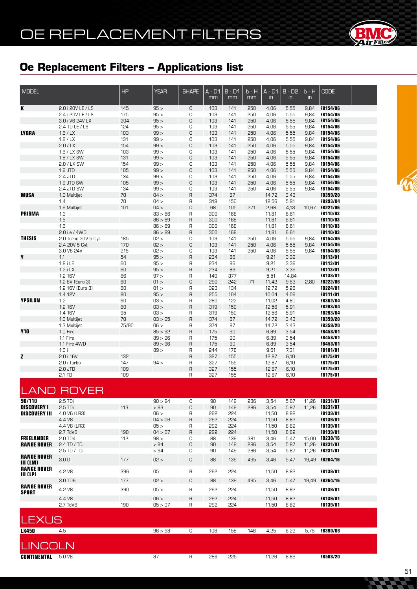# OE REPLACEMENT FILTERS



### **Oe Replacement Filters – Applications list**

| MODEL                                                |                                       | HP         | <b>YEAR</b>     | <b>SHAPE</b> | $A - D1$<br>mm | $B - D1$<br>mm | $b - H$<br>mm | $A - D1$<br>in | $B - D2$<br>in | $b - H$<br>$\mathsf{in}$ | <b>CODE</b>                 |  |
|------------------------------------------------------|---------------------------------------|------------|-----------------|--------------|----------------|----------------|---------------|----------------|----------------|--------------------------|-----------------------------|--|
| К                                                    | 2.0 i 20V LE / LS                     | 145        | 95 >            | С            | 103            | 141            | 250           | 4,06           | 5,55           | 9,84                     | <b>FB154/06</b>             |  |
|                                                      | 2.4 i 20V LE / LS                     | 175        | 95 >            | C            | 103            | 141            | 250           | 4,06           | 5,55           | 9,84                     | FB154/06                    |  |
|                                                      | 3.0 i V6 24V LX                       | 204        | 95 >            | C            | 103            | 141            | 250           | 4,06           | 5,55           | 9,84                     | FB154/06                    |  |
|                                                      | 2.4 TD LE / LS                        | 124        | 95 >            | С            | 103            | 141            | 250           | 4,06           | 5,55           | 9,84                     | FB154/06                    |  |
| <b>LYBRA</b>                                         | 1.6/ LX                               | 103        | 99 >            | C            | 103            | 141            | 250           | 4,06           | 5,55           | 9,84                     | <b>FB154/06</b>             |  |
|                                                      | 1.8 / LX                              | 131        | 99 >            | С            | 103            | 141            | 250           | 4,06           | 5,55           | 9,84                     | <b>FB154/06</b>             |  |
|                                                      | 2.0 / LX                              | 154        | 99 >            | C            | 103            | 141            | 250           | 4,06           | 5,55           | 9,84                     | FB154/06<br>FB154/06        |  |
|                                                      | 1.6 / LX SW<br>1.8 / LX SW            | 103<br>131 | 99 ><br>99 >    | С<br>C       | 103<br>103     | 141<br>141     | 250<br>250    | 4,06<br>4,06   | 5,55<br>5,55   | 9,84<br>9,84             | FB154/06                    |  |
|                                                      | 2.0 / LX SW                           | 154        | 99 >            | С            | 103            | 141            | 250           | 4,06           | 5,55           | 9,84                     | FB154/06                    |  |
|                                                      | 1.9 JTD                               | 105        | 99 >            | C            | 103            | 141            | 250           | 4,06           | 5,55           | 9,84                     | FB154/06                    |  |
|                                                      | 2.4 JTD                               | 134        | 99 >            | С            | 103            | 141            | 250           | 4,06           | 5,55           | 9,84                     | <b>FB154/06</b>             |  |
|                                                      | 1.9 JTD SW                            | 105        | 99 >            | C            | 103            | 141            | 250           | 4,06           | 5,55           | 9,84                     | FB154/06                    |  |
|                                                      | 2.4 JTD SW                            | 134        | 99 >            | С            | 103            | 141            | 250           | 4,06           | 5,55           | 9,84                     | <b>FB154/06</b>             |  |
| <b>MUSA</b>                                          | 1.3 Multijet                          | 70         | 04 >            | $\mathsf R$  | 374            | 87             |               | 14,72          | 3,43           |                          | FB359/20                    |  |
|                                                      | 1.4                                   | 70         | 04 >            | R            | 319            | 150            |               | 12,56          | 5,91           |                          | FB293/04                    |  |
|                                                      | 1.9 Multijet                          | 101        | 04 >            | C            | 68             | 105            | 271           | 2,68           | 4,13           |                          | 10,67 FB221/06              |  |
| <b>PRISMA</b>                                        | 1.3                                   |            | 83 > 86         | R            | 300            | 168            |               | 11,81          | 6,61           |                          | FB110/03                    |  |
|                                                      | 1.5                                   |            | 86 > 89         | $\mathsf R$  | 300            | 168            |               | 11,81          | 6,61           |                          | FB110/03                    |  |
|                                                      | 1.6                                   |            | 86 > 89         | R            | 300            | 168            |               | 11,81          | 6,61           |                          | FB110/03                    |  |
| <b>THESIS</b>                                        | 2.0 i.e / 4WD<br>2.0 Turbo 20V 5 Cyl. | 185        | 86 > 89         | $\mathsf R$  | 300            | 168            |               | 11,81          | 6,61           | 9,84                     | FB110/03<br><b>FB154/06</b> |  |
|                                                      | 2.4 20V 5 Cyl.                        | 170        | 02 ><br>02 >    | С<br>C       | 103<br>103     | 141<br>141     | 250<br>250    | 4,06<br>4,06   | 5,55<br>5,55   | 9,84                     | <b>FB154/06</b>             |  |
|                                                      | 3.0 V6 24V                            | 215        | 02 >            | С            | 103            | 141            | 250           | 4,06           | 5,55           | 9,84                     | <b>FB154/06</b>             |  |
| Y                                                    | 1.1                                   | 54         | 95 >            | R            | 234            | 86             |               | 9,21           | 3,39           |                          | <b>FB113/01</b>             |  |
|                                                      | $1.2$ i LE                            | 60         | 95 >            | R            | 234            | 86             |               | 9,21           | 3,39           |                          | <b>FB113/01</b>             |  |
|                                                      | $1.2$ i LX                            | 60         | 95 >            | $\mathsf R$  | 234            | 86             |               | 9,21           | 3,39           |                          | FB113/01                    |  |
|                                                      | 1.2 16V                               | 86         | 97 >            | R            | 140            | 377            |               | 5,51           | 14,84          |                          | FB138/01                    |  |
|                                                      | 1.2 8V (Euro 3)                       | 60         | 01 >            | C            | 290            | 242            | 71            | 11,42          | 9,53           | 2,80                     | <b>FB222/06</b>             |  |
|                                                      | 1.2 16V (Euro 3)                      | 80         | 01 >            | R            | 323            | 134            |               | 12,72          | 5,28           |                          | FB224/01                    |  |
|                                                      | 1.4 12V                               | 80         | 95 >            | R            | 255            | 104            |               | 10,04          | 4,09           |                          | FB111/01                    |  |
| <b>YPSILON</b>                                       | 1.2                                   | 60         | 03 >            | R            | 280            | 122            |               | 11,02          | 4,80           |                          | FB362/04                    |  |
|                                                      | 1.2 16V                               | 80         | 03 >            | $\mathsf R$  | 319            | 150            |               | 12,56          | 5,91           |                          | FB293/04                    |  |
|                                                      | 1.4 16V                               | 95<br>70   | 03 ><br>03 > 05 | R            | 319<br>374     | 150<br>87      |               | 12,56          | 5,91<br>3,43   |                          | FB293/04                    |  |
|                                                      | 1.3 Multijet<br>1.3 Multijet          | 75/90      | 06 >            | R<br>R       | 374            | 87             |               | 14,72<br>14,72 | 3,43           |                          | FB359/20<br><b>FB359/20</b> |  |
| <b>Y10</b>                                           | 1.0 Fire                              |            | 85 > 92         | $\mathsf R$  | 175            | 90             |               | 6,89           | 3,54           |                          | FB453/01                    |  |
|                                                      | 1.1 Fire                              |            | 89 > 96         | R            | 175            | 90             |               | 6,89           | 3,54           |                          | FB453/01                    |  |
|                                                      | 1.1 Fire 4WD                          |            | 89 > 96         | $\mathsf R$  | 175            | 90             |               | 6,89           | 3,54           |                          | FB453/01                    |  |
|                                                      | 1.3i                                  |            | 89 >            | R            | 244            | 178            |               | 9,61           | 7,01           |                          | FB181/01                    |  |
| Z                                                    | 2.0 i 16V                             | 132        |                 | R            | 327            | 155            |               | 12,87          | 6,10           |                          | FB175/01                    |  |
|                                                      | 2.0 i Turbo                           | 147        | 94 >            | R            | 327            | 155            |               | 12,87          | 6,10           |                          | FB175/01                    |  |
|                                                      | 2.0 JTD                               | 109        |                 | R            | 327            | 155            |               | 12,87          | 6,10           |                          | FB175/01                    |  |
|                                                      | 2.1 TD                                | 109        |                 | R            | 327            | 155            |               | 12,87          | 6,10           |                          | FB175/01                    |  |
|                                                      | <b>LAND ROVER</b>                     |            |                 |              |                |                |               |                |                |                          |                             |  |
| 90/110                                               | $2.5$ TDi                             |            | 90 > 94         | С            | 90             | 149            | 286           | 3,54           | 5,87           |                          | 11,26 FB231/07              |  |
| <b>DISCOVERY I</b>                                   | 2.5 TDi                               | 113        | >93             | С            | 90             | 149            | 286           | 3,54           | 5,87           |                          | 11,26 FB231/07              |  |
| <b>DISCOVERY III</b>                                 | 4.0 V6 (LR3)                          |            | 06 >            | R            | 292            | 224            |               | 11,50          | 8,82           |                          | FB139/01                    |  |
|                                                      | 4.4 V <sub>8</sub>                    |            | 04 > 06         | R            | 292            | 224            |               | 11,50          | 8,82           |                          | FB139/01                    |  |
|                                                      | 4.4 V8 (LR3)                          |            | 05 >            | R            | 292            | 224            |               | 11,50          | 8,82           |                          | FB139/01                    |  |
|                                                      | 2.7 TdV6                              | 190        | 04 > 07         | R            | 292            | 224            |               | 11,50          | 8,82           |                          | FB139/01                    |  |
| <b>FREELANDER</b>                                    | 2.0 TD4                               | 112        | 98 >            | С            | 88             | 139            | 381           | 3,46           | 5,47           |                          | 15.00 FB230/16              |  |
| <b>RANGE ROVER</b>                                   | 2.4 TD / TDi                          |            | >94             | С            | 90             | 149            | 286           | 3,54           | 5,87           |                          | 11,26 FB231/07              |  |
|                                                      | $2.5$ TD / TDi                        |            | >94             | C            | 90             | 149            | 286           | 3,54           | 5,87           |                          | 11,26 FB231/07              |  |
| <b>RANGE ROVER</b><br>III (LM)<br><b>RANGE ROVER</b> | 3.0 <sub>D</sub>                      | 177        | 02 >            | С            | 88             | 139            | 495           | 3,46           | 5,47           |                          | 19,49 FB264/16              |  |
| III (LP)                                             | 4.2 V8                                | 396        | 05              | R            | 595            | 224            |               | 11,50          | 8,82           |                          | <b>FB139/01</b>             |  |
|                                                      | 3.0 TD6                               | 177        | 02 >            | С            | 88             | 139            | 495           | 3,46           | 5,47           |                          | 19,49 FB264/16              |  |
| <b>RANGE ROVER</b><br><b>SPORT</b>                   | 4.2 V8                                | 390        | 05 >            | R            | 292            | 224            |               | 11,50          | 8,82           |                          | FB139/01                    |  |
|                                                      | 4.4 V8                                |            | 06 >            | R            | 292            | 224            |               | 11,50          | 8,82           |                          | FB139/01                    |  |
|                                                      | 2.7 TdV6                              | 190        | 05 > 07         | R            | 292            | 224            |               | 11,50          | 8,82           |                          | <b>FB139/01</b>             |  |
| <b>LEXUS</b>                                         |                                       |            |                 |              |                |                |               |                |                |                          |                             |  |
| <b>LX450</b>                                         | 4.5                                   |            | 96 > 98         | C            | 108            | 158            | 146           | 4,25           | 6,22           |                          | 5,75 FB390/06               |  |
| <b>LINCOLN</b>                                       |                                       |            |                 |              |                |                |               |                |                |                          |                             |  |
| <b>CONTINENTAL 5.0 V8</b>                            |                                       |            | 87              | $\mathsf{R}$ | 286            | 225            |               | 11,26          | 8,86           |                          | <b>FB508/20</b>             |  |
|                                                      |                                       |            |                 |              |                |                |               |                |                |                          |                             |  |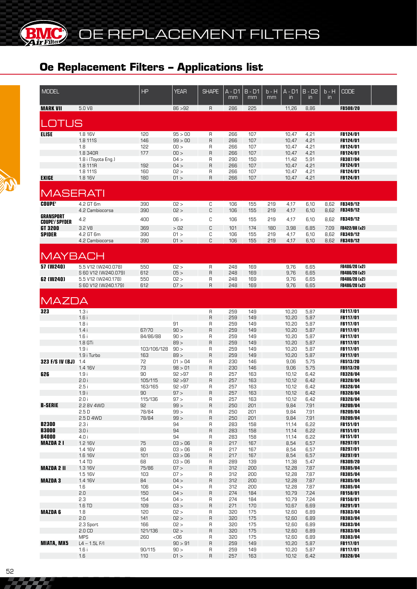OE REPLACEMENT FILTERS

# **Oe Replacement Filters – Applications list**

**BIMC** 

| <b>MODEL</b>          |                                | <b>HP</b>      | <b>YEAR</b>        | <b>SHAPE</b> | A - D1<br>mm | $B - D1$<br>mm | b - H<br>mm | A - D1<br>$\mathsf{in}$ | $B - D2$<br>$\mathsf{in}$ | $b - H$<br>$\mathsf{in}$ | <b>CODE</b>                        |  |
|-----------------------|--------------------------------|----------------|--------------------|--------------|--------------|----------------|-------------|-------------------------|---------------------------|--------------------------|------------------------------------|--|
| <b>MARK VII</b>       | 5.0 V8                         |                | 86 > 92            | $\mathsf{R}$ | 286          | 225            |             | 11,26                   | 8,86                      |                          | <b>FB508/20</b>                    |  |
| OTUS                  |                                |                |                    |              |              |                |             |                         |                           |                          |                                    |  |
| <b>ELISE</b>          | 1.8 16V                        | 120            | 95 > 00            | R            | 266          | 107            |             | 10,47                   | 4,21                      |                          | FB124/01                           |  |
|                       | 1.8 111S                       | 146            | 99 > 00            | R            | 266          | 107            |             | 10,47                   | 4,21                      |                          | FB124/01                           |  |
|                       | 1.8                            | 122            | 00 >               | R            | 266          | 107            |             | 10,47                   | 4,21                      |                          | FB124/01                           |  |
|                       | 1.8 340R                       | 177            | 00 >               | R            | 266          | 107            |             | 10,47                   | 4,21                      |                          | FB124/01                           |  |
|                       | 1.8 i (Toyota Eng.)            |                | 04 >               | R<br>R       | 290          | 150            |             | 11,42                   | 5,91                      |                          | FB307/04                           |  |
|                       | 1.8 111R<br>1.8 111S           | 192<br>160     | 04 ><br>02 >       | R            | 266<br>266   | 107<br>107     |             | 10,47<br>10,47          | 4,21<br>4,21              |                          | FB124/01<br>FB124/01               |  |
| EXIGE                 | 1.8 16V                        | 180            | 01 >               | R            | 266          | 107            |             | 10,47                   | 4,21                      |                          | <b>FB124/01</b>                    |  |
| <b>MASERATI</b>       |                                |                |                    |              |              |                |             |                         |                           |                          |                                    |  |
|                       |                                |                |                    |              |              |                |             |                         |                           |                          |                                    |  |
| <b>COUPE'</b>         | 4.2 GT 6m                      | 390            | 02 >               | C            | 106          | 155            | 219         | 4,17                    | 6,10                      | 8,62                     | FB349/12                           |  |
| <b>GRANSPORT</b>      | 4.2 Cambiocorsa                | 390            | 02 >               | C            | 106          | 155            | 219         | 4,17                    | 6,10                      | 8,62                     | <b>FB349/12</b>                    |  |
| <b>COUPE'/ SPYDER</b> | 4.2                            | 400            | 06 >               | C            | 106          | 155            | 219         | 4,17                    | 6,10                      | 8,62                     | FB349/12                           |  |
| GT 3200               | 3.2 V <sub>8</sub>             | 369            | >02                | C            | 101          | 174            | 180         | 3,98                    | 6,85                      | 7,09                     | FB422/08 (x2)                      |  |
| <b>SPIDER</b>         | 4.2 GT 6m                      | 390            | 01 >               | С            | 106          | 155            | 219         | 4,17                    | 6,10                      | 8,62                     | FB349/12                           |  |
|                       | 4.2 Cambiocorsa                | 390            | 01 >               | C            | 106          | 155            | 219         | 4,17                    | 6,10                      | 8,62                     | FB349/12                           |  |
| <b>MAYBACH</b>        |                                |                |                    |              |              |                |             |                         |                           |                          |                                    |  |
| $57$ (W240)           | 5.5 V12 (W240.078)             | 550            | 02 >               | R            | 248          | 169            |             | 9,76                    | 6,65                      |                          | FB486/20 (x2)                      |  |
|                       | S 60 V12 (W240.079)            | 612            | 05 >               | R            | 248          | 169            |             | 9,76                    | 6,65                      |                          | FB486/20 (x2)                      |  |
| 62 (W240)             | 5.5 V12 (W240.178)             | 550            | 02 >               | R            | 248          | 169            |             | 9,76                    | 6,65                      |                          | FB486/20 (x2)                      |  |
|                       | S 60 V12 (W240.179)            | 612            | 07 >               | R            | 248          | 169            |             | 9,76                    | 6,65                      |                          | FB486/20 (x2)                      |  |
| <b>MAZDA</b>          |                                |                |                    |              |              |                |             |                         |                           |                          |                                    |  |
| 323                   | 1.3i                           |                |                    | R            | 259          | 149            |             | 10,20                   | 5,87                      |                          | FB117/01                           |  |
|                       | 1.6i                           |                |                    | R            | 259          | 149            |             | 10,20                   | 5,87                      |                          | <b>FB117/01</b>                    |  |
|                       | 1.8i                           |                | 91                 | R            | 259          | 149            |             | 10,20                   | 5,87                      |                          | <b>FB117/01</b>                    |  |
|                       | 1.4i                           | 67/70          | 90 >               | R            | 259          | 149            |             | 10,20                   | 5,87                      |                          | FB117/01                           |  |
|                       | 1.6i                           | 84/86/88       | 90 >               | R            | 259          | 149            |             | 10,20                   | 5,87                      |                          | FB117/01                           |  |
|                       | 1.8 GTi                        |                | 89 >               | R            | 259          | 149            |             | 10,20                   | 5,87                      |                          | FB117/01                           |  |
|                       | 1.9i                           | 103/106/128    | 90 >               | R            | 259          | 149            |             | 10,20                   | 5,87                      |                          | FB117/01                           |  |
|                       | 1.9 i Turbo                    | 163            | 89 >               | R            | 259          | 149            |             | 10,20                   | 5,87                      |                          | FB117/01                           |  |
| 323 F/S IV (BJ) 1.4   |                                | 72             | 01 > 04            | R            | 230          | 146            |             | 9,06                    | 5,75                      |                          | FB513/20                           |  |
|                       | 1.4 16V                        | 73             | 98 > 01            | R            | 230          | 146            |             | 9,06                    | 5,75                      |                          | FB513/20                           |  |
| 626                   | 1.9i                           | 90             | 92 > 97            | R            | 257          | 163            |             | 10,12                   | 6,42                      |                          | FB328/04                           |  |
|                       | 2.0i                           | 105/115        | 92 > 97            | R            | 257          | 163            |             | 10,12                   | 6,42                      |                          | FB328/04                           |  |
|                       | 2.5i<br>1.9i                   | 163/165<br>90  | 92 > 97<br>97 >    | R<br>R       | 257<br>257   | 163<br>163     |             | 10,12<br>10,12          | 6,42<br>6,42              |                          | <b>FB328/04</b><br><b>FB328/04</b> |  |
|                       | 2.0 i                          | 115/136        | 97 >               | R            | 257          | 163            |             | 10,12                   | 6,42                      |                          | <b>FB328/04</b>                    |  |
| <b>B-SERIE</b>        | 2.2 BV 4WD                     | 92             | 99 >               | R            | 250          | 201            |             | 9,84                    | 7,91                      |                          | FB209/04                           |  |
|                       | 2.5D                           | 78/84          | 99 >               | R            | 250          | 201            |             | 9,84                    | 7,91                      |                          | <b>FB209/04</b>                    |  |
|                       | 2.5 D 4WD                      | 78/84          | 99 >               | R            | 250          | 201            |             | 9,84                    | 7,91                      |                          | <b>FB209/04</b>                    |  |
| <b>B2300</b>          | 2.3i                           |                | 94                 | R            | 283          | 158            |             | 11,14                   | 6,22                      |                          | <b>FB151/01</b>                    |  |
| <b>B3000</b>          | 3.0i                           |                | 94                 | R            | 283          | 158            |             | 11,14                   | 6,22                      |                          | <b>FB151/01</b>                    |  |
| <b>B4000</b>          | 4.0i                           |                | 94                 | R            | 283          | 158            |             | 11,14                   | 6,22                      |                          | <b>FB151/01</b>                    |  |
| <b>MAZDA 21</b>       | 1.2 16V                        | 75             | 03 > 06            | R            | 217          | 167            |             | 8,54                    | 6,57                      |                          | <b>FB297/01</b>                    |  |
|                       | 1.4 16V<br>1.6 16V             | 80<br>101      | 03 > 06            | R            | 217<br>217   | 167<br>167     |             | 8,54                    | 6,57                      |                          | <b>FB297/01</b>                    |  |
|                       | 1.4 TD                         | 68             | 03 > 06<br>03 > 06 | R<br>R       | 289          | 139            |             | 8,54<br>11,38           | 6,57<br>5,47              |                          | FB297/01<br><b>FB309/20</b>        |  |
| <b>MAZDA 2 II</b>     | 1.3 16V                        | 75/86          | 07 >               | R            | 312          | 200            |             | 12,28                   | 7,87                      |                          | FB385/04                           |  |
|                       | 1.5 16V                        | 103            | 07 >               | R            | 312          | 200            |             | 12,28                   | 7,87                      |                          | <b>FB385/04</b>                    |  |
| <b>MAZDA3</b>         | 1.4 16V                        | 84             | 04 >               | R            | 312          | 200            |             | 12,28                   | 7,87                      |                          | FB385/04                           |  |
|                       | 1.6                            | 106            | 04 >               | R            | 312          | 200            |             | 12,28                   | 7,87                      |                          | <b>FB385/04</b>                    |  |
|                       | 2.0                            | 150            | 04 >               | R            | 274          | 184            |             | 10,79                   | 7,24                      |                          | FB158/01                           |  |
|                       | 2.3                            | 154            | 04 >               | R            | 274          | 184            |             | 10,79                   | 7,24                      |                          | FB158/01                           |  |
|                       | 1.6 TD                         | 109            | 03 >               | R            | 271          | 170            |             | 10,67                   | 6,69                      |                          | FB291/01                           |  |
| <b>MAZDA 6</b>        | 1.8                            | 120            | 02 >               | R            | 320          | 175            |             | 12,60                   | 6,89                      |                          | FB383/04                           |  |
|                       | 2.0                            | 141            | 02 >               | R            | 320          | 175            |             | 12,60                   | 6,89                      |                          | FB383/04                           |  |
|                       | 2.3 Sport<br>2.0 <sub>CD</sub> | 166<br>121/136 | 02 ><br>02 >       | R<br>R       | 320<br>320   | 175<br>175     |             | 12,60<br>12,60          | 6,89<br>6,89              |                          | <b>FB383/04</b><br>FB383/04        |  |
|                       | <b>MPS</b>                     | 260            | $<$ 06             | R            | 320          | 175            |             | 12,60                   | 6,89                      |                          | <b>FB383/04</b>                    |  |
| <b>MIATA, MX5</b>     | $L4 - 1.5L$ F/I                |                | 90 > 91            | R            | 259          | 149            |             | 10,20                   | 5,87                      |                          | FB117/01                           |  |
|                       | 1.6i                           | 90/115         | 90 >               | R            | 259          | 149            |             | 10,20                   | 5,87                      |                          | <b>FB117/01</b>                    |  |
|                       | 1.6                            | 110            | 01 >               | R            | 257          | 163            |             | 10,12                   | 6,42                      |                          | <b>FB328/04</b>                    |  |
|                       |                                |                |                    |              |              |                |             |                         |                           |                          |                                    |  |

222 Z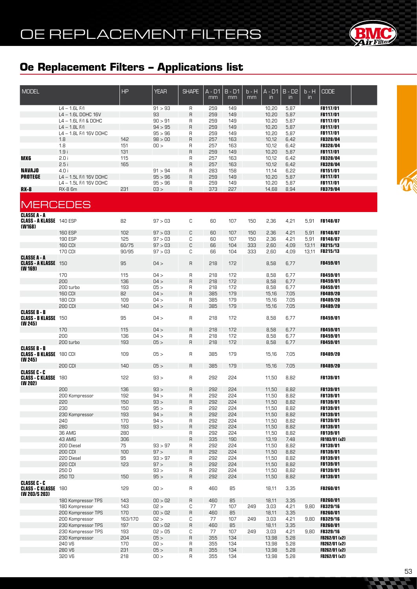

| <b>MODEL</b>                    |                        | <b>HP</b> | <b>YEAR</b> | <b>SHAPE</b> | A - D1 | <b>B-D1</b> | b - H | A - D1        | $B - D2$      | $b - H$ | <b>CODE</b>     |  |
|---------------------------------|------------------------|-----------|-------------|--------------|--------|-------------|-------|---------------|---------------|---------|-----------------|--|
|                                 |                        |           |             |              |        |             |       |               |               |         |                 |  |
|                                 |                        |           |             |              | mm     | mm          | mm    | $\mathsf{in}$ | $\mathsf{in}$ | in      |                 |  |
|                                 |                        |           |             |              |        |             |       |               |               |         |                 |  |
|                                 | $L4 - 1.6L$ F/I        |           | 91 > 93     | R            | 259    | 149         |       | 10,20         | 5,87          |         | FB117/01        |  |
|                                 | L4 - 1.6L DOHC 16V     |           | 93          | R            | 259    | 149         |       | 10,20         | 5,87          |         | <b>FB117/01</b> |  |
|                                 | $L4 - 1.6L$ F/I & DOHC |           | 90 > 91     | R            | 259    | 149         |       | 10,20         | 5,87          |         | <b>FB117/01</b> |  |
|                                 | $L4 - 1.8L$ F/I        |           | 94 > 95     | R            | 259    | 149         |       | 10,20         | 5,87          |         | <b>FB117/01</b> |  |
|                                 | L4 - 1.8L F/I 16V DOHC |           | 95 > 96     | R            | 259    | 149         |       | 10,20         | 5,87          |         | <b>FB117/01</b> |  |
|                                 | 1.8                    | 142       | 98 > 00     | R            | 257    | 163         |       | 10,12         | 6,42          |         | <b>FB328/04</b> |  |
|                                 | 1.8                    | 151       | 00 >        | R            | 257    | 163         |       | 10,12         | 6,42          |         | <b>FB328/04</b> |  |
|                                 | 1.9i                   | 131       |             | R            | 259    | 149         |       | 10,20         | 5,87          |         | <b>FB117/01</b> |  |
|                                 |                        |           |             |              |        |             |       |               |               |         |                 |  |
| <b>MX6</b>                      | 2.0i                   | 115       |             | R            | 257    | 163         |       | 10,12         | 6,42          |         | <b>FB328/04</b> |  |
|                                 | 2.5i                   | 165       |             | R            | 257    | 163         |       | 10,12         | 6,42          |         | <b>FB328/04</b> |  |
| <b>NAVAJO</b>                   | 4.0 i                  |           | 91 > 94     | R            | 283    | 158         |       | 11,14         | 6,22          |         | <b>FB151/01</b> |  |
| <b>PROTEGE</b>                  | L4 - 1.5L F/I 16V DOHC |           | 95 > 96     | R            | 259    | 149         |       | 10,20         | 5,87          |         | <b>FB117/01</b> |  |
|                                 | L4 - 1.5L F/I 16V DOHC |           | 95 > 96     | R            | 259    | 149         |       | 10,20         | 5,87          |         | <b>FB117/01</b> |  |
| <b>RX-8</b>                     | RX-8 6m                | 231       | 03 >        | R            | 373    | 227         |       | 14,68         | 8,94          |         | <b>FB379/04</b> |  |
|                                 |                        |           |             |              |        |             |       |               |               |         |                 |  |
|                                 |                        |           |             |              |        |             |       |               |               |         |                 |  |
| <b>MERCEDES</b>                 |                        |           |             |              |        |             |       |               |               |         |                 |  |
|                                 |                        |           |             |              |        |             |       |               |               |         |                 |  |
| <b>CLASSE A - A</b>             |                        |           |             |              |        |             |       |               |               |         |                 |  |
| <b>CLASS - A KLASSE</b> 140 ESP |                        | 82        | 97 > 03     | С            | 60     | 107         | 150   | 2,36          | 4,21          | 5,91    | <b>FB148/07</b> |  |
| (W168)                          |                        |           |             |              |        |             |       |               |               |         |                 |  |
|                                 | <b>160 ESP</b>         | 102       | 97 > 03     | C            | 60     | 107         | 150   | 2,36          | 4,21          | 5,91    | <b>FB148/07</b> |  |
|                                 | 190 ESP                | 125       | 97 > 03     | С            | 60     | 107         | 150   | 2,36          | 4,21          | 5,91    | <b>FB148/07</b> |  |
|                                 | <b>160 CDI</b>         | 60/75     | 97 > 03     | C            | 66     | 104         | 333   | 2,60          | 4,09          | 13,11   | FB215/13        |  |
|                                 | 170 CDI                | 90/95     | 97 > 03     | С            | 66     | 104         | 333   | 2,60          | 4,09          | 13,11   | FB215/13        |  |
| <b>CLASSE A - A</b>             |                        |           |             |              |        |             |       |               |               |         |                 |  |
| <b>CLASS - A KLASSE</b> 150     |                        | 95        | 04 >        | R            | 218    | 172         |       | 8,58          | 6,77          |         | <b>FB459/01</b> |  |
| (W 169)                         |                        |           |             |              |        |             |       |               |               |         |                 |  |
|                                 | 170                    | 115       | 04 >        | R            | 218    | 172         |       | 8,58          | 6,77          |         | <b>FB459/01</b> |  |
|                                 | 200                    | 136       | 04 >        | R            | 218    | 172         |       | 8,58          | 6,77          |         | <b>FB459/01</b> |  |
|                                 | 200 turbo              | 193       | 05 >        | R            | 218    | 172         |       | 8,58          | 6,77          |         | <b>FB459/01</b> |  |
|                                 |                        |           |             |              |        |             |       |               |               |         |                 |  |
|                                 | <b>160 CDI</b>         | 82        | 04 >        | R            | 385    | 179         |       | 15,16         | 7,05          |         | <b>FB489/20</b> |  |
|                                 | 180 CDI                | 109       | 04 >        | R            | 385    | 179         |       | 15,16         | 7,05          |         | <b>FB489/20</b> |  |
|                                 | 200 CDI                | 140       | 04 >        | R            | 385    | 179         |       | 15,16         | 7,05          |         | <b>FB489/20</b> |  |
| <b>CLASSE B - B</b>             |                        |           |             |              |        |             |       |               |               |         |                 |  |
| <b>CLASS - B KLASSE</b> 150     |                        | 95        | 04 >        | R            | 218    | 172         |       | 8,58          | 6,77          |         | <b>FB459/01</b> |  |
| (W 245)                         |                        |           |             |              |        |             |       |               |               |         |                 |  |
|                                 | 170                    | 115       | 04 >        | R            | 218    | 172         |       | 8,58          | 6,77          |         | <b>FB459/01</b> |  |
|                                 | 200                    | 136       | 04 >        | R            | 218    | 172         |       | 8,58          | 6,77          |         | <b>FB459/01</b> |  |
|                                 | 200 turbo              | 193       | 05 >        | $\mathsf{R}$ | 218    | 172         |       | 8,58          | 6,77          |         | <b>FB459/01</b> |  |
| <b>CLASSE B - B</b>             |                        |           |             |              |        |             |       |               |               |         |                 |  |
| <b>CLASS - B KLASSE</b> 180 CDI |                        | 109       | 05 >        | R            | 385    | 179         |       | 15,16         | 7,05          |         | <b>FB489/20</b> |  |
| (W 245)                         |                        |           |             |              |        |             |       |               |               |         |                 |  |
|                                 | 200 CDI                | 140       | 05 >        | R            | 385    | 179         |       | 15,16         | 7,05          |         | FB489/20        |  |
| <b>CLASSE C - C</b>             |                        |           |             |              |        |             |       |               |               |         |                 |  |
| <b>CLASS - C KLASSE</b> 180     |                        | 122       | 93 >        | R            | 292    | 224         |       | 11,50         | 8,82          |         | <b>FB139/01</b> |  |
| (W 202)                         |                        |           |             |              |        |             |       |               |               |         |                 |  |
|                                 | 200                    | 136       | 93 >        | R            | 292    | 224         |       | 11,50         | 8,82          |         | <b>FB139/01</b> |  |
|                                 |                        |           |             |              |        |             |       |               |               |         |                 |  |
|                                 | 200 Kompressor         | 192       | 94 >        | н            | 595    | 224         |       | 11,5U         | 8,82          |         | <b>FB139/01</b> |  |
|                                 | 220                    | 150       | 93 >        | R            | 292    | 224         |       | 11,50         | 8,82          |         | FB139/01        |  |
|                                 | 230                    | 150       | 95 >        | R            | 292    | 224         |       | 11,50         | 8,82          |         | <b>FB139/01</b> |  |
|                                 | 230 Kompressor         | 193       | 94 >        | R            | 292    | 224         |       | 11,50         | 8,82          |         | FB139/01        |  |
|                                 | 240                    | 170       | 94 >        | R            | 292    | 224         |       | 11,50         | 8,82          |         | FB139/01        |  |
|                                 | 280                    | 193       | 93 >        | R            | 565    | 224         |       | 11,50         | 8,82          |         | FB139/01        |  |
|                                 | 36 AMG                 | 280       |             | R            | 292    | 224         |       | 11,50         | 8,82          |         | <b>FB139/01</b> |  |
|                                 | 43 AMG                 | 306       |             | R            | 335    | 190         |       | 13,19         | 7,48          |         | FB103/01 (x2)   |  |
|                                 | 200 Diesel             | 75        | 93 > 97     | R            | 292    | 224         |       | 11,50         | 8,82          |         | <b>FB139/01</b> |  |
|                                 | 200 CDI                | 100       | 97 >        |              |        |             |       |               |               |         |                 |  |
|                                 |                        |           |             | R            | 565    | 224         |       | 11,50         | 8,82          |         | FB139/01        |  |
|                                 | 220 Diesel             | 95        | 93 > 97     | R            | 292    | 224         |       | 11,50         | 8,82          |         | <b>FB139/01</b> |  |
|                                 | 220 CDI                | 123       | 97 >        | R            | 565    | 224         |       | 11,50         | 8,82          |         | <b>FB139/01</b> |  |
|                                 | 250 D                  |           | 93 >        | $\mathsf{R}$ | 292    | 224         |       | 11,50         | 8,82          |         | <b>FB139/01</b> |  |
|                                 | 250 TD                 | 150       | 95 >        | R            | 292    | 224         |       | 11,50         | 8,82          |         | <b>FB139/01</b> |  |
| <b>CLASSE C - C</b>             |                        |           |             |              |        |             |       |               |               |         |                 |  |
| <b>CLASS - C KLASSE 180</b>     |                        | 129       | 00 >        | R            | 460    | 85          |       | 18,11         | 3,35          |         | FB260/01        |  |
| (W 203/S 203)                   |                        |           |             |              |        |             |       |               |               |         |                 |  |
|                                 | 180 Kompressor TPS     | 143       | 00 > 02     | R            | 460    | 85          |       | 18,11         | 3,35          |         | FB260/01        |  |
|                                 | 180 Kompressor         | 143       | 02 >        | С            | 77     | 107         | 249   | 3,03          | 4,21          | 9,80    | <b>FB329/16</b> |  |
|                                 | 200 Kompressor TPS     | 170       | 00 > 02     | R            | 460    | 85          |       | 18,11         | 3,35          |         | FB260/01        |  |
|                                 | 200 Kompressor         | 163/170   | 02 >        | С            | 77     | 107         | 249   | 3,03          | 4,21          | 9,80    | <b>FB329/16</b> |  |
|                                 | 230 Kompressor TPS     |           | 00 > 02     | R            | 460    |             |       |               |               |         |                 |  |
|                                 |                        | 197       |             |              |        | 85          |       | 18,11         | 3,35          |         | FB260/01        |  |
|                                 | 230 Kompressor TPS     | 193       | 02 > 05     | С            | 77     | 107         | 249   | 3,03          | 4,21          | 9,80    | FB329/16        |  |
|                                 | 230 Kompressor         | 204       | 05 >        | R            | 355    | 134         |       | 13,98         | 5,28          |         | FB262/01 (x2)   |  |
|                                 | 240 V6                 | 170       | 00 >        | R            | 355    | 134         |       | 13,98         | 5,28          |         | FB262/01 (x2)   |  |
|                                 | 280 V6                 | 231       | 05 >        | R            | 355    | 134         |       | 13,98         | 5,28          |         | FB262/01 (x2)   |  |
|                                 | 320 V6                 | 218       | 00 >        | R.           | 355    | 134         |       | 13,98         | 5,28          |         | FB262/01 (x2)   |  |

 $\blacksquare$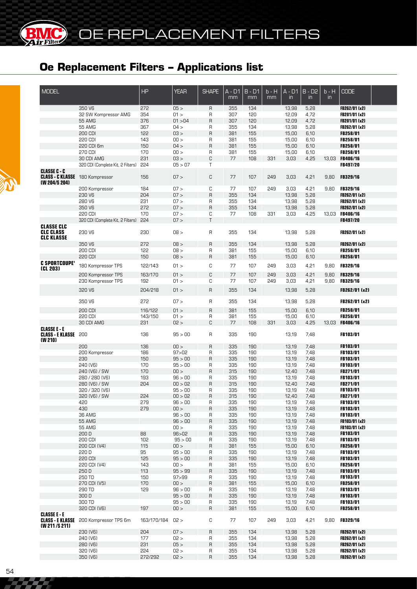| <b>MODEL</b>                                                                   |                                                 | HP             | <b>YEAR</b>        | <b>SHAPE</b>      | $A - D1$<br>mm | $B - D1$<br>mm | $b - H$<br>mm | $A - D1$<br>$\mathsf{in}$ | $B - D2$<br>$\mathsf{in}$ | $b - H$<br>$\mathsf{in}$ | <b>CODE</b>                       |  |
|--------------------------------------------------------------------------------|-------------------------------------------------|----------------|--------------------|-------------------|----------------|----------------|---------------|---------------------------|---------------------------|--------------------------|-----------------------------------|--|
|                                                                                | 350 V6                                          | 272            | 05 >               | $\mathsf{R}$      | 355            | 134            |               | 13,98                     | 5,28                      |                          | FB262/01 (x2)                     |  |
|                                                                                | 32 SW Kompressor AMG                            | 354            | 01 >               | R                 | 307            | 120            |               | 12,09                     | 4,72                      |                          | FB281/01 (x2)                     |  |
|                                                                                | 55 AMG                                          | 376            | 01 > 04            | R                 | 307            | 120            |               | 12,09                     | 4,72                      |                          | FB281/01 (x2)                     |  |
|                                                                                | 55 AMG                                          | 367            | 04 >               | R                 | 355            | 134            |               | 13,98                     | 5,28                      |                          | FB262/01 (x2)                     |  |
|                                                                                | 200 CDI                                         | 122            | 03 >               | $\overline{R}$    | 381            | 155            |               | 15,00                     | 6,10                      |                          | <b>FB258/01</b>                   |  |
|                                                                                | 220 CDI                                         | 143            | 00 >               | R                 | 381            | 155            |               | 15,00                     | 6,10                      |                          | FB258/01                          |  |
|                                                                                | 220 CDI 6m                                      | 150            | 04 >               | $\overline{R}$    | 381            | 155            |               | 15,00                     | 6,10                      |                          | FB258/01                          |  |
|                                                                                | 270 CDI                                         | 170            | 00 >               | R                 | 381            | 155            |               | 15,00                     | 6,10                      |                          | FB258/01                          |  |
|                                                                                | 30 CDI AMG<br>320 CDI (Complete Kit, 2 Filters) | 231<br>224     | 03 ><br>05 > 07    | C<br>T            | 77             | 108            | 331           | 3,03                      | 4,25                      |                          | 13,03 FB406/16<br><b>FB497/20</b> |  |
| <b>CLASSE C - C</b><br><b>CLASS - C KLASSE</b> 180 Kompressor<br>(W 204/S 204) |                                                 | 156            | 07 >               | C                 | 77             | 107            | 249           | 3,03                      | 4,21                      | 9,80                     | <b>FB329/16</b>                   |  |
|                                                                                | 200 Kompressor                                  | 184            | 07 >               | C                 | 77             | 107            | 249           | 3,03                      | 4,21                      | 9,80                     | <b>FB329/16</b>                   |  |
|                                                                                | 230 V6                                          | 204            | 07 >               | $\sf B$           | 355            | 134            |               | 13,98                     | 5,28                      |                          | FB262/01 (x2)                     |  |
|                                                                                | 280 V6                                          | 231            | 07 >               | R                 | 355            | 134            |               | 13,98                     | 5,28                      |                          | FB262/01 (x2)                     |  |
|                                                                                | 350 V6                                          | 272            | 07 >               | $\mathsf{R}$      | 355            | 134            |               | 13,98                     | 5,28                      |                          | FB262/01 (x2)                     |  |
|                                                                                | 220 CDI                                         | 170            | 07 >               | C                 | 77             | 108            | 331           | 3,03                      | 4,25                      |                          | 13,03 FB406/16                    |  |
|                                                                                | 320 CDI (Complete Kit, 2 Filters)               | 224            | 07 >               | $\top$            |                |                |               |                           |                           |                          | FB497/20                          |  |
| <b>CLASSE CLC</b><br><b>CLC CLASS</b><br><b>CLC KLASSE</b>                     | 230 V6                                          | 230            | 08 >               | R                 | 355            | 134            |               | 13,98                     | 5,28                      |                          | FB262/01 (x2)                     |  |
|                                                                                | 350 V6                                          | 272            | 08 >               | $\overline{R}$    | 355            | 134            |               | 13,98                     | 5,28                      |                          | FB262/01 (x2)                     |  |
|                                                                                | 200 CDI                                         | 122            | 08 >               | R                 | 381            | 155            |               | 15,00                     | 6,10                      |                          | <b>FB258/01</b>                   |  |
|                                                                                | <b>220 CDI</b>                                  | 150            | 08 >               | $\overline{R}$    | 381            | 155            |               | 15,00                     | 6,10                      |                          | FB258/01                          |  |
| <b>C SPORTCOUPE'</b><br>(CL 203)                                               | 180 Kompressor TPS                              | 122/143        | 01 >               | C                 | 77             | 107            | 249           | 3,03                      | 4,21                      | 9,80                     | FB329/16                          |  |
|                                                                                | 200 Kompressor TPS                              | 163/170        | 01 >               | C                 | 77             | 107            | 249           | 3,03                      | 4,21                      | 9,80                     | FB329/16                          |  |
|                                                                                | 230 Kompressor TPS                              | 192            | 01 >               | C                 | 77             | 107            | 249           | 3,03                      | 4,21                      | 9,80                     | <b>FB329/16</b>                   |  |
|                                                                                | 320 V6                                          | 204/218        | 01 >               | $\overline{R}$    | 355            | 134            |               | 13,98                     | 5,28                      |                          | FB262/01 (x2)                     |  |
|                                                                                | 350 V6                                          | 272            | 07 >               | R                 | 355            | 134            |               | 13,98                     | 5,28                      |                          | FB262/01 (x2)                     |  |
|                                                                                | <b>200 CDI</b>                                  | 116/122        | 01 >               | $\overline{R}$    | 381            | 155            |               | 15,00                     | 6,10                      |                          | <b>FB258/01</b>                   |  |
|                                                                                | 220 CDI                                         | 143/150<br>231 | 01 ><br>02 >       | R<br>C            | 381<br>77      | 155            |               | 15,00                     | 6,10<br>4,25              |                          | <b>FB258/01</b>                   |  |
| <b>CLASSE E - E</b><br><b>CLASS - E KLASSE</b> 200<br>(W 210)                  | 30 CDI AMG                                      | 136            | 95 > 00            | R                 | 335            | 108<br>190     | 331           | 3,03<br>13,19             | 7,48                      |                          | 13,03 FB406/16<br><b>FB103/01</b> |  |
|                                                                                | 200                                             | 136            | 00 >               | $\overline{R}$    | 335            | 190            |               | 13,19                     | 7,48                      |                          | FB103/01                          |  |
|                                                                                | 200 Kompressor                                  | 186            | 97 > 02            | R                 | 335            | 190            |               | 13,19                     | 7,48                      |                          | FB103/01                          |  |
|                                                                                | 230                                             | 150            | 95 > 00            | $\overline{R}$    | 335            | 190            |               | 13,19                     | 7,48                      |                          | FB103/01                          |  |
|                                                                                | 240 (V6)                                        | 170            | 95 > 00            | R                 | 335            | 190            |               | 13,19                     | 7,48                      |                          | <b>FB103/01</b>                   |  |
|                                                                                | 240 (V6) / SW                                   | 170            | 00 >               | $\mathsf{R}$      | 315            | 190            |               | 12,40                     | 7,48                      |                          | <b>FB271/01</b>                   |  |
|                                                                                | 280 / 280 (V6)                                  | 193            | 96 > 00            | R                 | 335            | 190            |               | 13,19                     | 7,48                      |                          | <b>FB103/01</b>                   |  |
|                                                                                | 280 (V6) / SW                                   | 204            | 00 > 02            | R                 | 315            | 190            |               | 12,40                     | 7,48                      |                          | <b>FB271/01</b>                   |  |
|                                                                                | 320 / 320 (V6)                                  |                | 95 > 00            | R                 | 335            | 190            |               | 13,19                     | 7,48                      |                          | FB103/01                          |  |
|                                                                                | 320 (V6) / SW                                   | 224            | 00 > 02            | R                 | 315            | 190            |               | 12,40                     | 7,48                      |                          | FB271/01                          |  |
|                                                                                | 420                                             | 279            | 96 > 00            | R                 | 335            | 190            |               | 13,19                     | 7,48                      |                          | FB103/01                          |  |
|                                                                                | 430                                             | 279            | 100 >              | R                 | 335            | 190            |               | 13,19                     | 7,48                      |                          | <b>FB103/01</b>                   |  |
|                                                                                | 36 AMG                                          |                | 96 > 00            | R                 | 335            | 190            |               | 13,19                     | 7,48                      |                          | <b>FB103/01</b>                   |  |
|                                                                                | 55 AMG                                          |                | 96 > 00            | $\mathsf{R}$      | 335            | 190            |               | 13,19                     | 7,48                      |                          | FB103/01 (x2)                     |  |
|                                                                                | 55 AMG                                          |                | 00 >               | R                 | 335            | 190            |               | 13,19                     | 7,48                      |                          | FB103/01 (x2)                     |  |
|                                                                                | 200 D                                           | 88             | 96 > 02            | $\mathsf{R}$      | 335            | 190            |               | 13,19                     | 7,48                      |                          | FB103/01                          |  |
|                                                                                | 200 CDI                                         | 102            | 95 > 00            | R                 | 335            | 190            |               | 13,19                     | 7,48                      |                          | FB103/01                          |  |
|                                                                                | 200 CDI (V4)                                    | 115            | 00 >               | $\mathsf{R}$      | 381            | 155            |               | 15,00                     | 6,10                      |                          | FB258/01                          |  |
|                                                                                | 220 D                                           | 95             | 95 > 00            | R                 | 335            | 190            |               | 13,19                     | 7,48                      |                          | FB103/01                          |  |
|                                                                                | 220 CDI                                         | 125            | 95 > 00            | R                 | 335            | 190            |               | 13,19                     | 7,48                      |                          | FB103/01                          |  |
|                                                                                | 220 CDI (V4)                                    | 143            | 00 >               | R                 | 381            | 155            |               | 15,00                     | 6,10                      |                          | FB258/01                          |  |
|                                                                                | 250 D<br>250 TD                                 | 113<br>150     | 95 > 99<br>97 > 99 | $\overline{R}$    | 335<br>335     | 190<br>190     |               | 13,19<br>13,19            | 7,48<br>7,48              |                          | FB103/01<br>FB103/01              |  |
|                                                                                | 270 CDI (V5)                                    | 170            | 100 >              | R<br>$\mathsf{R}$ | 381            | 155            |               | 15,00                     | 6,10                      |                          | FB258/01                          |  |
|                                                                                | 290 TD                                          | 129            | 96 > 00            | R                 | 335            | 190            |               | 13,19                     | 7,48                      |                          | <b>FB103/01</b>                   |  |
|                                                                                | 300 D                                           |                | 95 > 00            | R                 | 335            | 190            |               | 13,19                     | 7,48                      |                          | FB103/01                          |  |
|                                                                                | 300 TD                                          |                | 95 > 00            | R                 | 335            | 190            |               | 13,19                     | 7,48                      |                          | <b>FB103/01</b>                   |  |
|                                                                                | 320 CDI (V6)                                    | 197            | 00 >               | $\mathsf{R}$      | 381            | 155            |               | 15,00                     | 6,10                      |                          | FB258/01                          |  |
| <b>CLASSE E - E</b><br>(W 211/S 211)                                           | <b>CLASS - E KLASSE</b> 200 Kompressor TPS 6m   | 163/170/184    | 02 >               | С                 | 77             | 107            | 249           | 3,03                      | 4,21                      | 9,80                     | <b>FB329/16</b>                   |  |
|                                                                                | 230 (V6)                                        | 204            | 07 >               | $\overline{R}$    | 355            | 134            |               | 13,98                     | 5,28                      |                          | FB262/01 (x2)                     |  |
|                                                                                | 240 (V6)                                        | 177            | 02 >               | R                 | 355            | 134            |               | 13,98                     | 5,28                      |                          | FB262/01 (x2)                     |  |
|                                                                                | 280 (V6)                                        | 231            | 05 >               | $\mathsf{R}$      | 355            | 134            |               | 13,98                     | 5,28                      |                          | FB262/01 (x2)                     |  |
|                                                                                | 320 (V6)                                        | 224            | 02 >               | R                 | 355            | 134            |               | 13,98                     | 5,28                      |                          | FB262/01 (x2)                     |  |
|                                                                                | 350 (V6)                                        | 272/292        | 02 >               | $\mathsf{R}$      | 355            | 134            |               | 13,98                     | 5,28                      |                          | FB262/01 (x2)                     |  |



**BMC** 

222 Z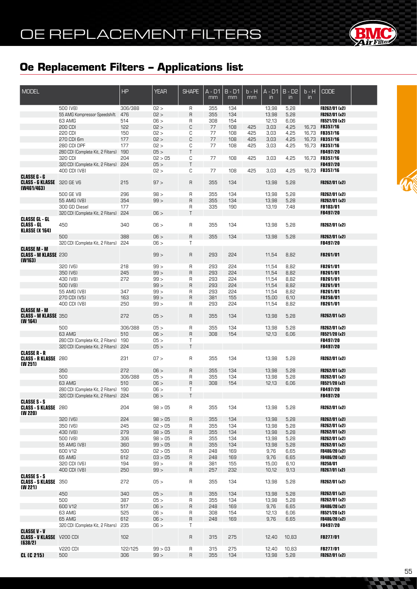

| <b>MODEL</b>                                                        |                                       | <b>HP</b> | <b>YEAR</b> | <b>SHAPE</b> | $A - D1$ | $B - D1$ | b - H | A - D1        | $B - D2$ | $b - H$ | <b>CODE</b>     |  |
|---------------------------------------------------------------------|---------------------------------------|-----------|-------------|--------------|----------|----------|-------|---------------|----------|---------|-----------------|--|
|                                                                     |                                       |           |             |              | mm       | mm       | mm    | $\mathsf{in}$ | in       | in.     |                 |  |
|                                                                     |                                       |           |             |              |          |          |       |               |          |         |                 |  |
|                                                                     | 500 (V8)                              | 306/388   | 02 >        | R            | 355      | 134      |       | 13,98         | 5,28     |         | FB262/01 (x2)   |  |
|                                                                     | 55 AMG Kompressor Speedshift          | 476       | 02 >        | R            | 355      | 134      |       | 13,98         | 5,28     |         | FB262/01 (x2)   |  |
|                                                                     | 63 AMG                                | 514       | 06 >        | R            | 308      | 154      |       | 12,13         | 6,06     |         | FB521/20 (x2)   |  |
|                                                                     | 200 CDI                               | 122       | 02 >        | C            | 77       | 108      | 425   | 3,03          | 4,25     |         | 16,73 FB357/16  |  |
|                                                                     | 220 CDI                               | 150       | 02 >        | С            | 77       | 108      | 425   | 3,03          | 4,25     |         | 16,73 FB357/16  |  |
|                                                                     | 270 CDI 6m                            | 177       | 02 >        | C            | 77       | 108      | 425   | 3,03          | 4,25     |         | 16,73 FB357/16  |  |
|                                                                     | 280 CDI DPF                           | 177       | 02 >        | С            | 77       | 108      | 425   |               | 4,25     |         | 16,73 FB357/16  |  |
|                                                                     |                                       |           |             | T            |          |          |       | 3,03          |          |         |                 |  |
|                                                                     | 280 CDI (Complete Kit, 2 Filters)     | 190       | 05 >        |              |          |          |       |               |          |         | <b>FB497/20</b> |  |
|                                                                     | 320 CDI                               | 204       | 02 > 05     | С            | 77       | 108      | 425   | 3,03          | 4,25     |         | 16.73 FB357/16  |  |
|                                                                     | 320 CDI (Complete Kit, 2 Filters) 224 |           | 05 >        | $\mathsf{T}$ |          |          |       |               |          |         | <b>FB497/20</b> |  |
|                                                                     | 400 CDI (V8)                          |           | 02 >        | С            | 77       | 108      | 425   | 3,03          | 4,25     |         | 16,73 FB357/16  |  |
| <b>CLASSE G - G</b><br>CLASS - G KLASSE 320 GE V6<br>(W461/463)     |                                       | 215       | 97 >        | R            | 355      | 134      |       | 13,98         | 5,28     |         | FB262/01 (x2)   |  |
|                                                                     | 500 GE V8                             | 296       | 98 >        | R            | 355      | 134      |       | 13,98         | 5,28     |         | FB262/01 (x2)   |  |
|                                                                     | 55 AMG (V8)                           | 354       | 99 >        | R            | 355      | 134      |       | 13,98         | 5,28     |         | FB262/01 (x2)   |  |
|                                                                     | 300 GD Diesel                         | 177       |             | R            | 335      | 190      |       | 13,19         | 7,48     |         | <b>FB103/01</b> |  |
|                                                                     |                                       |           |             | T            |          |          |       |               |          |         |                 |  |
|                                                                     | 320 CDI (Complete Kit, 2 Filters) 224 |           | 06 >        |              |          |          |       |               |          |         | <b>FB497/20</b> |  |
| <b>CLASSE GL - GL</b><br><b>CLASS - GL</b><br><b>KLASSE (X 164)</b> | 450                                   | 340       | 06 >        | R            | 355      | 134      |       | 13,98         | 5,28     |         | FB262/01 (x2)   |  |
|                                                                     | 500                                   | 388       | 06 >        | $\sf B$      | 355      | 134      |       | 13,98         | 5,28     |         | FB262/01 (x2)   |  |
|                                                                     | 320 CDI (Complete Kit, 2 Filters)     | 224       | 06 >        | T            |          |          |       |               |          |         | <b>FB497/20</b> |  |
| <b>CLASSE M - M</b><br><b>CLASS - M KLASSE 230</b>                  |                                       |           | 99 >        | R            | 293      | 224      |       | 11,54         | 8,82     |         | <b>FB261/01</b> |  |
| (W163)                                                              |                                       |           |             |              |          |          |       |               |          |         |                 |  |
|                                                                     | 320 (V6)                              | 218       | 99 >        | R            | 293      | 224      |       | 11,54         | 8,82     |         | <b>FB261/01</b> |  |
|                                                                     | 350 (V6)                              | 245       | 99 >        | R            | 293      | 224      |       | 11,54         | 8,82     |         | <b>FB261/01</b> |  |
|                                                                     | 430 (V8)                              | 272       | 99 >        | R            | 293      | 224      |       | 11,54         | 8,82     |         | FB261/01        |  |
|                                                                     | 500 (V8)                              |           | 99 >        | R            | 293      | 224      |       | 11,54         | 8,82     |         | <b>FB261/01</b> |  |
|                                                                     | 55 AMG (V8)                           | 347       | 99 >        | R            | 293      | 224      |       | 11,54         | 8,82     |         | <b>FB261/01</b> |  |
|                                                                     | 270 CDI (V5)                          | 163       | 99 >        | $\mathsf{R}$ | 381      | 155      |       | 15,00         | 6,10     |         | FB258/01        |  |
|                                                                     | 400 CDI (V8)                          | 250       | 99 >        | R            | 293      | 224      |       | 11,54         | 8,82     |         | FB261/01        |  |
| <b>CLASSE M - M</b>                                                 |                                       |           |             |              |          |          |       |               |          |         |                 |  |
| <b>CLASS - M KLASSE 350</b><br>(W 164)                              |                                       | 272       | 05 >        | R            | 355      | 134      |       | 13,98         | 5,28     |         | FB262/01 (x2)   |  |
|                                                                     | 500                                   | 306/388   | 05 >        | R            | 355      | 134      |       | 13,98         | 5,28     |         | FB262/01 (x2)   |  |
|                                                                     | 63 AMG                                | 510       | 06 >        | R            | 308      | 154      |       | 12,13         | 6,06     |         | FB521/20 (x2)   |  |
|                                                                     | 280 CDI (Complete Kit, 2 Filters) 190 |           | 05 >        | Τ            |          |          |       |               |          |         | FB497/20        |  |
|                                                                     | 320 CDI (Complete Kit, 2 Filters) 224 |           | 05 >        | T.           |          |          |       |               |          |         | <b>FB497/20</b> |  |
| <b>CLASSE R - R</b>                                                 |                                       |           |             |              |          |          |       |               |          |         |                 |  |
| <b>CLASS - R KLASSE 280</b><br>(W 251)                              |                                       | 231       | 07 >        | R            | 355      | 134      |       | 13,98         | 5,28     |         | FB262/01 (x2)   |  |
|                                                                     | 350                                   | 272       | 06 >        | R            | 355      | 134      |       | 13,98         | 5,28     |         | FB262/01 (x2)   |  |
|                                                                     | 500                                   | 306/388   | 05 >        | R            | 355      | 134      |       | 13,98         | 5,28     |         | FB262/01 (x2)   |  |
|                                                                     | 63 AMG                                | 510       | 06 >        | R            | 308      | 154      |       | 12,13         | 6,06     |         | FB521/20 (x2)   |  |
|                                                                     |                                       |           |             |              |          |          |       |               |          |         |                 |  |
|                                                                     | 280 CDI (Complete Kit, 2 Filters) 190 |           | 06 >        | Τ<br>T       |          |          |       |               |          |         | <b>FB497/20</b> |  |
|                                                                     | 320 CDI (Complete Kit, 2 Filters) 224 |           | 06 >        |              |          |          |       |               |          |         | FB497/20        |  |
| <b>CLASSE S - S</b><br><b>CLASS - S KLASSE</b> 280<br>(W 220)       |                                       | 204       | 98 > 05     | R            | 355      | 134      |       | 13,98         | 5,28     |         | FB262/01 (x2)   |  |
|                                                                     | 320 (V6)                              | 224       | 98 > 05     | R            | 355      | 134      |       | 13,98         | 5,28     |         | FB262/01 (x2)   |  |
|                                                                     | 350 (V6)                              | 245       | 02 > 05     | R            | 355      | 134      |       | 13,98         | 5,28     |         | FB262/01 (x2)   |  |
|                                                                     | 430 (V8)                              | 279       | 98 > 05     | R            | 355      | 134      |       | 13,98         | 5,28     |         | FB262/01 (x2)   |  |
|                                                                     | 500 (V8)                              | 306       | 98 > 05     | R            | 355      | 134      |       | 13,98         | 5,28     |         | FB262/01 (x2)   |  |
|                                                                     | 55 AMG (V8)                           | 360       | 99 > 05     | R            | 355      | 134      |       | 13,98         | 5,28     |         | FB262/01 (x2)   |  |
|                                                                     |                                       |           |             |              |          |          |       |               |          |         |                 |  |
|                                                                     | 600 V12                               | 500       | 02 > 05     | R            | 248      | 169      |       | 9,76          | 6,65     |         | FB486/20 (x2)   |  |
|                                                                     | 65 AMG                                | 612       | 03 > 05     | R            | 248      | 169      |       | 9,76          | 6,65     |         | FB486/20 (x2)   |  |
|                                                                     | 320 CDI (V6)                          | 194       | 99 >        | R            | 381      | 155      |       | 15,00         | 6,10     |         | <b>FB258/01</b> |  |
|                                                                     | 400 CDI (V8)                          | 250       | 99 >        | R            | 257      | 535      |       | 10,12         | 9,13     |         | FB267/01 (x2)   |  |
| <b>CLASSE S - S</b><br><b>CLASS - S KLASSE 350</b><br>(W 221)       |                                       | 272       | 05 >        | R            | 355      | 134      |       | 13,98         | 5,28     |         | FB262/01 (x2)   |  |
|                                                                     | 450                                   | 340       | 05 >        | R            | 355      | 134      |       | 13,98         | 5,28     |         | FB262/01 (x2)   |  |
|                                                                     | 500                                   | 387       | 05 >        | R            | 355      | 134      |       | 13,98         | 5,28     |         | FB262/01 (x2)   |  |
|                                                                     | 600 V12                               | 517       | 06 >        | R            | 248      | 169      |       | 9,76          | 6,65     |         | FB486/20 (x2)   |  |
|                                                                     |                                       |           |             |              |          |          |       |               |          |         |                 |  |
|                                                                     | 63 AMG                                | 525       | 06 >        | R            | 308      | 154      |       | 12,13         | 6,06     |         | FB521/20 (x2)   |  |
|                                                                     | 65 AMG                                | 612       | 06 >        | R            | 248      | 169      |       | 9,76          | 6,65     |         | FB486/20 (x2)   |  |
|                                                                     | 320 CDI (Complete Kit, 2 Filters)     | 235       | 06 >        | Τ            |          |          |       |               |          |         | <b>FB497/20</b> |  |
| <b>CLASSE V - V</b><br><b>CLASS - V KLASSE</b> V200 CDI<br>(638/2)  |                                       | 102       |             | R            | 315      | 275      |       | 12,40         | 10,83    |         | <b>FB277/01</b> |  |
|                                                                     | <b>V220 CDI</b>                       | 122/125   | 99 > 03     | R            | 315      | 275      |       | 12,40         | 10,83    |         | FB277/01        |  |
|                                                                     |                                       |           |             |              |          |          |       |               |          |         |                 |  |
| <b>CL (C 215)</b>                                                   | 500                                   | 306       | 99 >        | $\mathsf{R}$ | 355      | 134      |       | 13,98         | 5,28     |         | FB262/01 (x2)   |  |

**Card**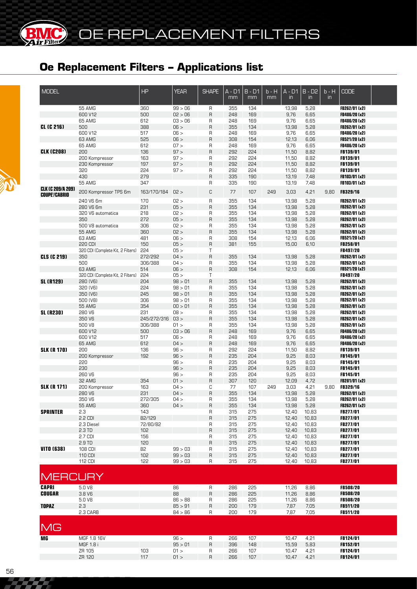**BIMC** 

| <b>MODEL</b>                                     |                                   | <b>HP</b>          | <b>YEAR</b>        | <b>SHAPE</b>   | A - D1<br>mm | $B - D1$<br>mm | $b - H$<br>mm | A - D1<br>$\mathsf{in}$ | <b>B-D2</b><br>$\mathsf{in}$ | $b - H$<br>$\mathsf{in}$ | <b>CODE</b>                    |  |
|--------------------------------------------------|-----------------------------------|--------------------|--------------------|----------------|--------------|----------------|---------------|-------------------------|------------------------------|--------------------------|--------------------------------|--|
|                                                  | 55 AMG                            | 360                | 99 > 06            | R              | 355          | 134            |               | 13,98                   | 5,28                         |                          | FB262/01 (x2)                  |  |
|                                                  | 600 V12                           | 500                | 02 > 06            | $\sf B$        | 248          | 169            |               | 9,76                    | 6,65                         |                          | FB486/20 (x2)                  |  |
|                                                  | 65 AMG                            | 612                | 03 > 06            | R              | 248          | 169            |               | 9,76                    | 6,65                         |                          | FB486/20 (x2)                  |  |
| <b>CL (C 216)</b>                                | 500                               | 388                | 06 >               | $\sf B$        | 355          | 134            |               | 13,98                   | 5,28                         |                          | FB262/01 (x2)                  |  |
|                                                  | 600 V12                           | 517                | 06 >               | R              | 248          | 169            |               | 9,76                    | 6,65                         |                          | FB486/20 (x2)                  |  |
|                                                  | 63 AMG                            | 525                | 06 >               | $\mathsf{R}$   | 308          | 154            |               | 12,13                   | 6,06                         |                          | FB521/20 (x2)                  |  |
|                                                  | 65 AMG                            | 612                | 07 >               | R              | 248          | 169            |               | 9,76                    | 6,65                         |                          | FB486/20 (x2)                  |  |
| <b>CLK (C208)</b>                                | 200                               | 136                | 97 >               | $\sf B$        | 292          | 224            |               | 11,50                   | 8,82                         |                          | FB139/01                       |  |
|                                                  | 200 Kompressor                    | 163                | 97 >               | R              | 292          | 224            |               | 11,50                   | 8,82                         |                          | FB139/01                       |  |
|                                                  | 230 Kompressor                    | 197                | 97 >               | $\mathsf{R}$   | 292          | 224            |               | 11,50                   | 8,82                         |                          | FB139/01                       |  |
|                                                  | 320                               | 224                | 97 >               | $\mathsf R$    | 292          | 224            |               | 11,50                   | 8,82                         |                          | FB139/01                       |  |
|                                                  | 430                               | 279                |                    | $\mathsf{R}$   | 335          | 190            |               | 13,19                   | 7,48                         |                          | FB103/01 (x2)                  |  |
|                                                  | 55 AMG                            | 347                |                    | R              | 335          | 190            |               | 13,19                   | 7,48                         |                          | FB103/01 (x2)                  |  |
| <b>CLK (C 209/A 209)</b><br><b>COUPE'/CABRIO</b> | 200 Kompressor TPS 6m             | 163/170/184        | 02 >               | C              | 77           | 107            | 249           | 3,03                    | 4,21                         | 9.80                     | <b>FB329/16</b>                |  |
|                                                  | 240 V6 6m                         | 170                | 02 >               | $\mathsf R$    | 355          | 134            |               | 13,98                   | 5,28                         |                          | FB262/01 (x2)                  |  |
|                                                  | 280 V6 6m                         | 231                | 05 >               | $\sf B$        | 355          | 134            |               | 13,98                   | 5,28                         |                          | FB262/01 (x2)                  |  |
|                                                  | 320 V6 automatica                 | 218                | 02 >               | R              | 355          | 134            |               | 13,98                   | 5,28                         |                          | FB262/01 (x2)                  |  |
|                                                  | 350                               | 272                | 05 >               | $\sf B$        | 355          | 134            |               | 13,98                   | 5,28                         |                          | FB262/01 (x2)                  |  |
|                                                  | 500 V8 automatica                 | 306                | 02 >               | $\mathsf R$    | 355          | 134            |               | 13,98                   | 5,28                         |                          | FB262/01 (x2)                  |  |
|                                                  | <b>55 AMG</b>                     | 360                | 02 >               | $\mathsf{R}$   | 355          | 134            |               | 13,98                   | 5,28                         |                          | FB262/01 (x2)                  |  |
|                                                  | 63 AMG                            | 481                | 06 >               | R              | 308          | 154            |               | 12,13                   | 6,06                         |                          | FB521/20 (x2)                  |  |
|                                                  | 220 CDI                           | 150                | 05 >               | $\sf B$        | 381          | 155            |               | 15,00                   | 6,10                         |                          | FB258/01                       |  |
|                                                  |                                   | 224                | 05 >               | T              |              |                |               |                         |                              |                          | FB497/20                       |  |
| <b>CLS (C 219)</b>                               | 320 CDI (Complete Kit, 2 Filters) |                    | 04 >               | $\mathsf{R}$   |              |                |               |                         |                              |                          |                                |  |
|                                                  | 350<br>500                        | 272/292<br>306/388 |                    |                | 355          | 134<br>134     |               | 13,98                   | 5,28<br>5,28                 |                          | FB262/01 (x2)<br>FB262/01 (x2) |  |
|                                                  |                                   |                    | 04 >               | R              | 355          |                |               | 13,98                   |                              |                          |                                |  |
|                                                  | 63 AMG                            | 514                | 06 >               | $\sf B$        | 308          | 154            |               | 12,13                   | 6,06                         |                          | FB521/20 (x2)                  |  |
|                                                  | 320 CDI (Complete Kit, 2 Filters) | 224                | 05 >               | $\mathsf T$    |              |                |               |                         |                              |                          | FB497/20                       |  |
| <b>SL (R129)</b>                                 | 280 (V6)                          | 204                | 98 > 01            | $\mathsf{R}$   | 355          | 134            |               | 13,98                   | 5,28                         |                          | FB262/01 (x2)                  |  |
|                                                  | 320 (V6)                          | 224                | 98 > 01            | R              | 355          | 134            |               | 13,98                   | 5,28                         |                          | FB262/01 (x2)                  |  |
|                                                  | 350 (V6)                          | 245                | 98 > 01            | $\overline{R}$ | 355          | 134            |               | 13,98                   | 5,28                         |                          | FB262/01 (x2)                  |  |
|                                                  | 500 (V8)                          | 306                | 98 > 01            | R              | 355          | 134            |               | 13,98                   | 5,28                         |                          | FB262/01 (x2)                  |  |
|                                                  | <b>55 AMG</b>                     | 354                | 00 > 01            | $\mathsf{R}$   | 355          | 134            |               | 13,98                   | 5,28                         |                          | FB262/01 (x2)                  |  |
| <b>SL (R230)</b>                                 | 280 V6                            | 231                | 08 >               | R              | 355          | 134            |               | 13,98                   | 5,28                         |                          | FB262/01 (x2)                  |  |
|                                                  | 350 V6                            | 245/272/316        | 03 >               | $\mathsf{R}$   | 355          | 134            |               | 13,98                   | 5,28                         |                          | FB262/01 (x2)                  |  |
|                                                  | 500 V8                            | 306/388            | 01 >               | R              | 355          | 134            |               | 13,98                   | 5,28                         |                          | FB262/01 (x2)                  |  |
|                                                  | 600 V12                           | 500                | 03 > 06            | $\mathsf{R}$   | 248          | 169            |               | 9,76                    | 6,65                         |                          | FB486/20 (x2)                  |  |
|                                                  | 600 V12                           | 517                | 06 >               | $\mathsf{R}$   | 248          | 169            |               | 9,76                    | 6,65                         |                          | FB486/20 (x2)                  |  |
|                                                  | 65 AMG                            | 612                | 04 >               | $\sf B$        | 248          | 169            |               | 9,76                    | 6,65                         |                          | FB486/20 (x2)                  |  |
| <b>SLK (R 170)</b>                               | 200                               | 136                | 96 >               | $\mathsf{R}$   | 292          | 224            |               | 11,50                   | 8,82                         |                          | <b>FB139/01</b>                |  |
|                                                  | 200 Kompressor                    | 192                | 96 >               | $\sf B$        | 235          | 204            |               | 9,25                    | 8,03                         |                          | <b>FB145/01</b>                |  |
|                                                  | 220                               |                    | 96 >               | $\mathsf R$    | 235          | 204            |               | 9,25                    | 8,03                         |                          | FB145/01                       |  |
|                                                  | 230                               |                    | 96 >               | $\sf B$        | 235          | 204            |               | 9,25                    | 8,03                         |                          | FB145/01                       |  |
|                                                  | 260 V6                            |                    | 96 >               | $\mathsf R$    | 235          | 204            |               | 9,25                    | 8,03                         |                          | FB145/01                       |  |
|                                                  | 32 AMG                            | 354                | 01 >               | $\sf B$        | 307          | 120            |               | 12,09                   | 4,72                         |                          | FB281/01 (x2)                  |  |
| <b>SLK (R 171)</b>                               | 200 Kompressor                    | 163                | 04 >               | C              | 77           | 107            | 249           | 3,03                    | 4,21                         | 9.80                     | <b>FB329/16</b>                |  |
|                                                  | 280 V6                            | 231                | 04 >               | $\overline{R}$ | 355          | 134            |               | 13,98                   | 5,28                         |                          | FB262/01 (x2)                  |  |
|                                                  | 350 V6                            | 272/305            | 04 >               | R              | 355          | 134            |               | 13,98                   | 5,28                         |                          | FB262/01 (x2)                  |  |
|                                                  | 55 AMG                            | 360                | 04 >               | $\sf R$        | 355          | 134            |               | 13,98                   | 5,28                         |                          | FB262/01 (x2)                  |  |
| <b>SPRINTER</b>                                  | 2.3                               | 143                |                    | R              | 315          | 275            |               | 12,40                   | 10,83                        |                          | <b>FB277/01</b>                |  |
|                                                  | 2.2 CDI                           | 82/129             |                    | $\mathsf{R}$   | 315          | 275            |               | 12,40                   | 10,83                        |                          | <b>FB277/01</b>                |  |
|                                                  | 2.3 Diesel                        | 72/80/82           |                    | R              | 315          | 275            |               | 12,40                   | 10,83                        |                          | <b>FB277/01</b>                |  |
|                                                  | 2.3 TD                            | 102                |                    | $\mathsf R$    | 315          | 275            |               | 12,40                   | 10,83                        |                          | FB277/01                       |  |
|                                                  | 2.7 CDI                           | 156                |                    | R              | 315          | 275            |               | 12,40                   | 10,83                        |                          | <b>FB277/01</b>                |  |
|                                                  | 2.9 TD                            | 120                |                    | $\mathsf R$    | 315          | 275            |               | 12,40                   | 10,83                        |                          | FB277/01                       |  |
| <b>VITO (638)</b>                                | 108 CDI                           | 82                 | 99 > 03            | R              | 315          | 275            |               | 12,40                   | 10,83                        |                          | FB277/01                       |  |
|                                                  | 110 CDI                           | 102                | 99 > 03            | $\sf R$        | 315          | 275            |               | 12,40                   | 10,83                        |                          | FB277/01                       |  |
|                                                  | 112 CDI                           | 122                | 99 > 03            | R              | 315          | 275            |               | 12,40                   | 10,83                        |                          | FB277/01                       |  |
|                                                  |                                   |                    |                    |                |              |                |               |                         |                              |                          |                                |  |
| <b>MERCURY</b>                                   |                                   |                    |                    |                |              |                |               |                         |                              |                          |                                |  |
| <b>CAPRI</b>                                     | 5.0 V8                            |                    | 86                 | R              | 286          | 225            |               | 11,26                   | 8,86                         |                          | <b>FB508/20</b>                |  |
|                                                  |                                   |                    | 88                 |                |              |                |               |                         |                              |                          | <b>FB508/20</b>                |  |
| <b>COUGAR</b>                                    | 3.8 V6                            |                    |                    | $\mathsf{R}$   | 286          | 225            |               | 11,26                   | 8,86                         |                          |                                |  |
| <b>TOPAZ</b>                                     | 5.0 V8<br>2.3                     |                    | 86 > 88<br>85 > 91 | R              | 286          | 225            |               | 11,26                   | 8,86                         |                          | <b>FB508/20</b>                |  |
|                                                  |                                   |                    |                    | $\sf R$        | 200          | 179            |               | 7,87                    | 7,05                         |                          | <b>FB511/20</b>                |  |
|                                                  | 2.3 CARB                          |                    | 84 > 86            | R              | 200          | 179            |               | 7,87                    | 7,05                         |                          | <b>FB511/20</b>                |  |
| MG                                               |                                   |                    |                    |                |              |                |               |                         |                              |                          |                                |  |
| <b>MG</b>                                        | MGF 1.8 16V                       |                    | 96 >               | $\mathsf R$    | 266          | 107            |               | 10,47                   | 4,21                         |                          | FB124/01                       |  |
|                                                  | MGF 1.8 i                         |                    | 95 > 01            | $\sf R$        | 396          | 148            |               | 15,59                   | 5,83                         |                          | <b>FB152/01</b>                |  |
|                                                  | ZR 105                            | 103                | 01 >               | R              | 266          | 107            |               | 10,47                   | 4,21                         |                          | FB124/01                       |  |
|                                                  | ZR 120                            | 117                | 01 >               | $\mathsf R$    | 266          | 107            |               | 10,47                   | 4,21                         |                          | FB124/01                       |  |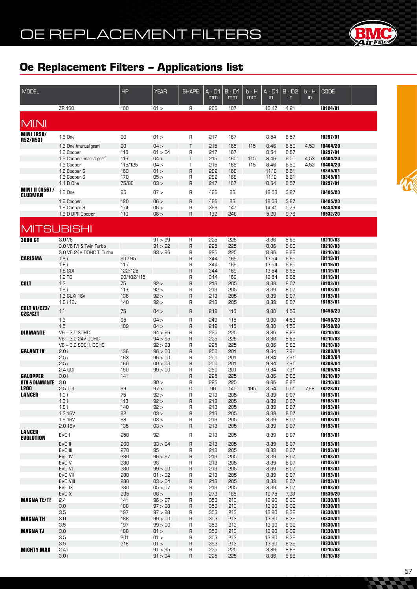

| <b>MODEL</b>                      |                                                     | <b>HP</b>             | <b>YEAR</b>        | <b>SHAPE</b> | A - D1<br>mm | $B - D1$<br>mm | $b - H$<br>$\overline{mm}$ | A - D1<br>$\mathsf{in}$ | $B - D2$<br>$\mathsf{in}$ | b - H<br>$\mathsf{in}$ | <b>CODE</b>                        |  |
|-----------------------------------|-----------------------------------------------------|-----------------------|--------------------|--------------|--------------|----------------|----------------------------|-------------------------|---------------------------|------------------------|------------------------------------|--|
|                                   | ZR 160                                              | 160                   | 01 >               | R            | 266          | 107            |                            | 10,47                   | 4,21                      |                        | FB124/01                           |  |
| <b>MINI</b>                       |                                                     |                       |                    |              |              |                |                            |                         |                           |                        |                                    |  |
| <b>MINI (R50/</b><br>R52/R53)     | 1.6 One                                             | 90                    | 01 >               | R            | 217          | 167            |                            | 8,54                    | 6,57                      |                        | FB297/01                           |  |
|                                   | 1.6 One (manual gear)                               | 90                    | 04 >               | T            | 215          | 165            | 115                        | 8,46                    | 6,50                      | 4,53                   | <b>FB404/20</b>                    |  |
|                                   | 1.6 Cooper                                          | 115                   | 01 > 04            | R            | 217          | 167            |                            | 8,54                    | 6,57                      |                        | FB297/01                           |  |
|                                   | 1.6 Cooper (manual gear)<br>1.6 Cooper              | 116<br>115/125        | 04 ><br>04 >       | Τ<br>Τ       | 215<br>215   | 165<br>165     | 115<br>115                 | 8,46<br>8,46            | 6,50<br>6,50              | 4,53<br>4,53           | <b>FB404/20</b><br><b>FB404/20</b> |  |
|                                   | 1.6 Cooper S                                        | 163                   | 01 >               | R            | 282          | 168            |                            | 11,10                   | 6,61                      |                        | <b>FB345/01</b>                    |  |
|                                   | 1.6 Cooper S                                        | 170                   | 05 >               | R            | 282          | 168            |                            | 11,10                   | 6,61                      |                        | FB345/01                           |  |
|                                   | 1.4 D One                                           | 75/88                 | 03 >               | R            | 217          | 167            |                            | 8,54                    | 6,57                      |                        | FB297/01                           |  |
| <b>MINI II (R56) /</b><br>CLUBMAN | 1.6 One                                             | 95                    | 07 >               | R            | 496          | 83             |                            | 19,53                   | 3,27                      |                        | <b>FB485/20</b>                    |  |
|                                   | 1.6 Cooper                                          | 120                   | 06 >               | R            | 496          | 83             |                            | 19,53                   | 3,27                      |                        | FB485/20                           |  |
|                                   | 1.6 Cooper S                                        | 174                   | 06 >               | R            | 366          | 147            |                            | 14,41                   | 5,79                      |                        | <b>FB484/08</b>                    |  |
|                                   | 1.6 D DPF Cooper                                    | 110                   | 06 >               | R            | 132          | 248            |                            | 5,20                    | 9,76                      |                        | <b>FB532/20</b>                    |  |
| <b>MITSUBISHI</b>                 |                                                     |                       |                    |              |              |                |                            |                         |                           |                        |                                    |  |
| <b>3000 GT</b>                    | 3.0 V6                                              |                       | 91 > 99            | R            | 225          | 225            |                            | 8,86                    | 8,86                      |                        | FB210/03                           |  |
|                                   | 3.0 V6 F/I & Twin Turbo<br>3.0 V6 24V DOHC T. Turbo |                       | 91 > 92<br>93 > 96 | R<br>R       | 225<br>225   | 225<br>225     |                            | 8,86<br>8,86            | 8,86<br>8,86              |                        | FB210/03<br>FB210/03               |  |
| <b>CARISMA</b>                    | 1.6i                                                | 90/95                 |                    | R            | 344          | 169            |                            | 13,54                   | 6,65                      |                        | FB119/01                           |  |
|                                   | 1.8i                                                | 115                   |                    | R            | 344          | 169            |                            | 13,54                   | 6,65                      |                        | <b>FB119/01</b>                    |  |
|                                   | 1.8 GDI<br>1.9 TD                                   | 122/125<br>90/102/115 |                    | R<br>R       | 344<br>344   | 169<br>169     |                            | 13,54<br>13,54          | 6,65<br>6,65              |                        | <b>FB119/01</b><br>FB119/01        |  |
| <b>COLT</b>                       | 1.3                                                 | 75                    | 92 >               | R            | 213          | 205            |                            | 8,39                    | 8,07                      |                        | <b>FB193/01</b>                    |  |
|                                   | 1.6i                                                | 113                   | 92 >               | R            | 213          | 205            |                            | 8,39                    | 8,07                      |                        | <b>FB193/01</b>                    |  |
|                                   | 1.6 GLXi 16v<br>1.8 i 16v                           | 136<br>140            | 92 ><br>92 >       | R<br>R       | 213<br>213   | 205<br>205     |                            | 8,39<br>8,39            | 8,07<br>8,07              |                        | <b>FB193/01</b><br>FB193/01        |  |
| <b>COLT VI/CZ3/</b>               |                                                     |                       |                    |              |              |                |                            |                         |                           |                        |                                    |  |
| <b>CZC/CZT</b>                    | 1.1<br>1.3                                          | 75<br>95              | 04 ><br>04 >       | R<br>R       | 249<br>249   | 115<br>115     |                            | 9,80<br>9,80            | 4,53<br>4,53              |                        | <b>FB458/20</b><br>FB458/20        |  |
|                                   | 1.5                                                 | 109                   | 04 >               | R            | 249          | 115            |                            | 9,80                    | 4,53                      |                        | FB458/20                           |  |
| <b>DIAMANTE</b>                   | $V6 - 3.0$ SOHC                                     |                       | 94 > 96            | R            | 225          | 225            |                            | 8,86                    | 8,86                      |                        | FB210/03                           |  |
|                                   | V6-3.0 24V DOHC                                     |                       | 94 > 95            | R            | 225          | 225            |                            | 8,86                    | 8,86                      |                        | FB210/03                           |  |
| <b>GALANT IV</b>                  | V6-3.0 SOCH, DOHC<br>2.0i                           | 136                   | 92 > 93<br>96 > 00 | R<br>R       | 225<br>250   | 225<br>201     |                            | 8,86<br>9,84            | 8,86<br>7,91              |                        | FB210/03<br>FB209/04               |  |
|                                   | 2.5i                                                | 163                   | 96 > 00            | R            | 250          | 201            |                            | 9,84                    | 7,91                      |                        | FB209/04                           |  |
|                                   | 2.5i                                                | 160                   | 00 > 03            | R            | 250          | 201            |                            | 9,84                    | 7,91                      |                        | <b>FB209/04</b>                    |  |
| GALOPPER                          | 2.4 GDI<br>3.0i                                     | 150<br>141            | 99 > 00            | R<br>R       | 250<br>225   | 201<br>225     |                            | 9,84<br>8,86            | 7,91<br>8,86              |                        | <b>FB209/04</b><br><b>FB210/03</b> |  |
| GTO & DIAMANTE                    | 3.0                                                 |                       | 90 >               | R            | 225          | 225            |                            | 8,86                    | 8,86                      |                        | <b>FB210/03</b>                    |  |
| <b>L200</b>                       | 2.5 TDI                                             | 99                    | 97 >               | C            | 90           | 140            | 195                        | 3,54                    | 5,51                      | 7,68                   | <b>FB228/07</b>                    |  |
| <b>LANCER</b>                     | 1.3i<br>1.6i                                        | 75<br>113             | 92 ><br>92 >       | R<br>R       | 213<br>213   | 205<br>205     |                            | 8,39<br>8,39            | 8,07<br>8,07              |                        | <b>FB193/01</b><br>FB193/01        |  |
|                                   | 1.8i                                                | 140                   | 92 >               | R            | 213          | 205            |                            | 8,39                    | 8,07                      |                        | FB193/01                           |  |
|                                   | 1.3 16V                                             | 82                    | 03 >               | R            | 213          | 205            |                            | 8,39                    | 8,07                      |                        | FB193/01                           |  |
|                                   | 1.6 16V<br>2.0 16V                                  | 98<br>135             | 03 ><br>03 >       | R<br>R       | 213<br>213   | 205<br>205     |                            | 8,39<br>8,39            | 8,07<br>8,07              |                        | <b>FB193/01</b><br>FB193/01        |  |
| <b>LANCER</b>                     | EVO <sub>1</sub>                                    | 250                   | 92                 | R            | 213          | 205            |                            | 8,39                    | 8,07                      |                        | FB193/01                           |  |
| <b>EVOLUTION</b>                  |                                                     |                       |                    |              |              |                |                            |                         |                           |                        |                                    |  |
|                                   | EVO II<br>EVO III                                   | 260<br>270            | 93 > 94<br>95      | R<br>R       | 213<br>213   | 205<br>205     |                            | 8,39<br>8,39            | 8,07<br>8,07              |                        | FB193/01<br>FB193/01               |  |
|                                   | EVO IV                                              | 280                   | 96 > 97            | R            | 213          | 205            |                            | 8,39                    | 8,07                      |                        | FB193/01                           |  |
|                                   | EVO V                                               | 280                   | 98                 | R            | 213          | 205            |                            | 8,39                    | 8,07                      |                        | FB193/01                           |  |
|                                   | EVO VI<br>EVO VII                                   | 280<br>280            | 99 > 00<br>01 > 02 | R<br>R       | 213<br>213   | 205<br>205     |                            | 8,39<br>8,39            | 8,07<br>8,07              |                        | FB193/01<br>FB193/01               |  |
|                                   | EVO VIII                                            | 280                   | 03 > 04            | R            | 213          | 205            |                            | 8,39                    | 8,07                      |                        | FB193/01                           |  |
|                                   | EVO IX                                              | 280                   | 05 > 07            | R            | 213          | 205            |                            | 8,39                    | 8,07                      |                        | <b>FB193/01</b>                    |  |
| <b>MAGNA TE/TF</b>                | EVO X<br>2.4                                        | 295<br>141            | 08 ><br>96 > 97    | R<br>R       | 273<br>353   | 185<br>213     |                            | 10,75<br>13,90          | 7,28<br>8,39              |                        | FB539/20<br><b>FB330/01</b>        |  |
|                                   | 3.0                                                 | 188                   | 97 > 98            | R            | 353          | 213            |                            | 13,90                   | 8,39                      |                        | <b>FB330/01</b>                    |  |
|                                   | 3.5                                                 | 197                   | 97 > 98            | R            | 353          | 213            |                            | 13,90                   | 8,39                      |                        | <b>FB330/01</b>                    |  |
| <b>MAGNATH</b>                    | 3.0                                                 | 188                   | 99 > 00            | R            | 353          | 213            |                            | 13,90                   | 8,39                      |                        | <b>FB330/01</b>                    |  |
| <b>MAGNATJ</b>                    | 3.5<br>3.0                                          | 197<br>188            | 99 > 00<br>01 >    | R<br>R       | 353<br>353   | 213<br>213     |                            | 13,90<br>13,90          | 8,39<br>8,39              |                        | <b>FB330/01</b><br><b>FB330/01</b> |  |
|                                   | 3.5                                                 | 201                   | 01 >               | R            | 353          | 213            |                            | 13,90                   | 8,39                      |                        | <b>FB330/01</b>                    |  |
|                                   | 3.5                                                 | 218                   | 01 >               | R            | 353          | 213            |                            | 13,90                   | 8,39                      |                        | <b>FB330/01</b>                    |  |
| <b>MIGHTY MAX</b>                 | 2.4i<br>3.0i                                        |                       | 91 > 95<br>91 > 94 | R<br>R       | 225<br>225   | 225<br>225     |                            | 8,86<br>8,86            | 8,86<br>8,86              |                        | <b>FB210/03</b><br>FB210/03        |  |
|                                   |                                                     |                       |                    |              |              |                |                            |                         |                           |                        |                                    |  |

 $\blacksquare$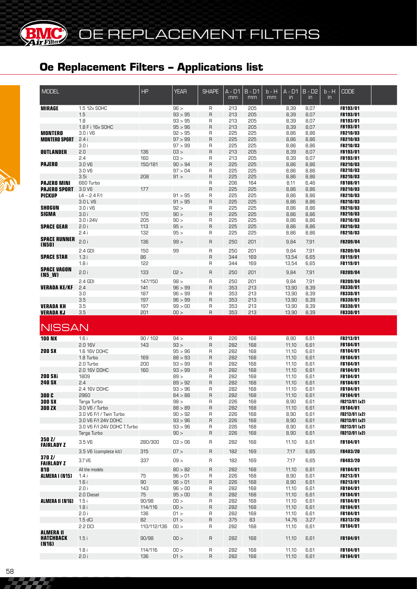**MC** 

| <b>MODEL</b>                         |                             | HP          | <b>YEAR</b> | <b>SHAPE</b> | A - D1<br>mm | $B - D1$<br>mm | b - H<br>mm | $A - D1$<br>in | $B - \overline{D2}$<br>$\mathsf{in}$ | $b - H$<br>in | <b>CODE</b>     |  |
|--------------------------------------|-----------------------------|-------------|-------------|--------------|--------------|----------------|-------------|----------------|--------------------------------------|---------------|-----------------|--|
| <b>MIRAGE</b>                        | 1.5 12v SOHC                |             | 96 >        |              | 213          | 205            |             | 8,39           | 8,07                                 |               | FB193/01        |  |
|                                      |                             |             | 93 > 95     | R            |              |                |             |                |                                      |               |                 |  |
|                                      | 1.5                         |             |             | R            | 213          | 205            |             | 8,39           | 8,07                                 |               | FB193/01        |  |
|                                      | 1.8                         |             | 93 > 95     | R            | 213          | 205            |             | 8,39           | 8,07                                 |               | FB193/01        |  |
|                                      | 1.8 F i 16v SOHC            |             | 95 > 96     | R            | 213          | 205            |             | 8,39           | 8,07                                 |               | FB193/01        |  |
| <b>MONTERO</b>                       | 3.0 i V6                    |             | 92 > 95     | R            | 225          | 225            |             | 8,86           | 8,86                                 |               | FB210/03        |  |
| <b>MONTERO SPORT</b>                 | 2.4i                        |             | 97 > 99     | $\sf B$      | 225          | 225            |             | 8,86           | 8,86                                 |               | FB210/03        |  |
|                                      | 3.0i                        |             | 97 > 99     | R            | 225          | 225            |             | 8,86           | 8,86                                 |               | FB210/03        |  |
| <b>OUTLANDER</b>                     | 2.0                         | 136         | 03 >        | R            | 213          | 205            |             | 8,39           | 8,07                                 |               | FB193/01        |  |
|                                      | 2.4                         | 160         | $-50$       | R            | 213          | 205            |             | 8,39           | 8,07                                 |               | FB193/01        |  |
| <b>PAJERO</b>                        | 3.0 V6                      | 150/181     | 90 > 94     | $\sf B$      | 225          | 225            |             | 8,86           | 8,86                                 |               | FB210/03        |  |
|                                      | 3.0 V6                      |             | 97 > 04     | R            | 225          | 225            |             | 8,86           | 8,86                                 |               | FB210/03        |  |
|                                      | 3.5i                        | 208         | 91 >        | R            | 225          | 225            |             | 8,86           | 8,86                                 |               | FB210/03        |  |
| <b>PAJERO MINI</b>                   | 660 Turbo                   |             |             | R            | 206          | 164            |             | 8,11           | 6,46                                 |               | FB108/01        |  |
| <b>PAJERO SPORT</b>                  | 3.0 V6                      | 177         |             | $\mathsf{R}$ | 225          | 225            |             | 8,86           | 8,86                                 |               | FB210/03        |  |
| <b>PICKUP</b>                        | $L4 - 2.4$ F/I              |             | 91 > 95     | R            | 225          | 225            |             | 8,86           | 8,86                                 |               | FB210/03        |  |
|                                      | 3.0 L V6                    |             | 91 > 95     | $\sf B$      | 225          | 225            |             | 8,86           | 8,86                                 |               | FB210/03        |  |
| <b>SHOGUN</b>                        | 3.0 i V6                    |             | 92 >        | R            | 225          | 225            |             | 8,86           | 8,86                                 |               | FB210/03        |  |
| <b>SIGMA</b>                         | 3.0i                        | 170         | 90 >        | $\sf B$      | 225          | 225            |             | 8,86           | 8,86                                 |               | <b>FB210/03</b> |  |
|                                      | 3.0 i 24V                   | 205         | 90 >        | R            | 225          | 225            |             | 8,86           | 8,86                                 |               | <b>FB210/03</b> |  |
|                                      |                             |             |             |              |              |                |             |                |                                      |               |                 |  |
| <b>SPACE GEAR</b>                    | 2.0i                        | 113         | 95 >        | $\sf R$      | 225          | 225            |             | 8,86           | 8,86                                 |               | <b>FB210/03</b> |  |
|                                      | 2.4i                        | 132         | 95 >        | R            | 225          | 225            |             | 8,86           | 8,86                                 |               | <b>FB210/03</b> |  |
| <b>SPACE RUNNER</b><br>(N50)         | 2.0 i                       | 136         | 99 >        | R            | 250          | 201            |             | 9,84           | 7,91                                 |               | FB209/04        |  |
|                                      | 2.4 GDI                     | 150         | 99          | R            | 250          | 201            |             | 9,84           | 7,91                                 |               | FB209/04        |  |
| <b>SPACE STAR</b>                    | 1.3i                        | 86          |             | $\sf R$      | 344          | 169            |             | 13,54          | 6,65                                 |               | FB119/01        |  |
|                                      | 1.8i                        | 122         |             | R            | 344          | 169            |             | 13,54          | 6,65                                 |               | <b>FB119/01</b> |  |
| <b>SPACE VAGON</b>                   |                             |             |             |              |              |                |             |                |                                      |               |                 |  |
| (N5_W)                               | 2.0i                        | 133         | 02 >        | R            | 250          | 201            |             | 9,84           | 7,91                                 |               | FB209/04        |  |
|                                      | 2.4 GDI                     | 147/150     | 98 >        | R            | 250          | 201            |             | 9,84           | 7,91                                 |               | FB209/04        |  |
| <b>VERADA KE/KF</b>                  | 2.4                         | 141         | 96 > 99     | R            | 353          | 213            |             | 13,90          | 8,39                                 |               | <b>FB330/01</b> |  |
|                                      | 3.0                         | 187         | 96 > 99     | R            | 353          | 213            |             | 13,90          | 8,39                                 |               | <b>FB330/01</b> |  |
|                                      | 3.5                         | 197         | 96 > 99     | $\sf B$      | 353          | 213            |             | 13,90          | 8,39                                 |               | <b>FB330/01</b> |  |
| <b>VERADA KH</b>                     | 3.5                         | 197         | 99 > 00     | R            | 353          | 213            |             | 13,90          | 8,39                                 |               | <b>FB330/01</b> |  |
| <b>VERADA KJ</b>                     | 3.5                         | 201         | 00 >        | $\mathsf{R}$ | 353          | 213            |             | 13,90          | 8,39                                 |               | <b>FB330/01</b> |  |
|                                      |                             |             |             |              |              |                |             |                |                                      |               |                 |  |
| <b>NISSAN</b>                        |                             |             |             |              |              |                |             |                |                                      |               |                 |  |
| <b>100 NX</b>                        | 1.6i                        | 90/102      | 94 >        | R            | 226          | 168            |             | 8,90           | 6,61                                 |               | FB213/01        |  |
|                                      | 2.0 16V                     | 143         | 93 >        | R            | 282          | 168            |             | 11,10          | 6,61                                 |               | FB184/01        |  |
| <b>200 SX</b>                        | 1.6 16V DOHC                |             | 95 > 96     | R            | 282          | 168            |             | 11,10          | 6,61                                 |               | FB184/01        |  |
|                                      | 1.8 Turbo                   | 169         | 88 > 93     | $\sf B$      | 282          | 168            |             | 11,10          | 6,61                                 |               | FB184/01        |  |
|                                      | 2.0 Turbo                   | 200         | 93 > 99     | R            | 282          | 168            |             | 11,10          | 6,61                                 |               | <b>FB184/01</b> |  |
|                                      | 2.0 16V DOHC                | 160         | 93 > 99     | $\sf B$      | 282          | 168            |             | 11,10          | 6,61                                 |               | FB184/01        |  |
| <b>200 SXi</b>                       | 1809                        |             | 89 >        | R            | 282          | 168            |             | 11,10          | 6,61                                 |               |                 |  |
|                                      |                             |             |             |              |              |                |             |                |                                      |               | FB184/01        |  |
| <b>240 SX</b>                        | 2.4                         |             | 89 > 92     | $\mathsf{R}$ | 282          | 168            |             | 11,10          | 6,61                                 |               | FB184/01        |  |
|                                      | 2.4 16V DOHC                |             | 93 > 96     | R            | 282          | 168            |             | 11,10          | 6,61                                 |               | FB184/01        |  |
| 300 C                                | 2960                        |             | 84 > 88     | R            | 282          | 168            |             | 11,10          | 6,61                                 |               | FB184/01        |  |
| <b>300 SX</b>                        | Targa Turbo                 |             | 98 >        | R            | 226          | 168            |             | 8,90           | 6,61                                 |               | FB213/01 (x2)   |  |
| <b>300 ZX</b>                        | 3.0 V6 / Turbo              |             | 88 > 89     | R            | 282          | 168            |             | 11,10          | 6,61                                 |               | <b>FB184/01</b> |  |
|                                      | 3.0 V6 F/I / Twin Turbo     |             | 90 > 92     | R            | 226          | 168            |             | 8,90           | 6,61                                 |               | FB213/01 (x2)   |  |
|                                      | 3.0 V6 F/I 24V DOHC         |             | 93 > 96     | $\sf R$      | 226          | 168            |             | 8,90           | 6,61                                 |               | FB213/01 (x2)   |  |
|                                      | 3.0 V6 F/I 24V DOHC T.Turbo |             | 93 > 96     | R            | 226          | 168            |             | 8,90           | 6,61                                 |               | FB213/01 (x2)   |  |
|                                      | Targa Turbo                 |             | 90 >        | R            | 226          | 168            |             | 8,90           | 6,61                                 |               | FB213/01 (x2)   |  |
| 3502/                                |                             |             |             |              |              |                |             |                |                                      |               |                 |  |
| <b>FAIRLADY Z</b>                    | 3.5 <sub>V6</sub>           | 280/300     | 03 > 06     | R            | 282          | 168            |             | 11,10          | 6,61                                 |               | FB184/01        |  |
|                                      | 3.5 V6 (complete kit)       | 315         | 07 >        | $\sf R$      | 182          | 169            |             | 7,17           | 6,65                                 |               | <b>FB483/20</b> |  |
| <b>370 Z/</b>                        |                             |             |             |              |              |                |             |                |                                      |               |                 |  |
| <b>FAIRLADY Z</b>                    | 3.7 V6                      | 337         | 09 >        | R            | 182          | 169            |             | 7,17           | 6,65                                 |               | <b>FB483/20</b> |  |
| 810                                  | All the models              |             | 80 > 82     | R            | 282          | 168            |             | 11,10          | 6,61                                 |               | <b>FB184/01</b> |  |
| ALMERA I (N15)                       | 1.4i                        | 75          | 96 > 01     | R            | 226          | 168            |             | 8,90           | 6,61                                 |               | <b>FB213/01</b> |  |
|                                      | 1.6i                        | 90          | 96 > 01     | R            | 226          | 168            |             | 8,90           | 6,61                                 |               | FB213/01        |  |
|                                      | 2.0i                        | 143         | 96 > 00     | R            | 282          | 168            |             | 11,10          | 6,61                                 |               | <b>FB184/01</b> |  |
|                                      | 2.0 Diesel                  | 75          | 95 > 00     | R            | 282          | 168            |             | 11,10          | 6,61                                 |               | FB184/01        |  |
|                                      |                             | 90/98       | 00 >        |              |              | 168            |             |                |                                      |               |                 |  |
| ALMERA II (N16)                      | 1.5i                        |             |             | R            | 282          |                |             | 11,10          | 6,61                                 |               | <b>FB184/01</b> |  |
|                                      | 1.8i                        | 114/116     | 100 >       | R            | 282          | 168            |             | 11,10          | 6,61                                 |               | <b>FB184/01</b> |  |
|                                      | 2.0 i                       | 136         | 01 >        | R            | 282          | 168            |             | 11,10          | 6,61                                 |               | <b>FB184/01</b> |  |
|                                      | $1.5 dC$ i                  | 82          | 01 >        | R            | 375          | 83             |             | 14,76          | 3,27                                 |               | <b>FB313/20</b> |  |
|                                      | 2.2 DCI                     | 110/112/136 | 00 >        | R            | 282          | 168            |             | 11,10          | 6,61                                 |               | <b>FB184/01</b> |  |
| <b>ALMERA II</b><br><b>HATCHBACK</b> | 1.5i                        | 90/98       | 00 >        | R            | 282          | 168            |             | 11,10          | 6,61                                 |               | <b>FB184/01</b> |  |
| (N16)                                |                             |             |             |              |              |                |             |                |                                      |               |                 |  |
|                                      | 1.8i                        | 114/116     | 100 >       | R            | 282          | 168            |             | 11,10          | 6,61                                 |               | <b>FB184/01</b> |  |
|                                      | 2.0 i                       | 136         | 01 >        | $\mathsf{R}$ | 282          | 168            |             | 11,10          | 6,61                                 |               | FB184/01        |  |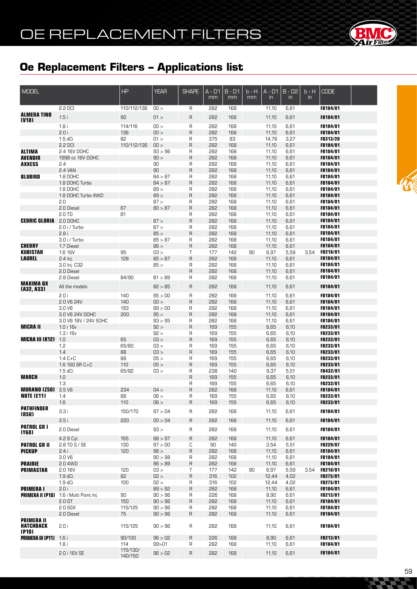

| MODEL                                          |                                                  | <b>HP</b>           | <b>YEAR</b>        | <b>SHAPE</b>        | A - D1<br>mm | $B - D1$<br>mm | b - H<br>mm | $A - D1$<br>$\mathsf{in}$ | $B - D2$<br>in | $b - H$<br>$\mathsf{in}$ | <b>CODE</b>                 |  |
|------------------------------------------------|--------------------------------------------------|---------------------|--------------------|---------------------|--------------|----------------|-------------|---------------------------|----------------|--------------------------|-----------------------------|--|
|                                                | 2.2 DCI                                          | 110/112/136         | 00 >               | R                   | 282          | 168            |             | 11,10                     | 6,61           |                          | FB184/01                    |  |
| <b>ALMERA TINO</b>                             | 1.5i                                             | 90                  | 01 >               | $\mathsf{R}$        | 282          | 168            |             | 11,10                     | 6,61           |                          | FB184/01                    |  |
| (V10)                                          | 1.8i                                             | 114/116             | 00 >               | $\mathsf R$         | 282          | 168            |             | 11,10                     | 6,61           |                          | FB184/01                    |  |
|                                                | 2.0 i                                            | 136                 | 00 >               | $\mathsf R$         | 282          | 168            |             | 11,10                     | 6,61           |                          | FB184/01                    |  |
|                                                | $1.5$ dCi                                        | 82                  | 01 >               | R                   | 375          | 83             |             | 14,76                     | 3,27           |                          | <b>FB313/20</b>             |  |
|                                                | 2.2 DCI                                          | 110/112/136         | 00 >               | $\mathsf R$         | 282          | 168            |             | 11,10                     | 6,61           |                          | FB184/01                    |  |
| <b>ALTIMA</b>                                  | 2.4 16V DOHC                                     |                     | 93 > 96            | R                   | 282          | 168            |             | 11,10                     | 6,61           |                          | <b>FB184/01</b>             |  |
| <b>AVENDIR</b>                                 | 1998 cc 16V DOHC                                 |                     | 90 >               | $\mathsf{R}$        | 282          | 168            |             | 11,10                     | 6,61           |                          | FB184/01                    |  |
| <b>AXXESS</b>                                  | 2.4<br>2.4 VAN                                   |                     | 90<br>90           | R<br>$\mathsf R$    | 282<br>282   | 168<br>168     |             | 11,10<br>11,10            | 6,61<br>6,61   |                          | <b>FB184/01</b><br>FB184/01 |  |
| <b>BLUBIRD</b>                                 | 1.8 DOHC                                         |                     | 84 > 87            | R                   | 282          | 168            |             | 11,10                     | 6,61           |                          | <b>FB184/01</b>             |  |
|                                                | 1.8 DOHC Turbo                                   |                     | 84 > 87            | R                   | 282          | 168            |             | 11,10                     | 6,61           |                          | FB184/01                    |  |
|                                                | 1.8 DOHC                                         |                     | 89 >               | R                   | 282          | 168            |             | 11,10                     | 6,61           |                          | <b>FB184/01</b>             |  |
|                                                | 1.8 DOHC Turbo 4WD                               |                     | 89 >               | $\mathsf R$         | 282          | 168            |             | 11,10                     | 6,61           |                          | FB184/01                    |  |
|                                                | 2.0                                              |                     | 87 >               | R                   | 282          | 168            |             | 11,10                     | 6,61           |                          | <b>FB184/01</b>             |  |
|                                                | 2.0 Diesel                                       | 67                  | 80 > 87            | $\mathsf R$         | 282          | 168            |             | 11,10                     | 6,61           |                          | FB184/01                    |  |
| <b>CEDRIC GLORIA</b> 2.0 DOHC                  | 2.0 TD                                           | 81                  | 87 >               | R<br>$\overline{R}$ | 282<br>282   | 168<br>168     |             | 11,10<br>11,10            | 6,61<br>6,61   |                          | <b>FB184/01</b><br>FB184/01 |  |
|                                                | $2.0$ i / Turbo                                  |                     | 87 >               | R                   | 282          | 168            |             | 11,10                     | 6,61           |                          | FB184/01                    |  |
|                                                | 2.8i                                             |                     | 85 >               | $\mathsf R$         | 282          | 168            |             | 11,10                     | 6,61           |                          | FB184/01                    |  |
|                                                | 3.0 i / Turbo                                    |                     | 85 > 87            | R                   | 282          | 168            |             | 11,10                     | 6,61           |                          | <b>FB184/01</b>             |  |
| <b>CHERRY</b>                                  | 1.7 Diesel                                       |                     | 86 >               | $\overline{R}$      | 282          | 168            |             | 11,10                     | 6,61           |                          | FB184/01                    |  |
| <b>KUBISTAR</b>                                | 1.6 16V                                          | 95<br>128           | 03 >               | Т                   | 177<br>282   | 142            | 90          | 6,97                      | 5,59           | 3,54                     | <b>FB218/01</b>             |  |
| <b>LAUREL</b>                                  | 2.4 lnj.<br>3.0 lnj. C32                         |                     | 85 > 87<br>85 >    | $\mathsf{R}$<br>R   | 282          | 168<br>168     |             | 11,10<br>11,10            | 6,61<br>6,61   |                          | FB184/01<br><b>FB184/01</b> |  |
|                                                | 2.0 Diesel                                       |                     |                    | $\mathsf R$         | 282          | 168            |             | 11,10                     | 6,61           |                          | FB184/01                    |  |
|                                                | 2.8 Diesel                                       | 84/90               | 81 > 89            | R                   | 282          | 168            |             | 11,10                     | 6,61           |                          | <b>FB184/01</b>             |  |
| <b>MAXIMA QX</b><br>(A32, A33)                 | All the models                                   |                     | 82 > 85            | $\mathsf{R}$        | 282          | 168            |             | 11,10                     | 6,61           |                          | FB184/01                    |  |
|                                                | 2.0 i                                            | 140                 | 95 > 00            | $\mathsf R$         | 282          | 168            |             | 11,10                     | 6,61           |                          | FB184/01                    |  |
|                                                | 2.0 V6 24V                                       | 140                 | 00 >               | $\mathsf R$         | 282          | 168            |             | 11,10                     | 6,61           |                          | FB184/01                    |  |
|                                                | 3.0 V6                                           | 193                 | 89 > 00            | R                   | 282          | 168            |             | 11,10                     | 6,61           |                          | FB184/01                    |  |
|                                                | 3.0 V6 24V DOHC                                  | 200                 | 95 >               | R                   | 282          | 168            |             | 11,10                     | 6,61           |                          | FB184/01                    |  |
|                                                | 3.0 V6 18V / 24V SOHC                            |                     | 93 > 95            | R                   | 282          | 168            |             | 11,10                     | 6,61           |                          | FB184/01                    |  |
| <b>MICRA II</b>                                | 1.0 i 16v                                        |                     | 92 >               | $\overline{R}$      | 169          | 155            |             | 6,65                      | 6,10           |                          | FB233/01                    |  |
| <b>MICRA III (K12)</b> 1.0                     | 1.3 i 16v                                        | 65                  | 92 ><br>03 >       | R<br>$\mathsf{R}$   | 169<br>169   | 155<br>155     |             | 6,65<br>6,65              | 6,10<br>6,10   |                          | FB233/01<br>FB233/01        |  |
|                                                | 1.2                                              | 65/80               | 03 >               | R                   | 169          | 155            |             | 6,65                      | 6,10           |                          | FB233/01                    |  |
|                                                | 1.4                                              | 88                  | 03 >               | $\overline{R}$      | 169          | 155            |             | 6,65                      | 6,10           |                          | FB233/01                    |  |
|                                                | $1.4 C + C$                                      | 88                  | 05 >               | R                   | 169          | 155            |             | 6,65                      | 6,10           |                          | FB233/01                    |  |
|                                                | 1.6 160 SR C+C                                   | 110                 | 05 >               | $\mathsf{R}$        | 169          | 155            |             | 6,65                      | 6,10           |                          | FB233/01                    |  |
| <b>MARCH</b>                                   | $1.5$ dCi<br>1.0                                 | 65/82               | 03 >               | R<br>$\mathsf{R}$   | 238          | 140<br>155     |             | 9,37                      | 5,51           |                          | FB432/01<br>FB233/01        |  |
|                                                | 1.3                                              |                     |                    | R                   | 169<br>169   | 155            |             | 6,65<br>6,65              | 6,10<br>6,10   |                          | FB233/01                    |  |
| <b>MURANO (250)</b> 3.5 V6                     |                                                  | 234                 | 04 >               | R                   | 282          | 168            |             | 11,10                     | 6,61           |                          | FB184/01                    |  |
| <b>NOTE (E11)</b>                              | 1.4                                              | 88                  | U6 >               | R                   | 169          | 155            |             | 6,65                      | 6,10           |                          | FB233/01                    |  |
|                                                | 1.6                                              | 110                 | 06 >               | $\mathsf{R}$        | 169          | 155            |             | 6,65                      | 6,10           |                          | FB233/01                    |  |
| <b>PATHFINDER</b>                              | 3.3i                                             | 150/170             | 97 > 04            | R                   | 282          | 168            |             | 11,10                     | 6,61           |                          | FB184/01                    |  |
| (R50)                                          | 3.5i                                             | 220                 | 00 > 04            | R                   | 282          | 168            |             | 11,10                     | 6,61           |                          | FB184/01                    |  |
| <b>PATROL GR I</b>                             |                                                  |                     |                    |                     |              |                |             |                           |                |                          |                             |  |
| (Y6O)                                          | 2.0 Diesel                                       |                     | 93 >               | R                   | 282          | 168            |             | 11,10                     | 6,61           |                          | FB184/01                    |  |
|                                                | 4.2 6 Cyl.                                       | 165                 | 88 > 97            | $\mathsf{R}$        | 282          | 168            |             | 11,10                     | 6,61           |                          | FB184/01                    |  |
| <b>PATROL GR II</b><br><b>PICKUP</b>           | 2.8 TD S / SE<br>2.4i                            | 130<br>120          | 97 > 00<br>98 >    | С<br>$\sf R$        | 90<br>282    | 140<br>168     |             | 3,54<br>11,10             | 5,51<br>6,61   |                          | FB229/07<br>FB184/01        |  |
|                                                | 3.0 <sub>V</sub> 6                               |                     | 90 > 98            | R                   | 282          | 168            |             | 11,10                     | 6,61           |                          | FB184/01                    |  |
| <b>PRAIRIE</b>                                 | 2.0 4WD                                          |                     | 86 > 89            | R                   | 282          | 168            |             | 11,10                     | 6,61           |                          | FB184/01                    |  |
| <b>PRIMASTAR</b>                               | 2.0 16V                                          | 120                 | 03 >               | Τ                   | 177          | 142            | 90          | 6,97                      | 5,59           | 3,54                     | <b>FB218/01</b>             |  |
|                                                | 1.9 dC <sub>i</sub>                              | 82                  | 02 >               | $\mathsf R$         | 316          | 102            |             | 12,44                     | 4,02           |                          | FB275/01                    |  |
|                                                | $1.9 dC$ i                                       | 100                 | 02 >               | R                   | 316          | 102            |             | 12,44                     | 4,02           |                          | FB275/01                    |  |
| <b>PRIMERAI</b>                                | 2.0 i<br>PRIMERA II (P10) 1.6 i Multi Point Inj. | 90                  | 89 > 92<br>90 > 96 | $\mathsf{R}$<br>R   | 282<br>226   | 168<br>168     |             | 11,10<br>8,90             | 6,61<br>6,61   |                          | FB184/01<br>FB213/01        |  |
|                                                | 2.0 <sub>GT</sub>                                | 150                 | 90 > 96            | R                   | 282          | 168            |             | 11,10                     | 6,61           |                          | FB184/01                    |  |
|                                                | $2.0$ SGX                                        | 115/125             | 90 > 96            | R                   | 282          | 168            |             | 11,10                     | 6,61           |                          | FB184/01                    |  |
|                                                | 2.0 Diesel                                       | 75                  | 90 > 96            | $\mathsf{R}$        | 282          | 168            |             | 11,10                     | 6,61           |                          | FB184/01                    |  |
| <b>PRIMERA II</b><br><b>HATCHBACK</b><br>(P10) | 2.0i                                             | 115/125             | 90 > 96            | R                   | 282          | 168            |             | 11,10                     | 6,61           |                          | FB184/01                    |  |
| <b>PRIMERA III (P11)</b> 1.6 i                 |                                                  | 90/100              | 96 > 02            | $\mathsf{R}$        | 226          | 168            |             | 8,90                      | 6,61           |                          | FB213/01                    |  |
|                                                | 1.8i                                             | 114                 | 99 > 01            | R                   | 282          | 168            |             | 11,10                     | 6,61           |                          | FB184/01                    |  |
|                                                | 2.0 i 16V SE                                     | 115/130/<br>140/150 | 96 > 02            | R                   | 282          | 168            |             | 11,10                     | 6,61           |                          | FB184/01                    |  |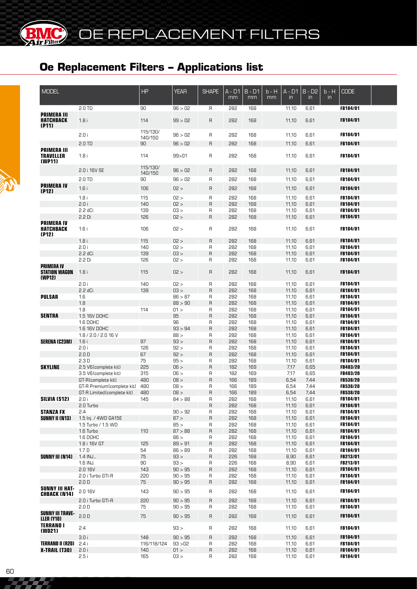| <b>MODEL</b>                                              |                             | <b>HP</b>           | <b>YEAR</b>  | <b>SHAPE</b> | A - D1<br>mm | $B - D1$<br>mm | $b - H$<br>mm | $A - D1$<br>in. | $B - D2$<br>$\mathsf{in}$ | $b - H$<br>$\mathsf{in}$ | <b>CODE</b>                 |  |
|-----------------------------------------------------------|-----------------------------|---------------------|--------------|--------------|--------------|----------------|---------------|-----------------|---------------------------|--------------------------|-----------------------------|--|
|                                                           | 2.0 TD                      | 90                  | 96 > 02      | R            | 282          | 168            |               | 11,10           | 6,61                      |                          | FB184/01                    |  |
| <b>PRIMERA III</b><br><b>HATCHBACK</b>                    | 1.8i                        | 114                 | 99 > 02      | $\sf R$      | 282          | 168            |               | 11,10           | 6,61                      |                          | <b>FB184/01</b>             |  |
| (P11)                                                     |                             | 115/130/            |              |              |              |                |               |                 |                           |                          |                             |  |
|                                                           | 2.0 i                       | 140/150             | 96 > 02      | R            | 282          | 168            |               | 11,10           | 6,61                      |                          | FB184/01                    |  |
| <b>PRIMERA III</b>                                        | 2.0 TD                      | 90                  | 96 > 02      | R            | 282          | 168            |               | 11,10           | 6,61                      |                          | <b>FB184/01</b>             |  |
| <b>TRAVELLER</b><br>(WP11)                                | 1.8i                        | 114                 | 99 > 01      | R            | 282          | 168            |               | 11,10           | 6,61                      |                          | FB184/01                    |  |
|                                                           | 2.0 i 16V SE                | 115/130/<br>140/150 | 96 > 02      | $\mathsf{R}$ | 282          | 168            |               | 11,10           | 6,61                      |                          | <b>FB184/01</b>             |  |
|                                                           | 2.0 TD                      | 90                  | 96 > 02      | R            | 282          | 168            |               | 11,10           | 6,61                      |                          | FB184/01                    |  |
| <b>PRIMERA IV</b><br>(P12)                                | 1.6i                        | 106                 | 02 >         | $\mathsf{R}$ | 282          | 168            |               | 11,10           | 6,61                      |                          | FB184/01                    |  |
|                                                           | 1.8i<br>2.0 i               | 115<br>140          | 02 ><br>02 > | R<br>$\sf R$ | 282<br>282   | 168<br>168     |               | 11,10           | 6,61<br>6,61              |                          | FB184/01<br><b>FB184/01</b> |  |
|                                                           |                             |                     |              |              |              |                |               | 11,10           |                           |                          |                             |  |
|                                                           | 2.2 dCi                     | 139                 | 03 >         | $\sf R$      | 282          | 168            |               | 11,10           | 6,61                      |                          | <b>FB184/01</b>             |  |
|                                                           | $2.2$ Di                    | 126                 | 02 >         | $\sf R$      | 282          | 168            |               | 11,10           | 6,61                      |                          | <b>FB184/01</b>             |  |
| <b>PRIMERA IV</b><br><b>HATCHBACK</b><br>(P12)            | 1.6i                        | 106                 | 02 >         | R            | 282          | 168            |               | 11,10           | 6,61                      |                          | <b>FB184/01</b>             |  |
|                                                           | 1.8i                        | 115                 | 02 >         | $\sf R$      | 282          | 168            |               | 11,10           | 6,61                      |                          | <b>FB184/01</b>             |  |
|                                                           | 2.0i                        | 140                 | 02 >         | R            | 282          | 168            |               | 11,10           | 6,61                      |                          | <b>FB184/01</b>             |  |
|                                                           | 2.2 dCi                     | 139                 | 03 >         | $\sf R$      | 282          | 168            |               | 11,10           | 6,61                      |                          | FB184/01                    |  |
|                                                           | 2.2 Di                      | 126                 | 02 >         | R            | 282          | 168            |               | 11,10           | 6,61                      |                          | <b>FB184/01</b>             |  |
| <b>PRIMERA IV</b><br><b>STATION WAGON</b><br>(WP12)       | 1.8i                        | 115                 | 02 >         | R            | 282          | 168            |               | 11,10           | 6,61                      |                          | <b>FB184/01</b>             |  |
|                                                           | 2.0i                        | 140                 | 02 >         | R            | 282          | 168            |               | 11,10           | 6,61                      |                          | <b>FB184/01</b>             |  |
|                                                           | 2.2 dCi                     | 139                 | 03 >         | $\sf R$      | 282          | 168            |               | 11,10           | 6,61                      |                          | <b>FB184/01</b>             |  |
| <b>PULSAR</b>                                             | 1.6                         |                     | 86 > 87      | R            | 282          | 168            |               | 11,10           | 6,61                      |                          | <b>FB184/01</b>             |  |
|                                                           | 1.8                         |                     | 88 > 90      | $\sf R$      | 282          | 168            |               | 11,10           | 6,61                      |                          | <b>FB184/01</b>             |  |
|                                                           | 1.8                         | 114                 | 01 >         | R            | 282          | 168            |               | 11,10           | 6,61                      |                          | <b>FB184/01</b>             |  |
| <b>SENTRA</b>                                             | 1.5 16V DOHC                |                     | 95           | $\sf R$      | 282          | 168            |               | 11,10           | 6,61                      |                          | <b>FB184/01</b>             |  |
|                                                           | 1.6 DOHC                    |                     | 96           | R            | 282          |                |               |                 | 6,61                      |                          |                             |  |
|                                                           |                             |                     |              |              |              | 168            |               | 11,10           |                           |                          | <b>FB184/01</b>             |  |
|                                                           | 1.6 16V DOHC                |                     | 93 > 94      | $\sf R$      | 282          | 168            |               | 11,10           | 6,61                      |                          | <b>FB184/01</b>             |  |
|                                                           | 1.8 / 2.0 / 2.0 16 V        | 97                  | 88 >         | R            | 282          | 168            |               | 11,10           | 6,61                      |                          | <b>FB184/01</b>             |  |
| <b>SERENA (C23M)</b>                                      | 1.6i                        |                     | 93 >         | $\sf R$      | 282          | 168            |               | 11,10           | 6,61                      |                          | <b>FB184/01</b>             |  |
|                                                           | 2.0i                        | 126                 | 92 >         | R            | 282          | 168            |               | 11,10           | 6,61                      |                          | <b>FB184/01</b>             |  |
|                                                           | 2.0 <sub>D</sub>            | 67                  | 92 >         | $\sf R$      | 282          | 168            |               | 11,10           | 6,61                      |                          | FB184/01                    |  |
|                                                           | 2.3D                        | 75                  | 95 >         | $\mathsf{R}$ | 282          | 168            |               | 11,10           | 6,61                      |                          | <b>FB184/01</b>             |  |
| <b>SKYLINE</b>                                            | 2.5 V6(complete kit)        | 225                 | 06 >         | $\sf R$      | 182          | 169            |               | 7,17            | 6,65                      |                          | <b>FB483/20</b>             |  |
|                                                           | 3.5 V6(complete kit)        | 315                 | 06 >         | R            | 182          | 169            |               | 7,17            | 6,65                      |                          | <b>FB483/20</b>             |  |
|                                                           | GT-R(complete kit)          | 480                 | 08 >         | $\sf R$      | 166          | 189            |               | 6,54            | 7,44                      |                          | <b>FB538/20</b>             |  |
|                                                           | GT-R Premium (complete kit) | 480                 | 08 >         | R            | 166          | 189            |               | 6,54            | 7,44                      |                          | <b>FB538/20</b>             |  |
|                                                           | GT-R Limited (complete kit) | 480                 | 08 >         | $\sf R$      | 166          | 189            |               | 6,54            | 7,44                      |                          | FB538/20                    |  |
| SILVIA (S12)                                              | 2.0i                        | 145                 | 84 > 88      | R            | 282          | 168            |               | 11,10           | 6,61                      |                          | <b>FB184/01</b>             |  |
|                                                           | 2.0 Turbo                   |                     |              | $\sf R$      | 282          | 168            |               | 11,10           | 6,61                      |                          | FB184/01                    |  |
| <b>STANZA FX</b>                                          | 2.4                         |                     | 90 > 92      | $\sf R$      | 282          | 168            |               | 11,10           | 6,61                      |                          | <b>FB184/01</b>             |  |
| <b>SUNNY II (N13)</b>                                     | 1.5 Inj. / 4WD GA15E        |                     | 87 >         | $\sf R$      | 282          | 168            |               | 11,10           | 6,61                      |                          | <b>FB184/01</b>             |  |
|                                                           | 1.5 Turbo / 1.5 WD          |                     | 85 >         | R            | 282          | 168            |               | 11,10           | 6,61                      |                          | <b>FB184/01</b>             |  |
|                                                           | 1.6 Turbo                   | 110                 | 87 > 88      | $\sf R$      | 282          | 168            |               | 11,10           | 6,61                      |                          | <b>FB184/01</b>             |  |
|                                                           | 1.6 DOHC                    |                     | 86 >         | R            | 282          | 168            |               | 11,10           | 6,61                      |                          | FB184/01                    |  |
|                                                           | 1.8 i 16V GT                | 125                 | 89 > 91      | $\sf R$      | 282          | 168            |               | 11,10           | 6,61                      |                          | <b>FB184/01</b>             |  |
|                                                           | 1.7 <sub>D</sub>            | 54                  | 86 > 89      | R            | 282          | 168            |               | 11,10           | 6,61                      |                          | <b>FB184/01</b>             |  |
| SUNNY III (N14)                                           | 1.4 INJ.,                   | 75                  | 93 >         | $\sf R$      | 226          | 168            |               | 8,90            | 6,61                      |                          | FB213/01                    |  |
|                                                           | 1.6 INJ.                    | 90                  | 93 >         | R            | 226          | 168            |               | 8,90            | 6,61                      |                          | <b>FB213/01</b>             |  |
|                                                           | 2.0 16V                     | 143                 | 90 > 95      | $\mathsf{R}$ | 282          | 168            |               | 11,10           | 6,61                      |                          | FB184/01                    |  |
|                                                           | 2.0 i Turbo GTI-R           | 220                 | 90 > 95      | R            | 282          | 168            |               | 11,10           | 6,61                      |                          | FB184/01                    |  |
|                                                           | 2.0 <sub>D</sub>            | 75                  | 90 > 95      | $\mathsf{R}$ | 282          | 168            |               | 11,10           | 6,61                      |                          | FB184/01                    |  |
| <b>SUNNY III HAT-</b><br><b>CHBACK (N14)</b>              | 2.0 16V                     | 143                 | 90 > 95      | R            | 282          | 168            |               | 11,10           | 6,61                      |                          | FB184/01                    |  |
|                                                           | 2.0 i Turbo GTI-R           | 220                 | 90 > 95      | $\mathsf{R}$ | 282          | 168            |               | 11,10           | 6,61                      |                          | FB184/01                    |  |
|                                                           | 2.0 <sub>D</sub>            | 75                  | 90 > 95      | R            | 282          | 168            |               | 11,10           | 6,61                      |                          | FB184/01                    |  |
| <b>SUNNY III TRAVE-</b><br>LLER (Y10)<br><b>TERRANO I</b> | 2.0 <sub>D</sub>            | 75                  | 90 > 95      | R            | 282          | 168            |               | 11,10           | 6,61                      |                          | FB184/01                    |  |
| (WD21)                                                    | 2.4                         |                     | 93 >         | R            | 282          | 168            |               | 11,10           | 6,61                      |                          | FB184/01                    |  |
|                                                           | 3.0i                        | 148                 | 90 > 95      | R            | 282          | 168            |               | 11,10           | 6,61                      |                          | FB184/01                    |  |
| TERRANO II (R2O)                                          | 2.4i                        | 116/118/124         | 93 > 02      | R            | 282          | 168            |               | 11,10           | 6,61                      |                          | FB184/01                    |  |
| <b>X-TRAIL (T30)</b>                                      | 2.0i                        | 140                 | 01 >         | $\mathsf{R}$ | 282          | 168            |               | 11,10           | 6,61                      |                          | FB184/01                    |  |
|                                                           | 2.5i                        | 165                 | 03 >         | R            | 282          | 168            |               | 11,10           | 6,61                      |                          | FB184/01                    |  |



**BMC** 

(BK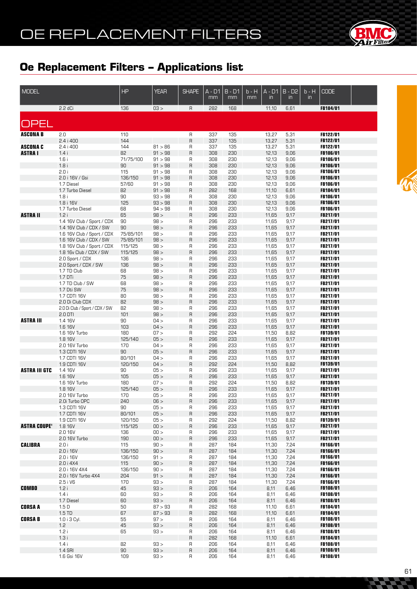

| <b>MODEL</b>                     |                                                       | HP                 | <b>YEAR</b>        | <b>SHAPE</b> | A - D1<br>mm | $B - D1$<br>mm | b - H<br>mm | $A - D1$<br>$\mathsf{in}$ | $B - D2$<br>in | $b - H$<br>in. | <b>CODE</b>                        |  |
|----------------------------------|-------------------------------------------------------|--------------------|--------------------|--------------|--------------|----------------|-------------|---------------------------|----------------|----------------|------------------------------------|--|
|                                  | 2.2 dCi                                               | 136                | 03 >               | R            | 282          | 168            |             | 11,10                     | 6,61           |                | FB184/01                           |  |
| <b>OPEL</b>                      |                                                       |                    |                    |              |              |                |             |                           |                |                |                                    |  |
| <b>ASCONA B</b>                  | 2.0                                                   | 110                |                    | R            | 337          | 135            |             | 13,27                     | 5,31           |                | FB122/01                           |  |
|                                  | $2.4i$ 400                                            | 144                |                    | R            | 337          | 135            |             | 13,27                     | 5,31           |                | FB122/01                           |  |
| <b>ASCONA C</b><br><b>ASTRAI</b> | $2.4i$ 400<br>1.4i                                    | 144<br>82          | 81 > 86<br>91 > 98 | R<br>R       | 337<br>308   | 135<br>230     |             | 13,27<br>12,13            | 5,31<br>9,06   |                | <b>FB122/01</b><br>FB106/01        |  |
|                                  | 1.6i                                                  | 71/75/100          | 91 > 98            | R            | 308          | 230            |             | 12,13                     | 9,06           |                | FB106/01                           |  |
|                                  | 1.8i                                                  | 90                 | 91 > 98            | R            | 308          | 230            |             | 12,13                     | 9,06           |                | <b>FB106/01</b>                    |  |
|                                  | 2.0 i                                                 | 115                | 91 > 98            | R            | 308          | 230            |             | 12,13                     | 9,06           |                | FB106/01                           |  |
|                                  | 2.0 i 16V / Gsi<br>1.7 Diesel                         | 136/150<br>57/60   | 91 > 98<br>91 > 98 | R<br>R       | 308<br>308   | 230<br>230     |             | 12,13<br>12,13            | 9,06<br>9,06   |                | <b>FB106/01</b><br>FB106/01        |  |
|                                  | 1.7 Turbo Diesel                                      | 82                 | 91 > 98            | R            | 282          | 168            |             | 11,10                     | 6,61           |                | <b>FB184/01</b>                    |  |
|                                  | 1.8i                                                  | 90                 | 93 > 98            | R            | 308          | 230            |             | 12,13                     | 9,06           |                | <b>FB106/01</b>                    |  |
|                                  | 1.8 i 16V                                             | 125                | 93 > 98            | R            | 308          | 230            |             | 12,13                     | 9,06           |                | <b>FB106/01</b>                    |  |
|                                  | 1.7 Turbo Diesel                                      | 68                 | 94 > 98            | R            | 308          | 230            |             | 12,13                     | 9,06           |                | <b>FB106/01</b>                    |  |
| <b>ASTRA II</b>                  | 1.2i<br>1.4 16V Club / Sport / CDX                    | 65<br>90           | 98 ><br>98 >       | R<br>R       | 296<br>296   | 233<br>233     |             | 11,65<br>11,65            | 9,17<br>9,17   |                | <b>FB217/01</b><br><b>FB217/01</b> |  |
|                                  | 1.4 16V Club / CDX / SW                               | 90                 | 98 >               | R            | 296          | 233            |             | 11,65                     | 9,17           |                | FB217/01                           |  |
|                                  | 1.6 16V Club / Sport / CDX                            | 75/85/101          | 98 >               | R            | 296          | 233            |             | 11,65                     | 9,17           |                | FB217/01                           |  |
|                                  | 1.6 16V Club / CDX / SW                               | 75/85/101          | 98 >               | R            | 296          | 233            |             | 11,65                     | 9,17           |                | FB217/01                           |  |
|                                  | 1.8 16V Club / Sport / CDX<br>1.8 16y Club / CDX / SW | 115/125<br>115/125 | 98 ><br>98 >       | R<br>R       | 296<br>296   | 233<br>233     |             | 11,65<br>11,65            | 9,17<br>9,17   |                | FB217/01<br><b>FB217/01</b>        |  |
|                                  | 2.0 Sport / CDX                                       | 136                | 98 >               | R            | 296          | 233            |             | 11,65                     | 9,17           |                | FB217/01                           |  |
|                                  | 2.0 Sport / CDX / SW                                  | 136                | 98 >               | R            | 296          | 233            |             | 11,65                     | 9,17           |                | FB217/01                           |  |
|                                  | 1.7 TD Club                                           | 68                 | 98 >               | R            | 296          | 233            |             | 11,65                     | 9,17           |                | <b>FB217/01</b>                    |  |
|                                  | 1.7 DTi<br>1.7 TD Club / SW                           | 75<br>68           | 98 ><br>98 >       | R<br>R       | 296<br>296   | 233<br>233     |             | 11,65<br>11,65            | 9,17<br>9,17   |                | <b>FB217/01</b><br>FB217/01        |  |
|                                  | 1.7 Dti SW                                            | 75                 | 98 >               | R            | 296          | 233            |             | 11,65                     | 9,17           |                | <b>FB217/01</b>                    |  |
|                                  | 1.7 CDTI 16V                                          | 80                 | 98 >               | R            | 296          | 233            |             | 11,65                     | 9,17           |                | <b>FB217/01</b>                    |  |
|                                  | 2.0 Di Club CDX                                       | 82                 | 98 >               | R            | 296          | 233            |             | 11,65                     | 9,17           |                | FB217/01                           |  |
|                                  | 2.0 Di Club / Sport / CDX / SW<br>2.0 DTI             | 82<br>101          | 98 ><br>98 >       | R<br>R       | 296<br>296   | 233<br>233     |             | 11,65<br>11,65            | 9,17<br>9,17   |                | <b>FB217/01</b><br>FB217/01        |  |
| <b>ASTRA III</b>                 | 1.4 16V                                               | 90                 | 04 >               | R            | 296          | 233            |             | 11,65                     | 9,17           |                | FB217/01                           |  |
|                                  | 1.6 16V                                               | 103                | 04 >               | R            | 296          | 233            |             | 11,65                     | 9,17           |                | FB217/01                           |  |
|                                  | 1.6 16V Turbo                                         | 180                | 07 >               | R            | 292          | 224            |             | 11,50                     | 8,82           |                | <b>FB139/01</b>                    |  |
|                                  | 1.8 16V<br>2.0 16V Turbo                              | 125/140<br>170     | 05 ><br>04 >       | R            | 296          | 233<br>233     |             | 11,65                     | 9,17<br>9,17   |                | FB217/01<br><b>FB217/01</b>        |  |
|                                  | 1.3 CDTI 16V                                          | 90                 | 05 >               | R<br>R       | 296<br>296   | 233            |             | 11,65<br>11,65            | 9,17           |                | FB217/01                           |  |
|                                  | 1.7 CDTI 16V                                          | 80/101             | 04 >               | R            | 296          | 233            |             | 11,65                     | 9,17           |                | <b>FB217/01</b>                    |  |
|                                  | 1.9 CDTI 16V                                          | 120/150            | 04 >               | R            | 292          | 224            |             | 11,50                     | 8,82           |                | FB139/01                           |  |
| <b>ASTRA III GTC</b>             | 1.4 16V                                               | 90<br>105          | 05 ><br>05 >       | R<br>R       | 296          | 233<br>233     |             | 11,65                     | 9,17           |                | FB217/01<br>FB217/01               |  |
|                                  | 1.6 16V<br>1.6 16V Turbo                              | 180                | 07 >               | R            | 296<br>595   | 224            |             | 11,65<br>11,50            | 9,17<br>8,82   |                | FB139/01                           |  |
|                                  | 1.8 16V                                               | 125/140            | 05 >               | R            | 296          | 233            |             | 11,65                     | 9,17           |                | FB217/01                           |  |
|                                  | 2.0 16V Turbo                                         | 170                | 05 >               | R            | 296          | 233            |             | 11,65                     | 9,17           |                | FB217/01                           |  |
|                                  | 2.0i Turbo OPC                                        | 240<br>90          | 06 >               | R            | 296          | 233<br>233     |             | 11,65                     | 9,17           |                | FB217/01                           |  |
|                                  | 1.3 CDTI 16V<br>1.7 CDTI 16V                          | 80/101             | 05 ><br>05 >       | R<br>R       | 296<br>296   | 233            |             | 11,65<br>11,65            | 9,17<br>9,17   |                | FB217/01<br>FB217/01               |  |
|                                  | 1.9 CDTI 16V                                          | 120/150            | 05 >               | R            | 292          | 224            |             | 11,50                     | 8,82           |                | <b>FB139/01</b>                    |  |
| <b>ASTRA COUPE'</b>              | 1.8 16V                                               | 115/125            | 00 >               | R            | 296          | 233            |             | 11,65                     | 9,17           |                | FB217/01                           |  |
|                                  | 2.0 16V<br>2.0 16V Turbo                              | 136<br>190         | 00 ><br>00 >       | R            | 296<br>296   | 233<br>233     |             | 11,65                     | 9,17<br>9,17   |                | <b>FB217/01</b>                    |  |
| <b>CALIBRA</b>                   | 2.0i                                                  | 115                | 90 >               | R<br>R       | 287          | 184            |             | 11,65<br>11,30            | 7,24           |                | <b>FB217/01</b><br><b>FB166/01</b> |  |
|                                  | 2.0 i 16V                                             | 136/150            | 90 >               | $\sf R$      | 287          | 184            |             | 11,30                     | 7,24           |                | FB166/01                           |  |
|                                  | 2.0 i 16V                                             | 136/150            | 91 >               | R            | 287          | 184            |             | 11,30                     | 7,24           |                | FB166/01                           |  |
|                                  | 2.0i4X4                                               | 115                | 90 >               | R            | 287          | 184<br>184     |             | 11,30                     | 7,24           |                | FB166/01<br>FB166/01               |  |
|                                  | 2.0 i 16V 4X4<br>2.0 i 16V Turbo 4X4                  | 136/150<br>204     | 90 ><br>91 >       | R<br>R       | 287<br>287   | 184            |             | 11,30<br>11,30            | 7,24<br>7,24   |                | FB166/01                           |  |
|                                  | 2.5 i V6                                              | 170                | 93 >               | R            | 287          | 184            |             | 11,30                     | 7,24           |                | FB166/01                           |  |
| <b>COMBO</b>                     | 1.2i                                                  | 45                 | 93 >               | R            | 206          | 164            |             | 8,11                      | 6,46           |                | FB108/01                           |  |
|                                  | 1.4 i                                                 | 60                 | 93 ><br>93 >       | R            | 206          | 164            |             | 8,11                      | 6,46           |                | <b>FB108/01</b>                    |  |
| <b>CORSA A</b>                   | 1.7 Diesel<br>1.5 <sub>D</sub>                        | 60<br>50           | 87 > 93            | R<br>R       | 206<br>282   | 164<br>168     |             | 8,11<br>11,10             | 6,46<br>6,61   |                | FB108/01<br><b>FB184/01</b>        |  |
|                                  | 1.5 TD                                                | 67                 | 87 > 93            | R            | 282          | 168            |             | 11,10                     | 6,61           |                | FB184/01                           |  |
| <b>CORSA B</b>                   | 1.0 i 3 Cyl.                                          | 55                 | 97 >               | R            | 206          | 164            |             | 8,11                      | 6,46           |                | <b>FB108/01</b>                    |  |
|                                  | 1.2                                                   | 45                 | 93 >               | R            | 206          | 164            |             | 8,11                      | 6,46           |                | FB108/01                           |  |
|                                  | 1.2i<br>1.3i                                          | 65                 | 93 >               | R.<br>R      | 206<br>282   | 164<br>168     |             | 8,11<br>11,10             | 6,46<br>6,61   |                | FB108/01<br>FB184/01               |  |
|                                  | 1.4i                                                  | 82                 | 93 >               | R            | 206          | 164            |             | 8,11                      | 6,46           |                | FB108/01                           |  |
|                                  | 1.4 SRI                                               | 90                 | 93 >               | R            | 206          | 164            |             | 8,11                      | 6,46           |                | FB108/01                           |  |
|                                  | 1.6 Gsi 16V                                           | 109                | 93 >               | R            | 206          | 164            |             | 8,11                      | 6,46           |                | FB108/01                           |  |



**CACC**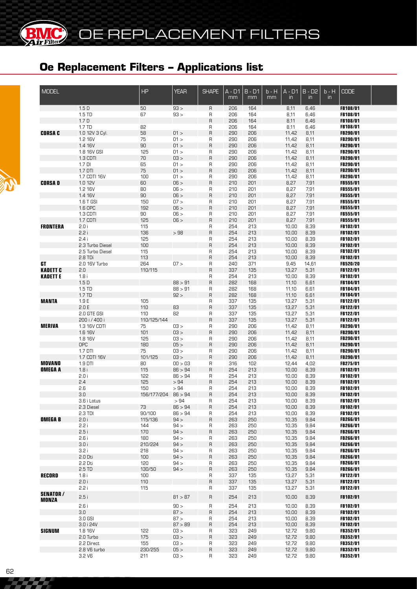**BMC** 

62

| <b>MODEL</b>    |                            | HP                  | <b>YEAR</b>     | <b>SHAPE</b> | $A - D1$   | $B - D1$   | b - H | $A - D1$       | $B - D2$      | $b - H$       | <b>CODE</b>                        |  |
|-----------------|----------------------------|---------------------|-----------------|--------------|------------|------------|-------|----------------|---------------|---------------|------------------------------------|--|
|                 |                            |                     |                 |              | mm         | mm         | mm    | $\mathsf{in}$  | $\mathsf{in}$ | $\mathsf{in}$ |                                    |  |
|                 | 1.5D                       | 50                  | 93 >            | R            | 206        | 164        |       | 8,11           | 6,46          |               | FB108/01                           |  |
|                 | 1.5 TD                     | 67                  | 93 >            | R            | 206        | 164        |       | 8,11           | 6,46          |               | FB108/01                           |  |
|                 | 1.7 <sub>D</sub>           |                     |                 | $\sf B$      | 206        | 164        |       | 8,11           | 6,46          |               | FB108/01                           |  |
|                 | 1.7 TD                     | 82                  |                 | R            | 206        | 164        |       | 8,11           | 6,46          |               | FB108/01                           |  |
| <b>CORSA C</b>  | 1.0 12V 3 Cyl.             | 58                  | 01 >            | $\mathsf{R}$ | 290        | 206        |       | 11,42          | 8,11          |               | FB290/01                           |  |
|                 | 1.2 16V                    | 75                  | 01 >            | R            | 290        | 206        |       | 11,42          | 8,11          |               | FB290/01                           |  |
|                 | 1.4 16V                    | 90                  | 01 >            | $\sf B$      | 290        | 206        |       | 11,42          | 8,11          |               | FB290/01                           |  |
|                 | 1.8 16V GSI<br>1.3 CDTI    | 125<br>70           | 01 ><br>03 >    | R<br>$\sf B$ | 290<br>290 | 206<br>206 |       | 11,42<br>11,42 | 8,11<br>8,11  |               | FB290/01<br>FB290/01               |  |
|                 | $1.7$ DI                   | 65                  | 01 >            | R            | 290        | 206        |       | 11,42          | 8,11          |               | <b>FB290/01</b>                    |  |
|                 | 1.7 DTI                    | 75                  | 01 >            | $\sf B$      | 290        | 206        |       | 11,42          | 8,11          |               | FB290/01                           |  |
|                 | 1.7 CDTI 16V               | 100                 | 01 >            | R            | 290        | 206        |       | 11,42          | 8,11          |               | <b>FB290/01</b>                    |  |
| <b>CORSAD</b>   | 1.0 12V                    | 60                  | 06 >            | $\sf B$      | 210        | 201        |       | 8,27           | 7,91          |               | <b>FB555/01</b>                    |  |
|                 | 1.2 16V                    | 80                  | 06 >            | R            | 210        | 201        |       | 8,27           | 7,91          |               | <b>FB555/01</b>                    |  |
|                 | 1.4 16V                    | 90                  | 06 >            | $\mathsf R$  | 210        | 201        |       | 8,27           | 7,91          |               | FB555/01                           |  |
|                 | 1.6 T GSI                  | 150                 | 07 >            | R            | 210        | 201        |       | 8,27           | 7,91          |               | FB555/01                           |  |
|                 | 1.6 OPC                    | 192                 | 06 >            | $\mathsf R$  | 210        | 201        |       | 8,27           | 7,91          |               | FB555/01                           |  |
|                 | 1.3 CDTI                   | 90                  | 06 >            | R            | 210        | 201        |       | 8,27           | 7,91          |               | <b>FB555/01</b>                    |  |
| <b>FRONTERA</b> | 1.7 CDTI<br>2.0 i          | 125<br>115          | 06 >            | R<br>R       | 210<br>254 | 201<br>213 |       | 8,27<br>10,00  | 7,91<br>8,39  |               | FB555/01<br>FB102/01               |  |
|                 | 2.2i                       | 136                 | >98             | $\sf B$      | 254        | 213        |       | 10,00          | 8,39          |               | FB102/01                           |  |
|                 | 2.4i                       | 125                 |                 | R            | 254        | 213        |       | 10,00          | 8,39          |               | FB102/01                           |  |
|                 | 2.3 Turbo Diesel           | 100                 |                 | $\mathsf{R}$ | 254        | 213        |       | 10,00          | 8,39          |               | FB102/01                           |  |
|                 | 2.5 Turbo Diesel           | 115                 |                 | R            | 254        | 213        |       | 10,00          | 8,39          |               | FB102/01                           |  |
|                 | 2.8 TDi                    | 113                 |                 | $\mathsf{R}$ | 254        | 213        |       | 10,00          | 8,39          |               | <b>FB102/01</b>                    |  |
| GT              | 2.0 16V Turbo              | 264                 | 07 >            | R            | 240        | 371        |       | 9,45           | 14,61         |               | <b>FB520/20</b>                    |  |
| <b>KADETT C</b> | 2.0                        | 110/115             |                 | $\sf B$      | 337        | 135        |       | 13,27          | 5,31          |               | FB122/01                           |  |
| <b>KADETTE</b>  | 1.8i                       |                     |                 | R            | 254        | 213        |       | 10,00          | 8,39          |               | FB102/01                           |  |
|                 | 1.5D                       |                     | 88 > 91         | $\sf B$      | 282        | 168        |       | 11,10          | 6,61          |               | FB184/01                           |  |
|                 | 1.5 TD<br>1.7 TD           |                     | 88 > 91<br>92 > | R<br>$\sf R$ | 282<br>282 | 168<br>168 |       | 11,10<br>11,10 | 6,61<br>6,61  |               | FB184/01<br>FB184/01               |  |
| <b>MANTA</b>    | 1.9E                       | 105                 |                 | R            | 337        | 135        |       | 13,27          | 5,31          |               | FB122/01                           |  |
|                 | 2.0 E                      | 110                 | 83              | $\sf B$      | 337        | 135        |       | 13,27          | 5,31          |               | FB122/01                           |  |
|                 | 2.0 GTE GSI                | 110                 | 82              | R            | 337        | 135        |       | 13,27          | 5,31          |               | FB122/01                           |  |
|                 | 200 i / 400 i              | 110/125/144         |                 | $\mathsf{R}$ | 337        | 135        |       | 13,27          | 5,31          |               | FB122/01                           |  |
| <b>MERIVA</b>   | 1.3 16V CDTI               | 75                  | 03 >            | R            | 290        | 206        |       | 11,42          | 8,11          |               | FB290/01                           |  |
|                 | 1.6 16V                    | 101                 | 03 >            | $\sf B$      | 290        | 206        |       | 11,42          | 8,11          |               | <b>FB290/01</b>                    |  |
|                 | 1.8 16V                    | 125                 | 03 >            | R            | 290        | 206        |       | 11,42          | 8,11          |               | <b>FB290/01</b>                    |  |
|                 | OPC                        | 180                 | 05 >            | $\sf B$      | 290        | 206        |       | 11,42          | 8,11          |               | FB290/01                           |  |
|                 | $1.7$ DTI<br>1.7 CDTI 16V  | 75<br>101/125       | 03 ><br>03 >    | R<br>$\sf B$ | 290<br>290 | 206<br>206 |       | 11,42<br>11,42 | 8,11<br>8,11  |               | <b>FB290/01</b><br><b>FB290/01</b> |  |
| <b>MOVANO</b>   | $1.9$ DTI                  | 80                  | 00 > 03         | R            | 316        | 102        |       | 12,44          | 4,02          |               | <b>FB275/01</b>                    |  |
| <b>OMEGA A</b>  | 1.8i                       | 115                 | 86 > 94         | R            | 254        | 213        |       | 10,00          | 8,39          |               | <b>FB102/01</b>                    |  |
|                 | 2.0i                       | 122                 | 86 > 94         | R            | 254        | 213        |       | 10,00          | 8,39          |               | <b>FB102/01</b>                    |  |
|                 | 2.4                        | 125                 | >94             | $\sf B$      | 254        | 213        |       | 10,00          | 8,39          |               | <b>FB102/01</b>                    |  |
|                 | 2.6                        | 150                 | >94             | R            | 254        | 213        |       | 10,00          | 8,39          |               | FB102/01                           |  |
|                 | 3.0                        | 156/177/204 86 > 94 |                 | R            | 254        | 213        |       | 10,00          | 8,39          |               | FB102/01                           |  |
|                 | 3.6 i Lotus                |                     | >94             | R            | 254        | 213        |       | 10,00          | 8,39          |               | FB102/01                           |  |
|                 | 2.3 Diesel                 | 73                  | 86 > 94         | R            | 254        | 213        |       | 10,00          | 8,39          |               | FB102/01                           |  |
| <b>OMEGAB</b>   | 2.3 TDI<br>2.0i            | 90/100<br>115/136   | 86 > 94<br>94 > | R<br>R       | 254<br>263 | 213<br>250 |       | 10,00<br>10,35 | 8,39<br>9,84  |               | FB102/01<br>FB266/01               |  |
|                 | 2.2i                       | 144                 | 94 >            | R            | 263        | 250        |       | 10,35          | 9,84          |               | <b>FB266/01</b>                    |  |
|                 | 2.5i                       | 170                 | 94 >            | R            | 263        | 250        |       | 10,35          | 9,84          |               | FB266/01                           |  |
|                 | 2.6i                       | 180                 | 94 >            | R            | 263        | 250        |       | 10,35          | 9,84          |               | FB266/01                           |  |
|                 | 3.0i                       | 210/224             | 94 >            | R            | 263        | 250        |       | 10,35          | 9,84          |               | FB266/01                           |  |
|                 | 3.2i                       | 218                 | 94 >            | R            | 263        | 250        |       | 10,35          | 9,84          |               | <b>FB266/01</b>                    |  |
|                 | 2.0 Dti                    | 100                 | 94 >            | R            | 263        | 250        |       | 10,35          | 9,84          |               | FB266/01                           |  |
|                 | 2.2 Dti                    | 120                 | 94 >            | R            | 263        | 250        |       | 10,35          | 9,84          |               | <b>FB266/01</b>                    |  |
|                 | 2.5 TD                     | 130/50              | 94 >            | R            | 263        | 250        |       | 10,35          | 9,84          |               | <b>FB266/01</b>                    |  |
| RECORD          | 1.8i<br>2.0i               | 100                 |                 | R            | 337        | 135        |       | 13,27          | 5,31          |               | <b>FB122/01</b>                    |  |
|                 | 2.2i                       | 110<br>115          |                 | R<br>R       | 337<br>337 | 135<br>135 |       | 13,27<br>13,27 | 5,31<br>5,31  |               | FB122/01<br>FB122/01               |  |
| <b>SENATOR/</b> |                            |                     |                 |              |            |            |       |                |               |               |                                    |  |
| MONZA           | 2.5i                       |                     | 81 > 87         | R            | 254        | 213        |       | 10,00          | 8,39          |               | FB102/01                           |  |
|                 | 2.6i                       |                     | 90 >            | R            | 254        | 213        |       | 10,00          | 8,39          |               | FB102/01                           |  |
|                 | 3.0                        |                     | 87 >            | R            | 254        | 213        |       | 10,00          | 8,39          |               | <b>FB102/01</b>                    |  |
|                 | 3.0 GSI                    |                     | 87 >            | R            | 254        | 213        |       | 10,00          | 8,39          |               | <b>FB102/01</b>                    |  |
|                 | 3.0 i 24V                  |                     | 87 > 89         | R            | 254        | 213        |       | 10,00          | 8,39          |               | FB102/01                           |  |
| <b>SIGNUM</b>   | 1.8 16V                    | 122                 | 03 >            | R            | 323        | 249        |       | 12,72          | 9,80          |               | <b>FB352/01</b>                    |  |
|                 | 2.0 Turbo                  | 175                 | 03 >            | R            | 323        | 249        |       | 12,72          | 9,80          |               | FB352/01                           |  |
|                 | 2.2 Direct<br>2.8 V6 turbo | 155<br>230/255      | 03 ><br>05 >    | R<br>$\sf R$ | 323<br>323 | 249<br>249 |       | 12,72<br>12,72 | 9,80<br>9,80  |               | <b>FB352/01</b><br>FB352/01        |  |
|                 | 3.2 V6                     | 211                 | 03 >            | R            | 323        | 249        |       | 12,72          | 9,80          |               | <b>FB352/01</b>                    |  |
|                 |                            |                     |                 |              |            |            |       |                |               |               |                                    |  |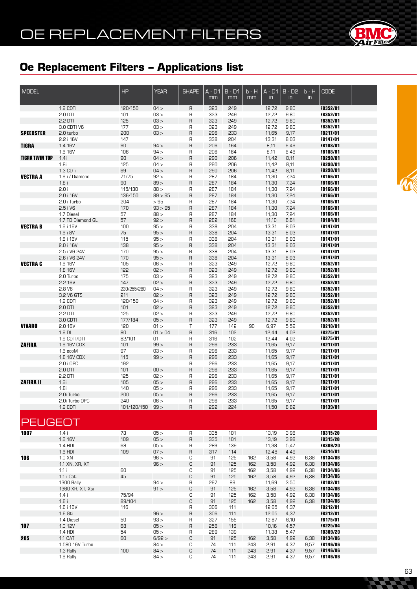

| <b>MODEL</b>          |                                   | HP               | <b>YEAR</b>    | <b>SHAPE</b>        | $A - D1$<br>mm | $B - D1$<br>mm | b - H<br>mm | $A - D1$<br>$\mathsf{in}$ | $B - D2$<br>$\mathsf{in}$ | $b - H$<br>$\overline{m}$ | <b>CODE</b>                        |  |
|-----------------------|-----------------------------------|------------------|----------------|---------------------|----------------|----------------|-------------|---------------------------|---------------------------|---------------------------|------------------------------------|--|
|                       | 1.9 CDTI                          | 120/150          | 04 >           | R                   | 323            | 249            |             | 12,72                     | 9,80                      |                           | FB352/01                           |  |
|                       | 2.0 DTI                           | 101              | 03 >           | R                   | 323            | 249            |             | 12,72                     | 9,80                      |                           | FB352/01                           |  |
|                       | 2.2 DTI                           | 125              | 03 >           | $\mathsf{R}$        | 323            | 249            |             | 12,72                     | 9,80                      |                           | <b>FB352/01</b>                    |  |
|                       | 3.0 CDTI V6                       | 177              | 03 >           | R                   | 323            | 249            |             | 12,72                     | 9,80                      |                           | <b>FB352/01</b>                    |  |
| <b>SPEEDSTER</b>      | 2.0 turbo<br>2.2 i 16V            | 200<br>147       | 03 >           | $\mathsf R$<br>R    | 296<br>338     | 233<br>204     |             | 11,65<br>13,31            | 9,17<br>8,03              |                           | <b>FB217/01</b><br><b>FB147/01</b> |  |
| <b>TIGRA</b>          | 1.4 16V                           | 90               | 94 >           | $\mathsf{R}$        | 206            | 164            |             | 8,11                      | 6,46                      |                           | <b>FB108/01</b>                    |  |
|                       | 1.6 16V                           | 106              | 94 >           | R                   | 206            | 164            |             | 8,11                      | 6,46                      |                           | FB108/01                           |  |
| <b>TIGRA TWIN TOP</b> | 1.4i                              | 90               | 04 >           | $\mathsf{R}$        | 290            | 206            |             | 11,42                     | 8,11                      |                           | FB290/01                           |  |
|                       | 1.8i                              | 125              | 04 >           | R                   | 290            | 206            |             | 11,42                     | 8,11                      |                           | FB290/01                           |  |
|                       | 1.3 CDTi                          | 69               | 04 >           | $\mathsf{R}$        | 290            | 206            |             | 11,42                     | 8,11                      |                           | <b>FB290/01</b>                    |  |
| <b>VECTRA A</b>       | 1.6 i / Diamond                   | 71/75            | 92 >           | R                   | 287            | 184            |             | 11,30                     | 7,24                      |                           | FB166/01                           |  |
|                       | 1.8i<br>2.0 i                     | 90<br>115/130    | 89 ><br>88 >   | $\overline{R}$<br>R | 287<br>287     | 184<br>184     |             | 11,30<br>11,30            | 7,24<br>7,24              |                           | FB166/01<br>FB166/01               |  |
|                       | 2.0 i 16V                         | 136/150          | 89 > 95        | $\mathsf{R}$        | 287            | 184            |             | 11,30                     | 7,24                      |                           | FB166/01                           |  |
|                       | 2.0 i Turbo                       | 204              | >95            | R                   | 287            | 184            |             | 11,30                     | 7,24                      |                           | FB166/01                           |  |
|                       | 2.5 i V6                          | 170              | 93 > 95        | $\overline{R}$      | 287            | 184            |             | 11,30                     | 7,24                      |                           | FB166/01                           |  |
|                       | 1.7 Diesel                        | 57               | 88 >           | R                   | 287            | 184            |             | 11,30                     | 7,24                      |                           | FB166/01                           |  |
|                       | 1.7 TD Diamond GL                 | 57               | 92 >           | $\mathsf{R}$        | 282            | 168            |             | 11,10                     | 6,61                      |                           | FB184/01                           |  |
| <b>VECTRAB</b>        | 1.6 i 16V<br>1.6 i 8V             | 100<br>75        | 95 >           | R<br>$\mathsf R$    | 338            | 204            |             | 13,31                     | 8,03                      |                           | FB147/01<br>FB147/01               |  |
|                       | 1.8 i 16V                         | 115              | 95 ><br>95 >   | R                   | 338<br>338     | 204<br>204     |             | 13,31<br>13,31            | 8,03<br>8,03              |                           | <b>FB147/01</b>                    |  |
|                       | 2.0 i 16V                         | 138              | 95 >           | $\mathsf R$         | 338            | 204            |             | 13,31                     | 8,03                      |                           | FB147/01                           |  |
|                       | 2.5 i V6 24V                      | 170              | 95 >           | R                   | 338            | 204            |             | 13,31                     | 8,03                      |                           | FB147/01                           |  |
|                       | 2.6 i V6 24V                      | 170              | 95 >           | $\mathsf R$         | 338            | 204            |             | 13,31                     | 8,03                      |                           | FB147/01                           |  |
| <b>VECTRA C</b>       | 1.6 16V                           | 105              | 06 >           | R                   | 323            | 249            |             | 12,72                     | 9,80                      |                           | FB352/01                           |  |
|                       | 1.8 16V                           | 122              | 02 >           | $\sf R$             | 323            | 249            |             | 12,72                     | 9,80                      |                           | FB352/01                           |  |
|                       | 2.0 Turbo<br>2.2 16V              | 175<br>147       | 03 ><br>02 >   | R<br>$\overline{R}$ | 323<br>323     | 249<br>249     |             | 12,72<br>12,72            | 9,80<br>9,80              |                           | FB352/01<br>FB352/01               |  |
|                       | 2.8 V6                            | 230/255/280      | 04 >           | R                   | 323            | 249            |             | 12,72                     | 9,80                      |                           | <b>FB352/01</b>                    |  |
|                       | 3.2 V6 GTS                        | 211              | 02 >           | $\mathsf{R}$        | 323            | 249            |             | 12,72                     | 9,80                      |                           | FB352/01                           |  |
|                       | 1.9 CDTI                          | 120/150          | 04 >           | R                   | 323            | 249            |             | 12,72                     | 9,80                      |                           | <b>FB352/01</b>                    |  |
|                       | $2.0$ DTI                         | 101              | 02 >           | $\overline{R}$      | 323            | 249            |             | 12,72                     | 9,80                      |                           | <b>FB352/01</b>                    |  |
|                       | 2.2 DTI                           | 125              | 02 >           | R                   | 323            | 249            |             | 12,72                     | 9,80                      |                           | <b>FB352/01</b>                    |  |
| <b>VIVARO</b>         | 3.0 CDTI<br>2.0 16V               | 177/184<br>120   | 05 ><br>01 >   | $\mathsf{R}$<br>Τ   | 323<br>177     | 249<br>142     | 90          | 12,72<br>6,97             | 9,80<br>5,59              |                           | <b>FB352/01</b><br><b>FB218/01</b> |  |
|                       | $1.9$ DI                          | 80               | 01 > 04        | $\mathsf{R}$        | 316            | 102            |             | 12,44                     | 4,02                      |                           | FB275/01                           |  |
|                       | 1.9 CDTI/DTI                      | 82/101           | 01             | R                   | 316            | 102            |             | 12,44                     | 4,02                      |                           | <b>FB275/01</b>                    |  |
| <b>ZAFIRA</b>         | 1.6 16V CDX                       | 101              | 99 >           | $\mathsf{R}$        | 296            | 233            |             | 11,65                     | 9,17                      |                           | FB217/01                           |  |
|                       | 1.6 ecoM                          | 97               | 03 >           | R                   | 296            | 233            |             | 11,65                     | 9,17                      |                           | <b>FB217/01</b>                    |  |
|                       | 1.8 16V CDX                       | 115              | 99 >           | $\overline{R}$      | 296            | 233            |             | 11,65                     | 9,17                      |                           | FB217/01                           |  |
|                       | 2.0 i OPC<br>$2.0$ DTI            | 192<br>101       | 00 >           | R<br>$\mathsf R$    | 296<br>296     | 233<br>233     |             | 11,65<br>11,65            | 9,17<br>9,17              |                           | <b>FB217/01</b><br>FB217/01        |  |
|                       | 2.2 DTI                           | 125              | 02 >           | R                   | 296            | 233            |             | 11,65                     | 9,17                      |                           | FB217/01                           |  |
| <b>ZAFIRA II</b>      | 1.6i                              | 105              | 05 >           | $\mathsf{R}$        | 296            | 233            |             | 11,65                     | 9,17                      |                           | FB217/01                           |  |
|                       | 1.8i                              | 140              | 05 >           | R                   | 296            | 233            |             | 11,65                     | 9,17                      |                           | FB217/01                           |  |
|                       | 2.0i Turbo                        | 200              | 05 >           | R                   | 296            | 233            |             | 11,65                     | 9,17                      |                           | FB217/01                           |  |
|                       | 2.0i Turbo OPC                    | 240              | 06 >           | R                   | 296            | 233            |             | 11,65                     | 9,17                      |                           | FB217/01                           |  |
|                       | 1.9 CDTI                          | 101/120/150 99 > |                | R                   | 292            | 224            |             | 11,50                     | 8,82                      |                           | FB139/01                           |  |
| <b>PEUGEOT</b>        |                                   |                  |                |                     |                |                |             |                           |                           |                           |                                    |  |
| 1007                  | 1.4i                              | 73               | 05 >           | R                   | 335            | 101            |             | 13,19                     | 3,98                      |                           | FB315/20                           |  |
|                       | 1.6 16V                           | 109              | 05 >           | $\mathsf{R}$        | 335            | 101            |             | 13,19                     | 3,98                      |                           | <b>FB315/20</b>                    |  |
|                       | 1.4 HDI                           | 68               | 05 >           | R                   | 289            | 139            |             | 11,38                     | 5,47                      |                           | <b>FB309/20</b>                    |  |
| 106                   | 1.6 HDI<br>$1.0$ XN               | 109              | 07 ><br>96 >   | $\mathsf{R}$<br>С   | 317<br>91      | 114<br>125     | 162         | 12,48<br>3,58             | 4,49<br>4,92              | 6,38                      | FB314/01<br><b>FB134/06</b>        |  |
|                       | 1.1 XN, XR, XT                    |                  | 96 >           | C                   | 91             | 125            | 162         | 3,58                      | 4,92                      | 6,38                      | <b>FB134/06</b>                    |  |
|                       | 1.1i                              | 60               |                | С                   | 91             | 125            | 162         | 3,58                      | 4,92                      | 6,38                      | <b>FB134/06</b>                    |  |
|                       | 1.1 i Cat.                        | 45               |                | $\mathbb C$         | 91             | 125            | 162         | 3,58                      | 4,92                      | 6,38                      | <b>FB134/06</b>                    |  |
|                       | 1300 Rally                        |                  | 94 >           | R                   | 297            | 89             |             | 11,69                     | 3,50                      |                           | FB182/01                           |  |
|                       | 1360 XR, XT, Xsi                  |                  | 91 >           | C                   | 91             | 125            | 162         | 3,58                      | 4,92                      | 6,38                      | <b>FB134/06</b>                    |  |
|                       | 1.4 i<br>1.6i                     | 75/94<br>89/104  |                | С<br>С              | 91<br>91       | 125<br>125     | 162<br>162  | 3,58<br>3,58              | 4,92<br>4,92              | 6,38<br>6,38              | <b>FB134/06</b><br><b>FB134/06</b> |  |
|                       | 1.6 i 16V                         | 116              |                | R                   | 306            | 111            |             | 12,05                     | 4,37                      |                           | FB212/01                           |  |
|                       | 1.6 Gti                           |                  | 96 >           | $\mathsf R$         | 306            | 111            |             | 12,05                     | 4,37                      |                           | FB212/01                           |  |
|                       | 1.4 Diesel                        | 50               | 93 >           | R                   | 327            | 155            |             | 12,87                     | 6,10                      |                           | FB175/01                           |  |
| 107                   | 1.0 12V                           | 68               | 05 >           | $\sf R$             | 258            | 116            |             | 10,16                     | 4,57                      |                           | FB225/04                           |  |
|                       | $1.4$ HDI                         | 54               | 05 >           | R                   | 289            | 139            |             | 11,38                     | 5,47                      |                           | FB309/20                           |  |
| 205                   | <b>1.1 CAT</b><br>1.580 16V Turbo | 60               | 6/92 ><br>84 > | С<br>С              | 91<br>74       | 125<br>111     | 162<br>243  | 3,58<br>2,91              | 4,92<br>4,37              | 6,38<br>9,57              | <b>FB134/06</b><br><b>FB146/06</b> |  |
|                       | 1.3 Rally                         | 100              | 84 >           | С                   | 74             | 111            | 243         | 2,91                      | 4,37                      | 9,57                      | <b>FB146/06</b>                    |  |
|                       | 1.6 Rally                         |                  | 84 >           | С                   | 74             | 111            | 243         | 2,91                      | 4,37                      | 9,57                      | <b>FB146/06</b>                    |  |

**CACHOOR**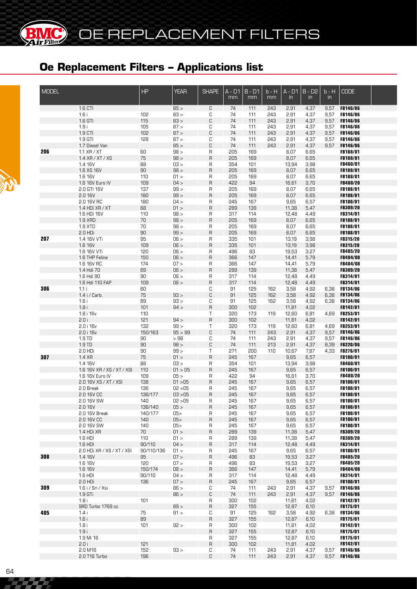| <b>MODEL</b> |                                               | <b>HP</b>            | <b>YEAR</b>     | <b>SHAPE</b>   | $A - D1$<br>mm | $B - D1$<br>mm | b - H<br>mm | $A - D1$<br>$\mathsf{in}$ | $B - D2$<br>$\mathsf{in}$ | $b - H$<br>in | <b>CODE</b>                        |  |
|--------------|-----------------------------------------------|----------------------|-----------------|----------------|----------------|----------------|-------------|---------------------------|---------------------------|---------------|------------------------------------|--|
|              | 1.6 CTI                                       |                      | 85 >            | C              | 74             | 111            | 243         | 2,91                      | 4,37                      | 9,57          | <b>FB146/06</b>                    |  |
|              | 1.6i                                          | 102                  | 83 >            | С              | 74             | 111            | 243         | 2,91                      | 4,37                      | 9,57          | <b>FB146/06</b>                    |  |
|              | 1.6 GTI<br>1.9i                               | 115<br>105           | 83 ><br>87 >    | C<br>С         | 74<br>74       | 111<br>111     | 243<br>243  | 2,91                      | 4,37                      | 9,57<br>9,57  | <b>FB146/06</b><br><b>FB146/06</b> |  |
|              | 1.9 CTI                                       | 102                  | 87 >            | C              | 74             | 111            | 243         | 2,91<br>2,91              | 4,37<br>4,37              | 9,57          | <b>FB146/06</b>                    |  |
|              | 1.9 GTI                                       | 128                  | 87 >            | С              | 74             | 111            | 243         | 2,91                      | 4,37                      | 9,57          | <b>FB146/06</b>                    |  |
|              | 1.7 Diesel Van                                |                      | 85 >            | С              | 74             | 111            | 243         | 2,91                      | 4,37                      | 9,57          | <b>FB146/06</b>                    |  |
| 206          | $1.1$ XR $/$ XT                               | 60                   | 98 >            | R              | 205            | 169            |             | 8,07                      | 6,65                      |               | FB188/01                           |  |
|              | 1.4 XR / XT / XS                              | 75                   | 98 >            | R              | 205            | 169            |             | 8,07                      | 6,65                      |               | FB188/01                           |  |
|              | 1.4 16V<br>1.6 XS 16V                         | 88<br>90             | 03 ><br>98 >    | R<br>$\sf R$   | 354<br>205     | 101<br>169     |             | 13,94<br>8,07             | 3,98<br>6,65              |               | FB460/01<br>FB188/01               |  |
|              | 1.6 16V                                       | 110                  | 01 >            | R              | 205            | 169            |             | 8,07                      | 6,65                      |               | FB188/01                           |  |
|              | 1.6 16V Euro IV                               | 109                  | 04 >            | R              | 422            | 94             |             | 16,61                     | 3,70                      |               | FB480/20                           |  |
|              | 2.0 GTI 16V                                   | 137                  | 99 >            | R              | 205            | 169            |             | 8,07                      | 6,65                      |               | FB188/01                           |  |
|              | 2.0 16V                                       | 180                  | 99 >            | $\sf R$        | 205            | 169            |             | 8,07                      | 6,65                      |               | FB188/01                           |  |
|              | 2.0 16V RC                                    | 180                  | 04 >            | R              | 245            | 167            |             | 9,65                      | 6,57                      |               | FB100/01                           |  |
|              | 1.4 HDi XR / XT<br>1.6 HDi 16V                | 68<br>110            | 01 ><br>98 >    | R<br>R         | 289<br>317     | 139<br>114     |             | 11,38<br>12,48            | 5,47<br>4,49              |               | <b>FB309/20</b><br>FB314/01        |  |
|              | <b>1.9 XRD</b>                                | 70                   | 98 >            | R              | 205            | 169            |             | 8,07                      | 6,65                      |               | FB188/01                           |  |
|              | 1.9 XTD                                       | 70                   | 98 >            | R              | 205            | 169            |             | 8,07                      | 6,65                      |               | FB188/01                           |  |
|              | $2.0$ HDi                                     | 90                   | 99 >            | R              | 205            | 169            |             | 8,07                      | 6,65                      |               | FB188/01                           |  |
| 207          | 1.4 16V VTi                                   | 95                   | 06 >            | R              | 335            | 101            |             | 13,19                     | 3,98                      |               | <b>FB315/20</b>                    |  |
|              | 1.6 16V<br>1.6 16V VTi                        | 109<br>120           | 06 ><br>06 >    | $\sf R$<br>R   | 335<br>496     | 101<br>83      |             | 13,19<br>19,53            | 3,98<br>3,27              |               | <b>FB315/20</b><br>FB485/20        |  |
|              | 1.6 THP Feline                                | 150                  | 06 >            | R              | 366            | 147            |             | 14,41                     | 5,79                      |               | FB484/08                           |  |
|              | 1.6 16V RC                                    | 174                  | 07 >            | R              | 366            | 147            |             | 14,41                     | 5,79                      |               | FB484/08                           |  |
|              | 1.4 Hdi 70                                    | 69                   | 06 >            | $\sf R$        | 289            | 139            |             | 11,38                     | 5,47                      |               | <b>FB309/20</b>                    |  |
|              | 1.6 Hdi 90                                    | 90                   | 06 >            | R              | 317            | 114            |             | 12,48                     | 4,49                      |               | FB314/01                           |  |
|              | 1.6 Hdi 110 FAP                               | 109                  | 06 >            | R              | 317            | 114            |             | 12,48                     | 4,49                      |               | FB314/01                           |  |
| 306          | 1.1i<br>1.4 i / Carb.                         | 60<br>75             | 93 >            | С<br>C         | 91<br>91       | 125<br>125     | 162<br>162  | 3,58<br>3,58              | 4,92<br>4,92              | 6,38<br>6,38  | <b>FB134/06</b><br><b>FB134/06</b> |  |
|              | 1.6i                                          | 89                   | 93 >            | C              | 91             | 125            | 162         | 3,58                      | 4,92                      | 6,38          | <b>FB134/06</b>                    |  |
|              | 1.8i                                          | 101                  | 94 >            | R              | 300            | 102            |             | 11,81                     | 4,02                      |               | <b>FB142/01</b>                    |  |
|              | 1.8 i 16v                                     | 110                  |                 | Τ              | 320            | 173            | 119         | 12,60                     | 6,81                      | 4,69          | <b>FB253/01</b>                    |  |
|              | 2.0i                                          | 121                  | 94 >            | R              | 300            | 102            |             | 11,81                     | 4,02                      |               | FB142/01                           |  |
|              | 2.0 i 16v                                     | 132<br>150/163       | 99 ><br>95 > 99 | Τ<br>С         | 320<br>74      | 173            | 119<br>243  | 12,60                     | 6,81                      | 4,69          | <b>FB253/01</b>                    |  |
|              | 2.0 i 16v<br>1.9 TD                           | 90                   | >98             | С              | 74             | 111<br>111     | 243         | 2,91<br>2,91              | 4,37<br>4,37              | 9,57<br>9,57  | <b>FB146/06</b><br><b>FB146/06</b> |  |
|              | 1.9 TD                                        | 90                   | 98 >            | С              | 74             | 111            | 213         | 2,91                      | 4,37                      | 8,39          | <b>FB220/06</b>                    |  |
|              | 2.0 HDi                                       | 90                   | 99 >            | Τ              | 271            | 200            | 110         | 10,67                     | 7,87                      | 4,33          | <b>FB276/01</b>                    |  |
| 307          | 1.4 XR                                        | 75                   | 01 >            | $\sf R$        | 245            | 167            |             | 9,65                      | 6,57                      |               | FB100/01                           |  |
|              | 1.4 16V                                       | 88                   | 03 >            | R              | 354            | 101            |             | 13,94                     | 3,98                      |               | FB460/01                           |  |
|              | 1.6 16V XR / XS / XT / XSI<br>1.6 16V Euro IV | 110<br>109           | 01 > 05<br>05 > | R<br>R         | 245<br>422     | 167<br>94      |             | 9,65<br>16,61             | 6,57<br>3,70              |               | FB100/01<br><b>FB480/20</b>        |  |
|              | 2.0 16V XS / XT / XSI                         | 138                  | 01 > 05         | $\overline{R}$ | 245            | 167            |             | 9,65                      | 6,57                      |               | FB100/01                           |  |
|              | 2.0 Break                                     | 136                  | 02 > 05         | R              | 245            | 167            |             | 9,65                      | 6,57                      |               | FB100/01                           |  |
|              | 2.0 16V CC                                    | 136/177              | 03 > 05         | R              | 245            | 167            |             | 9,65                      | 6,57                      |               | FB100/01                           |  |
|              | 2.0 16V SW                                    | 140                  | 02 > 05         | R              | 245            | 167            |             | 9,65                      | 6,57                      |               | <b>FB100/01</b>                    |  |
|              | 2.0 16V<br>2.0 16V Break                      | 136/140<br>140/177   | 05 ><br>05      | R<br>R         | 245<br>245     | 167<br>167     |             | 9,65<br>9,65              | 6,57<br>6,57              |               | FB100/01<br>FB100/01               |  |
|              | 2.0 16V CC                                    | 140                  | 05              | R              | 245            | 167            |             | 9,65                      | 6,57                      |               | FB100/01                           |  |
|              | 2.0 16V SW                                    | 140                  | 05              | R              | 245            | 167            |             | 9,65                      | 6,57                      |               | FB100/01                           |  |
|              | 1.4 HDi XR                                    | 70                   | 01 >            | R              | 289            | 139            |             | 11,38                     | 5,47                      |               | <b>FB309/20</b>                    |  |
|              | $1.6$ HDI                                     | 110                  | 01 >            | R              | 289            | 139            |             | 11,38                     | 5,47                      |               | <b>FB309/20</b>                    |  |
|              | $1.6$ HDI<br>2.0 HDi XR / XS / XT / XSI       | 90/110<br>90/110/136 | 04 ><br>01 >    | R<br>R         | 317<br>245     | 114<br>167     |             | 12,48<br>9,65             | 4,49<br>6,57              |               | FB314/01<br>FB100/01               |  |
| 308          | 1.4 16V                                       | 95                   | 07 >            | R              | 496            | 83             |             | 19,53                     | 3,27                      |               | FB485/20                           |  |
|              | 1.6 16V                                       | 120                  | 07 >            | R              | 496            | 83             |             | 19,53                     | 3,27                      |               | <b>FB485/20</b>                    |  |
|              | 1.6 16V                                       | 150/174              | 08 >            | R              | 366            | 147            |             | 14,41                     | 5,79                      |               | <b>FB484/08</b>                    |  |
|              | $1.6$ HDI                                     | 90/110               | 04 >            | R              | 317            | 114            |             | 12,48                     | 4,49                      |               | <b>FB314/01</b>                    |  |
|              | $2.0$ HDi                                     | 136                  | 07 >            | R              | 245            | 167            |             | 9,65                      | 6,57                      |               | FB100/01                           |  |
| 309          | 1.6 i / Sri / Xsi<br>$1.9$ GTi                |                      | 86 ><br>86 >    | С<br>С         | 74<br>74       | 111<br>111     | 243<br>243  | 2,91<br>2,91              | 4,37<br>4,37              | 9,57<br>9,57  | <b>FB146/06</b><br><b>FB146/06</b> |  |
|              | 1.8 i                                         | 101                  |                 | R              | 300            | 102            |             | 11,81                     | 4,02                      |               | <b>FB142/01</b>                    |  |
|              | SRD Turbo 1769 cc                             |                      | 89 >            | R              | 327            | 155            |             | 12,87                     | 6,10                      |               | FB175/01                           |  |
| 405          | 1.4 i                                         | 75                   | 91 >            | С              | 91             | 125            | 162         | 3,58                      | 4,92                      | 6,38          | <b>FB134/06</b>                    |  |
|              | 1.6i                                          | 89                   |                 | R              | 327            | 155            |             | 12,87                     | 6,10                      |               | <b>FB175/01</b>                    |  |
|              | 1.8i                                          | 101                  | 92 >            | R              | 300            | 102            |             | 11,81                     | 4,02                      |               | <b>FB142/01</b>                    |  |
|              | 1.9i<br>1.9 Mi 16                             |                      |                 | R<br>R         | 327<br>327     | 155<br>155     |             | 12,87<br>12,87            | 6,10<br>6,10              |               | <b>FB175/01</b><br><b>FB175/01</b> |  |
|              | 2.0 i                                         | 121                  |                 | R              | 300            | 102            |             | 11,81                     | 4,02                      |               | FB142/01                           |  |
|              | 2.0 M16                                       | 152                  | 93 >            | С              | 74             | 111            | 243         | 2,91                      | 4,37                      |               | 9,57 FB146/06                      |  |
|              | 2.0 T16 Turbo                                 | 196                  |                 | C              | 74             | 111            | 243         | 2,91                      | 4,37                      |               | 9,57 FB146/06                      |  |

**BIMC** 

22. Z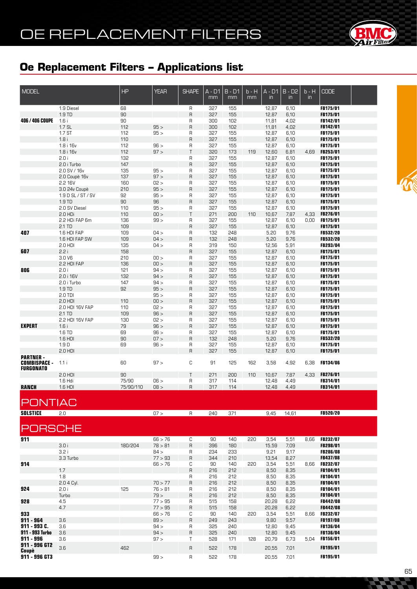

| <b>MODEL</b>                           |                             | <b>HP</b>  | <b>YEAR</b>        | <b>SHAPE</b>        | A - D1     | $B - D1$   | b - H   | $A - D1$       | $B - D2$      | $b - H$       | <b>CODE</b>                        |  |
|----------------------------------------|-----------------------------|------------|--------------------|---------------------|------------|------------|---------|----------------|---------------|---------------|------------------------------------|--|
|                                        |                             |            |                    |                     | mm         | mm         | mm      | $\mathsf{in}$  | $\mathsf{in}$ | $\mathsf{in}$ |                                    |  |
|                                        | 1.9 Diesel                  | 68         |                    | R                   | 327        | 155        |         | 12,87          | 6,10          |               | FB175/01                           |  |
|                                        | 1.9 TD                      | 90         |                    | $\overline{R}$      | 327        | 155        |         | 12,87          | 6,10          |               | FB175/01                           |  |
| <b>406/406 COUPE</b>                   | 1.6i<br>$1.7$ SL            | 90<br>112  | 95 >               | R<br>$\overline{R}$ | 300<br>300 | 102<br>102 |         | 11,81<br>11,81 | 4,02<br>4,02  |               | <b>FB142/01</b><br>FB142/01        |  |
|                                        | 1.7 ST                      | 112        | 95 >               | R                   | 327        | 155        |         | 12,87          | 6,10          |               | FB175/01                           |  |
|                                        | 1.8i                        | 110        |                    | $\mathsf{R}$        | 327        | 155        |         | 12,87          | 6,10          |               | FB175/01                           |  |
|                                        | 1.8 i 16v                   | 112        | 96 >               | R                   | 327        | 155        |         | 12,87          | 6,10          |               | FB175/01                           |  |
|                                        | 1.8 i 16v                   | 112        | 97 >               | $\mathsf{T}$        | 320        | 173        | 119     | 12,60          | 6,81          | 4.69          | FB253/01                           |  |
|                                        | 2.0i                        | 132        |                    | R                   | 327        | 155        |         | 12,87          | 6,10          |               | FB175/01                           |  |
|                                        | 2.0 i Turbo<br>2.0 SV / 16v | 147<br>135 | 95 >               | $\mathsf{R}$<br>R   | 327<br>327 | 155        |         | 12,87          | 6,10          |               | <b>FB175/01</b>                    |  |
|                                        | 2.0 Coupè 16v               | 137        | 97 >               | $\overline{R}$      | 327        | 155<br>155 |         | 12,87<br>12,87 | 6,10<br>6,10  |               | <b>FB175/01</b><br>FB175/01        |  |
|                                        | 2.2 16V                     | 160        | 02 >               | R                   | 327        | 155        |         | 12,87          | 6,10          |               | FB175/01                           |  |
|                                        | 3.0 24v Coupè               | 210        | 95 >               | $\mathsf{R}$        | 327        | 155        |         | 12,87          | 6,10          |               | <b>FB175/01</b>                    |  |
|                                        | 1.9 D SL / ST / SV          | 92         | 95 >               | R                   | 327        | 155        |         | 12,87          | 6,10          |               | <b>FB175/01</b>                    |  |
|                                        | 1.9 TD                      | 90         | 96                 | $\mathsf{R}$        | 327        | 155        |         | 12,87          | 6,10          |               | FB175/01                           |  |
|                                        | 2.0 SV Diesel               | 110        | 95 >               | R                   | 327        | 155        |         | 12,87          | 6,10          |               | <b>FB175/01</b>                    |  |
|                                        | 2.0 HDi<br>2.2 HDi FAP 6m   | 110<br>136 | 00 ><br>99 >       | $\mathsf{T}$<br>R   | 271<br>327 | 200<br>155 | 110     | 10,67          | 7,87          | 4,33<br>0,00  | <b>FB276/01</b><br><b>FB175/01</b> |  |
|                                        | 2.1 TD                      | 109        |                    | $\overline{R}$      | 327        | 155        |         | 12,87<br>12,87 | 6,10<br>6,10  |               | FB175/01                           |  |
| 407                                    | 1.6 HDI FAP                 | 109        | 04 >               | R                   | 132        | 248        |         | 5,20           | 9,76          |               | <b>FB532/20</b>                    |  |
|                                        | 1.6 HDI FAP SW              | 109        | 04 >               | $\overline{R}$      | 132        | 248        |         | 5,20           | 9,76          |               | FB532/20                           |  |
|                                        | 2.0 HDI                     | 135        | 04 >               | R                   | 319        | 150        |         | 12,56          | 5,91          |               | FB293/04                           |  |
| 607                                    | 2.2i                        | 158        |                    | $\overline{R}$      | 327        | 155        |         | 12,87          | 6,10          |               | FB175/01                           |  |
|                                        | 3.0 V6                      | 210        | 00 >               | R                   | 327        | 155        |         | 12,87          | 6,10          |               | FB175/01                           |  |
| 806                                    | 2.2 HDI FAP<br>2.0i         | 136<br>121 | 00 ><br>94 >       | $\overline{R}$<br>R | 327<br>327 | 155<br>155 |         | 12,87          | 6,10<br>6,10  |               | FB175/01<br>FB175/01               |  |
|                                        | 2.0 i 16V                   | 132        | 94 >               | $\overline{R}$      | 327        | 155        |         | 12,87<br>12,87 | 6,10          |               | FB175/01                           |  |
|                                        | 2.0 i Turbo                 | 147        | 94 >               | R                   | 327        | 155        |         | 12,87          | 6,10          |               | FB175/01                           |  |
|                                        | 1.9 TD                      | 92         | 95 >               | $\overline{R}$      | 327        | 155        |         | 12,87          | 6,10          |               | FB175/01                           |  |
|                                        | 2.0 TDI                     |            | 95 >               | R                   | 327        | 155        |         | 12,87          | 6,10          |               | FB175/01                           |  |
|                                        | 2.0 HDI                     | 110        | 00 >               | $\overline{R}$      | 327        | 155        |         | 12,87          | 6,10          |               | FB175/01                           |  |
|                                        | 2.0 HDI 16V FAP             | 110        | 02 >               | R                   | 327        | 155        |         | 12,87          | 6,10          |               | FB175/01                           |  |
|                                        | 2.1 TD<br>2.2 HDI 16V FAP   | 109<br>130 | 96 ><br>02 >       | $\overline{R}$<br>R | 327<br>327 | 155<br>155 |         | 12,87<br>12,87 | 6,10<br>6,10  |               | FB175/01<br>FB175/01               |  |
| <b>EXPERT</b>                          | 1.6i                        | 79         | 96 >               | $\overline{R}$      | 327        | 155        |         | 12,87          | 6,10          |               | FB175/01                           |  |
|                                        | 1.6 TD                      | 69         | 96 >               | R                   | 327        | 155        |         | 12,87          | 6,10          |               | FB175/01                           |  |
|                                        | 1.6 HDI                     | 90         | 07 >               | $\overline{R}$      | 132        | 248        |         | 5,20           | 9,76          |               | FB532/20                           |  |
|                                        | 1.9 <sub>D</sub>            | 69         | 96 >               | R                   | 327        | 155        |         | 12,87          | 6,10          |               | FB175/01                           |  |
|                                        | 2.0 HDI                     |            |                    | $\overline{R}$      | 327        | 155        |         | 12,87          | 6,10          |               | FB175/01                           |  |
| <b>PARTNER-</b><br><b>COMBISPACE -</b> | 1.1i                        | 60         | 97 >               | C                   | 91         | 125        | 162     | 3,58           | 4,92          | 6,38          | <b>FB134/06</b>                    |  |
| <b>FURGONATO</b>                       |                             |            |                    |                     |            |            |         |                |               |               |                                    |  |
|                                        | $2.0$ HDI                   | 90         |                    | $\mathsf{T}$        | 271        | 200        | 110     | 10,67          | 7,87          | 4,33          | <b>FB276/01</b>                    |  |
|                                        | 1.6 Hdi                     | 75/90      | 06 >               | R                   | 317        | 114        |         | 12,48          | 4,49          |               | FB314/01                           |  |
| <b>RANCH</b>                           | 1.6 HDI                     | 75/90/110  | 08 >               | R                   | 317        | 114        |         | 12,48          | 4,49          |               | <b>FB314/01</b>                    |  |
|                                        |                             |            |                    |                     |            |            |         |                |               |               |                                    |  |
| <b>PONTIAC</b>                         |                             |            |                    |                     |            |            |         |                |               |               |                                    |  |
| <b>SOLSTICE</b>                        | 2.0                         |            | 07 >               | R                   | 240        |            | 371 371 | 9,45           | 14,61         |               | <b>FB520/20</b>                    |  |
|                                        |                             |            |                    |                     |            |            |         |                |               |               |                                    |  |
| <b>PORSCHE</b>                         |                             |            |                    |                     |            |            |         |                |               |               |                                    |  |
|                                        |                             |            |                    |                     |            |            |         |                |               |               |                                    |  |
| 911                                    |                             |            | 66 > 76            | С                   | 90         | 140        | 220     | 3,54           | 5,51          | 8,66          | <b>FB232/07</b>                    |  |
|                                        | 3.0i                        | 180/204    | 78 > 81            | $\sf R$             | 396        | 180        |         | 15,59          | 7,09          |               | FB298/01                           |  |
|                                        | 3.2 i                       |            | 84 >               | R                   | 234        | 233        |         | 9,21           | 9,17          |               | <b>FB286/08</b>                    |  |
| 914                                    | 3.3 Turbo                   |            | 77 > 93<br>66 > 76 | $\sf R$<br>С        | 344<br>90  | 210<br>140 | 220     | 13,54<br>3,54  | 8,27<br>5,51  | 8,66          | <b>FB437/08</b><br><b>FB232/07</b> |  |
|                                        | 1.7                         |            |                    | $\sf R$             | 216        | 212        |         | 8,50           | 8,35          |               | <b>FB104/01</b>                    |  |
|                                        | 1.8                         |            |                    | R                   | 216        | 212        |         | 8,50           | 8,35          |               | <b>FB104/01</b>                    |  |
|                                        | 2.0 4 Cyl.                  |            | 70 > 77            | R                   | 216        | 212        |         | 8,50           | 8,35          |               | FB104/01                           |  |
| 924                                    | 2.0i                        | 125        | 76 > 81            | R                   | 216        | 212        |         | 8,50           | 8,35          |               | <b>FB104/01</b>                    |  |
|                                        | Turbo                       |            | 79 >               | $\sf R$             | 216        | 212        |         | 8,50           | 8,35          |               | <b>FB104/01</b>                    |  |
| 928                                    | 4.5<br>4.7                  |            | 77 > 95            | R                   | 515        | 158        |         | 20,28          | 6,22          |               | <b>FB442/08</b>                    |  |
| 933                                    |                             |            | 77 > 95<br>66 > 76 | $\sf R$<br>С        | 515<br>90  | 158<br>140 | 220     | 20,28<br>3,54  | 6,22<br>5,51  | 8,66          | <b>FB442/08</b><br><b>FB232/07</b> |  |
| $911 - 964$                            | 3.6                         |            | 89 >               | $\sf R$             | 249        | 243        |         | 9,80           | 9,57          |               | <b>FB197/08</b>                    |  |
| 911 - 993 C.                           | 3.6                         |            | 94 >               | R                   | 325        | 240        |         | 12,80          | 9,45          |               | <b>FB136/04</b>                    |  |
| 911 - 993 Turbo                        | 3.6                         |            | 94 >               | $\sf R$             | 325        | 240        |         | 12,80          | 9,45          |               | FB136/04                           |  |
| $911 - 996$                            | 3.6                         |            | 97 >               | Τ                   | 528        | 171        | 128     | 20,79          | 6,73          | 5,04          | FB156/01                           |  |
| 911 - 996 GT2<br>Coupè                 | 3.6                         | 462        |                    | $\mathsf{R}$        | 522        | 178        |         | 20,55          | 7,01          |               | FB195/01                           |  |
| 911 - 996 GT3                          |                             |            | 99 >               | $\mathsf{R}$        | 522        | 178        |         | 20,55          | 7,01          |               | FB195/01                           |  |

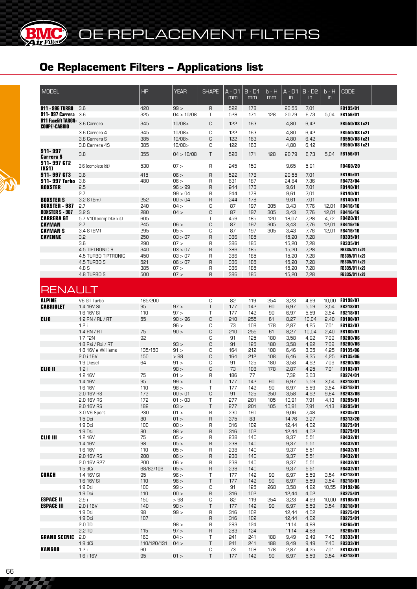| <b>MODEL</b>                                |                                | <b>HP</b>   | <b>YEAR</b>     | <b>SHAPE</b>   | A - D1<br>mm | $B - D1$<br>mm | b - H<br>mm | A - D1<br>$\mathsf{in}$ | $B - D2$<br>$\overline{m}$ | $b - H$<br>$\mathsf{in}$ | <b>CODE</b>               |  |
|---------------------------------------------|--------------------------------|-------------|-----------------|----------------|--------------|----------------|-------------|-------------------------|----------------------------|--------------------------|---------------------------|--|
| 911 - 996 TURBO                             | 3.6                            | 420         | 99 >            | $\mathsf{R}$   | 522          | 178            |             | 20,55                   | 7,01                       |                          | FB195/01                  |  |
| 911-997 Carrera                             | 3.6                            | 325         | 04 > 10/08      | T              | 528          | 171            | 128         | 20,79                   | 6,73                       | 5,04                     | FB156/01                  |  |
| 911 Facelift TARGA-<br><b>COUPE'-CABRIO</b> | 3.6 Carrera                    | 345         | 10/08           | C              | 122          | 163            |             | 4,80                    | 6,42                       |                          | FB550/08 (x2)             |  |
|                                             | 3.6 Carrera 4                  | 345         | 10/08           | C              | 122          | 163            |             | 4,80                    | 6,42                       |                          | FB550/08 (x2)             |  |
|                                             | 3.8 Carrera S                  | 385         | 10/08           | C              | 122          | 163            |             | 4,80                    | 6,42                       |                          | FB550/08 (x2)             |  |
|                                             | 3.8 Carrera 4S                 | 385         | 10/08           | С              | 122          | 163            |             | 4,80                    | 6,42                       |                          | FB550/08 (x2)             |  |
| 911-997                                     | 3.8                            | 355         | 04 > 10/08      | T              | 528          | 171            | 128         | 20,79                   | 6,73                       | 5,04                     | FB156/01                  |  |
| Carrera S                                   |                                |             |                 |                |              |                |             |                         |                            |                          |                           |  |
| 911-997 GT2<br>(X51)                        | 3.6 (complete kit)             | 530         | 07 >            | $\mathsf{R}$   | 245          | 150            |             | 9,65                    | 5,91                       |                          | FB468/20                  |  |
| 911-997 GT3                                 | 3.6                            | 415         | 06 >            | $\overline{R}$ | 522          | 178            |             | 20,55                   | 7,01                       |                          | <b>FB195/01</b>           |  |
| 911-997 Turbo                               | 3.6                            | 480         | 06 >            | R              | 631          | 187            |             | 24,84                   | 7,36                       |                          | FB473/04                  |  |
| <b>BOXSTER</b>                              | 2.5                            |             | 96 > 99         | $\overline{R}$ | 244          | 178            |             | 9,61                    | 7,01                       |                          | FB140/01                  |  |
|                                             | 2.7                            |             | 99 > 04         | R              | 244          | 178            |             | 9,61                    | 7,01                       |                          | FB140/01                  |  |
| <b>BOXSTER S</b>                            | 3.2 S (6m)                     | 252         | 00 > 04         | $\overline{R}$ | 244          | 178            |             | 9,61                    | 7,01                       |                          | FB140/01                  |  |
| <b>BOXSTER - 987</b>                        | 2.7                            | 240         | 04 >            | С              | 87           | 197            | 305         | 3,43                    | 7,76                       | 12,01                    | FB416/16                  |  |
| <b>BOXSTER S - 987</b>                      | 3.2 <sub>S</sub>               | 280         | 04 >            | C              | 87           | 197            | 305         | 3,43                    | 7,76                       | 12,01                    | <b>FB416/16</b>           |  |
| <b>CARRERA GT</b>                           | 5.7 V10(complete kit)          | 605         |                 | T              | 459          | 185            | 120         | 18,07                   | 7,28                       | 4,72                     | FB420/01                  |  |
| <b>CAYMAN</b><br><b>CAYMAN S</b>            | 2.7<br>3.4 S (6M)              | 245<br>295  | 06 ><br>05 >    | C<br>C         | 87<br>87     | 197<br>197     | 305<br>305  | 3,43<br>3,43            | 7,76<br>7,76               | 12,01<br>12,01           | FB416/16<br>FB416/16      |  |
| <b>CAYENNE</b>                              | 3.2                            | 250         | 03 > 07         | $\mathsf{R}$   | 386          | 185            |             | 15,20                   | 7,28                       |                          | <b>FB335/01</b>           |  |
|                                             | 3.6                            | 290         | 07 >            | R              | 386          | 185            |             | 15,20                   | 7,28                       |                          | <b>FB335/01</b>           |  |
|                                             | 4.5 TIPTRONIC S                | 340         | 03 > 07         | $\overline{R}$ | 386          | 185            |             | 15,20                   | 7,28                       |                          | FB335/01 (x2)             |  |
|                                             | 4.5 TURBO TIPTRONIC            | 450         | 03 > 07         | R              | 386          | 185            |             | 15,20                   | 7,28                       |                          | FB335/01 (x2)             |  |
|                                             | 4.5 TURBO S                    | 521         | 06 > 07         | $\mathsf{R}$   | 386          | 185            |             | 15,20                   | 7,28                       |                          | FB335/01 (x2)             |  |
|                                             | 4.8 S                          | 385         | 07 >            | R              | 386          | 185            |             | 15,20                   | 7,28                       |                          | FB335/01 (x2)             |  |
|                                             | 4.8 TURBO S                    | 500         | 07 >            | $\mathsf{R}$   | 386          | 185            |             | 15,20                   | 7,28                       |                          | FB335/01 (x2)             |  |
| <b>RENAULT</b>                              |                                |             |                 |                |              |                |             |                         |                            |                          |                           |  |
| <b>ALPINE</b>                               | V6 GT Turbo                    | 185/200     |                 | C              | 82           | 119            | 254         | 3,23                    | 4,69                       | 10.00                    | <b>FB198/07</b>           |  |
| <b>CABRIOLET</b>                            | 1.4 16V SI                     | 95          | 97 >            | T              | 177          | 142            | 90          | 6,97                    | 5,59                       | 3,54                     | FB218/01                  |  |
| <b>CLIO</b>                                 | 1.6 16V SI<br>1.2 RN / RL / RT | 110<br>55   | 97 ><br>90 > 96 | T<br>C         | 177<br>210   | 142<br>255     | 90<br>61    | 6,97<br>8,27            | 5,59<br>10,04              | 3,54<br>2,40             | FB218/01<br>FB180/07      |  |
|                                             | 1.2i                           |             | 96 >            | C              | 73           | 108            | 178         | 2,87                    | 4,25                       | 7.01                     | FB183/07                  |  |
|                                             | $1.4$ RN / RT                  | 75          | 90 >            | C              | 210          | 255            | 61          | 8,27                    | 10,04                      | 2,40                     | FB180/07                  |  |
|                                             | 1.7 F <sub>2N</sub>            | 92          |                 | C              | 91           | 125            | 180         | 3,58                    | 4,92                       | 7.09                     | <b>FB200/06</b>           |  |
|                                             | 1.8 Rsi / Rxi / RT             |             | 93 >            | C              | 91           | 125            | 180         | 3,58                    | 4,92                       | 7,09                     | <b>FB200/06</b>           |  |
|                                             | 1.8 16V e Williams             | 135/150     | 91 >            | С              | 164          | 212            | 108         | 6,46                    | 8,35                       | 4,25                     | <b>FB135/06</b>           |  |
|                                             | 2.0 i 16V                      | 150         | >98             | C              | 164          | 212            | 108         | 6,46                    | 8,35                       | 4,25                     | <b>FB135/06</b>           |  |
|                                             | 1.9 Diesel                     | 64          | 91 >            | C              | 91           | 125            | 180         | 3,58                    | 4,92                       | 7,09                     | <b>FB200/06</b>           |  |
| <b>CLIO II</b>                              | 1.2i                           |             | 98 >            | C              | 73           | 108            | 178         | 2,87                    | 4,25                       | 7,01                     | <b>FB183/07</b>           |  |
|                                             | 1.2 16V<br>1.4 16V             | 75<br>95    | 01 ><br>99 >    | R<br>T         | 186<br>177   | 77<br>142      |             | 7,32<br>6,97            | 3,03<br>5,59               | 3,54                     | FB274/01<br>FB218/01      |  |
|                                             | 1.6 16V                        | 110         | 98 >            | T              | 177          | 142            | 90<br>90    | 6,97                    | 5,59                       | 3,54                     | <b>FB218/01</b>           |  |
|                                             | 2.0 16V RS                     | 172         | 00 > 01         | C              | 91           | 125            | 250         | 3,58                    | 4,92                       | 9,84                     | FB243/06                  |  |
|                                             | 2.0 16V RS                     | 172         | 01 > 03         | $\top$         | 277          | 201            | 105         | 10,91                   | 7,91                       | 4,13                     | <b>FB295/01</b>           |  |
|                                             | 2.0 16V RS                     | 182         | 03 >            | T              | 277          | 201            | 105         | 10,91                   | 7,91                       | 4,13                     | <b>FB295/01</b>           |  |
|                                             | 3.0 V6 Sport                   | 230         | 01 >            | $\sf R$        | 230          | 190            |             | 9,06                    | 7,48                       |                          | <b>FB235/01</b>           |  |
|                                             | 1.5 Dci                        | 80          | 01 >            | $\mathsf{R}$   | 375          | 83             |             | 14,76                   | 3,27                       |                          | FB313/20                  |  |
|                                             | 1.9 Dci                        | 100         | 100 >           | R              | 316          | 102            |             | 12,44                   | 4,02                       |                          | FB275/01                  |  |
|                                             | 1.9 Dti                        | 80          | 98 >            | $\sf R$        | 316          | 102            |             | 12,44                   | 4,02                       |                          | FB275/01                  |  |
| <b>CLIO III</b>                             | 1.2 16V<br>1.4 16V             | 75<br>98    | 05 ><br>05 >    | R<br>$\sf R$   | 238<br>238   | 140<br>140     |             | 9,37<br>9,37            | 5,51<br>5,51               |                          | FB432/01<br>FB432/01      |  |
|                                             | 1.6 16V                        | 110         | 05 >            | R              | 238          | 140            |             | 9,37                    | 5,51                       |                          | FB432/01                  |  |
|                                             | 2.0 16V RS                     | 200         | 06 >            | $\sf R$        | 238          | 140            |             | 9,37                    | 5,51                       |                          | FB432/01                  |  |
|                                             | 2.0 16V R27                    | 200         | 06 >            | R              | 238          | 140            |             | 9,37                    | 5,51                       |                          | FB432/01                  |  |
|                                             | $1.5 dC$ i                     | 68/82/106   | 05 >            | $\sf R$        | 238          | 140            |             | 9,37                    | 5,51                       |                          | FB432/01                  |  |
| COACH                                       | 1.4 16V SI                     | 95          | 96 >            | Τ              | 177          | 142            | 90          | 6,97                    | 5,59                       |                          | 3.54 FB218/01             |  |
|                                             | 1.6 16V SI                     | 110         | 96 >            | $\mathsf T$    | 177          | 142            | 90          | 6,97                    | 5,59                       | 3,54                     | FB218/01                  |  |
|                                             | 1.9 Dti                        | 100         | 99 >            | С              | 91           | 125            | 268         | 3,58                    | 4,92                       |                          | 10,55 FB192/06            |  |
|                                             | 1.9 Dci                        | 110         | 00 >            | $\sf R$        | 316          | 102            |             | 12,44                   | 4,02                       |                          | FB275/01                  |  |
| <b>ESPACE II</b>                            | 2.9i                           | 150         | >98             | С<br>Τ         | 82           | 119            | 254<br>90   | 3,23                    | 4,69                       |                          | 10,00 FB198/07            |  |
| <b>ESPACE III</b>                           | 2.0 i 16V<br>1.9 Dti           | 140<br>98   | 98 ><br>99 >    | R              | 177<br>316   | 142<br>102     |             | 6,97<br>12,44           | 5,59<br>4,02               |                          | 3,54 FB218/01<br>FB275/01 |  |
|                                             | 1.9 Dci                        | 107         |                 | $\sf R$        | 316          | 102            |             | 12,44                   | 4,02                       |                          | FB275/01                  |  |
|                                             | 2.0 TD                         |             | 98 >            | R              | 283          | 124            |             | 11,14                   | 4,88                       |                          | <b>FB265/01</b>           |  |
|                                             | 2.2 TD                         | 115         | 97 >            | $\sf R$        | 283          | 124            |             | 11,14                   | 4,88                       |                          | FB265/01                  |  |
| <b>GRAND SCENIC</b>                         | 2.0                            | 163         | 04 >            | Τ              | 241          | 241            | 188         | 9,49                    | 9,49                       | 7,40                     | <b>FB333/01</b>           |  |
|                                             | 1.9 dCi                        | 110/120/131 | 04 >            | Τ              | 241          | 241            | 188         | 9,49                    | 9,49                       | 7,40                     | <b>FB333/01</b>           |  |
| <b>KANGOO</b>                               | 1.2i                           | 60          |                 | С              | 73           | 108            | 178         | 2,87                    | 4,25                       | 7.01                     | <b>FB183/07</b>           |  |
|                                             | 1.6 i 16V                      | 95          | 01 >            | $\top$         | 177          | 142            | 90          | 6,97                    | 5,59                       |                          | 3,54 FB218/01             |  |



**®**

 $r$ Filter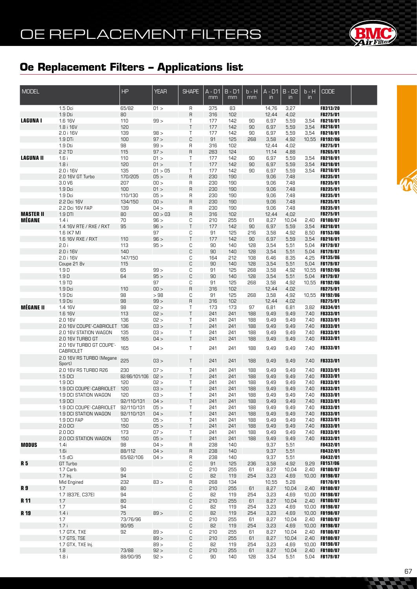

| <b>MODEL</b>     |                                       | <b>HP</b>     | <b>YEAR</b>  | <b>SHAPE</b>     | $A - D1$<br>mm | $B - D1$<br>mm | b - H<br>mm | $A - D1$<br>$\overline{m}$ | $B - D2$<br>$\overline{m}$ | $b - H$<br>$\overline{m}$ | <b>CODE</b>                        |  |
|------------------|---------------------------------------|---------------|--------------|------------------|----------------|----------------|-------------|----------------------------|----------------------------|---------------------------|------------------------------------|--|
|                  | 1.5 Dci                               | 65/82         | 01 >         | R                | 375            | 83             |             | 14,76                      | 3,27                       |                           | FB313/20                           |  |
|                  | 1.9 Dti                               | 80            |              | R                | 316            | 102            |             | 12,44                      | 4,02                       |                           | FB275/01                           |  |
| <b>LAGUNAI</b>   | 1.6 16V                               | 110           | 99 >         | Τ                | 177            | 142            | 90          | 6,97                       | 5,59                       | 3,54                      | FB218/01                           |  |
|                  | 1.8 i 16V                             | 120           |              | $\top$           | 177            | 142            | 90          | 6,97                       | 5,59                       | 3,54                      | FB218/01                           |  |
|                  | 2.0 i 16V                             | 139           | 98 >         | Τ                | 177            | 142            | 90          | 6,97                       | 5,59                       | 3,54                      | FB218/01                           |  |
|                  | 1.9 DTi                               | 100           | 97 >         | $\mathbb C$      | 91             | 125            | 268         | 3,58                       | 4,92                       | 10,55                     | <b>FB192/06</b>                    |  |
|                  | 1.9 Dti                               | 98            | 99 ><br>97 > | R<br>$\mathsf R$ | 316            | 102<br>124     |             | 12,44<br>11,14             | 4,02                       |                           | FB275/01                           |  |
| <b>LAGUNA II</b> | 2.2 TD<br>1.6i                        | 115<br>110    | 01 >         | Τ                | 283<br>177     | 142            | 90          | 6,97                       | 4,88<br>5,59               | 3,54                      | FB265/01<br>FB218/01               |  |
|                  | 1.8i                                  | 120           | 01 >         | $\sf T$          | 177            | 142            | 90          | 6,97                       | 5,59                       | 3,54                      | FB218/01                           |  |
|                  | 2.0 i 16V                             | 135           | 01 > 05      | Τ                | 177            | 142            | 90          | 6,97                       | 5,59                       | 3,54                      | FB218/01                           |  |
|                  | 2.0 16V GT Turbo                      | 170/205       | 05 >         | $\mathsf R$      | 230            | 190            |             | 9,06                       | 7,48                       |                           | FB235/01                           |  |
|                  | 3.0 V6                                | 207           | 00 >         | R                | 230            | 190            |             | 9,06                       | 7,48                       |                           | FB235/01                           |  |
|                  | 1.9 Dci                               | 100           | 01 >         | $\mathsf R$      | 230            | 190            |             | 9,06                       | 7,48                       |                           | FB235/01                           |  |
|                  | 1.9 Dci                               | 110/130       | 05 >         | R                | 230            | 190            |             | 9,06                       | 7,48                       |                           | FB235/01                           |  |
|                  | 2.2 Dci 16V                           | 134/150       | 00 >         | $\mathsf R$      | 230            | 190            |             | 9,06                       | 7,48                       |                           | FB235/01                           |  |
|                  | 2.2 Dci 16V FAP                       | 139           | 04 >         | R                | 230            | 190            |             | 9,06                       | 7,48                       |                           | FB235/01                           |  |
| <b>MASTER II</b> | $1.9$ DTI                             | 80            | 00 > 03      | $\mathsf{R}$     | 316            | 102            |             | 12,44                      | 4,02                       |                           | FB275/01                           |  |
| MÉGANE           | 1.4i                                  | 70            | 96 >         | С                | 210            | 255            | 61          | 8,27                       | 10,04                      | 2,40                      | <b>FB180/07</b>                    |  |
|                  | 1.4 16V RTE / RXE / RXT               | 95            | 96 >         | Τ                | 177            | 142            | 90          | 6,97                       | 5,59                       | 3,54                      | FB218/01                           |  |
|                  | 1.6 (K7 M)                            |               | 97           | С                | 91             | 125            | 216         | 3,58                       | 4,92                       | 8,50                      | FB153/06                           |  |
|                  | 1.6 16V RXE / RXT                     | 110           | 96 >         | Τ                | 177            | 142            | 90          | 6,97                       | 5,59                       | 3,54                      | FB218/01                           |  |
|                  | 2.0i                                  | 113           | 95 >         | С                | 90             | 140            | 128         | 3,54                       | 5,51                       | 5,04                      | <b>FB179/07</b>                    |  |
|                  | 2.0 i 16V                             | 140           |              | $\mathbb C$      | 90             | 140            | 128         | 3,54                       | 5,51                       | 5,04                      | FB179/07                           |  |
|                  | 2.0 i 16V                             | 147/150       |              | С                | 164            | 212            | 108         | 6,46                       | 8,35                       | 4,25                      | <b>FB135/06</b>                    |  |
|                  | Coupe 21 Bv                           | 115           |              | $\mathbb C$      | 90             | 140            | 128         | 3,54                       | 5,51                       | 5,04                      | <b>FB179/07</b>                    |  |
|                  | 1.9D                                  | 65            | 99 >         | С                | 91             | 125            | 268         | 3,58                       | 4,92                       | 10,55                     | <b>FB192/06</b>                    |  |
|                  | 1.9 <sub>D</sub><br>1.9 TD            | 64            | 95 ><br>97   | $\mathbb C$<br>С | 90<br>91       | 140<br>125     | 128<br>268  | 3,54<br>3,58               | 5,51                       | 5,04                      | FB179/07<br><b>FB192/06</b>        |  |
|                  | 1.9 Dci                               | 110           | 00 >         | $\sf R$          | 316            | 102            |             | 12,44                      | 4,92<br>4,02               | 10,55                     | FB275/01                           |  |
|                  | 1.9 Dti                               | 98            | >98          | С                | 91             | 125            | 268         | 3,58                       | 4,92                       |                           | 10,55 FB192/06                     |  |
|                  | 1.9 Dti                               | 98            | 99 >         | $\sf R$          | 316            | 102            |             | 12,44                      | 4,02                       |                           | FB275/01                           |  |
| <b>MÉGANE II</b> | 1.4 16V                               | 98            | 02 >         | Τ                | 173            | 173            | 97          | 6,81                       | 6,81                       | 3,82                      | FB334/01                           |  |
|                  | 1.6 16V                               | 113           | 02 >         | $\top$           | 241            | 241            | 188         | 9,49                       | 9,49                       | 7,40                      | FB333/01                           |  |
|                  | 2.0 16V                               | 136           | 02 >         | Τ                | 241            | 241            | 188         | 9,49                       | 9,49                       | 7,40                      | <b>FB333/01</b>                    |  |
|                  | 2.0 16V COUPE'-CABRIOLET              | 136           | 03 >         | $\top$           | 241            | 241            | 188         | 9,49                       | 9,49                       | 7,40                      | FB333/01                           |  |
|                  | 2.0 16V STATION WAGON                 | 135           | 03 >         | Τ                | 241            | 241            | 188         | 9,49                       | 9,49                       | 7,40                      | <b>FB333/01</b>                    |  |
|                  | 2.0 16V TURBO GT                      | 165           | 04 >         | Τ                | 241            | 241            | 188         | 9,49                       | 9,49                       | 7,40                      | <b>FB333/01</b>                    |  |
|                  | 2.0 16V TURBO GT COUPE'-<br>CABRIOLET | 165           | 04 >         | T                | 241            | 241            | 188         | 9,49                       | 9,49                       | 7,40                      | FB333/01                           |  |
|                  | 2.0 16V RS TURBO (Megane<br>Sport)    | 225           | 03 >         | Τ                | 241            | 241            | 188         | 9,49                       | 9,49                       | 7,40                      | FB333/01                           |  |
|                  | 2.0 16V RS TURBO R26                  | 230           | 07 >         | Τ                | 241            | 241            | 188         | 9,49                       | 9,49                       | 7,40                      | FB333/01                           |  |
|                  | 1.5 DCI                               | 82/86/101/106 | 02 >         | Τ                | 241            | 241            | 188         | 9,49                       | 9,49                       | 7,40                      | FB333/01                           |  |
|                  | 1.9 DCI                               | 120           | 02 >         | Τ                | 241            | 241            | 188         | 9,49                       | 9,49                       | 7,40                      | <b>FB333/01</b>                    |  |
|                  | 1.9 DCI COUPE'-CABRIOLET              | 120           | 03 >         | Τ                | 241            | 241            | 188         | 9,49                       | 9,49                       | 7,40                      | FB333/01                           |  |
|                  | 1.9 DCI STATION WAGON                 | 120           | 03 >         | Τ                | 241            | 241            | 188         | 9,49                       | 9,49                       | 7,40                      | <b>FB333/01</b>                    |  |
|                  | 1.9 DCI                               | 92/110/131    | 04 >         | $\sf T$          | 241            | 241            | 188         | 9,49                       | 9,49                       | 7,40                      | FB333/01                           |  |
|                  | 1.9 DCI COUPE'-CABRIOLET              | 92/110/131    | 05 >         | Τ                | 241            | 241            | 188         | 9,49                       | 9,49                       | 7,40                      | FB333/01                           |  |
|                  | 1.9 DCI STATION WAGON                 | 92/110/131    | 04 >         | Τ                | 241            | 241            | 188         | 9,49                       | 9,49                       | 7,40                      | FB333/01                           |  |
|                  | 1.9 DCI FAP                           | 130           | 05 >         | Τ                | 241            | 241            | 188         | 9,49                       | 9,49                       | 7,40                      | FB333/01                           |  |
|                  | 2.0 DCI                               | 150           | 05 >         | $\sf T$          | 241            | 241            | 188         | 9,49                       | 9,49                       | 7,40                      | FB333/01                           |  |
|                  | 2.0 DCI                               | 173           | 07 >         | Τ                | 241            | 241            | 188         | 9,49                       | 9,49                       | 7,40                      | FB333/01                           |  |
|                  | 2.0 DCI STATION WAGON                 | 150           | 05 >         | $\sf T$          | 241            | 241            | 188         | 9,49                       | 9,49                       | 7,40                      | FB333/01                           |  |
| <b>MODUS</b>     | 1.4i                                  | 98            | 04 >         | R                | 238            | 140            |             | 9,37                       | 5,51                       |                           | FB432/01                           |  |
|                  | 1.6i                                  | 88/112        | 04 >         | $\sf R$          | 238            | 140            |             | 9,37                       | 5,51                       |                           | FB432/01                           |  |
|                  | $1.5$ dCi                             | 65/82/106     | 04 >         | R                | 238            | 140            |             | 9,37                       | 5,51                       |                           | <b>FB432/01</b>                    |  |
| R 5              | GT Turbo                              |               |              | С                | 91             | 125            | 236         | 3,58                       | 4,92                       | 9,29                      | <b>FB157/06</b>                    |  |
|                  | 1.7 Carb.                             | 90            |              | С                | 210            | 255            | 61          | 8,27                       | 10,04                      | 2,40                      | FB180/07                           |  |
|                  | $1.7 \ln i$ .                         | 94            |              | $\mathbb C$      | 82             | 119            | 254         | 3,23                       | 4,69                       |                           | 10,00 FB198/07                     |  |
|                  | Mid Engined                           | 535           | 83 >         | R                | 268            | 134            |             | 10,55                      | 5,28                       |                           | FB170/01                           |  |
| R <sub>9</sub>   | 1.7<br>1.7 [B37E, C37E]               | 80<br>94      |              | С<br>С           | 210<br>82      | 255<br>119     | 61<br>254   | 8,27<br>3,23               | 10,04                      | 2,40                      | <b>FB180/07</b><br><b>FB198/07</b> |  |
| R 11             | 1.7                                   | 80            |              | $\mathbb C$      | 210            | 255            | 61          | 8,27                       | 4,69<br>10,04              | 10,00<br>2,40             | FB180/07                           |  |
|                  | 1.7                                   | 94            |              | С                | 82             | 119            | 254         | 3,23                       | 4,69                       | 10,00                     | <b>FB198/07</b>                    |  |
| R 19             | 1.4i                                  | 75            | 89 >         | $\mathbb C$      | 82             | 119            | 254         | 3,23                       | 4,69                       |                           | 10,00 FB198/07                     |  |
|                  | 1.7                                   | 73/76/96      |              | С                | 210            | 255            | 61          | 8,27                       | 10,04                      | 2,40                      | <b>FB180/07</b>                    |  |
|                  | 1.7i                                  | 90/95         |              | $\mathbb C$      | 82             | 119            | 254         | 3,23                       | 4,69                       | 10,00                     | <b>FB198/07</b>                    |  |
|                  | 1.7 GTX, TXE                          | 92            | 89 >         | С                | 210            | 255            | 61          | 8,27                       | 10,04                      | 2,40                      | FB180/07                           |  |
|                  | 1.7 GTS, TSE                          |               | 89 >         | $\mathbb C$      | 210            | 255            | 61          | 8,27                       | 10,04                      | 2,40                      | FB180/07                           |  |
|                  | 1.7 GTX, TXE Inj.                     |               | 89 >         | С                | 82             | 119            | 254         | 3,23                       | 4,69                       | 10,00                     | <b>FB198/07</b>                    |  |
|                  | 1.8                                   | 73/88         | 92 >         | $\mathbb C$      | 210            | 255            | 61          | 8,27                       | 10,04                      | 2,40                      | FB180/07                           |  |
|                  | 1.8i                                  | 88/90/95      | 92 >         | С                | 90             | 140            | 128         | 3,54                       | 5,51                       | 5,04                      | FB179/07                           |  |



Ca Ca

**Second**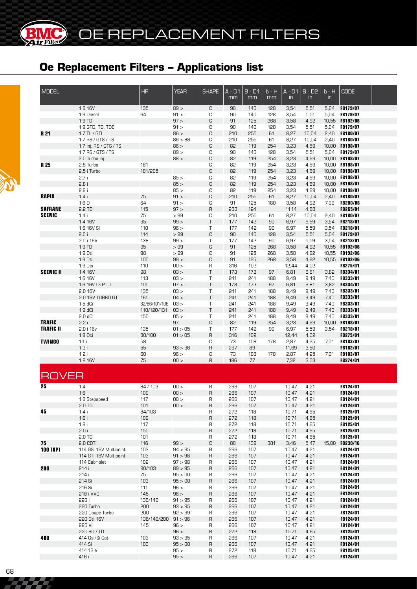**MC** 

| <b>MODEL</b>     |                            | <b>HP</b>           | <b>YEAR</b>     | <b>SHAPE</b> | A - D1<br>mm | $B - D1$<br>mm | b - H<br>mm | $A - D1$<br>$\mathsf{in}$ | $B - D2$<br>$\mathsf{in}$ | $b - H$<br>in | <b>CODE</b>                        |  |
|------------------|----------------------------|---------------------|-----------------|--------------|--------------|----------------|-------------|---------------------------|---------------------------|---------------|------------------------------------|--|
|                  | 1.8 16V                    | 135                 | 89 >            | C            | 90           | 140            | 128         | 3,54                      | 5,51                      | 5,04          | <b>FB179/07</b>                    |  |
|                  | 1.9 Diesel                 | 64                  | 91 >            | C            | 90           | 140            | 128         | 3,54                      | 5,51                      | 5,04          | FB179/07                           |  |
|                  | 1.9 TD<br>1.9 GTD, TD, TDE |                     | 97 ><br>91 >    | C<br>С       | 91<br>90     | 125<br>140     | 268<br>128  | 3,58<br>3,54              | 4,92<br>5,51              | 5,04          | 10,55 FB192/06<br>FB179/07         |  |
| R 21             | 1.7 TL / GTL               |                     | 86 >            | C            | 210          | 255            | 61          | 8,27                      | 10,04                     | 2,40          | FB180/07                           |  |
|                  | 1.7 RS / GTS / TS          |                     | 86 > 88         | С            | 210          | 255            | 61          | 8,27                      | 10,04                     |               | 2,40 FB180/07                      |  |
|                  | 1.7 Inj. RS / GTS / TS     |                     | 86 >            | C            | 82           | 119            | 254         | 3,23                      | 4,69                      |               | 10,00 FB198/07                     |  |
|                  | 1.7 RS / GTS / TS          |                     | 89 >            | С            | 90           | 140            | 128         | 3,54                      | 5,51                      |               | 5,04 FB179/07                      |  |
|                  | 2.0 Turbo Inj.             |                     | 88 >            | C            | 82           | 119            | 254         | 3,23                      | 4,69                      |               | 10,00 FB198/07                     |  |
| R 25             | 2.5 Turbo                  | 181                 |                 | С            | 82           | 119            | 254         | 3,23                      | 4,69                      |               | 10,00 FB198/07                     |  |
|                  | 2.5 i Turbo                | 181/205             |                 | C            | 82           | 119            | 254         | 3,23                      | 4,69                      |               | 10,00 FB198/07                     |  |
|                  | 2.7i<br>2.8i               |                     | 85 ><br>85 >    | С<br>C       | 82<br>82     | 119            | 254         | 3,23<br>3,23              | 4,69                      |               | 10,00 FB198/07<br>10,00 FB198/07   |  |
|                  | 2.9i                       |                     | 85 >            | С            | 82           | 119<br>119     | 254<br>254  | 3,23                      | 4,69<br>4,69              |               | 10,00 FB198/07                     |  |
| <b>RAPID</b>     | 1.4i                       | 75                  | 91 >            | C            | 210          | 255            | 61          | 8,27                      | 10,04                     | 2,40          | FB180/07                           |  |
|                  | 1.6D                       | 64                  | 91 >            | С            | 91           | 125            | 180         | 3,58                      | 4,92                      |               | 7,09 FB200/06                      |  |
| <b>SAFRANE</b>   | 2.2 TD                     | 115                 | 97 >            | R            | 283          | 124            |             | 11,14                     | 4,88                      |               | FB265/01                           |  |
| <b>SCENIC</b>    | 1.4i                       | 75                  | >99             | С            | 210          | 255            | 61          | 8,27                      | 10,04                     | 2,40          | <b>FB180/07</b>                    |  |
|                  | 1.4 16V                    | 95                  | 99 >            | T            | 177          | 142            | 90          | 6,97                      | 5,59                      | 3,54          | FB218/01                           |  |
|                  | 1.6 16V SI                 | 110                 | 96 >            | T            | 177          | 142            | 90          | 6,97                      | 5,59                      | 3,54          | <b>FB218/01</b>                    |  |
|                  | 2.0i                       | 114                 | >99             | C            | 90           | 140            | 128         | 3,54                      | 5,51                      | 5,04          | FB179/07                           |  |
|                  | 2.0 i 16V                  | 138                 | 99 >            | Τ            | 177          | 142            | 90          | 6,97                      | 5,59                      | 3,54          | <b>FB218/01</b>                    |  |
|                  | 1.9 TD<br>1.9 Dti          | 95<br>98            | >99<br>>99      | C<br>С       | 91<br>91     | 125<br>125     | 268<br>268  | 3,58<br>3,58              | 4,92<br>4,92              |               | 10,55 FB192/06<br>10,55 FB192/06   |  |
|                  | 1.9 Dti                    | 100                 | 99 >            | C            | 91           | 125            | 268         | 3,58                      | 4,92                      |               | 10,55 FB192/06                     |  |
|                  | 1.9 Dci                    | 110                 | 00 >            | R            | 316          | 102            |             | 12,44                     | 4,02                      |               | FB275/01                           |  |
| <b>SCENIC II</b> | 1.4 16V                    | 98                  | C3 >            | T            | 173          | 173            | 97          | 6,81                      | 6,81                      | 3,82          | FB334/01                           |  |
|                  | 1.6 16V                    | 113                 | 03 >            | T            | 241          | 241            | 188         | 9,49                      | 9,49                      | 7,40          | <b>FB333/01</b>                    |  |
|                  | 1.6 16V (G.P.L.)           | 105                 | 07 >            | T            | 173          | 173            | 97          | 6,81                      | 6,81                      | 3,82          | <b>FB334/01</b>                    |  |
|                  | 2.0 16V                    | 135                 | 03 >            | Τ            | 241          | 241            | 188         | 9,49                      | 9,49                      | 7,40          | <b>FB333/01</b>                    |  |
|                  | 2.0 16V TURBO GT           | 165                 | 04 >            | T            | 241          | 241            | 188         | 9,49                      | 9,49                      | 7,40          | FB333/01                           |  |
|                  | 1.5 dCi                    | 82/86/101/106       | 03 >            | T            | 241          | 241            | 188         | 9,49                      | 9,49                      | 7,40          | <b>FB333/01</b>                    |  |
|                  | $1.9 dC$ i<br>$2.0 dC$ i   | 110/120/131<br>150  | 03 ><br>05 >    | T<br>Τ       | 241<br>241   | 241<br>241     | 188<br>188  | 9,49                      | 9,49<br>9,49              | 7,40<br>7,40  | FB333/01<br><b>FB333/01</b>        |  |
| <b>TRAFIC</b>    | 2.2i                       |                     | 97              | C            | 82           | 119            | 254         | 9,49<br>3,23              | 4,69                      |               | 10,00 FB198/07                     |  |
| <b>TRAFIC II</b> | 2.0 i 16v                  | 135                 | 01 > 05         | Τ            | 177          | 142            | 90          | 6,97                      | 5,59                      | 3,54          | <b>FB218/01</b>                    |  |
|                  | 1.9 Dci                    | 80/100              | 01 > 05         | R            | 316          | 102            |             | 12,44                     | 4,02                      |               | FB275/01                           |  |
| <b>TWINGO</b>    | 1.1i                       | 58                  |                 | С            | 73           | 108            | 178         | 2,87                      | 4,25                      | 7.01          | <b>FB183/07</b>                    |  |
|                  | 1.2i                       | 55                  | 93 > 96         | $\sf R$      | 297          | 89             |             | 11,69                     | 3,50                      |               | FB182/01                           |  |
|                  | 1.2i                       | 60                  | 96 >            | С            | 73           | 108            | 178         | 2,87                      | 4,25                      | 7.01          | <b>FB183/07</b>                    |  |
|                  | 1.2 16V                    | 75                  | 100 >           | $\sf R$      | 186          | 77             |             | 7,32                      | 3,03                      |               | FB274/01                           |  |
| <b>ROVER</b>     |                            |                     |                 |              |              |                |             |                           |                           |               |                                    |  |
| 25               | 1.4                        | 84/103              | 00 >            | R            | 266          | 107            |             | 10,47                     | 4,21                      |               | FB124/01                           |  |
|                  | 1.6                        | 109                 | 00 >            | R            | 266          | 107            |             | 10,47                     | 4,21                      |               | FB124/01                           |  |
|                  | 1.8 Stepspeed              | 117                 | 100 >           | R            | 266          | 107            |             | 10,47                     | 4,21                      |               | FB124/01                           |  |
|                  | $2.0$ TD                   | 101                 | 100 >           | R            | 266          | 107            |             | 10,47                     | 4,21                      |               | FB124/01                           |  |
| 45               | 1.4i<br>1.6i               | 84/103<br>109       |                 | R<br>R       | 272<br>272   | 118<br>118     |             | 10,71<br>10,71            | 4,65<br>4,65              |               | <b>FB125/01</b><br><b>FB125/01</b> |  |
|                  | 1.8i                       | 117                 |                 | R            | 272          | 118            |             | 10,71                     | 4,65                      |               | <b>FB125/01</b>                    |  |
|                  | 2.0 i                      | 150                 |                 | R            | 272          | 118            |             | 10,71                     | 4,65                      |               | FB125/01                           |  |
|                  | $2.0$ TD                   | 101                 |                 | R            | 272          | 118            |             | 10,71                     | 4,65                      |               | <b>FB125/01</b>                    |  |
| 75               | 2.0 CDTi                   | 116                 | 99 >            | С            | 88           | 139            | 381         | 3,46                      | 5,47                      |               | 15,00 FB230/16                     |  |
| <b>100 (XP)</b>  | 114 GSi 16V Multipoint     | 103                 | 94 > 95         | R            | 266          | 107            |             | 10,47                     | 4,21                      |               | <b>FB124/01</b>                    |  |
|                  | 114 GTi 16V Multipoint     | 103                 | 91 > 98         | R            | 266          | 107            |             | 10,47                     | 4,21                      |               | <b>FB124/01</b>                    |  |
|                  | 114 Cabriolet              | 102                 | 97 > 98         | R            | 266          | 107            |             | 10,47                     | 4,21                      |               | <b>FB124/01</b>                    |  |
| 200              | 214 i                      | 90/103              | 89 > 95         | R            | 266          | 107            |             | 10,47                     | 4,21                      |               | FB124/01                           |  |
|                  | 214 i                      | 75                  | 95 > 00         | R            | 266          | 107            |             | 10,47                     | 4,21                      |               | <b>FB124/01</b>                    |  |
|                  | 214 Si<br>216 Si           | 103<br>111          | 95 > 00<br>96 > | R<br>R       | 266<br>266   | 107<br>107     |             | 10,47<br>10,47            | 4,21<br>4,21              |               | FB124/01<br>FB124/01               |  |
|                  | 218 i VVC                  | 145                 | 96 >            | R            | 266          | 107            |             | 10,47                     | 4,21                      |               | FB124/01                           |  |
|                  | 220 i                      | 136/140             | 91 > 95         | R            | 266          | 107            |             | 10,47                     | 4,21                      |               | <b>FB124/01</b>                    |  |
|                  | 220 Turbo                  | 200                 | 93 > 95         | R            | 266          | 107            |             | 10,47                     | 4,21                      |               | FB124/01                           |  |
|                  | 220 Coupè Turbo            | 200                 | 92 > 99         | R            | 266          | 107            |             | 10,47                     | 4,21                      |               | <b>FB124/01</b>                    |  |
|                  | 220 Gti 16V                | 136/140/200 91 > 96 |                 | R            | 266          | 107            |             | 10,47                     | 4,21                      |               | FB124/01                           |  |
|                  | 220 Vi                     | 145                 | 96 >            | R            | 266          | 107            |             | 10,47                     | 4,21                      |               | <b>FB124/01</b>                    |  |
|                  | 220 SD / TD                |                     | 96 >            | R            | 272          | 118            |             | 10,71                     | 4,65                      |               | FB125/01                           |  |
| 400              | 414 Gsi/Si Cat             | 103                 | 93 > 95         | R            | 266          | 107            |             | 10,47                     | 4,21                      |               | FB124/01                           |  |
|                  | 414 Si                     | 103                 | 95 > 00         | R            | 266          | 107            |             | 10,47                     | 4,21                      |               | FB124/01                           |  |
|                  | 414 16 V                   |                     | 95 >            | R            | 272          | 118            |             | 10,71                     | 4,65                      |               | <b>FB125/01</b>                    |  |
|                  | 416 i                      |                     | 95 >            | R            | 266          | 107            |             | 10,47                     | 4,21                      |               | FB124/01                           |  |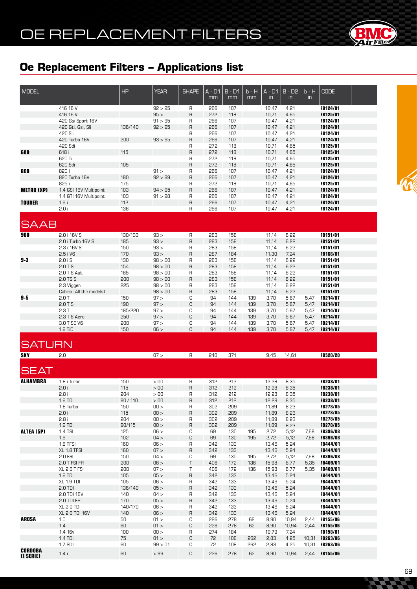

| <b>MODEL</b>                |                                        | HP             | <b>YEAR</b>     | <b>SHAPE</b> | $A - D1$   | $B - D1$   | b - H      | $A - D1$       | $B - D2$      | $b - H$      | <b>CODE</b>                        |  |
|-----------------------------|----------------------------------------|----------------|-----------------|--------------|------------|------------|------------|----------------|---------------|--------------|------------------------------------|--|
|                             |                                        |                |                 |              | mm         | mm         | mm         | $\mathsf{in}$  | in            | in           |                                    |  |
|                             |                                        |                |                 |              |            |            |            |                |               |              |                                    |  |
|                             | 416 16 V                               |                | 92 > 95         | R            | 266        | 107        |            | 10,47          | 4,21          |              | FB124/01                           |  |
|                             | 416 16 V                               |                | 95 ><br>91 > 95 | R            | 272        | 118        |            | 10,71          | 4,65          |              | FB125/01                           |  |
|                             | 420 Gsi Sport 16V<br>420 Gti, Gsi, Sli | 136/140        | 92 > 95         | R<br>R       | 266<br>266 | 107<br>107 |            | 10,47<br>10,47 | 4,21<br>4,21  |              | FB124/01<br>FB124/01               |  |
|                             | 420 Sli                                |                |                 | R            | 266        | 107        |            | 10,47          | 4,21          |              | FB124/01                           |  |
|                             | 420 Turbo 16V                          | 200            | 93 > 95         | $\mathsf R$  | 266        | 107        |            | 10,47          | 4,21          |              | <b>FB124/01</b>                    |  |
|                             | 420 Sdi                                |                |                 | R            | 272        | 118        |            | 10,71          | 4,65          |              | <b>FB125/01</b>                    |  |
| 600                         | 618 i                                  | 115            |                 | R            | 272        | 118        |            | 10,71          | 4,65          |              | FB125/01                           |  |
|                             | 620 Ti                                 |                |                 | R            | 272        | 118        |            | 10,71          | 4,65          |              | FB125/01                           |  |
|                             | 620 Sdi                                | 105            |                 | $\mathsf R$  | 272        | 118        |            | 10,71          | 4,65          |              | <b>FB125/01</b>                    |  |
| 800                         | 820 i                                  |                | 91 >            | R            | 266        | 107        |            | 10,47          | 4,21          |              | <b>FB124/01</b>                    |  |
|                             | 820 Turbo 16V                          | 180            | 92 > 99         | R            | 266        | 107        |            | 10,47          | 4,21          |              | FB124/01                           |  |
|                             | 825 i                                  | 175            |                 | R            | 272        | 118        |            | 10,71          | 4,65          |              | <b>FB125/01</b>                    |  |
| <b>METRO (XP)</b>           | 1.4 GSI 16V Multipoint                 | 103            | 94 > 95         | $\mathsf R$  | 266        | 107        |            | 10,47          | 4,21          |              | <b>FB124/01</b>                    |  |
|                             | 1.4 GTI 16V Multipoint                 | 103            | 91 > 98         | R            | 266        | 107        |            | 10,47          | 4,21          |              | <b>FB124/01</b>                    |  |
| <b>TOURER</b>               | 1.6i                                   | 112            |                 | R            | 266        | 107        |            | 10,47          | 4,21          |              | FB124/01                           |  |
|                             | 2.0i                                   | 136            |                 | R            | 266        | 107        |            | 10,47          | 4,21          |              | <b>FB124/01</b>                    |  |
|                             |                                        |                |                 |              |            |            |            |                |               |              |                                    |  |
| <b>SAAB</b>                 |                                        |                |                 |              |            |            |            |                |               |              |                                    |  |
|                             |                                        |                |                 |              |            |            |            |                |               |              |                                    |  |
| 900                         | 2.0 i 16V S                            | 130/133        | 93 >            | R            | 283        | 158        |            | 11,14          | 6,22          |              | FB151/01                           |  |
|                             | 2.0 i Turbo 16V S                      | 185            | 93 >            | R            | 283        | 158        |            | 11,14          | 6,22          |              | <b>FB151/01</b>                    |  |
|                             | 2.3 i 16V S                            | 150            | 93 >            | R            | 283        | 158        |            | 11,14          | 6,22          |              | <b>FB151/01</b>                    |  |
|                             | 2.5 i V6                               | 170            | 93 >            | R            | 287        | 184        |            | 11,30          | 7,24          |              | FB166/01                           |  |
| $9-3$                       | 2.0iS                                  | 130            | 98 > 00         | R            | 283        | 158        |            | 11,14          | 6,22          |              | <b>FB151/01</b>                    |  |
|                             | 2.0TS                                  | 154            | 98 > 00         | R            | 283        | 158        |            | 11,14          | 6,22          |              | <b>FB151/01</b>                    |  |
|                             | 2.0 T S Aut.                           | 185            | 98 > 00         | R            | 283        | 158        |            | 11,14          | 6,22          |              | <b>FB151/01</b>                    |  |
|                             | 2.0 TS S                               | 200            | 98 > 00         | R            | 283        | 158        |            | 11,14          | 6,22          |              | FB151/01                           |  |
|                             | 2.3 Viggen                             | 225            | 98 > 00         | R            | 283        | 158        |            | 11,14          | 6,22          |              | <b>FB151/01</b>                    |  |
|                             | Cabrio (All the models)                |                | 98 > 00         | R            | 283        | 158        |            | 11,14          | 6,22          |              | <b>FB151/01</b>                    |  |
| $9-5$                       | 2.0T<br>2.0TS                          | 150<br>190     | 97 ><br>97 >    | С<br>C       | 94         | 144        | 139        | 3,70           | 5,67          | 5,47         | <b>FB214/07</b>                    |  |
|                             | 2.3T                                   |                | 97 >            | С            | 94<br>94   | 144<br>144 | 139<br>139 | 3,70           | 5,67          | 5,47         | FB214/07                           |  |
|                             | 2.3 T S Aero                           | 185/220<br>250 | 97 >            | С            | 94         | 144        | 139        | 3,70<br>3,70   | 5,67<br>5,67  | 5,47<br>5,47 | <b>FB214/07</b><br><b>FB214/07</b> |  |
|                             | 3.0 T SE V6                            | 200            | 97 >            | С            | 94         | 144        | 139        | 3,70           | 5,67          | 5,47         | FB214/07                           |  |
|                             | 1.9 TiD                                | 150            | 06 >            | C            | 94         | 144        | 139        | 3,70           | 5,67          | 5,47         | FB214/07                           |  |
|                             |                                        |                |                 |              |            |            |            |                |               |              |                                    |  |
|                             |                                        |                |                 |              |            |            |            |                |               |              |                                    |  |
| <b>SATURN</b>               |                                        |                |                 |              |            |            |            |                |               |              |                                    |  |
| <b>SKY</b>                  | 2.0                                    |                | 07 >            | R            | 240        | 371        |            | 9,45           | 14,61         |              | FB520/20                           |  |
|                             |                                        |                |                 |              |            |            |            |                |               |              |                                    |  |
| <b>SEAT</b>                 |                                        |                |                 |              |            |            |            |                |               |              |                                    |  |
|                             |                                        |                |                 |              |            |            |            |                |               |              |                                    |  |
| <b>ALHAMBRA</b>             | 1.8 i Turbo                            | 150            | > 00            | R            | 312        | 212        |            | 12,28          | 8,35          |              | FB238/01                           |  |
|                             | 2.0i                                   | 115            | > 00            |              |            |            |            |                |               |              |                                    |  |
|                             |                                        |                |                 | R            | 312        | 212        |            | 12,28          | 8,35          |              | FB238/01                           |  |
|                             | 2.8i                                   | 204            | > 00            | R            | 312        | 212        |            | 12,28          | 8,35          |              | <b>FB238/01</b>                    |  |
|                             | $1.9$ TDI                              | 90/110         | > 00            | R            | 312        | 212        |            | 12,28          | 8,35          |              | FB238/01                           |  |
|                             | 1.8 Turbo                              | 150            | 00 >            | R            | 302        | 209        |            | 11,89          | 8,23          |              | <b>FB278/05</b>                    |  |
|                             | 2.0 i                                  | 115            | 00 >            | R            | 302        | 209        |            | 11,89          | 8,23          |              | FB278/05                           |  |
|                             | 2.8i                                   | 204            | 00 >            | R            | 302        | 209        |            | 11,89          | 8,23          |              | <b>FB278/05</b>                    |  |
|                             | 1.9 TDI                                | 90/115         | 00 >            | R            | 302        | 209        |            | 11,89          | 8,23          |              | FB278/05                           |  |
| ALTEA (5P)                  | 1.4 TSI                                | 125            | 06 >            | С            | 69         | 130        | 195        | 2,72           | 5,12          | 7,68         | <b>FB396/08</b>                    |  |
|                             | 1.6                                    | 102            | 04 >            | С            | 69         | 130        | 195        | 2,72           | 5,12          |              | 7,68 FB396/08                      |  |
|                             | 1.8 TFSI                               | 160            | 06 >            | R            | 342        | 133        |            | 13,46          | 5,24          |              | FB444/01                           |  |
|                             | XL 1.8 TFSI                            | 160            | 07 >            | R            | 342        | 133        |            | 13,46          | 5,24          |              | FB444/01                           |  |
|                             | 2.0 FSI                                | 150            | 04 >            | С            | 69         | 130        | 195        | 2,72           | 5,12          | 7,68         | <b>FB396/08</b>                    |  |
|                             | 2.0 T FSI FR                           | 200            | 06 >            | Τ            | 406        | 172        | 136        | 15,98          | 6,77          | 5,35         | FB409/01                           |  |
|                             | XL 2.0 T FSI                           | 200            | 07 >            | Τ            | 406        | 172        | 136        | 15,98          | 6,77          |              | 5,35 FB409/01                      |  |
|                             | $1.9$ TDI                              | 105            | 05 >            | R            | 342        | 133        |            | 13,46          | 5,24          |              | FB444/01                           |  |
|                             | XL 1.9 TDI                             | 105            | 06 >            | R            | 342        | 133        |            | 13,46          | 5,24          |              | <b>FB444/01</b>                    |  |
|                             | $2.0$ TDI                              | 136/140        | 05 >            | R            | 342        | 133        |            | 13,46          | 5,24          |              | FB444/01                           |  |
|                             | 2.0 TDI 16V                            | 140            | 04 >            | R            | 342        | 133        |            | 13,46          | 5,24          |              | <b>FB444/01</b>                    |  |
|                             | 2.0 TDI FR                             | 170            | 05 >            | R            | 342        | 133        |            | 13,46          | 5,24          |              | FB444/01                           |  |
|                             | <b>XL 2.0 TDI</b>                      | 140/170        | 06 >            | R            | 342        | 133        |            | 13,46          | 5,24          |              | FB444/01                           |  |
|                             | XL 2.0 TDI 16V                         | 140            | 06 >            | R            | 342        | 133        |            | 13,46          | 5,24          |              | FB444/01                           |  |
| <b>AROSA</b>                | 1.0                                    | 50             | 01 >            | С            | 226        | 278        | 62         | 8,90           | 10,94         |              | 2,44 FB155/06                      |  |
|                             | 1.4<br>1.4 16v                         | 60<br>100      | 01 ><br>100 >   | С<br>R       | 226<br>274 | 278<br>184 | 62         | 8,90<br>10,79  | 10,94<br>7,24 |              | 2,44 FB155/06<br><b>FB158/01</b>   |  |
|                             | 1.4 TDi                                | 75             | 01 >            | C            | 72         | 108        | 262        | 2,83           | 4,25          |              | 10,31 FB263/06                     |  |
|                             | 1.7 SDI                                | 60             | 99 > 01         | С            | 72         | 108        | 262        | 2,83           | 4,25          |              | 10,31 FB263/06                     |  |
| <b>CORDOBA</b><br>(I SERIE) | 1.4i                                   | 60             | >99             | С            | 226        | 278        | 62         | 8,90           | 10,94         |              | 2,44 FB155/06                      |  |

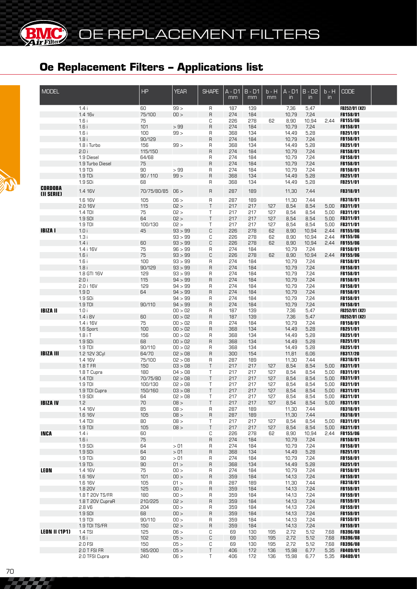| <b>MODEL</b>         |                            | <b>HP</b>     | <b>YEAR</b>        | <b>SHAPE</b>      | A - D1<br>mm | $B - D1$<br>mm | b - H<br>mm | $A - D1$<br>$\mathsf{in}$ | $B - D2$<br>$\mathsf{in}$ | $b - H$<br>$\mathsf{in}$ | <b>CODE</b>                                  |  |
|----------------------|----------------------------|---------------|--------------------|-------------------|--------------|----------------|-------------|---------------------------|---------------------------|--------------------------|----------------------------------------------|--|
|                      | 1.4i                       | 60            | 99 >               | R                 | 187          | 139            |             | 7,36                      | 5,47                      |                          | <b>FB252/01 (X2)</b>                         |  |
|                      | 1.4 16v                    | 75/100        | 00 >               | $\sf R$           | 274          | 184            |             | 10,79                     | 7,24                      |                          | FB158/01                                     |  |
|                      | 1.6i                       | 75            |                    | С                 | 226          | 278            | 62          | 8,90                      | 10,94                     | 2.44                     | <b>FB155/06</b>                              |  |
|                      | 1.6i<br>1.6i               | 101<br>100    | >99<br>99 >        | $\sf R$<br>R      | 274<br>368   | 184<br>134     |             | 10,79<br>14,49            | 7,24<br>5,28              |                          | FB158/01<br>FB251/01                         |  |
|                      | 1.8i                       | 90/129        |                    | $\mathsf{R}$      | 274          | 184            |             | 10,79                     | 7,24                      |                          | FB158/01                                     |  |
|                      | 1.8 i Turbo                | 156           | 99 >               | R                 | 368          | 134            |             | 14,49                     | 5,28                      |                          | FB251/01                                     |  |
|                      | 2.0 i                      | 115/150       |                    | $\sf B$           | 274          | 184            |             | 10,79                     | 7,24                      |                          | FB158/01                                     |  |
|                      | 1.9 Diesel                 | 64/68         |                    | R                 | 274          | 184            |             | 10,79                     | 7,24                      |                          | FB158/01                                     |  |
|                      | 1.9 Turbo Diesel           | 75            |                    | $\mathsf{R}$      | 274          | 184            |             | 10,79                     | 7,24                      |                          | FB158/01                                     |  |
|                      | $1.9$ TDi                  | 90            | >99                | R                 | 274          | 184            |             | 10,79                     | 7,24                      |                          | FB158/01                                     |  |
|                      | 1.9 TDi                    | 90/110        | 99 >               | R                 | 368          | 134            |             | 14,49                     | 5,28                      |                          | FB251/01                                     |  |
| <b>CORDOBA</b>       | 1.9 SDi                    | 68            |                    | R                 | 368          | 134            |             | 14,49                     | 5,28                      |                          | <b>FB251/01</b>                              |  |
| (II SERIE)           | 1.4 16V                    | 70/75/80/85   | 06 >               | R                 | 287          | 189            |             | 11,30                     | 7,44                      |                          | FB318/01                                     |  |
|                      | 1.6 16V<br>2.0 16V         | 105           | 06 >               | $\sf R$<br>$\top$ | 287          | 189            |             | 11,30<br>8,54             | 7,44                      |                          | <b>FB318/01</b>                              |  |
|                      | $1.4$ TDI                  | 115<br>75     | 02 ><br>02 >       | T                 | 217<br>217   | 217<br>217     | 127<br>127  | 8,54                      | 8,54<br>8,54              | 5,00<br>5,00             | <b>FB311/01</b><br><b>FB311/01</b>           |  |
|                      | 1.9 SDI                    | 64            | 02 >               | $\top$            | 217          | 217            | 127         | 8,54                      | 8,54                      | 5,00                     | <b>FB311/01</b>                              |  |
|                      | 1.9 TDI                    | 100/130       | 02 >               | T                 | 217          | 217            | 127         | 8,54                      | 8,54                      | 5,00                     | <b>FB311/01</b>                              |  |
| <b>IBIZA I</b>       | 1.0i                       | 45            | 93 > 99            | C                 | 226          | 278            | 62          | 8,90                      | 10,94                     | 2,44                     | FB155/06                                     |  |
|                      | 1.3i                       |               | 93 > 99            | С                 | 226          | 278            | 62          | 8,90                      | 10,94                     | 2,44                     | <b>FB155/06</b>                              |  |
|                      | 1.4i                       | 60            | 93 > 99            | C                 | 226          | 278            | 62          | 8,90                      | 10,94                     | 2,44                     | <b>FB155/06</b>                              |  |
|                      | 1.4 i 16V                  | 75            | 96 > 99            | R                 | 274          | 184            |             | 10,79                     | 7,24                      |                          | FB158/01                                     |  |
|                      | 1.6i                       | 75            | 93 > 99            | C                 | 226          | 278            | 62          | 8,90                      | 10,94                     | 2,44                     | <b>FB155/06</b>                              |  |
|                      | 1.6i<br>1.8i               | 100<br>90/129 | 93 > 99<br>93 > 99 | R<br>$\sf R$      | 274<br>274   | 184<br>184     |             | 10,79<br>10,79            | 7,24<br>7,24              |                          | FB158/01<br>FB158/01                         |  |
|                      | 1.8 GTI 16V                | 129           | 93 > 99            | R                 | 274          | 184            |             | 10,79                     | 7,24                      |                          | FB158/01                                     |  |
|                      | 2.0i                       | 115           | 94 > 99            | R                 | 274          | 184            |             | 10,79                     | 7,24                      |                          | FB158/01                                     |  |
|                      | 2.0 i 16V                  | 129           | 94 > 99            | R                 | 274          | 184            |             | 10,79                     | 7,24                      |                          | FB158/01                                     |  |
|                      | 1.9 <sub>D</sub>           | 64            | 94 > 99            | $\sf B$           | 274          | 184            |             | 10,79                     | 7,24                      |                          | FB158/01                                     |  |
|                      | 1.9 SDi                    |               | 94 > 99            | R                 | 274          | 184            |             | 10,79                     | 7,24                      |                          | FB158/01                                     |  |
|                      | 1.9 TDI                    | 90/110        | 94 > 99            | R                 | 274          | 184            |             | 10,79                     | 7,24                      |                          | FB158/01                                     |  |
| <b>IBIZA II</b>      | 1.0i<br>1.4 i 8V           | 60            | 00 > 02            | R<br>R            | 187<br>187   | 139<br>139     |             | 7,36                      | 5,47                      |                          | <b>FB252/01 (X2)</b><br><b>FB252/01 (X2)</b> |  |
|                      | 1.4 i 16V                  | 75            | 00 > 02<br>00 > 02 | R                 | 274          | 184            |             | 7,36<br>10,79             | 5,47<br>7,24              |                          | <b>FB158/01</b>                              |  |
|                      | 1.6 Sport                  | 100           | 00 > 02            | R                 | 368          | 134            |             | 14,49                     | 5,28                      |                          | FB251/01                                     |  |
|                      | $1.8$ i T                  | 156           | 00 > 02            | R                 | 368          | 134            |             | 14,49                     | 5,28                      |                          | <b>FB251/01</b>                              |  |
|                      | 1.9 SDi                    | 68            | 00 > 02            | $\sf B$           | 368          | 134            |             | 14,49                     | 5,28                      |                          | <b>FB251/01</b>                              |  |
|                      | 1.9 TDI                    | 90/110        | 00 > 02            | R                 | 368          | 134            |             | 14,49                     | 5,28                      |                          | <b>FB251/01</b>                              |  |
| <b>IBIZA III</b>     | 1.2 12V 3Cyl               | 64/70         | 02 > 08            | R                 | 300          | 154            |             | 11,81                     | 6,06                      |                          | FB317/20                                     |  |
|                      | 1.4 16V                    | 75/100        | 02 > 08            | R                 | 287          | 189            |             | 11,30                     | 7,44                      |                          | FB318/01                                     |  |
|                      | 1.8 T FR<br>1.8 T Cupra    | 150<br>180    | 03 > 08<br>04 > 08 | $\top$<br>Τ       | 217<br>217   | 217<br>217     | 127<br>127  | 8,54<br>8,54              | 8,54<br>8,54              | 5,00<br>5,00             | FB311/01<br>FB311/01                         |  |
|                      | 1.4 TDI                    | 70/75/80      | 02 > 08            | $\top$            | 217          | 217            | 127         | 8,54                      | 8,54                      | 5,00                     | FB311/01                                     |  |
|                      | 1.9 TDI                    | 100/130       | 02 > 08            | Τ                 | 217          | 217            | 127         | 8,54                      | 8,54                      | 5,00                     | <b>FB311/01</b>                              |  |
|                      | 1.9 TDI Cupra              | 150/160       | 03 > 08            | T                 | 217          | 217            | 127         | 8,54                      | 8,54                      | 5,00                     | FB311/01                                     |  |
|                      | 1.9 SDI                    | 64            | 02 > 08            | Τ                 | 217          | 217            | 127         | 8,54                      | 8,54                      |                          | 5,00 FB311/01                                |  |
| <b>IBIZA IV</b>      | 1.2                        | 70            | < 80               | Τ                 | 217          | 217            | 127         | 8,54                      | 8,54                      |                          | 5,00 FB311/01                                |  |
|                      | 1.4 16V                    | 85            | < 80               | R                 | 287          | 189            |             | 11,30                     | 7,44                      |                          | <b>FB318/01</b>                              |  |
|                      | 1.6 16V<br>$1.4$ TDI       | 105<br>80     | < 80<br>< 80       | R<br>Τ            | 287<br>217   | 189<br>217     | 127         | 11,30<br>8,54             | 7,44<br>8,54              |                          | FB318/01<br>5,00 FB311/01                    |  |
|                      | $1.9$ TDI                  | 105           | < 80               | Τ                 | 217          | 217            | 127         | 8,54                      | 8,54                      | 5,00                     | <b>FB311/01</b>                              |  |
| <b>INCA</b>          | 1.4i                       | 60            |                    | С                 | 226          | 278            | 62          | 8,90                      | 10,94                     |                          | 2,44 FB155/06                                |  |
|                      | 1.6i                       | 75            |                    | $\sf R$           | 274          | 184            |             | 10,79                     | 7,24                      |                          | FB158/01                                     |  |
|                      | 1.9 S <sub>Di</sub>        | 64            | > 01               | R                 | 274          | 184            |             | 10,79                     | 7,24                      |                          | FB158/01                                     |  |
|                      | 1.9 SDi                    | 64            | > 01               | R                 | 368          | 134            |             | 14,49                     | 5,28                      |                          | FB251/01                                     |  |
|                      | 1.9 TDi                    | 90            | > 01               | R                 | 274          | 184            |             | 10,79                     | 7,24                      |                          | FB158/01                                     |  |
|                      | 1.9 TDi                    | 90            | 01 >               | R                 | 368          | 134            |             | 14,49                     | 5,28                      |                          | FB251/01                                     |  |
| LEON                 | 1.4 16V<br>1.6 16V         | 75<br>101     | 100 ><br>100 >     | R<br>R            | 274<br>359   | 184<br>184     |             | 10,79<br>14,13            | 7,24<br>7,24              |                          | FB158/01<br>FB159/01                         |  |
|                      | 1.6 16V                    | 105           | 01 >               | R                 | 287          | 189            |             | 11,30                     | 7,44                      |                          | FB318/01                                     |  |
|                      | 1.8 20V                    | 125           | 100 >              | R                 | 359          | 184            |             | 14,13                     | 7,24                      |                          | FB159/01                                     |  |
|                      | 1.8 T 20V TS/FR            | 180           | 100 >              | R                 | 359          | 184            |             | 14,13                     | 7,24                      |                          | FB159/01                                     |  |
|                      | 1.8 T 20V CupraR           | 210/225       | 02 >               | R                 | 359          | 184            |             | 14,13                     | 7,24                      |                          | FB159/01                                     |  |
|                      | 2.8 V6                     | 204           | 00 >               | R                 | 359          | 184            |             | 14,13                     | 7,24                      |                          | <b>FB159/01</b>                              |  |
|                      | 1.9 SDI                    | 68            | 100 >              | R                 | 359          | 184            |             | 14,13                     | 7,24                      |                          | <b>FB159/01</b>                              |  |
|                      | $1.9$ TDI<br>1.9 TDI TS/FR | 90/110<br>150 | 00 ><br>02 >       | R                 | 359<br>359   | 184<br>184     |             | 14,13<br>14,13            | 7,24<br>7,24              |                          | <b>FB159/01</b><br>FB159/01                  |  |
| <b>LEON II (1P1)</b> | 1.4 TSI                    | 125           | 06 >               | R<br>С            | 69           | 130            | 195         | 2,72                      | 5,12                      | 7,68                     | <b>FB396/08</b>                              |  |
|                      | 1.6i                       | 102           | 05 >               | C                 | 69           | 130            | 195         | 2,72                      | 5,12                      | 7,68                     | <b>FB396/08</b>                              |  |
|                      | 2.0 FSI                    | 150           | 05 >               | С                 | 69           | 130            | 195         | 2,72                      | 5,12                      | 7,68                     | <b>FB396/08</b>                              |  |
|                      | 2.0 T FSI FR               | 185/200       | 05 >               | $\mathsf T$       | 406          | 172            | 136         | 15,98                     | 6,77                      | 5,35                     | FB409/01                                     |  |
|                      | 2.0 TFSI Cupra             | 240           | 06 >               | Τ                 | 406          | 172            | 136         | 15,98                     | 6,77                      |                          | 5,35 FB409/01                                |  |

**BMC**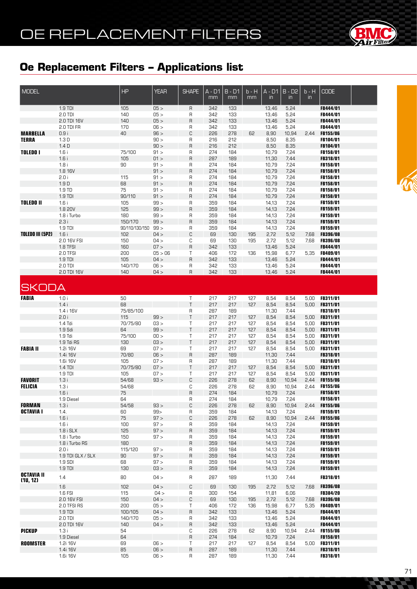# OE REPLACEMENT FILTERS



### **Oe Replacement Filters – Applications list**

| <b>MODEL</b>            |                              | HP             | <b>YEAR</b>  | <b>SHAPE</b>        | $A - D1$<br>mm | $B - D1$<br>mm | $b - H$<br>mm | $A - D1$<br>$\mathsf{in}$ | $B - D2$<br>in | $b - H$<br>$\mathsf{in}$ | <b>CODE</b>                        |  |
|-------------------------|------------------------------|----------------|--------------|---------------------|----------------|----------------|---------------|---------------------------|----------------|--------------------------|------------------------------------|--|
|                         | 1.9 TDI                      | 105            | 05 >         | $\overline{R}$      | 342            | 133            |               | 13,46                     | 5,24           |                          | FB444/01                           |  |
|                         | 2.0 TDI                      | 140            | 05 >         | R                   | 342            | 133            |               | 13,46                     | 5,24           |                          | FB444/01                           |  |
|                         | 2.0 TDI 16V                  | 140            | 05 >         | $\overline{R}$      | 342            | 133            |               | 13,46                     | 5,24           |                          | FB444/01                           |  |
| <b>MARBELLA</b>         | 2.0 TDI FR<br>0.9i           | 170<br>40      | 06 ><br>96 > | R<br>C              | 342<br>226     | 133<br>278     | 62            | 13,46<br>8,90             | 5,24<br>10,94  | 2,44                     | FB444/01<br><b>FB155/06</b>        |  |
| <b>TERRA</b>            | 1.3D                         |                | 90 >         | R                   | 216            | 212            |               | 8,50                      | 8,35           |                          | FB104/01                           |  |
|                         | 1.4D                         |                | 90 >         | $\overline{R}$      | 216            | 212            |               | 8,50                      | 8,35           |                          | FB104/01                           |  |
| <b>TOLEDO I</b>         | 1.6i                         | 75/100         | 91 >         | R                   | 274            | 184            |               | 10,79                     | 7,24           |                          | FB158/01                           |  |
|                         | 1.6i                         | 105            | 01 >         | $\mathsf{R}$        | 287            | 189            |               | 11,30                     | 7,44           |                          | FB318/01                           |  |
|                         | 1.8i                         | 90             | 91 >         | R                   | 274            | 184            |               | 10,79                     | 7,24           |                          | FB158/01                           |  |
|                         | 1.8 16V                      |                | 91 >         | $\mathsf{R}$        | 274            | 184            |               | 10,79                     | 7,24           |                          | FB158/01                           |  |
|                         | 2.0 i                        | 115            | 91 >         | R                   | 274            | 184            |               | 10,79                     | 7,24           |                          | FB158/01                           |  |
|                         | $1.9D$                       | 68             | 91 >         | $\mathsf{R}$        | 274            | 184            |               | 10,79                     | 7,24           |                          | FB158/01                           |  |
|                         | 1.9 TD<br>1.9 TDI            | 75<br>90/110   | 91 ><br>91 > | R<br>$\mathsf{R}$   | 274<br>274     | 184<br>184     |               | 10,79<br>10,79            | 7,24<br>7,24   |                          | FB158/01<br>FB158/01               |  |
| <b>TOLEDO II</b>        | 1.6i                         | 105            | 99 >         | R                   | 359            | 184            |               | 14,13                     | 7,24           |                          | FB159/01                           |  |
|                         | 1.8 20V                      | 125            | 99 >         | $\mathsf{R}$        | 359            | 184            |               | 14,13                     | 7,24           |                          | FB159/01                           |  |
|                         | 1.8 i Turbo                  | 180            | 99 >         | R                   | 359            | 184            |               | 14,13                     | 7,24           |                          | FB159/01                           |  |
|                         | 2.3i                         | 150/170        | 99 >         | $\overline{R}$      | 359            | 184            |               | 14,13                     | 7,24           |                          | FB159/01                           |  |
|                         | 1.9 TDI                      | 90/110/130/150 | 99 >         | R                   | 359            | 184            |               | 14,13                     | 7,24           |                          | FB159/01                           |  |
| <b>TOLEDO III (5P2)</b> | 1.6i                         | 102            | 04 >         | C                   | 69             | 130            | 195           | 2,72                      | 5,12           | 7,68                     | <b>FB396/08</b>                    |  |
|                         | 2.0 16V FSI                  | 150            | 04 >         | С                   | 69             | 130            | 195           | 2,72                      | 5,12           | 7,68                     | <b>FB396/08</b>                    |  |
|                         | 1.8 TFSI                     | 160            | 07 >         | $\mathsf{R}$        | 342            | 133            |               | 13,46                     | 5,24           |                          | FB444/01                           |  |
|                         | 2.0 TFSI                     | 200            | 05 > 06      | $\mathsf T$         | 406            | 172            | 136           | 15,98                     | 6,77           | 5,35                     | FB409/01                           |  |
|                         | 1.9 TDI                      | 105            | 04 >         | $\overline{R}$      | 342            | 133            |               | 13,46                     | 5,24           |                          | FB444/01<br>FB444/01               |  |
|                         | 2.0 TDI<br>2.0 TDI 16V       | 140/170<br>140 | 06 ><br>04 > | R<br>$\overline{R}$ | 342<br>342     | 133<br>133     |               | 13,46<br>13,46            | 5,24<br>5,24   |                          | FB444/01                           |  |
|                         |                              |                |              |                     |                |                |               |                           |                |                          |                                    |  |
| <b>SKODA</b>            |                              |                |              |                     |                |                |               |                           |                |                          |                                    |  |
| <b>FABIA</b>            | 1.0i                         | 50             |              | T                   | 217            | 217            | 127           | 8,54                      | 8,54           | 5,00                     | FB311/01                           |  |
|                         | 1.4i                         | 68             |              | $\top$              | 217            | 217            | 127           | 8,54                      | 8,54           | 5,00                     | FB311/01                           |  |
|                         | 1.4 i 16V                    | 75/85/100      |              | R                   | 287            | 189            |               | 11,30                     | 7,44           |                          | FB318/01                           |  |
|                         | 2.0 i                        | 115            | 99 >         | $\mathsf T$         | 217            | 217            | 127           | 8,54                      | 8,54           | 5,00                     | FB311/01                           |  |
|                         | 1.4 Tdi<br>1.9 Sdi           | 70/75/80<br>64 | 03 ><br>99 > | T<br>$\mathsf T$    | 217<br>217     | 217<br>217     | 127<br>127    | 8,54<br>8,54              | 8,54<br>8,54   | 5,00<br>5,00             | <b>FB311/01</b><br>FB311/01        |  |
|                         | 1.9 Tdi                      | 75/100         | 00 >         | T                   | 217            | 217            | 127           | 8,54                      | 8,54           | 5,00                     | FB311/01                           |  |
|                         | 1.9 Tdi RS                   | 130            | 03 >         | $\top$              | 217            | 217            | 127           | 8,54                      | 8,54           | 5,00                     | FB311/01                           |  |
| <b>FABIA II</b>         | 1.2i 16V                     | 69             | 07 >         | T                   | 217            | 217            | 127           | 8,54                      | 8,54           | 5,00                     | <b>FB311/01</b>                    |  |
|                         | 1.4i 16V                     | 70/80          | 06 >         | $\mathsf R$         | 287            | 189            |               | 11,30                     | 7,44           |                          | FB318/01                           |  |
|                         | 1.6i 16V                     | 105            | 07 >         | R                   | 287            | 189            |               | 11,30                     | 7,44           |                          | FB318/01                           |  |
|                         | 1.4 TDI                      | 70/75/80       | 07 >         | $\top$              | 217            | 217            | 127           | 8,54                      | 8,54           | 5,00                     | FB311/01                           |  |
|                         | 1.9 TDI                      | 105            | 07 >         | T                   | 217            | 217            | 127           | 8,54                      | 8,54           | 5,00                     | <b>FB311/01</b>                    |  |
| <b>FAVORIT</b>          | 1.3i                         | 54/68          | 93 >         | C                   | 226            | 278            | 62            | 8,90                      | 10,94          | 2,44                     | FB155/06                           |  |
| <b>FELICIA</b>          | 1.3i                         | 54/68<br>75    |              | С<br>$\overline{R}$ | 226<br>274     | 278<br>184     | 62            | 8,90                      | 10,94<br>7,24  | 2,44                     | <b>FB155/06</b>                    |  |
|                         | 1.6i<br>1.9 Diesel           | 64             |              | R                   | 274            | 184            |               | 10,79<br>10,79            | 7,24           |                          | FB158/01<br>FB158/01               |  |
| <b>FORMAN</b>           | 1.3i                         | 54/58          | 93 >         | C                   | 226            | 278            | 62            | 8,90                      | 10,94          | 2,44                     | <b>FB155/06</b>                    |  |
| OCTAVIA I               | 1.4.                         | 60             | 99           | R                   | 359            | 184            |               | 14,13                     | 7,24           |                          | FB159/01                           |  |
|                         | 1.6i                         | 75             | 97 >         | $\mathbb C$         | 226            | 278            | 62            | 8,90                      | 10,94          | 2,44                     | FB155/06                           |  |
|                         | 1.6i                         | 100            | 97 >         | R                   | 359            | 184            |               | 14,13                     | 7,24           |                          | FB159/01                           |  |
|                         | $1.8i$ SLX                   | 125            | 97 >         | $\overline{R}$      | 359            | 184            |               | 14,13                     | 7,24           |                          | FB159/01                           |  |
|                         | 1.8 i Turbo                  | 150            | 97 >         | R                   | 359            | 184            |               | 14,13                     | 7,24           |                          | FB159/01                           |  |
|                         | 1.8 i Turbo RS               | 180            |              | $\overline{R}$      | 359            | 184            |               | 14,13                     | 7,24           |                          | FB159/01                           |  |
|                         | 2.0 i                        | 115/120        | 97 >         | R                   | 359            | 184            |               | 14,13                     | 7,24           |                          | FB159/01                           |  |
|                         | 1.9 TDI GLX / SLX<br>1.9 SDI | 90<br>68       | 97 ><br>97 > | $\overline{R}$<br>R | 359<br>359     | 184            |               | 14,13                     | 7,24<br>7,24   |                          | FB159/01<br>FB159/01               |  |
|                         | $1.9$ TDI                    | 130            | 03 >         | $\sf R$             | 359            | 184<br>184     |               | 14,13<br>14,13            | 7,24           |                          | FB159/01                           |  |
| <b>OCTAVIA II</b>       |                              |                |              |                     |                |                |               |                           |                |                          |                                    |  |
| (10, 12)                | 1.4                          | 80             | 04 >         | R                   | 287            | 189            |               | 11,30                     | 7,44           |                          | FB318/01                           |  |
|                         | 1.6                          | 102            | 04 >         | С                   | 69             | 130            | 195           | 2,72                      | 5,12           | 7,68                     | <b>FB396/08</b>                    |  |
|                         | 1.6 FSI                      | 115            | 04 >         | $\mathsf{R}$        | 300            | 154            |               | 11,81                     | 6,06           |                          | <b>FB384/20</b>                    |  |
|                         | 2.0 16V FSI<br>2.0 TFSI RS   | 150<br>200     | 04 ><br>05 > | С<br>$\mathsf T$    | 69<br>406      | 130<br>172     | 195<br>136    | 2,72<br>15,98             | 5,12<br>6,77   | 7,68<br>5,35             | <b>FB396/08</b><br><b>FB409/01</b> |  |
|                         | 1.9 TDI                      | 100/105        | 04 >         | $\mathsf{R}$        | 342            | 133            |               | 13,46                     | 5,24           |                          | FB444/01                           |  |
|                         | 2.0 TDI                      | 140/170        | 05 >         | R                   | 342            | 133            |               | 13,46                     | 5,24           |                          | FB444/01                           |  |
|                         | 2.0 TDI 16V                  | 140            | 04 >         | $\mathsf{R}$        | 342            | 133            |               | 13,46                     | 5,24           |                          | FB444/01                           |  |
| <b>PICKUP</b>           | 1.3i                         | 54             |              | С                   | 226            | 278            | 62            | 8,90                      | 10,94          | 2,44                     | <b>FB155/06</b>                    |  |
|                         | 1.9 Diesel                   | 64             |              | $\overline{R}$      | 274            | 184            |               | 10,79                     | 7,24           |                          | FB158/01                           |  |
| <b>ROOMSTER</b>         | 1.2i 16V                     | 69             | 06 >         | $\mathsf T$         | 217            | 217            | 127           | 8,54                      | 8,54           | 5,00                     | <b>FB311/01</b>                    |  |
|                         | 1.4i 16V                     | 85             | 06 >         | $\mathsf R$         | 287            | 189            |               | 11,30                     | 7,44           |                          | FB318/01                           |  |
|                         | 1.6i 16V                     | 105            | 06 >         | R                   | 287            | 189            |               | 11,30                     | 7,44           |                          | FB318/01                           |  |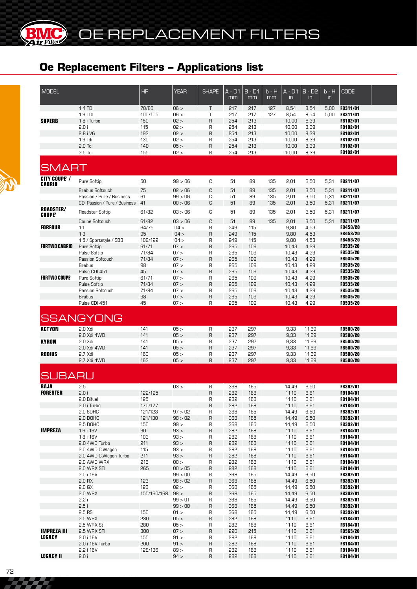| <b>MODEL</b>                          |                                          | HP                 | <b>YEAR</b>  | <b>SHAPE</b>                | A - D1<br>mm | $B - D1$<br>mm | $b - H$<br>mm | $A - D1$<br>$\mathsf{in}$ | $B - D2$<br>in | $b - H$<br>$\mathsf{in}$ | <b>CODE</b>                        |  |
|---------------------------------------|------------------------------------------|--------------------|--------------|-----------------------------|--------------|----------------|---------------|---------------------------|----------------|--------------------------|------------------------------------|--|
|                                       | 1.4 TDI                                  | 70/80              | 06 >         | $\top$                      | 217          | 217            | 127           | 8,54                      | 8,54           | 5,00                     | FB311/01                           |  |
| <b>SUPERB</b>                         | 1.9 TDI                                  | 100/105<br>150     | 06 ><br>02 > | $\mathsf T$<br>$\mathsf{R}$ | 217<br>254   | 217<br>213     | 127           | 8,54<br>10,00             | 8,54<br>8,39   | 5,00                     | FB311/01<br>FB102/01               |  |
|                                       | 1.8 i Turbo<br>2.0 i                     | 115                | 02 >         | R                           | 254          | 213            |               | 10,00                     | 8,39           |                          | FB102/01                           |  |
|                                       | 2.8 i V6                                 | 193                | 02 >         | $\mathsf{R}$                | 254          | 213            |               | 10,00                     | 8,39           |                          | FB102/01                           |  |
|                                       | $1.9$ Tdi                                | 130                | 02 >         | R                           | 254          | 213            |               | 10,00                     | 8,39           |                          | <b>FB102/01</b>                    |  |
|                                       | $2.0$ Tdi                                | 140                | 05 >         | $\sf B$                     | 254          | 213            |               | 10,00                     | 8,39           |                          | FB102/01                           |  |
|                                       | 2.5 Tdi                                  | 155                | 02 >         | $\mathsf{R}$                | 254          | 213            |               | 10,00                     | 8,39           |                          | FB102/01                           |  |
| <b>SMART</b>                          |                                          |                    |              |                             |              |                |               |                           |                |                          |                                    |  |
| <b>CITY COUPE' /</b><br><b>CABRIO</b> | Pure Softip                              | 50                 | 99 > 06      | C                           | 51           | 89             | 135           | 2,01                      | 3,50           | 5,31                     | <b>FB211/07</b>                    |  |
|                                       | <b>Brabus Softouch</b>                   | 75                 | 02 > 06      | C                           | 51           | 89             | 135           | 2.01                      | 3,50           | 5.31                     | FB211/07                           |  |
|                                       | Passion / Pure / Business                | 61                 | 99 > 06      | C                           | 51           | 89             | 135           | 2,01                      | 3,50           | 5,31                     | FB211/07                           |  |
|                                       | CDI Passion / Pure / Business            | 41                 | 00 > 06      | C                           | 51           | 89             | 135           | 2,01                      | 3,50           | 5,31                     | FB211/07                           |  |
| <b>ROADSTER/</b><br><b>COUPE'</b>     | Roadster Softip                          | 61/82              | 03 > 06      | C                           | 51           | 89             | 135           | 2,01                      | 3,50           | 5,31                     | FB211/07                           |  |
|                                       | Coupè Softouch                           | 61/82              | 03 > 06      | C                           | 51           | 89             | 135           | 2,01                      | 3,50           | 5,31                     | FB211/07                           |  |
| <b>FORFOUR</b>                        | 1.1                                      | 64/75              | 04 >         | $\mathsf{R}$                | 249          | 115            |               | 9,80                      | 4,53           |                          | FB458/20                           |  |
|                                       | 1.3                                      | 95                 | 04 >         | $\sf B$                     | 249          | 115            |               | 9,80                      | 4,53           |                          | <b>FB458/20</b>                    |  |
| <b>FORTWO CABRIO</b>                  | 1.5 / Sportstyle / SB3<br>Pure Softip    | 109/122<br>61/71   | 04 ><br>07 > | $\mathsf{R}$<br>$\sf B$     | 249<br>265   | 115<br>109     |               | 9,80<br>10,43             | 4,53<br>4,29   |                          | <b>FB458/20</b><br><b>FB535/20</b> |  |
|                                       | Pulse Softip                             | 71/84              | 07 >         | $\mathsf R$                 | 265          | 109            |               | 10,43                     | 4,29           |                          | <b>FB535/20</b>                    |  |
|                                       | Passion Softouch                         | 71/84              | 07 >         | $\mathsf{R}$                | 265          | 109            |               | 10,43                     | 4,29           |                          | <b>FB535/20</b>                    |  |
|                                       | <b>Brabus</b>                            | 98                 | 07 >         | $\mathsf{R}$                | 265          | 109            |               | 10,43                     | 4,29           |                          | <b>FB535/20</b>                    |  |
|                                       | Pulse CDI 451                            | 45                 | 07 >         | $\mathsf{R}$                | 265          | 109            |               | 10,43                     | 4,29           |                          | FB535/20                           |  |
| <b>FORTWO COUPE'</b>                  | Pure Softip<br><b>Pulse Softip</b>       | 61/71<br>71/84     | 07 ><br>07 > | $\mathsf R$<br>$\sf B$      | 265<br>265   | 109<br>109     |               | 10,43<br>10,43            | 4,29<br>4,29   |                          | <b>FB535/20</b><br><b>FB535/20</b> |  |
|                                       | Passion Softouch                         | 71/84              | 07 >         | $\mathsf{R}$                | 265          | 109            |               | 10,43                     | 4,29           |                          | <b>FB535/20</b>                    |  |
|                                       | <b>Brabus</b>                            | 98                 | 07 >         | $\mathsf{R}$                | 265          | 109            |               | 10,43                     | 4,29           |                          | FB535/20                           |  |
|                                       | Pulse CDI 451                            | 45                 | 07 >         | $\mathsf{R}$                | 265          | 109            |               | 10,43                     | 4,29           |                          | FB535/20                           |  |
|                                       | <b>SSANGYONG</b>                         |                    |              |                             |              |                |               |                           |                |                          |                                    |  |
| <b>ACTYON</b>                         | 2.0 Xdi                                  | 141                | 05 >         | $\sf R$                     | 237          | 297            |               | 9,33                      | 11,69          |                          | <b>FB500/20</b>                    |  |
|                                       | 2.0 Xdi 4WD                              | 141                | 05 >         | $\mathsf{R}$                | 237          | 297            |               | 9,33                      | 11,69          |                          | <b>FB500/20</b>                    |  |
| <b>KYRON</b>                          | 2.0 Xdi                                  | 141                | 05 ><br>05 > | R                           | 237<br>237   | 297<br>297     |               | 9,33                      | 11,69          |                          | <b>FB500/20</b><br><b>FB500/20</b> |  |
| <b>RODIUS</b>                         | 2.0 Xdi 4WD<br>2.7 Xdi                   | 141<br>163         | 05 >         | $\overline{R}$<br>R         | 237          | 297            |               | 9,33<br>9,33              | 11,69<br>11,69 |                          | <b>FB500/20</b>                    |  |
|                                       | 2.7 Xdi 4WD                              | 163                | 05 >         | $\overline{R}$              | 237          | 297            |               | 9,33                      | 11,69          |                          | <b>FB500/20</b>                    |  |
| <b>SUBARU</b>                         |                                          |                    |              |                             |              |                |               |                           |                |                          |                                    |  |
| <b>BAJA</b>                           | 2.5                                      |                    | 03 >         | $\mathsf{R}$                | 368          | 165            |               | 14,49                     | 6,50           |                          | FB392/01                           |  |
| <b>FORESTER</b>                       | 2.0i                                     | 122/125            |              | R                           | 282          | 168            |               | 11,10                     | 6.61           |                          | FB184/01                           |  |
|                                       | 2.0 Bifuel                               | 125                |              | R                           | 282          | 168            |               | 11,10                     | 6,61           |                          | FB184/01                           |  |
|                                       | 2.0 i Turbo<br>2.0 SOHC                  | 170/177<br>121/123 | 97 > 02      | $\sf B$<br>R                | 282<br>368   | 168<br>165     |               | 11,10<br>14,49            | 6,61<br>6,50   |                          | FB184/01<br><b>FB392/01</b>        |  |
|                                       | 2.0 DOHC                                 | 121/130            | 98 > 02      | $\sf R$                     | 368          | 165            |               | 14,49                     | 6,50           |                          | FB392/01                           |  |
|                                       | 2.5 DOHC                                 | 150                | 99 >         | R                           | 368          | 165            |               | 14,49                     | 6,50           |                          | FB392/01                           |  |
| <b>IMPREZA</b>                        | 1.6 i 16V                                | 90                 | 93 >         | $\sf R$                     | 282          | 168            |               | 11,10                     | 6,61           |                          | FB184/01                           |  |
|                                       | 1.8 i 16V                                | 103                | 93 >         | R                           | 282          | 168            |               | 11,10                     | 6,61           |                          | FB184/01                           |  |
|                                       | 2.0 4WD Turbo                            | 211                | 93 >         | $\sf R$                     | 282          | 168            |               | 11,10                     | 6,61           |                          | FB184/01                           |  |
|                                       | 2.0 4WD C.Wagon<br>2.0 4WD C.Wagon Turbo | 115<br>211         | 93 ><br>93 > | R<br>$\sf R$                | 282<br>282   | 168<br>168     |               | 11,10<br>11,10            | 6,61<br>6,61   |                          | FB184/01<br>FB184/01               |  |
|                                       | 2.0 AWD WRX                              | 218                | 00 >         | R                           | 282          | 168            |               | 11,10                     | 6,61           |                          | <b>FB184/01</b>                    |  |
|                                       | 2.0 WRX STI                              | 265                | 00 > 05      | $\sf R$                     | 282          | 168            |               | 11,10                     | 6,61           |                          | FB184/01                           |  |
|                                       | 2.0 i 16V                                |                    | 99 > 00      | R                           | 368          | 165            |               | 14,49                     | 6,50           |                          | FB392/01                           |  |
|                                       | 2.0 RX                                   | 123                | 98 > 02      | $\sf R$                     | 368          | 165            |               | 14,49                     | 6,50           |                          | FB392/01                           |  |
|                                       | 2.0 GX<br>2.0 WRX                        | 123<br>155/160/168 | 02 ><br>98 > | R<br>$\sf R$                | 368<br>368   | 165<br>165     |               | 14,49<br>14,49            | 6,50<br>6,50   |                          | <b>FB392/01</b><br>FB392/01        |  |
|                                       | 2.2 i                                    |                    | 99 > 01      | R                           | 368          | 165            |               | 14,49                     | 6,50           |                          | <b>FB392/01</b>                    |  |
|                                       | 2.5i                                     |                    | 99 > 00      | $\mathsf{R}$                | 368          | 165            |               | 14,49                     | 6,50           |                          | FB392/01                           |  |
|                                       | 2.5 RS                                   | 150                | 01 >         | R                           | 368          | 165            |               | 14,49                     | 6,50           |                          | <b>FB392/01</b>                    |  |
|                                       | 2.5 WRX                                  | 230                | 05 >         | $\mathsf{R}$                | 282          | 168            |               | 11,10                     | 6,61           |                          | FB184/01                           |  |
|                                       | 2.5 WRX Sti                              | 280                | 05 >         | R                           | 282          | 168            |               | 11,10                     | 6,61           |                          | FB184/01                           |  |
| <b>IMPREZA III</b><br><b>LEGACY</b>   | 2.5 WRX STI<br>2.0 i 16V                 | 300<br>155         | 07 ><br>91 > | $\mathsf{R}$                | 220<br>282   | 215<br>168     |               | 11,10<br>11,10            | 6,61<br>6,61   |                          | <b>FB565/20</b><br>FB184/01        |  |
|                                       | 2.0 i 16V Turbo                          | 200                | 91 >         | R<br>$\mathsf{R}$           | 282          | 168            |               | 11,10                     | 6,61           |                          | FB184/01                           |  |
|                                       | 2.2 i 16V                                | 128/136            | 89 >         | R                           | 282          | 168            |               | 11,10                     | 6,61           |                          | <b>FB184/01</b>                    |  |
| <b>LEGACY II</b>                      | 2.0 i                                    |                    | 94 >         | $\mathsf{R}$                | 282          | 168            |               | 11,10                     | 6,61           |                          | FB184/01                           |  |

777 T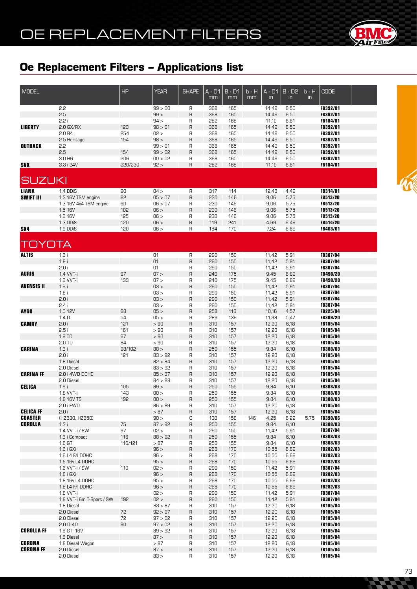

| <b>MODEL</b>                     |                              | <b>HP</b>  | <b>YEAR</b>        | <b>SHAPE</b> | $A - D1$   | $B - D1$   | b - H | $A - D1$       | $B - D2$      | $b - H$       | <b>CODE</b>                        |  |
|----------------------------------|------------------------------|------------|--------------------|--------------|------------|------------|-------|----------------|---------------|---------------|------------------------------------|--|
|                                  |                              |            |                    |              | mm         | mm         | mm    | in             | $\mathsf{in}$ | $\mathsf{in}$ |                                    |  |
|                                  | 2.2                          |            | 99 > 00            | R            | 368        | 165        |       | 14,49          | 6,50          |               | FB392/01                           |  |
|                                  | 2.5                          |            | 99 >               | R            | 368        | 165        |       | 14,49          | 6,50          |               | FB392/01                           |  |
|                                  | 2.2i                         |            | 94 >               | R            | 282        | 168        |       | 11,10          | 6,61          |               | FB184/01                           |  |
| <b>LIBERTY</b>                   | $2.0$ GX/RX                  | 123        | 98 > 01            | R            | 368        | 165        |       | 14,49          | 6,50          |               | FB392/01                           |  |
|                                  | 2.0B4                        | 254        | 02 >               | R            | 368        | 165        |       | 14,49          | 6,50          |               | FB392/01                           |  |
|                                  | 2.5 Heritage                 | 154        | 98 >               | R            | 368        | 165        |       | 14,49          | 6,50          |               | FB392/01                           |  |
| <b>OUTBACK</b>                   | 2.2<br>2.5                   | 154        | 99 > 01<br>99 > 02 | R<br>R       | 368<br>368 | 165<br>165 |       | 14,49<br>14,49 | 6,50<br>6,50  |               | FB392/01<br>FB392/01               |  |
|                                  | 3.0 H6                       | 206        | 00 > 02            | R            | 368        | 165        |       | 14,49          | 6,50          |               | FB392/01                           |  |
| <b>SVX</b>                       | 3.3 i 24V                    | 220/230    | 92 >               | R            | 282        | 168        |       | 11,10          | 6,61          |               | FB184/01                           |  |
|                                  |                              |            |                    |              |            |            |       |                |               |               |                                    |  |
| <b>SUZUKI</b>                    |                              |            |                    |              |            |            |       |                |               |               |                                    |  |
|                                  |                              |            |                    |              |            |            |       |                |               |               |                                    |  |
| <b>LIANA</b>                     | 1.4 DDiS                     | 90         | 04 >               | R            | 317        | 114        |       | 12,48          | 4,49          |               | <b>FB314/01</b>                    |  |
| <b>SWIFT III</b>                 | 1.3 16V TSM engine           | 92         | 05 > 07            | R            | 230        | 146        |       | 9,06           | 5,75          |               | <b>FB513/20</b>                    |  |
|                                  | 1.3 16V 4x4 TSM engine       | 90         | 06 > 07            | R            | 230<br>230 | 146        |       | 9,06           | 5,75<br>5,75  |               | <b>FB513/20</b>                    |  |
|                                  | 1.5 16V<br>1.6 16V           | 102<br>125 | 06 ><br>06 >       | R<br>R       | 230        | 146<br>146 |       | 9,06<br>9,06   | 5,75          |               | FB513/20<br><b>FB513/20</b>        |  |
|                                  | 1.3 DDiS                     | 120        | 06 >               | R            | 119        | 241        |       | 4,69           | 9,49          |               | FB514/20                           |  |
| SX4                              | 1.9 DDiS                     | 120        | 06 >               | R            | 184        | 170        |       | 7,24           | 6,69          |               | <b>FB463/01</b>                    |  |
|                                  |                              |            |                    |              |            |            |       |                |               |               |                                    |  |
| TOYOTA                           |                              |            |                    |              |            |            |       |                |               |               |                                    |  |
|                                  |                              |            |                    |              |            |            |       |                |               |               |                                    |  |
| <b>ALTIS</b>                     | 1.6i                         |            | 01                 | R            | 290        | 150        |       | 11,42          | 5,91          |               | FB307/04                           |  |
|                                  | 1.8i                         |            | 01                 | R            | 290        | 150        |       | 11,42          | 5,91          |               | FB307/04                           |  |
| <b>AURIS</b>                     | 2.0 i<br>1.4 VVT-i           | 97         | 01<br>07 >         | R            | 290<br>240 | 150<br>175 |       | 11,42<br>9,45  | 5,91<br>6,89  |               | FB307/04<br>FB498/20               |  |
|                                  | 1.6 VVT-i                    | 133        | 07 >               | R<br>R       | 240        | 175        |       | 9,45           | 6,89          |               | FB498/20                           |  |
| <b>AVENSIS II</b>                | 1.6i                         |            | 03 >               | R            | 290        | 150        |       | 11,42          | 5,91          |               | FB307/04                           |  |
|                                  | 1.8i                         |            | 03 >               | R            | 290        | 150        |       | 11,42          | 5,91          |               | FB307/04                           |  |
|                                  | 2.0i                         |            | 03 >               | R            | 290        | 150        |       | 11,42          | 5,91          |               | FB307/04                           |  |
|                                  | 2.4i                         |            | 03 >               | R            | 290        | 150        |       | 11,42          | 5,91          |               | FB307/04                           |  |
| <b>AYGO</b>                      | 1.0 12V                      | 68         | 05 >               | R            | 258        | 116        |       | 10,16          | 4,57          |               | FB225/04                           |  |
| <b>CAMRY</b>                     | 1.4 <sub>D</sub><br>2.0i     | 54<br>121  | 05 ><br>> 90       | R<br>R       | 289<br>310 | 139        |       | 11,38          | 5,47          |               | <b>FB309/20</b><br>FB185/04        |  |
|                                  | 2.5i                         | 161        | > 90               | R            | 310        | 157<br>157 |       | 12,20<br>12,20 | 6,18<br>6,18  |               | FB185/04                           |  |
|                                  | 1.8 TD                       | 67         | > 90               | R            | 310        | 157        |       | 12,20          | 6,18          |               | <b>FB185/04</b>                    |  |
|                                  | 2.0 TD                       | 84         | > 90               | R            | 310        | 157        |       | 12,20          | 6,18          |               | <b>FB185/04</b>                    |  |
| <b>CARINA</b>                    | 1.6i                         | 98/102     | 88 >               | R            | 250        | 155        |       | 9,84           | 6,10          |               | <b>FB308/03</b>                    |  |
|                                  | 2.0 i                        | 121        | 83 > 92            | R            | 310        | 157        |       | 12,20          | 6,18          |               | FB185/04                           |  |
|                                  | 1.8 Diesel                   |            | 82 > 84            | R            | 310        | 157        |       | 12,20          | 6,18          |               | <b>FB185/04</b>                    |  |
| <b>CARINA FF</b>                 | 2.0 Diesel<br>2.0 i 4WD DOHC |            | 83 > 92<br>85 > 87 | R<br>R       | 310<br>310 | 157<br>157 |       | 12,20<br>12,20 | 6,18<br>6,18  |               | FB185/04<br>FB185/04               |  |
|                                  | 2.0 Diesel                   |            | 84 > 88            | R            | 310        | 157        |       | 12,20          | 6,18          |               | FB185/04                           |  |
| <b>CELICA</b>                    | 1.6i                         | 105        | 89 >               | R            | 250        | 155        |       | 9,84           | 6,10          |               | <b>FB308/03</b>                    |  |
|                                  | 1.8 VVT-i                    | 143        | 00 >               | R            | 250        | 155        |       | 9,84           | 6,10          |               | <b>FB308/03</b>                    |  |
|                                  | 1.8 16V TS                   | 192        | 00 >               | R            | 250        | 155        |       | 9,84           | 6,10          |               | <b>FB308/03</b>                    |  |
|                                  | 2.0 i FWD                    |            | 86 > 89            | R            | 310        | 157        |       | 12,20          | 6,18          |               | FB185/04                           |  |
| <b>CELICA FF</b>                 | 2.0 i                        |            | > 87               | R            | 310        | 157        |       | 12,20          | 6,18          |               | FB185/04                           |  |
| <b>COASTER</b><br><b>COROLLA</b> | (HZB30, HZB50)<br>1.3i       | 75         | 90 ><br>87 > 92    | С<br>$\sf R$ | 108<br>250 | 158<br>155 | 146   | 4,25<br>9,84   | 6,22<br>6,10  | 5,75          | <b>FB390/06</b><br><b>FB308/03</b> |  |
|                                  | 1.4 VVT-i / SW               | 97         | 02 >               | R            | 290        | 150        |       | 11,42          | 5,91          |               | <b>FB307/04</b>                    |  |
|                                  | 1.6 i Compact                | 116        | 88 > 92            | R            | 250        | 155        |       | 9,84           | 6,10          |               | <b>FB308/03</b>                    |  |
|                                  | $1.6$ GTI                    | 116/121    | > 87               | R            | 250        | 155        |       | 9,84           | 6,10          |               | <b>FB308/03</b>                    |  |
|                                  | 1.6 i GXi                    |            | 96 >               | R            | 268        | 170        |       | 10,55          | 6,69          |               | FB282/03                           |  |
|                                  | 1.6 L4 F/I DOHC              |            | 96 >               | R            | 268        | 170        |       | 10,55          | 6,69          |               | <b>FB282/03</b>                    |  |
|                                  | 1.6 16v L4 DOHC              |            | 95 >               | R            | 268        | 170        |       | 10,55          | 6,69          |               | FB282/03                           |  |
|                                  | 1.6 VVT-i / SW<br>1.8 i GXi  | 110        | 02 ><br>96 >       | R<br>R       | 290<br>268 | 150<br>170 |       | 11,42<br>10,55 | 5,91<br>6,69  |               | <b>FB307/04</b><br>FB282/03        |  |
|                                  | 1.8 16v L4 DOHC              |            | 95 >               | R            | 268        | 170        |       | 10,55          | 6,69          |               | <b>FB282/03</b>                    |  |
|                                  | 1.8 L4 F/I DOHC              |            | 96 >               | R            | 268        | 170        |       | 10,55          | 6,69          |               | FB282/03                           |  |
|                                  | 1.8 VVT-i                    |            | 02 >               | R            | 290        | 150        |       | 11,42          | 5,91          |               | <b>FB307/04</b>                    |  |
|                                  | 1.8 VVT-i 6m T-Sport / SW    | 192        | 02 >               | R            | 290        | 150        |       | 11,42          | 5,91          |               | FB307/04                           |  |
|                                  | 1.8 Diesel                   |            | 83 > 87            | R            | 310        | 157        |       | 12,20          | 6,18          |               | FB185/04                           |  |
|                                  | 2.0 Diesel                   | 72         | 92 > 97            | R            | 310        | 157        |       | 12,20          | 6,18          |               | FB185/04                           |  |
|                                  | 2.0 Diesel                   | 72         | 97 > 02            | R            | 310        | 157        |       | 12,20          | 6,18          |               | FB185/04                           |  |
| <b>COROLLA FF</b>                | $2.0 D-4D$<br>1.6 GTI 16V    | 90         | 97 > 02<br>89 > 92 | R<br>R       | 310<br>310 | 157<br>157 |       | 12,20<br>12,20 | 6,18<br>6,18  |               | FB185/04<br>FB185/04               |  |
|                                  | 1.8 Diesel                   |            | 87 >               | R            | 310        | 157        |       | 12,20          | 6,18          |               | FB185/04                           |  |
| <b>CORONA</b>                    | 1.8 Diesel Wagon             |            | > 87               | R            | 310        | 157        |       | 12,20          | 6,18          |               | FB185/04                           |  |
| <b>CORONA FF</b>                 | 2.0 Diesel                   |            | 87 >               | R            | 310        | 157        |       | 12,20          | 6,18          |               | FB185/04                           |  |
|                                  | 2.0 Diesel                   |            | 83 >               | R            | 310        | 157        |       | 12,20          | 6,18          |               | <b>FB185/04</b>                    |  |



N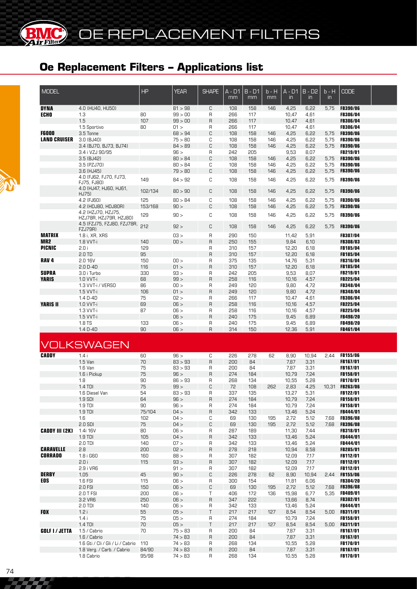

OE REPLACEMENT FILTERS

### **Oe Replacement Filters – Applications list**

| <b>MODEL</b>          |                                              | HP           | <b>YEAR</b>  | <b>SHAPE</b>   | A - D1<br>mm | $B - D1$<br>mm | b - H<br>mm | $A - D1$<br>$\mathsf{in}$ | $B - D2$<br>$\mathsf{in}$ | $b - H$<br>in | <b>CODE</b>     |  |
|-----------------------|----------------------------------------------|--------------|--------------|----------------|--------------|----------------|-------------|---------------------------|---------------------------|---------------|-----------------|--|
| <b>DYNA</b>           | 4.0 (HU40, HU50)                             |              | 81 > 98      | C              | 108          | 158            | 146         | 4,25                      | 6,22                      | 5.75          | <b>FB390/06</b> |  |
| <b>ECHO</b>           | 1.3                                          | 80           | 99 > 00      | R              | 266          | 117            |             | 10,47                     | 4,61                      |               | <b>FB306/04</b> |  |
|                       | 1.5                                          | 107          | 99 > 00      | $\mathsf{R}$   | 266          | 117            |             | 10,47                     | 4,61                      |               | <b>FB306/04</b> |  |
|                       | 1.5 Sportivo                                 | 80           | 01 >         | R              | 266          | 117            |             | 10,47                     | 4,61                      |               | <b>FB306/04</b> |  |
| <b>F6000</b>          | 3.5 Tonne                                    |              | 68 > 94      | C              | 108          | 158            | 146         | 4,25                      | 6,22                      | 5,75          | <b>FB390/06</b> |  |
| <b>LAND CRUISER</b>   | 3.0 (BJ40)                                   |              | 75 > 80      | С              | 108          | 158            | 146         | 4,25                      | 6,22                      | 5,75          | <b>FB390/06</b> |  |
|                       | 3.4 (BJ70, BJ73, BJ74)                       |              | 84 > 89      | C              | 108          | 158            | 146         | 4,25                      | 6,22                      | 5,75          | <b>FB390/06</b> |  |
|                       | 3.4 i VZJ 90/95                              |              | 96 >         | R              | 242          | 205            |             | 9,53                      | 8,07                      |               | FB219/01        |  |
|                       | 3.5 (BJ42)                                   |              | 80 > 84      | C              | 108          | 158            | 146         | 4,25                      | 6,22                      | 5,75          | <b>FB390/06</b> |  |
|                       | 3.5 (PZJ70)                                  |              | 80 > 84      | С              | 108          | 158            | 146         | 4,25                      | 6,22                      | 5,75          | <b>FB390/06</b> |  |
|                       | 3.6 (HJ45)                                   |              | 79 > 80      | C              | 108          | 158            | 146         | 4,25                      | 6,22                      | 5,75          | <b>FB390/06</b> |  |
|                       | 4.0 (FJ62, FJ70, FJ73,                       |              |              |                |              |                |             |                           |                           |               |                 |  |
|                       | FJ75, FJ80)<br>4.0 (HJ47, HJ60, HJ61,        | 149          | 84 > 92      | C              | 108          | 158            | 146         | 4,25                      | 6,22                      | 5,75          | <b>FB390/06</b> |  |
|                       | HJ75)                                        | 102/134      | 80 > 90      | C              | 108          | 158            | 146         | 4,25                      | 6,22                      | 5,75          | <b>FB390/06</b> |  |
|                       | 4.2 (FJ60)                                   | 125          | 80 > 84      | C              | 108          | 158            | 146         | 4,25                      | 6,22                      | 5,75          | <b>FB390/06</b> |  |
|                       | 4.2 (HDJ80, HDJ80R)                          | 153/168      | 90 >         | C              | 108          | 158            | 146         | 4,25                      | 6,22                      | 5,75          | <b>FB390/06</b> |  |
|                       | 4.2 (HZJ70, HZJ75,<br>HZJ78R, HZJ79R, HZJ80) | 129          | 90 >         | C              | 108          | 158            | 146         | 4,25                      | 6,22                      | 5,75          | <b>FB390/06</b> |  |
|                       | 4.5 (FZJ75, FZJ80, FZJ78R,<br><b>FZJ79R)</b> | 212          | 92 >         | C              | 108          | 158            | 146         | 4,25                      | 6,22                      | 5,75          | <b>FB390/06</b> |  |
| <b>MATRIX</b>         | 1.8 i, XR, XRS                               |              | 03 >         | R              | 290          | 150            |             | 11,42                     | 5,91                      |               | FB307/04        |  |
| MR <sub>2</sub>       | 1.8 VVT-i                                    | 140          | 00 >         | $\mathsf{R}$   | 250          | 155            |             | 9,84                      | 6,10                      |               | FB308/03        |  |
| <b>PICNIC</b>         | 2.0i                                         | 129          |              | R              | 310          | 157            |             | 12,20                     | 6,18                      |               | <b>FB185/04</b> |  |
|                       | 2.0 TD                                       | 95           |              | $\overline{R}$ | 310          | 157            |             | 12,20                     | 6,18                      |               | FB185/04        |  |
| RAV <sub>4</sub>      | 2.0 16V                                      | 150          | 00 >         | R              | 375          | 135            |             | 14,76                     | 5,31                      |               | <b>FB316/04</b> |  |
|                       | $2.0 D - 4D$                                 | 116          | 01 >         | $\mathsf{R}$   | 310          | 157            |             | 12,20                     | 6,18                      |               | <b>FB185/04</b> |  |
| <b>SUPRA</b>          | 3.0 i Turbo                                  | 330          | 93 >         | R              | 242          | 205            |             | 9,53                      | 8,07                      |               | <b>FB219/01</b> |  |
| <b>YARIS</b>          | 1.0 VVT-i                                    | 68           | 99 >         | $\overline{R}$ | 258          | 116            |             | 10,16                     | 4,57                      |               | FB225/04        |  |
|                       | 1.3 VVT-i / VERSO                            | 86           | 00 >         | R              | 249          | 120            |             | 9,80                      | 4,72                      |               | <b>FB348/04</b> |  |
|                       | 1.5 VVT-i                                    | 106          | 01 >         | $\sf B$        | 249          | 120            |             | 9,80                      | 4,72                      |               | FB348/04        |  |
|                       | 1.4 D-4D                                     | 75           | 02 >         | R              | 266          | 117            |             | 10,47                     | 4,61                      |               | <b>FB306/04</b> |  |
| <b>YARIS II</b>       | 1.0 VVT-i                                    | 69           | 06 >         | $\overline{R}$ | 258          | 116            |             | 10,16                     | 4,57                      |               | FB225/04        |  |
|                       | 1.3 VVT-i                                    | 87           | 06 >         | R              | 258          | 116            |             | 10,16                     | 4,57                      |               | <b>FB225/04</b> |  |
|                       | 1.5 VVT-i                                    |              | 06 >         | $\sf B$        | 240          | 175            |             | 9,45                      | 6,89                      |               | FB498/20        |  |
|                       | 1.8 TS                                       | 133          | 06 >         | R              | 240          | 175            |             | 9,45                      | 6,89                      |               | <b>FB498/20</b> |  |
|                       | 1.4 D-4D                                     | 90           | 06 >         | $\sf R$        | 314          | 150            |             | 12,36                     | 5,91                      |               | FB461/04        |  |
| <b>CADDY</b>          | <b>VOLKSWAGEN</b><br>1.4i                    | 60           | 96 >         | C              | 226          | 278            | 62          | 8,90                      | 10,94                     | 2.44          | <b>FB155/06</b> |  |
|                       | 1.5 Van                                      | 70           | 83 > 93      | R              | 200          | 84             |             | 7,87                      | 3,31                      |               | <b>FB167/01</b> |  |
|                       | 1.6 Van                                      | 75           | 83 > 93      | R              | 200          | 84             |             | 7,87                      | 3,31                      |               | FB167/01        |  |
|                       | 1.6 i Pickup                                 | 75           | 96 >         | $\sf B$        | 274          | 184            |             | 10,79                     | 7,24                      |               | <b>FB158/01</b> |  |
|                       | 1.8                                          | 90           | 86 > 93      | R              | 268          | 134            |             | 10,55                     | 5,28                      |               | FB170/01        |  |
|                       | 1.4 TDI                                      | 75           | 99 >         | C              | 72           | 108            | 262         | 2,83                      | 4,25                      |               | 10,31 FB263/06  |  |
|                       | 1.6 Diesel Van                               | 54           | 83 > 93      | R              | 337          | 135            |             | 13,27                     | 5,31                      |               | FB122/01        |  |
|                       | 1.9 SDI                                      | 64           | 96 >         | R              | 274          | 184            |             | 10,79                     | 7,24                      |               | FB158/01        |  |
|                       |                                              |              |              |                |              | 184            |             |                           |                           |               | FB158/01        |  |
|                       | 1.9 TDI                                      | 90<br>75/104 | 96 >         | R              | 274          |                |             | 10,79                     | 7,24                      |               | FB444/01        |  |
|                       | 1.9 TDI                                      |              | 04 ><br>04 > | $\sf B$        | 342          | 133            |             | 13,46<br>2,72             | 5,24                      |               |                 |  |
|                       | 1.6                                          | 102          |              | С              | 69           | 130            | 195         |                           | 5,12                      | 7,68          | <b>FB396/08</b> |  |
|                       | 2.0 SDI                                      | 75           | 04 >         | С              | 69           | 130            | 195         | 2,72                      | 5,12                      | 7,68          | <b>FB396/08</b> |  |
| CADDY III (2K)        | 1.4i 16V                                     | 80           | 06 >         | R              | 287          | 189            |             | 11,30                     | 7,44                      |               | <b>FB318/01</b> |  |
|                       | $1.9$ TDI                                    | 105          | 04 >         | $\sf B$        | 342          | 133            |             | 13,46                     | 5,24                      |               | FB444/01        |  |
|                       | $2.0$ TDI                                    | 140          | 07 >         | R              | 342          | 133            |             | 13,46                     | 5,24                      |               | <b>FB444/01</b> |  |
| <b>CARAVELLE</b>      | 2.8                                          | 200          | 02 >         | $\sf R$        | 278          | 218            |             | 10,94                     | 8,58                      |               | FB285/01        |  |
| <b>CORRADO</b>        | 1.8 i G60                                    | 160          | 88 >         | R              | 307          | 182            |             | 12,09                     | 7,17                      |               | FB112/01        |  |
|                       | 2.0i                                         | 115          | 93 >         | $\sf R$        | 307          | 182            |             | 12,09                     | 7,17                      |               | FB112/01        |  |
|                       | 2.9 i VR6                                    |              | 91 >         | R              | 307          | 182            |             | 12,09                     | 7,17                      |               | <b>FB112/01</b> |  |
| <b>DERBY</b>          | 1,05                                         | 45           | 90 >         | С              | 226          | 278            | 62          | 8,90                      | 10,94                     | 2,44          | <b>FB155/06</b> |  |
| EOS                   | 1.6 FSI                                      | 115          | 06 >         | R              | 300          | 154            |             | 11,81                     | 6,06                      |               | <b>FB384/20</b> |  |
|                       | 2.0 FSI                                      | 150          | 06 >         | С              | 69           | 130            | 195         | 2,72                      | 5,12                      | 7,68          | <b>FB396/08</b> |  |
|                       | 2.0 T FSI                                    | 200          | 06 >         | $\sf T$        | 406          | 172            | 136         | 15,98                     | 6,77                      | 5,35          | <b>FB409/01</b> |  |
|                       | 3.2 VR6                                      | 250          | 06 >         | $\sf R$        | 347          | 222            |             | 13,66                     | 8,74                      |               | FB382/01        |  |
|                       | 2.0 TDI                                      | 140          | 06 >         | R              | 342          | 133            |             | 13,46                     | 5,24                      |               | FB444/01        |  |
| <b>FOX</b>            | 1.2i                                         | 55           | 05 >         | Τ              | 217          | 217            | 127         | 8,54                      | 8,54                      |               | 5,00 FB311/01   |  |
|                       | 1.4i                                         | 75           | 05 >         | R              | 274          | 184            |             | 10,79                     | 7,24                      |               | FB158/01        |  |
|                       | 1.4 TDI                                      | 70           | 05 >         | $\mathsf T$    | 217          | 217            | 127         | 8,54                      | 8,54                      |               | 5,00 FB311/01   |  |
| <b>GOLF I / JETTA</b> | 1.5 / Cabrio                                 | 70           | 75 > 83      | $\mathsf{R}$   | 200          | 84             |             | 7,87                      | 3,31                      |               | FB167/01        |  |
|                       | 1.6 / Cabrio                                 |              | 74 > 83      | $\mathsf{R}$   | 200          | 84             |             | 7,87                      | 3,31                      |               | FB167/01        |  |
|                       | 1.6 Gti / Cli / Gli / Li / Cabrio            | 110          | 74 > 83      | R              | 268          | 134            |             | 10,55                     | 5,28                      |               | FB170/01        |  |
|                       | 1.8 Verg. / Carb. / Cabrio                   | 84/90        | 74 > 83      | $\sf R$        | 200          | 84             |             | 7,87                      | 3,31                      |               | FB167/01        |  |
|                       |                                              | 95/98        |              |                |              |                |             |                           |                           |               |                 |  |
|                       | 1.8 Cabrio                                   |              | 74 > 83      | R              | 268          | 134            |             | 10,55                     | 5,28                      |               | FB170/01        |  |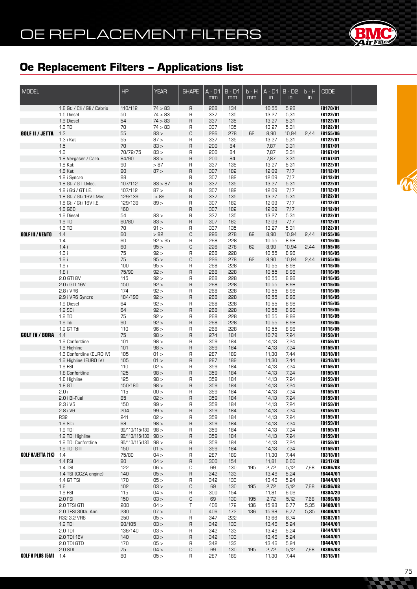

| <b>MODEL</b>                |                                                     | HP                  | <b>YEAR</b>  | <b>SHAPE</b>            | $A - D1$<br>mm | $B - D1$<br>mm | $b - H$<br>mm | $A - D1$<br>$\mathsf{in}$ | $B - D2$<br>$\mathsf{in}$ | $b - H$<br>$\mathsf{in}$ | <b>CODE</b>                        |  |
|-----------------------------|-----------------------------------------------------|---------------------|--------------|-------------------------|----------------|----------------|---------------|---------------------------|---------------------------|--------------------------|------------------------------------|--|
|                             | 1.8 Gti / Cli / Gli / Cabrio                        | 110/112             | 74 > 83      | R                       | 268            | 134            |               | 10,55                     | 5,28                      |                          | FB170/01                           |  |
|                             | 1.5 Diesel                                          | 50                  | 74 > 83      | R                       | 337            | 135            |               | 13,27                     | 5,31                      |                          | FB122/01                           |  |
|                             | 1.6 Diesel                                          | 54                  | 74 > 83      | $\mathsf{R}$            | 337            | 135            |               | 13,27                     | 5,31                      |                          | FB122/01                           |  |
|                             | 1.6 TD                                              | 70                  | 74 > 83      | R                       | 337            | 135            |               | 13,27                     | 5,31                      |                          | FB122/01                           |  |
| <b>GOLF II / JETTA</b>      | 1.3                                                 | 55                  | 83 >         | C                       | 226            | 278            | 62            | 8,90                      | 10,94                     | 2,44                     | FB155/06                           |  |
|                             | 1.3 i Kat                                           | 55<br>70            | 87 ><br>83 > | R<br>$\mathsf{R}$       | 337            | 135<br>84      |               | 13,27                     | 5,31                      |                          | FB122/01                           |  |
|                             | 1.5<br>1.6                                          | 70/72/75            | 83 >         | R                       | 200<br>200     | 84             |               | 7,87<br>7,87              | 3,31<br>3,31              |                          | FB167/01<br>FB167/01               |  |
|                             | 1.8 Vergaser / Carb.                                | 84/90               | 83 >         | $\sf R$                 | 200            | 84             |               | 7,87                      | 3,31                      |                          | FB167/01                           |  |
|                             | 1.8 Kat                                             | 90                  | $>87$        | $\mathsf{R}$            | 337            | 135            |               | 13,27                     | 5,31                      |                          | FB122/01                           |  |
|                             | 1.8 Kat                                             | 90                  | 87 >         | $\sf R$                 | 307            | 182            |               | 12,09                     | 7,17                      |                          | FB112/01                           |  |
|                             | 1.8 i Syncro                                        | 98                  |              | R                       | 307            | 182            |               | 12,09                     | 7,17                      |                          | FB112/01                           |  |
|                             | 1.8 Gti / GT I.Mec.                                 | 107/112             | 83 > 87      | $\overline{R}$          | 337            | 135            |               | 13,27                     | 5,31                      |                          | FB122/01                           |  |
|                             | 1.8 i Gti / GT I.E.                                 | 107/112             | 87 >         | $\mathsf{R}$            | 307            | 182            |               | 12,09                     | 7,17                      |                          | FB112/01                           |  |
|                             | 1.8 Gti / Gti 16V I.Mec.                            | 129/139             | >89          | $\sf R$                 | 337            | 135            |               | 13,27                     | 5,31                      |                          | FB122/01                           |  |
|                             | 1.8 Gti / Gti 16V I.E.                              | 129/139             | 89 >         | $\mathsf{R}$            | 307            | 182            |               | 12,09                     | 7,17                      |                          | FB112/01                           |  |
|                             | 1.8 G60                                             | 160                 |              | $\sf R$                 | 307            | 182            |               | 12,09                     | 7,17                      |                          | FB112/01                           |  |
|                             | 1.6 Diesel                                          | 54<br>60/80         | 83 ><br>83 > | $\mathsf{R}$<br>$\sf R$ | 337<br>307     | 135<br>182     |               | 13,27                     | 5,31<br>7,17              |                          | FB122/01                           |  |
|                             | 1.6 TD<br>1.6 TD                                    | 70                  | 91 >         | $\mathsf{R}$            | 337            | 135            |               | 12,09<br>13,27            | 5,31                      |                          | FB112/01<br>FB122/01               |  |
| <b>GOLF III / VENTO</b>     | 1.4                                                 | 60                  | >92          | C                       | 226            | 278            | 62            | 8,90                      | 10,94                     | 2,44                     | <b>FB155/06</b>                    |  |
|                             | 1.4                                                 | 60                  | 92 > 95      | R                       | 268            | 228            |               | 10,55                     | 8,98                      |                          | FB116/05                           |  |
|                             | 1.4i                                                | 60                  | 95 >         | C                       | 226            | 278            | 62            | 8,90                      | 10,94                     | 2,44                     | <b>FB155/06</b>                    |  |
|                             | 1.6i                                                | 75                  | 92 >         | R                       | 268            | 228            |               | 10,55                     | 8,98                      |                          | FB116/05                           |  |
|                             | 1.6i                                                | 75                  | 95 >         | C                       | 226            | 278            | 62            | 8,90                      | 10,94                     | 2,44                     | <b>FB155/06</b>                    |  |
|                             | 1.6i                                                | 100                 | 95 >         | R                       | 268            | 228            |               | 10,55                     | 8,98                      |                          | FB116/05                           |  |
|                             | 1.8i                                                | 75/90               | 92 >         | $\mathsf{R}$            | 268            | 228            |               | 10,55                     | 8,98                      |                          | FB116/05                           |  |
|                             | 2.0 GTI 8V                                          | 115                 | 92 >         | R                       | 268            | 228            |               | 10,55                     | 8,98                      |                          | FB116/05                           |  |
|                             | 2.0 i GTI 16V                                       | 150                 | 92 >         | $\mathsf{R}$            | 268            | 228            |               | 10,55                     | 8,98                      |                          | FB116/05                           |  |
|                             | 2.8 i VR6<br>2.9 i VR6 Syncro                       | 174<br>184/190      | 92 ><br>92 > | R<br>$\mathsf{R}$       | 268<br>268     | 228<br>228     |               | 10,55<br>10,55            | 8,98<br>8,98              |                          | FB116/05<br>FB116/05               |  |
|                             | 1.9 Diesel                                          | 64                  | 92 >         | R                       | 268            | 228            |               | 10,55                     | 8,98                      |                          | FB116/05                           |  |
|                             | 1.9 SDi                                             | 64                  | 92 >         | $\mathsf{R}$            | 268            | 228            |               | 10,55                     | 8,98                      |                          | FB116/05                           |  |
|                             | 1.9 TD                                              | 75                  | 92 >         | R                       | 268            | 228            |               | 10,55                     | 8,98                      |                          | FB116/05                           |  |
|                             | $1.9$ Tdi                                           | 90                  | 92 >         | $\mathsf{R}$            | 268            | 228            |               | 10,55                     | 8,98                      |                          | FB116/05                           |  |
|                             | 1.9 GT Tdi                                          | 110                 | 96 >         | R                       | 268            | 228            |               | 10,55                     | 8,98                      |                          | FB116/05                           |  |
| <b>GOLF IV / BORA</b>       | 1.4                                                 | 75                  | 98 >         | $\mathsf{R}$            | 274            | 184            |               | 10,79                     | 7,24                      |                          | FB158/01                           |  |
|                             | 1.6 Confortline                                     | 101                 | 98 >         | R                       | 359            | 184            |               | 14,13                     | 7,24                      |                          | FB159/01                           |  |
|                             | 1.6 Highline                                        | 101                 | 98 >         | $\mathsf{R}$            | 359            | 184            |               | 14,13                     | 7,24                      |                          | FB159/01                           |  |
|                             | 1.6 Confortline (EURO IV)<br>1.6 Highline (EURO IV) | 105<br>105          | 01 ><br>01 > | R<br>$\mathsf{R}$       | 287            | 189            |               | 11,30                     | 7,44                      |                          | FB318/01<br>FB318/01               |  |
|                             | 1.6 FSI                                             | 110                 | 02 >         | R                       | 287<br>359     | 189<br>184     |               | 11,30<br>14,13            | 7,44<br>7,24              |                          | FB159/01                           |  |
|                             | 1.8 Confortline                                     | 125                 | 98 >         | $\mathsf{R}$            | 359            | 184            |               | 14,13                     | 7,24                      |                          | FB159/01                           |  |
|                             | 1.8 Highline                                        | 125                 | 98 >         | R                       | 359            | 184            |               | 14,13                     | 7,24                      |                          | FB159/01                           |  |
|                             | 1.8 GTI                                             | 150/180             | 98 >         | $\mathsf{R}$            | 359            | 184            |               | 14,13                     | 7,24                      |                          | FB159/01                           |  |
|                             | 2.0 i                                               | 115                 | 00 >         | R                       | 359            | 184            |               | 14,13                     | 7,24                      |                          | FB159/01                           |  |
|                             | 2.0 i Bi-Fuel                                       | 85                  | 02 >         | R                       | 359            | 184            |               | 14,13                     | 7,24                      |                          | <b>FB159/01</b>                    |  |
|                             | 2.3 i V5                                            | 150                 | 99 >         | R                       | 359            | 184            |               | 14,13                     | 7,24                      |                          | FB159/01                           |  |
|                             | 2.8 i V6                                            | 204                 | 99 >         | R                       | 359            | 184            |               | 14,13                     | 7,24                      |                          | FB159/01                           |  |
|                             | R32<br>1.9 SDi                                      | 241<br>68           | 02 ><br>98 > | R                       | 359            | 184            |               | 14,13                     | 7,24                      |                          | FB159/01<br>FB159/01               |  |
|                             | $1.9$ TDI                                           | 90/110/115/130 98 > |              | R<br>R                  | 359<br>359     | 184<br>184     |               | 14,13<br>14,13            | 7,24<br>7,24              |                          | FB159/01                           |  |
|                             | 1.9 TDI Highline                                    | 90/110/115/130 98 > |              | R                       | 359            | 184            |               | 14,13                     | 7,24                      |                          | FB159/01                           |  |
|                             | 1.9 TDI Confortline                                 | 90/110/115/130      | 98 >         | R                       | 359            | 184            |               | 14,13                     | 7,24                      |                          | <b>FB159/01</b>                    |  |
|                             | 1.9 TDI GTI                                         | 150                 | 01 >         | R                       | 359            | 184            |               | 14,13                     | 7,24                      |                          | FB159/01                           |  |
| GOLF V/JETTA (1K)           | 1.4                                                 | 75/80               | 04 >         | R                       | 287            | 189            |               | 11,30                     | 7,44                      |                          | FB318/01                           |  |
|                             | 1.4 FSI                                             | 90                  | 04 >         | R                       | 300            | 154            |               | 11,81                     | 6,06                      |                          | FB317/20                           |  |
|                             | 1.4 TSI                                             | 122                 | 06 >         | С                       | 69             | 130            | 195           | 2,72                      | 5,12                      | 7,68                     | <b>FB396/08</b>                    |  |
|                             | 1.4 TSI (CCZA engine)                               | 140                 | 05 >         | R                       | 342            | 133            |               | 13,46                     | 5,24                      |                          | FB444/01                           |  |
|                             | 1.4 GT TSI                                          | 170                 | 05 >         | R                       | 342            | 133            |               | 13,46                     | 5,24                      |                          | FB444/01                           |  |
|                             | 1.6<br>1.6 FSI                                      | 102<br>115          | < 50<br>04 > | С<br>R                  | 69<br>300      | 130<br>154     | 195           | 2,72<br>11,81             | 5,12<br>6,06              | 7.68                     | <b>FB396/08</b><br><b>FB384/20</b> |  |
|                             | 2.0 FSI                                             | 150                 | < 50         | С                       | 69             | 130            | 195           | 2,72                      | 5,12                      | 7,68                     | <b>FB396/08</b>                    |  |
|                             | 2.0 TFSI GTI                                        | 200                 | 04 >         | T                       | 406            | 172            | 136           | 15,98                     | 6,77                      | 5,35                     | <b>FB409/01</b>                    |  |
|                             | 2.0 TFSI 30th. Ann.                                 | 230                 | 07 >         | Τ                       | 406            | 172            | 136           | 15,98                     | 6,77                      | 5,35                     | FB409/01                           |  |
|                             | R32 3.2 VR6                                         | 250                 | 05 >         | R                       | 347            | 222            |               | 13,66                     | 8,74                      |                          | <b>FB382/01</b>                    |  |
|                             | $1.9$ TDI                                           | 90/105              | 03 >         | $\sf R$                 | 342            | 133            |               | 13,46                     | 5,24                      |                          | FB444/01                           |  |
|                             | 2.0 TDI                                             | 136/140             | 03 >         | R                       | 342            | 133            |               | 13,46                     | 5,24                      |                          | <b>FB444/01</b>                    |  |
|                             | 2.0 TDI 16V                                         | 140                 | 03 >         | R                       | 342            | 133            |               | 13,46                     | 5,24                      |                          | FB444/01                           |  |
|                             | 2.0 TDI GTD                                         | 170                 | 05 >         | R                       | 342            | 133            |               | 13,46                     | 5,24                      |                          | FB444/01                           |  |
| <b>GOLF V PLUS (5M)</b> 1.4 | $2.0$ SDI                                           | 75<br>80            | 04 ><br>05 > | С<br>R                  | 69<br>287      | 130<br>189     | 195           | 2,72<br>11,30             | 5,12<br>7,44              | 7,68                     | <b>FB396/08</b><br>FB318/01        |  |
|                             |                                                     |                     |              |                         |                |                |               |                           |                           |                          |                                    |  |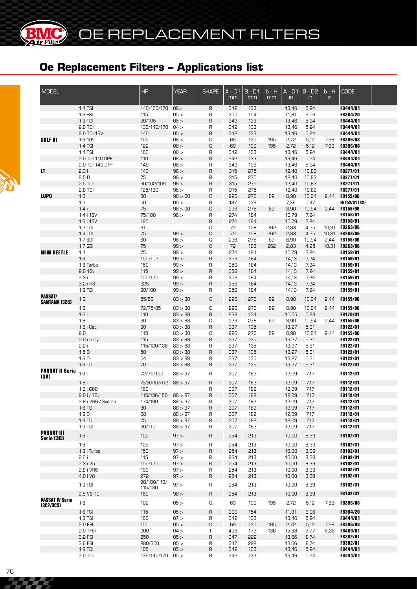| <b>MODEL</b>                        |                                        | <b>HP</b>                      | <b>YEAR</b>        | <b>SHAPE</b> | A - D1<br>mm | $B - D1$<br>mm | b - H<br>mm | $A - D1$<br>$\mathsf{in}$ | $B - D2$<br>$\mathsf{in}$ | $b - H$<br>$\mathsf{in}$ | <b>CODE</b>                        |  |
|-------------------------------------|----------------------------------------|--------------------------------|--------------------|--------------|--------------|----------------|-------------|---------------------------|---------------------------|--------------------------|------------------------------------|--|
|                                     | 1.4 TSI                                | 140/160/170                    | 06>                | R            | 342          | 133            |             | 13,46                     | 5,24                      |                          | FB444/01                           |  |
|                                     | 1.6 FSI                                | 115                            | 05 >               | R            | 300          | 154            |             | 11,81                     | 6,06                      |                          | <b>FB384/20</b>                    |  |
|                                     | 1.9 TDI                                | 90/105                         | 05 >               | R            | 342          | 133            |             | 13,46                     | 5,24                      |                          | <b>FB444/01</b>                    |  |
|                                     | 2.0 TDI<br>2.0 TDI 16V                 | 136/140/170<br>140             | 04 ><br>05 >       | R<br>R       | 342<br>342   | 133<br>133     |             | 13,46<br>13,46            | 5,24<br>5,24              |                          | <b>FB444/01</b><br>FB444/01        |  |
| <b>GOLF VI</b>                      | 1.6 16V                                | 102                            | 08 >               | С            | 69           | 130            | 195         | 2,72                      | 5,12                      | 7,68                     | <b>FB396/08</b>                    |  |
|                                     | 1.4 TSI                                | 122                            | 08 >               | C            | 69           | 130            | 195         | 2,72                      | 5,12                      | 7,68                     | <b>FB396/08</b>                    |  |
|                                     | 1.4 TSI                                | 160                            | 08 >               | R            | 342          | 133            |             | 13,46                     | 5,24                      |                          | FB444/01                           |  |
|                                     | 2.0 TDI 110 DPF                        | 110                            | 08 >               | R            | 342          | 133            |             | 13,46                     | 5,24                      |                          | <b>FB444/01</b>                    |  |
|                                     | 2.0 TDI 140 DPF                        | 140                            | 08 >               | R            | 342          | 133            |             | 13,46                     | 5,24                      |                          | <b>FB444/01</b>                    |  |
| LT                                  | 2.3i                                   | 143                            | 96 >               | R            | 315          | 275            |             | 12,40                     | 10,83                     |                          | FB277/01                           |  |
|                                     | 2.5D                                   | 75                             | 96 >               | R            | 315          | 275            |             | 12,40                     | 10,83                     |                          | <b>FB277/01</b>                    |  |
|                                     | $2.5$ TDI<br>2.8 TDI                   | 90/102/109<br>125/130          | 96 ><br>96 >       | R<br>R       | 315<br>315   | 275<br>275     |             | 12,40<br>12,40            | 10,83<br>10,83            |                          | FB277/01                           |  |
| <b>LUPO</b>                         | 1.0                                    | 50                             | 98 > 00            | C            | 226          | 278            | 62          | 8,90                      | 10,94                     | 2.44                     | <b>FB277/01</b><br><b>FB155/06</b> |  |
|                                     | 1.0                                    | 50                             | 00 >               | R            | 187          | 139            |             | 7,36                      | 5,47                      |                          | <b>FB252/01 (X2)</b>               |  |
|                                     | 1.4i                                   | 75                             | 98 > 00            | C            | 226          | 278            | 62          | 8,90                      | 10,94                     | 2.44                     | <b>FB155/06</b>                    |  |
|                                     | 1.4 i 16V                              | 75/100                         | 96 >               | R            | 274          | 184            |             | 10,79                     | 7,24                      |                          | FB158/01                           |  |
|                                     | 1.6 i 16V                              | 125                            |                    | R            | 274          | 184            |             | 10,79                     | 7,24                      |                          | FB158/01                           |  |
|                                     | 1.2 TDI                                | 61                             |                    | C            | 72           | 108            | 262         | 2,83                      | 4,25                      |                          | 10,31 FB263/06                     |  |
|                                     | $1.4$ TDI                              | 75                             | 99 >               | C            | 72           | 108            | 262         | 2,83                      | 4,25                      | 10,31                    | <b>FB263/06</b>                    |  |
|                                     | 1.7 SDI                                | 60                             | 98 >               | С            | 226          | 278            | 62          | 8,90                      | 10,94                     | 2,44                     | <b>FB155/06</b>                    |  |
| <b>NEW BEETLE</b>                   | 1.7 SDI<br>1.4                         | 75<br>75                       | 99 ><br>99 >       | C<br>R       | 72<br>274    | 108<br>184     | 262         | 2,83<br>10,79             | 4,25<br>7,24              |                          | 10,31 FB263/06<br>FB158/01         |  |
|                                     | 1.6                                    | 100/102                        | 99 >               | R            | 359          | 184            |             | 14,13                     | 7,24                      |                          | FB159/01                           |  |
|                                     | 1.8 Turbo                              | 150                            | 99 >               | R            | 359          | 184            |             | 14,13                     | 7,24                      |                          | FB159/01                           |  |
|                                     | 2.0 16v                                | 115                            | 99 >               | R            | 359          | 184            |             | 14,13                     | 7,24                      |                          | FB159/01                           |  |
|                                     | 2.3i                                   | 150/170                        | 99 >               | R            | 359          | 184            |             | 14,13                     | 7,24                      |                          | FB159/01                           |  |
|                                     | 3.2 i RS                               | 225                            | 99 >               | R            | 359          | 184            |             | 14,13                     | 7,24                      |                          | FB159/01                           |  |
|                                     | 1.9 TDI                                | 90/100                         | 99 >               | R            | 359          | 184            |             | 14,13                     | 7,24                      |                          | FB159/01                           |  |
| PASSAT/<br><b>SANTANA (32B)</b>     | 1.3                                    | 55/60                          | 83 > 88            | C            | 226          | 278            | 62          | 8,90                      | 10,94                     | 2,44                     | <b>FB155/06</b>                    |  |
|                                     | 1.6                                    | 72/75/85                       | 83 > 88            | С            | 226          | 278            | 62          | 8,90                      | 10,94                     | 2.44                     | <b>FB155/06</b>                    |  |
|                                     | 1.6i<br>1.8                            | 110<br>90                      | 83 > 88<br>83 > 88 | R            | 268<br>226   | 134<br>278     | 62          | 10,55                     | 5,28                      |                          | FB170/01<br><b>FB155/06</b>        |  |
|                                     | 1.8 i Cat.                             | 90                             | 83 > 88            | С<br>R       | 337          | 135            |             | 8,90<br>13,27             | 10,94<br>5,31             | 2,44                     | FB122/01                           |  |
|                                     | 2.0                                    | 115                            | 83 > 88            | С            | 226          | 278            | 62          | 8,90                      | 10,94                     | 2,44                     | <b>FB155/06</b>                    |  |
|                                     | 2.0 i 5 Cyl.                           | 115                            | 83 > 88            | R            | 337          | 135            |             | 13,27                     | 5,31                      |                          | FB122/01                           |  |
|                                     | 2.2 i                                  | 115/120/136                    | 83 > 88            | R            | 337          | 135            |             | 13,27                     | 5,31                      |                          | FB122/01                           |  |
|                                     | 1.5D                                   | 50                             | 83 > 88            | R            | 337          | 135            |             | 13,27                     | 5,31                      |                          | FB122/01                           |  |
|                                     | 1.6 <sub>D</sub>                       | 54                             | 83 > 88            | R            | 337          | 135            |             | 13,27                     | 5,31                      |                          | <b>FB122/01</b>                    |  |
|                                     | 1.6 TD                                 | 70                             | 83 > 88            | R            | 337          | 135            |             | 13,27                     | 5,31                      |                          | FB122/01                           |  |
| <b>PASSAT II Serie</b><br>(3A)      | 1.6i                                   | 72/75/100                      | 88 > 97            | R            | 307          | 182            |             | 12,09                     | 7,17                      |                          | FB112/01                           |  |
|                                     | 1.8i                                   | 75/90/107/112                  | 88 > 97            | $\sf R$      | 307          | 182            |             | 12,09                     | 7,17                      |                          | FB112/01                           |  |
|                                     | 1.8 i G60                              | 160                            |                    | R            | 307          | 182<br>182     |             | 12,09                     | 7,17                      |                          | FB112/01<br><b>FB112/01</b>        |  |
|                                     | $2.0$ i / 16 $v$<br>2.8 i VR6 / Syncro | 115/136/150 88 > 97<br>174/190 | 88 > 97            | R<br>R       | 307<br>307   | 182            |             | 12,09<br>12,09            | 7,17<br>7,17              |                          | FB112/01                           |  |
|                                     | 1.6 TD                                 | 80                             | 88 > 97            | R            | 307          | 182            |             | 12,09                     | 7,17                      |                          | FB112/01                           |  |
|                                     | 1.9D                                   | 68                             | 88 > 97            | R            | 307          | 182            |             | 12,09                     | 7,17                      |                          | FB112/01                           |  |
|                                     | 1.9 TD                                 | 75                             | 88 > 97            | R            | 307          | 182            |             | 12,09                     | 7,17                      |                          | FB112/01                           |  |
|                                     | 1.9 TDI                                | 90/110                         | 88 > 97            | R            | 307          | 182            |             | 12,09                     | 7,17                      |                          | FB112/01                           |  |
| <b>PASSAT III</b><br>Serie (3B)     | 1.6i                                   | 102                            | 97 >               | R            | 254          | 213            |             | 10,00                     | 8,39                      |                          | FB102/01                           |  |
|                                     | 1.8i                                   | 125                            | 97 >               | R            | 254          | 213            |             | 10,00                     | 8,39                      |                          | FB102/01                           |  |
|                                     | 1.8 i Turbo                            | 150                            | 97 >               | R            | 254          | 213            |             | 10,00                     | 8,39                      |                          | FB102/01                           |  |
|                                     | 2.0 i                                  | 115                            | 97 >               | R            | 254          | 213            |             | 10,00                     | 8,39                      |                          | FB102/01                           |  |
|                                     | 2.3 i V5                               | 150/170                        | 97 ><br>97 >       | R            | 254          | 213            |             | 10,00                     | 8,39                      |                          | FB102/01<br>FB102/01               |  |
|                                     | 2.8 i VR6<br>4.0 i V8                  | 193<br>272                     | 97 >               | R<br>R       | 254<br>254   | 213<br>213     |             | 10,00<br>10,00            | 8,39<br>8,39              |                          | FB102/01                           |  |
|                                     | 1.9 TDI                                | 90/100/110/                    | 97 >               | R            | 254          | 213            |             | 10,00                     | 8,39                      |                          | FB102/01                           |  |
|                                     | 2.5 V6 TDI                             | 115/130<br>150                 | 98 >               | R            | 254          | 213            |             | 10,00                     | 8,39                      |                          | FB102/01                           |  |
| <b>PASSAT IV Serie</b><br>(3C2/3C5) | 1.6                                    | 102                            | 05 >               | С            | 69           | 130            | 195         | 2,72                      | 5,12                      | 7,68                     | <b>FB396/08</b>                    |  |
|                                     | 1.6 FSI                                | 115                            | 05 >               | R            | 300          | 154            |             | 11,81                     | 6,06                      |                          | <b>FB384/20</b>                    |  |
|                                     | 1.8 TSI                                | 160                            | 07 >               | R            | 342          | 133            |             | 13,46                     | 5,24                      |                          | FB444/01                           |  |
|                                     | 2.0 FSI                                | 150                            | 05 >               | С            | 69           | 130            | 195         | 2,72                      | 5,12                      | 7,68                     | <b>FB396/08</b>                    |  |
|                                     | 2.0 TFSI                               | 200                            | 04 >               | Τ            | 406          | 172            | 136         | 15,98                     | 6,77                      | 5,35                     | <b>FB409/01</b>                    |  |
|                                     | 3.2 FSI                                | 250                            | 05 >               | R            | 347          | 555            |             | 13,66                     | 8,74                      |                          | FB382/01                           |  |
|                                     | 3.6 FSI                                | 280/300                        | 05 >               | R            | 347          | 555            |             | 13,66                     | 8,74                      |                          | <b>FB382/01</b>                    |  |
|                                     | 1.9 TDI<br>2.0 TDI                     | 105<br>136/140/170 05 >        | 05 >               | R<br>R       | 342<br>342   | 133<br>133     |             | 13,46<br>13,46            | 5,24<br>5,24              |                          | FB444/01<br>FB444/01               |  |
|                                     |                                        |                                |                    |              |              |                |             |                           |                           |                          |                                    |  |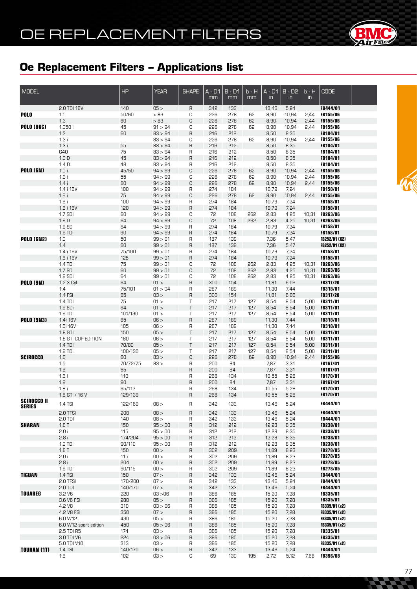

| MODEL              |                       | HP          | <b>YEAR</b>        | <b>SHAPE</b> | $A - D1$<br>mm | $B - D1$<br>mm | $b - H$<br>mm | $A - D1$<br>$\mathsf{in}$ | $B - D2$<br>$\mathsf{in}$ | $b - H$<br>$\mathsf{in}$ | <b>CODE</b>                 |  |
|--------------------|-----------------------|-------------|--------------------|--------------|----------------|----------------|---------------|---------------------------|---------------------------|--------------------------|-----------------------------|--|
|                    | 2.0 TDI 16V           | 140         | 05 >               | $\sf R$      | 342            | 133            |               | 13,46                     | 5,24                      |                          | FB444/01                    |  |
| POLO               | 1.1                   | 50/60       | >83                | C            | 226            | 278            | 62            | 8,90                      | 10,94                     | 2,44                     | <b>FB155/06</b>             |  |
|                    | 1.3                   | 60          | >83                | C            | 226            | 278            | 62            | 8,90                      | 10,94                     | 2,44                     | <b>FB155/06</b>             |  |
| <b>POLO (86C)</b>  | 1.050 i               | 45          | 91 > 94            | С            | 226            | 278            | 62            | 8,90                      | 10,94                     | 2,44                     | <b>FB155/06</b>             |  |
|                    | 1.3                   | 60          | 83 > 94            | $\sf R$      | 216            | 212            |               | 8,50                      | 8,35                      |                          | FB104/01                    |  |
|                    | 1.3i                  |             | 83 > 94            | С            | 226            | 278            | 62            | 8,90                      | 10,94                     | 2,44                     | <b>FB155/06</b>             |  |
|                    | 1.3i                  | 55          | 83 > 94            | $\mathsf{R}$ | 216            | 212            |               | 8,50                      | 8,35                      |                          | FB104/01                    |  |
|                    | G40                   | 75          | 83 > 94            | R            | 216            | 212            |               | 8,50                      | 8,35                      |                          | FB104/01                    |  |
|                    | 1.3 <sub>D</sub>      | 45          | 83 > 94            | $\mathsf{R}$ | 216            | 212            |               | 8,50                      | 8,35                      |                          | FB104/01                    |  |
|                    | 1.4 <sub>D</sub>      | 48<br>45/50 | 83 > 94<br>94 > 99 | R            | 216<br>226     | 212<br>278     | 62            | 8,50<br>8,90              | 8,35                      |                          | FB104/01<br>FB155/06        |  |
| <b>POLO (6N)</b>   | 1.0i                  |             | 94 > 99            | C            |                |                |               |                           | 10,94                     | 2,44<br>2,44             | <b>FB155/06</b>             |  |
|                    | 1.3i<br>1.4i          | 55<br>60    | 94 > 99            | С<br>C       | 226<br>226     | 278<br>278     | 62<br>62      | 8,90<br>8,90              | 10,94<br>10,94            | 2,44                     | <b>FB155/06</b>             |  |
|                    | 1.4 i 16V             | 100         | 94 > 99            | R            | 274            | 184            |               | 10,79                     | 7,24                      |                          | FB158/01                    |  |
|                    | 1.6i                  | 75          | 94 > 99            | $\mathbb C$  | 226            | 278            | 62            | 8,90                      | 10,94                     | 2,44                     | FB155/06                    |  |
|                    | 1.6i                  | 100         | 94 > 99            | R            | 274            | 184            |               | 10,79                     | 7,24                      |                          | FB158/01                    |  |
|                    | 1.6 i 16V             | 120         | 94 > 99            | $\mathsf R$  | 274            | 184            |               | 10,79                     | 7,24                      |                          | FB158/01                    |  |
|                    | 1.7 SDI               | 60          | 94 > 99            | С            | 72             | 108            | 262           | 2,83                      | 4,25                      | 10,31                    | <b>FB263/06</b>             |  |
|                    | 1.9 <sub>D</sub>      | 64          | 94 > 99            | С            | 72             | 108            | 262           | 2,83                      | 4,25                      | 10,31                    | <b>FB263/06</b>             |  |
|                    | 1.9 SD                | 64          | 94 > 99            | R            | 274            | 184            |               | 10,79                     | 7,24                      |                          | <b>FB158/01</b>             |  |
|                    | 1.9 TDI               | 90          | 94 > 99            | $\mathsf R$  | 274            | 184            |               | 10,79                     | 7,24                      |                          | FB158/01                    |  |
| <b>POLO (6N2)</b>  | 1.0                   | 50          | 99 > 01            | R            | 187            | 139            |               | 7,36                      | 5,47                      |                          | FB252/01 (X2)               |  |
|                    | 1.4                   | 60          | 99 > 01            | $\mathsf{R}$ | 187            | 139            |               | 7,36                      | 5,47                      |                          | FB252/01 (X2)               |  |
|                    | 1.4 i 16V             | 75/100      | 99 > 01            | R            | 274            | 184            |               | 10,79                     | 7,24                      |                          | <b>FB158/01</b>             |  |
|                    | 1.6 i 16V             | 125         | 99 > 01            | $\mathsf{R}$ | 274            | 184            |               | 10,79                     | 7,24                      |                          | FB158/01                    |  |
|                    | 1.4 TDI               | $75\,$      | 99 > 01            | С            | 72             | 108            | 262           | 2,83                      | 4,25                      | 10,31                    | <b>FB263/06</b>             |  |
|                    | 1.7 SD                | 60          | 99 > 01            | $\mathbb C$  | 72             | 108            | 262           | 2,83                      | 4,25                      | 10,31                    | <b>FB263/06</b>             |  |
|                    | 1.9 SDI               | 64          | 99 > 01            | С            | 72             | 108            | 262           | 2,83                      | 4,25                      | 10,31                    | <b>FB263/06</b>             |  |
| <b>POLO (9N)</b>   | 1.2 3 Cyl.            | 64          | 01 >               | $\mathsf R$  | 300            | 154            |               | 11,81                     | 6,06                      |                          | FB317/20                    |  |
|                    | 1.4                   | 75/101      | 01 > 04            | R            | 287            | 189            |               | 11,30                     | 7,44                      |                          | <b>FB318/01</b>             |  |
|                    | 1.4 FSI               | 85          | 03 >               | $\mathsf R$  | 300            | 154            |               | 11,81                     | 6,06                      |                          | FB317/20                    |  |
|                    | 1.4 TDI               | 75          | 01 >               | Τ            | 217            | 217            | 127           | 8,54                      | 8,54                      | 5,00                     | <b>FB311/01</b>             |  |
|                    | 1.9 SDi               | 64          | 01 >               | $\top$       | 217            | 217            | 127           | 8,54                      | 8,54                      | 5,00                     | FB311/01                    |  |
|                    | 1.9 TDI               | 101/130     | 01 >               | Τ            | 217            | 217            | 127           | 8,54                      | 8,54                      | 5,00                     | FB311/01                    |  |
| <b>POLO (9N3)</b>  | 1.4i 16V              | 85          | 06 >               | $\sf R$      | 287            | 189            |               | 11,30                     | 7,44                      |                          | FB318/01                    |  |
|                    | 1.6i 16V<br>1.8 GTI   | 105<br>150  | 06 ><br>05 >       | R<br>$\sf T$ | 287<br>217     | 189<br>217     | 127           | 11,30<br>8,54             | 7,44<br>8,54              | 5,00                     | FB318/01<br>FB311/01        |  |
|                    | 1.8 GTI CUP EDITION   | 180         | 06 >               | Τ            | 217            | 217            | 127           | 8,54                      | 8,54                      | 5,00                     | FB311/01                    |  |
|                    | 1.4 TDI               | 70/80       | 05 >               | $\sf T$      | 217            | 217            | 127           | 8,54                      | 8,54                      | 5,00                     | FB311/01                    |  |
|                    | 1.9 TDI               | 100/130     | 05 >               | Τ            | 217            | 217            | 127           | 8,54                      | 8,54                      | 5,00                     | FB311/01                    |  |
| <b>SCIROCCO</b>    | 1.3                   | 60          | 83 >               | $\mathbb C$  | 226            | 278            | 62            | 8,90                      | 10,94                     | 2,44                     | <b>FB155/06</b>             |  |
|                    | 1.5                   | 70/72/75    | 83 >               | $\sf R$      | 200            | 84             |               | 7,87                      | 3,31                      |                          | FB167/01                    |  |
|                    | 1.6                   | 85          |                    | $\mathsf R$  | 200            | 84             |               | 7,87                      | 3,31                      |                          | FB167/01                    |  |
|                    | 1.6i                  | 110         |                    | R            | 268            | 134            |               | 10,55                     | 5,28                      |                          | FB170/01                    |  |
|                    | 1.8                   | 90          |                    | $\mathsf R$  | 200            | 84             |               | 7,87                      | 3,31                      |                          | FB167/01                    |  |
|                    | 1.8i                  | 95/112      |                    | R            | 268            | 134            |               | 10,55                     | 5,28                      |                          | FB170/01                    |  |
|                    | 1.8 GTI / 16 V        | 129/139     |                    | $\mathsf R$  | 268            | 134            |               | 10,55                     | 5,28                      |                          | FB170/01                    |  |
| <b>SCIROCCO II</b> | 1.4 TSI               | 122/160     | 08 >               | R            | 342            | 133            |               | 13,46                     | 5,24                      |                          | FB444/01                    |  |
| <b>SERIES</b>      |                       |             |                    |              |                |                |               |                           |                           |                          |                             |  |
|                    | 2.0 TFSI              | 200         | 08 >               | $\mathsf R$  | 342            | 133            |               | 13,46                     | 5,24                      |                          | FB444/01                    |  |
|                    | $2.0$ TDI             | 140         | 08 >               | R            | 342            | 133            |               | 13,46                     | 5,24                      |                          | FB444/01                    |  |
| <b>SHARAN</b>      | 1.8T                  | 150         | 95 > 00            | $\mathsf R$  | 312            | 212            |               | 12,28                     | 8,35                      |                          | FB238/01                    |  |
|                    | 2.0 i                 | 115         | 95 > 00            | R            | 312            | 212            |               | 12,28                     | 8,35                      |                          | <b>FB238/01</b>             |  |
|                    | 2.8i                  | 174/204     | 95 > 00            | $\mathsf R$  | 312            | 212            |               | 12,28                     | 8,35                      |                          | FB238/01                    |  |
|                    | 1.9 TDI               | 90/110      | 95 > 00            | R            | 312            | 212            |               | 12,28                     | 8,35                      |                          | <b>FB238/01</b>             |  |
|                    | 1.8T<br>2.0 i         | 150<br>115  | 00 ><br>00 >       | $\sf R$<br>R | 302<br>302     | 209<br>209     |               | 11,89<br>11,89            | 8,23<br>8,23              |                          | FB278/05<br><b>FB278/05</b> |  |
|                    | 2.8i                  | 204         | 00 >               | $\sf R$      | 302            | 209            |               | 11,89                     | 8,23                      |                          | FB278/05                    |  |
|                    | 1.9 TDI               | 90/115      | 00 >               | R            | 302            | 209            |               | 11,89                     | 8,23                      |                          | FB278/05                    |  |
| <b>TIGUAN</b>      | 1.4 TSI               | 150         | 07 >               | $\sf R$      | 342            | 133            |               | 13,46                     | 5,24                      |                          | FB444/01                    |  |
|                    | 2.0 TFSI              | 170/200     | 07 >               | R            | 342            | 133            |               | 13,46                     | 5,24                      |                          | <b>FB444/01</b>             |  |
|                    | 2.0 TDI               | 140/170     | 07 >               | $\mathsf R$  | 342            | 133            |               | 13,46                     | 5,24                      |                          | FB444/01                    |  |
| <b>TOUAREG</b>     | 3.2 V6                | 220         | 03 > 06            | R            | 386            | 185            |               | 15,20                     | 7,28                      |                          | <b>FB335/01</b>             |  |
|                    | 3.6 V6 FSI            | 280         | 05 >               | $\mathsf R$  | 386            | 185            |               | 15,20                     | 7,28                      |                          | FB335/01                    |  |
|                    | 4.2 V8                | 310         | 03 > 06            | R            | 386            | 185            |               | 15,20                     | 7,28                      |                          | FB335/01 (x2)               |  |
|                    | 4.2 V8 FSI            | 350         | 07 >               | $\mathsf R$  | 386            | 185            |               | 15,20                     | 7,28                      |                          | FB335/01 (x2)               |  |
|                    | 6.0 W12               | 430         | 05 >               | R            | 386            | 185            |               | 15,20                     | 7,28                      |                          | FB335/01 (x2)               |  |
|                    | 6.0 W12 sport edition | 450         | 05 > 06            | $\mathsf R$  | 386            | 185            |               | 15,20                     | 7,28                      |                          | FB335/01 (x2)               |  |
|                    | 2.5 TDI R5            | 174         | 03 >               | R            | 386            | 185            |               | 15,20                     | 7,28                      |                          | <b>FB335/01</b>             |  |
|                    | 3.0 TDI V6            | 224         | 03 > 06            | $\mathsf R$  | 386            | 185            |               | 15,20                     | 7,28                      |                          | FB335/01                    |  |
|                    | 5.0 TDI V10           | 313         | 03 >               | R            | 386            | 185            |               | 15,20                     | 7,28                      |                          | FB335/01 (x2)               |  |
| <b>TOURAN (1T)</b> | 1.4 TSI               | 140/170     | 06 >               | $\sf R$      | 342            | 133            |               | 13,46                     | 5,24                      |                          | FB444/01                    |  |
|                    | 1.6                   | 102         | 03 >               | С            | 69             | 130            | 195           | 2,72                      | 5,12                      | 7,68                     | <b>FB396/08</b>             |  |

**CACC**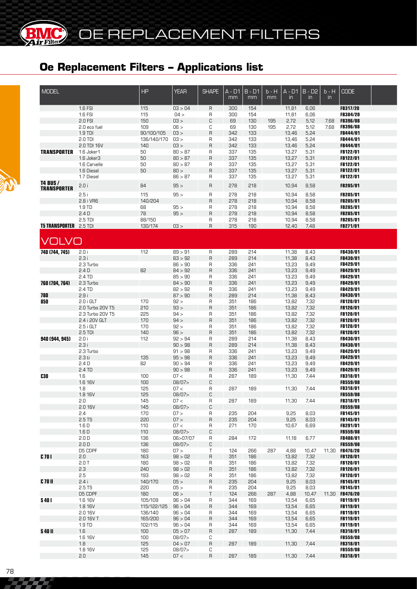**BMC** 

(BK

| <b>MODEL</b>                  |                                 | HP                 | <b>YEAR</b>        | <b>SHAPE</b>      | $\overline{A}$ - D1 | $B - D1$   | $b - H$ | $\overline{A - D1}$ | $B - D2$      | $b - H$       | <b>CODE</b>                 |  |
|-------------------------------|---------------------------------|--------------------|--------------------|-------------------|---------------------|------------|---------|---------------------|---------------|---------------|-----------------------------|--|
|                               |                                 |                    |                    |                   | mm                  | mm         | mm      | in                  | $\mathsf{in}$ | $\mathsf{in}$ |                             |  |
|                               | 1.6 FSI                         | 115                | 03 > 04            | R                 | 300                 | 154        |         | 11,81               | 6,06          |               | FB317/20                    |  |
|                               | 1.6 FSI                         | 115                | 04 >               | R                 | 300                 | 154        |         | 11,81               | 6,06          |               | FB384/20                    |  |
|                               | 2.0 FSI                         | 150                | 03 >               | C                 | 69                  | 130        | 195     | 2,72                | 5,12          | 7,68          | <b>FB396/08</b>             |  |
|                               | 2.0 eco fuel<br>1.9 TDI         | 109<br>90/100/105  | 06 ><br>03 >       | C<br>$\sf R$      | 69<br>342           | 130<br>133 | 195     | 2,72<br>13,46       | 5,12<br>5,24  | 7,68          | <b>FB396/08</b><br>FB444/01 |  |
|                               | 2.0 TDI                         | 136/140/170        | 03 >               | R                 | 342                 | 133        |         | 13,46               | 5,24          |               | <b>FB444/01</b>             |  |
|                               | 2.0 TDI 16V                     | 140                | 03 >               | $\sf B$           | 342                 | 133        |         | 13,46               | 5,24          |               | <b>FB444/01</b>             |  |
| <b>TRANSPORTER</b>            | 1.6 Joker1                      | 50                 | 80 > 87            | R                 | 337                 | 135        |         | 13,27               | 5,31          |               | <b>FB122/01</b>             |  |
|                               | 1.6 Joker3                      | 50                 | 80 > 87            | $\sf B$           | 337                 | 135        |         | 13,27               | 5,31          |               | FB122/01                    |  |
|                               | 1.6 Carvelle                    | 50                 | 80 > 87            | R                 | 337                 | 135        |         | 13,27               | 5,31          |               | <b>FB122/01</b>             |  |
|                               | 1.6 Diesel                      | 50                 | 80 >               | $\sf R$           | 337                 | 135        |         | 13,27               | 5,31          |               | FB122/01                    |  |
| <b>T4 BUS /</b>               | 1.7 Diesel                      |                    | 86 > 87            | R                 | 337                 | 135        |         | 13,27               | 5,31          |               | FB122/01                    |  |
| <b>TRANSPORTER</b>            | 2.0i                            | 84                 | 95 >               | R                 | 278                 | 218        |         | 10,94               | 8,58          |               | FB285/01                    |  |
|                               | 2.5i                            | 115                | 95 >               | R                 | 278                 | 218        |         | 10,94               | 8,58          |               | FB285/01                    |  |
|                               | 2.8 i VR6                       | 140/204            |                    | $\mathsf R$       | 278                 | 218        |         | 10,94               | 8,58          |               | FB285/01                    |  |
|                               | 1.9 TD                          | 68                 | 95 >               | R                 | 278                 | 218        |         | 10,94               | 8,58          |               | FB285/01                    |  |
|                               | 2.4D<br>2.5 TDI                 | 78<br>88/150       | 95 >               | $\mathsf R$<br>R  | 278<br>278          | 218<br>218 |         | 10,94<br>10,94      | 8,58<br>8,58  |               | FB285/01<br>FB285/01        |  |
| <b>T5 TRANSPORTER 2.5 TDI</b> |                                 | 130/174            | 03 >               | $\mathsf{R}$      | 315                 | 190        |         | 12,40               | 7,48          |               | FB271/01                    |  |
|                               |                                 |                    |                    |                   |                     |            |         |                     |               |               |                             |  |
| VOLVO                         |                                 |                    |                    |                   |                     |            |         |                     |               |               |                             |  |
| 740 (744, 745)                | 2.0 i                           | 112                | 89 > 91            |                   | 289                 | 214        |         | 11,38               | 8,43          |               | FB430/01                    |  |
|                               | 2.3i                            |                    | 83 > 92            | R<br>$\mathsf{R}$ | 289                 | 214        |         | 11,38               | 8,43          |               | FB430/01                    |  |
|                               | 2.3 Turbo                       |                    | 86 > 90            | R                 | 336                 | 241        |         | 13,23               | 9,49          |               | FB429/01                    |  |
|                               | 2.4 <sub>D</sub>                | 82                 | 84 > 92            | $\sf B$           | 336                 | 241        |         | 13,23               | 9,49          |               | FB429/01                    |  |
|                               | 2.4 TD                          |                    | 85 > 90            | R                 | 336                 | 241        |         | 13,23               | 9,49          |               | FB429/01                    |  |
| 760 (704, 764)                | 2.3 Turbo                       |                    | 84 > 90            | $\sf B$           | 336                 | 241        |         | 13,23               | 9,49          |               | FB429/01                    |  |
|                               | 2.4 TD                          |                    | 82 > 92            | R                 | 336                 | 241        |         | 13,23               | 9,49          |               | FB429/01                    |  |
| 780                           | 2.9i                            |                    | 87 > 90            | $\sf B$           | 289                 | 214        |         | 11,38               | 8,43          |               | FB430/01                    |  |
| 850                           | $2.0$ i GLT<br>2.0 Turbo 20V T5 | 170<br>210         | 92 ><br>93 >       | R<br>$\mathsf{R}$ | 351<br>351          | 186<br>186 |         | 13,82<br>13,82      | 7,32<br>7,32  |               | FB120/01<br>FB120/01        |  |
|                               | 2.3 Turbo 20V T5                | 225                | 94 >               | R                 | 351                 | 186        |         | 13,82               | 7,32          |               | FB120/01                    |  |
|                               | 2.4 i 20V GLT                   | 170                | 94 >               | $\sf R$           | 351                 | 186        |         | 13,82               | 7,32          |               | FB120/01                    |  |
|                               | $2.5$ i GLT                     | 170                | 92 >               | R                 | 351                 | 186        |         | 13,82               | 7,32          |               | FB120/01                    |  |
|                               | 2.5 TDI                         | 140                | 96 >               | $\mathsf{R}$      | 351                 | 186        |         | 13,82               | 7,32          |               | FB120/01                    |  |
| 940 (944, 945)                | 2.0 i                           | 112                | 92 > 94            | R                 | 289                 | 214        |         | 11,38               | 8,43          |               | <b>FB430/01</b>             |  |
|                               | 2.3i                            |                    | 90 > 98            | $\sf B$           | 289                 | 214        |         | 11,38               | 8,43          |               | <b>FB430/01</b>             |  |
|                               | 2.3 Turbo<br>2.3 ti             | 135                | 91 > 98<br>95 > 98 | R<br>$\sf B$      | 336<br>336          | 241<br>241 |         | 13,23<br>13,23      | 9,49<br>9,49  |               | <b>FB429/01</b><br>FB429/01 |  |
|                               | 2.4 <sub>D</sub>                | 82                 | 90 > 94            | R                 | 336                 | 241        |         | 13,23               | 9,49          |               | <b>FB429/01</b>             |  |
|                               | 2.4 TD                          |                    | 90 > 98            | $\sf B$           | 336                 | 241        |         | 13,23               | 9,49          |               | FB429/01                    |  |
| <b>C30</b>                    | 1.6                             | 100                | 07 <               | R                 | 287                 | 189        |         | 11,30               | 7,44          |               | <b>FB318/01</b>             |  |
|                               | 1.6 16V                         | 100                | 08/07>             | C                 |                     |            |         |                     |               |               | FB559/08                    |  |
|                               | 1.8                             | 125                | 07 <               | R                 | 287                 | 189        |         | 11,30               | 7,44          |               | FB318/01                    |  |
|                               | 1.8 16V                         | 125                | 08/07              | C                 |                     |            |         |                     |               |               | <b>FB559/08</b>             |  |
|                               | 2.0                             | 145                | 07 <               | R                 | 287                 | 189        |         | 11,30               | 7,44          |               | FB318/01                    |  |
|                               | 2.0 16V<br>2.4                  | 145<br>170         | 08/07><br>07 >     | С<br>R            | 235                 | 204        |         | 9,25                | 8,03          |               | FB559/08<br>FB145/01        |  |
|                               | 2.5T5                           | 220                | 07 >               | R                 | 235                 | 204        |         | 9,25                | 8,03          |               | FB145/01                    |  |
|                               | 1.6 <sub>D</sub>                | 110                | 07 <               | R                 | 271                 | 170        |         | 10,67               | 6,69          |               | FB291/01                    |  |
|                               | 1.6D                            | 110                | 08/07>             | C                 |                     |            |         |                     |               |               | FB559/08                    |  |
|                               | 2.0 <sub>D</sub>                | 136                | 06>07/07           | R                 | 284                 | 172        |         | 11,18               | 6,77          |               | <b>FB408/01</b>             |  |
|                               | 2.0 <sub>D</sub>                | 136                | 08/07              | С                 |                     |            |         |                     |               |               | FB559/08                    |  |
|                               | D5 CDPF                         | 180                | 07 >               | Τ                 | 124                 | 266        | 287     | 4,88                | 10,47         |               | 11,30 FB476/20              |  |
| $C$ 70 $I$                    | 2.0<br>2.0T                     | 163<br>180         | 98 > 02<br>98 > 02 | R<br>R            | 351<br>351          | 186<br>186 |         | 13,82<br>13,82      | 7,32<br>7,32  |               | FB120/01<br>FB120/01        |  |
|                               | 2.3                             | 240                | 98 > 02            | R                 | 351                 | 186        |         | 13,82               | 7,32          |               | FB120/01                    |  |
|                               | 2.5                             | 193                | 98 > 02            | R                 | 351                 | 186        |         | 13,82               | 7,32          |               | FB120/01                    |  |
| C 70 II                       | 2.4i                            | 140/170            | 05 >               | $\sf R$           | 235                 | 204        |         | 9,25                | 8,03          |               | FB145/01                    |  |
|                               | 2.5 T5                          | 220                | 05 >               | R                 | 235                 | 204        |         | 9,25                | 8,03          |               | <b>FB145/01</b>             |  |
|                               | D5 CDPF                         | 180                | 06 >               | $\top$            | 124                 | 266        | 287     | 4,88                | 10,47         |               | 11,30 FB476/20              |  |
| <b>S401</b>                   | 1.6 16V                         | 105/109            | 96 > 04            | R                 | 344                 | 169        |         | 13,54               | 6,65          |               | <b>FB119/01</b>             |  |
|                               | 1.8 16V                         | 115/122/125        | 96 > 04<br>96 > 04 | $\sf R$           | 344                 | 169<br>169 |         | 13,54               | 6,65          |               | FB119/01                    |  |
|                               | 2.0 16V<br>2.0 16V T            | 136/140<br>165/200 | 96 > 04            | R<br>R            | 344<br>344          | 169        |         | 13,54<br>13,54      | 6,65<br>6,65  |               | <b>FB119/01</b><br>FB119/01 |  |
|                               | 1.9 TD                          | 102/115            | 96 > 04            | R                 | 344                 | 169        |         | 13,54               | 6,65          |               | FB119/01                    |  |
| <b>S 40 II</b>                | 1.6                             | 100                | 05 > 07            | R                 | 287                 | 189        |         | 11,30               | 7,44          |               | FB318/01                    |  |
|                               | 1.6 16V                         | 100                | 08/07>             | С                 |                     |            |         |                     |               |               | FB559/08                    |  |
|                               | 1.8                             | 125                | 04 > 07            | R                 | 287                 | 189        |         | 11,30               | 7,44          |               | FB318/01                    |  |
|                               | 1.8 16V                         | 125                | 08/07>             | С                 |                     |            |         |                     |               |               | <b>FB559/08</b>             |  |
|                               | 2.0                             | 145                | 07 <               | R                 | 287                 | 189        |         | 11,30               | 7,44          |               | <b>FB318/01</b>             |  |

22 Z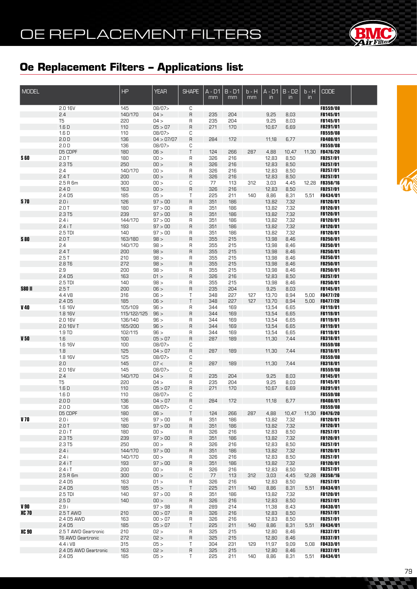

| <b>MODEL</b>  |                        | HP          | <b>YEAR</b>       | <b>SHAPE</b> | $A - D1$<br>mm | $B - D1$<br>mm | $b - H$<br>mm | $A - D1$<br>in | $B - D2$<br>$\mathsf{in}$ | $b - H$<br>in | <b>CODE</b>                        |  |
|---------------|------------------------|-------------|-------------------|--------------|----------------|----------------|---------------|----------------|---------------------------|---------------|------------------------------------|--|
|               |                        |             |                   |              |                |                |               |                |                           |               |                                    |  |
|               | 2.0 16V                | 145         | 08/07>            | С            |                |                |               |                |                           |               | FB559/08                           |  |
|               | 2.4                    | 140/170     | 04 >              | R            | 235            | 204            |               | 9,25           | 8,03                      |               | FB145/01                           |  |
|               | T <sub>5</sub><br>1.6D | 220<br>110  | 04 ><br>05 > 07   | R<br>R       | 235<br>271     | 204<br>170     |               | 9,25<br>10,67  | 8,03<br>6,69              |               | FB145/01<br>FB291/01               |  |
|               | 1.6 <sub>D</sub>       | 110         | 08/07>            | С            |                |                |               |                |                           |               | FB559/08                           |  |
|               | 2.0 <sub>D</sub>       | 136         | 04 > 07/07        | $\sf R$      | 284            | 172            |               | 11,18          | 6,77                      |               | FB408/01                           |  |
|               | 2.0 <sub>D</sub>       | 136         | 08/07>            | С            |                |                |               |                |                           |               | FB559/08                           |  |
|               | D5 CDPF                | 180         | 06 >              | Τ            | 124            | 266            | 287           | 4,88           | 10,47                     | 11,30         | FB476/20                           |  |
| <b>S 60</b>   | 2.0T                   | 180         | 00 >              | R            | 326            | 216            |               | 12,83          | 8,50                      |               | FB257/01                           |  |
|               | 2.3 T5                 | 250         | 00 >              | R            | 326            | 216            |               | 12,83          | 8,50                      |               | FB257/01                           |  |
|               | 2.4                    | 140/170     | 00 >              | R            | 326            | 216            |               | 12,83          | 8,50                      |               | FB257/01                           |  |
|               | 2.4T                   | 200         | 00 >              | $\sf R$      | 326            | 216            |               | 12,83          | 8,50                      |               | FB257/01                           |  |
|               | 2.5 R 6m               | 300         | 00 >              | С            | 77             | 113            | 312           | 3,03           | 4,45                      | 12,28         | FB358/16                           |  |
|               | 2.4D                   | 163         | 00 >              | $\mathsf R$  | 326            | 216            |               | 12,83          | 8,50                      |               | FB257/01                           |  |
|               | 2.4 D <sub>5</sub>     | 185         | 05 >              | Τ            | 225            | 211            | 140           | 8,86           | 8,31                      | 5,51          | FB434/01                           |  |
| <b>S70</b>    | 2.0i                   | 126         | 97 > 00           | $\sf R$      | 351            | 186            |               | 13,82          | 7,32                      |               | FB120/01                           |  |
|               | 2.0T                   | 180         | 97 > 00           | R            | 351            | 186            |               | 13,82          | 7,32                      |               | FB120/01                           |  |
|               | 2.3 T5                 | 239         | 97 > 00           | $\sf R$      | 351            | 186            |               | 13,82          | 7,32                      |               | FB120/01                           |  |
|               | 2.4i                   | 144/170     | 97 > 00           | R            | 351            | 186            |               | 13,82          | 7,32                      |               | FB120/01                           |  |
|               | $2.4$ iT               | 193         | 97 > 00           | $\sf R$      | 351            | 186            |               | 13,82          | 7,32                      |               | FB120/01                           |  |
|               | 2.5 TDI                | 140         | 97 > 00           | R            | 351            | 186            |               | 13,82          | 7,32                      |               | FB120/01                           |  |
| <b>S 80</b>   | 2.0T                   | 163/180     | 98 >              | $\sf R$      | 355<br>355     | 215<br>215     |               | 13,98          | 8,46                      |               | FB250/01                           |  |
|               | 2.4<br>2.4T            | 140/170     | 98 >              | R            | 355            | 215            |               | 13,98<br>13,98 | 8,46                      |               | FB250/01<br>FB250/01               |  |
|               | 2.5T                   | 200<br>210  | 98 ><br>98 >      | $\sf R$      | 355            | 215            |               | 13,98          | 8,46<br>8,46              |               | FB250/01                           |  |
|               | 2.8 T6                 | 272         | 98 >              | R<br>$\sf R$ | 355            | 215            |               | 13,98          | 8,46                      |               | FB250/01                           |  |
|               | 2.9                    | 200         | 98 >              | R            | 355            | 215            |               | 13,98          | 8,46                      |               | FB250/01                           |  |
|               | 2.4 <sub>D5</sub>      | 163         | 01 >              | $\sf R$      | 326            | 216            |               | 12,83          | 8,50                      |               | FB257/01                           |  |
|               | 2.5 TDI                | 140         | 98 >              | R            | 355            | 215            |               | 13,98          | 8,46                      |               | FB250/01                           |  |
| <b>S80 II</b> | 2.5T                   | 200         | 06 >              | $\sf R$      | 235            | 204            |               | 9,25           | 8,03                      |               | FB145/01                           |  |
|               | 4.4 V8                 | 316         | 06 >              | Τ            | 348            | 227            | 127           | 13,70          | 8,94                      | 5,00          | FB477/20                           |  |
|               | 2.4 <sub>D5</sub>      | 185         | 06 >              | T            | 348            | 227            | 127           | 13,70          | 8,94                      | 5,00          | FB477/20                           |  |
| V 40          | 1.6 16V                | 105/109     | 96 >              | R            | 344            | 169            |               | 13,54          | 6,65                      |               | FB119/01                           |  |
|               | 1.8 16V                | 115/122/125 | 96 >              | $\sf R$      | 344            | 169            |               | 13,54          | 6,65                      |               | FB119/01                           |  |
|               | 2.0 16V                | 136/140     | 96 >              | R            | 344            | 169            |               | 13,54          | 6,65                      |               | FB119/01                           |  |
|               | 2.0 16V T              | 165/200     | 96 >              | $\sf R$      | 344            | 169            |               | 13,54          | 6,65                      |               | FB119/01                           |  |
|               | 1.9 TD                 | 102/115     | 96 >              | R            | 344            | 169            |               | 13,54          | 6,65                      |               | FB119/01                           |  |
| V 50          | 1.6                    | 100         | 05 > 07           | R            | 287            | 189            |               | 11,30          | 7,44                      |               | FB318/01                           |  |
|               | 1.6 16V                | 100         | 08/07>            | С            |                |                |               |                |                           |               | FB559/08                           |  |
|               | 1.8<br>1.8 16V         | 125         | 04 > 07<br>08/07> | R            | 287            | 189            |               | 11,30          | 7,44                      |               | FB318/01<br>FB559/08               |  |
|               | 2.0                    | 125<br>145  | 07 <              | С<br>$\sf R$ | 287            | 189            |               | 11,30          | 7,44                      |               | FB318/01                           |  |
|               | 2.0 16V                | 145         | 08/07>            | С            |                |                |               |                |                           |               | FB559/08                           |  |
|               | 2.4                    | 140/170     | 04 >              | $\sf R$      | 235            | 204            |               | 9,25           | 8,03                      |               | FB145/01                           |  |
|               | T <sub>5</sub>         | 220         | 04 >              | R            | 235            | 204            |               | 9,25           | 8,03                      |               | FB145/01                           |  |
|               | 1.6D                   | 110         | 05 > 07           | R            | 271            | 170            |               | 10,67          | 6,69                      |               | FB291/01                           |  |
|               | 1.6 D                  | 110         | 08/07>            | С            |                |                |               |                |                           |               | FB559/08                           |  |
|               | 2.0 <sub>D</sub>       | 136         | 04 > 07           | R            | 284            | 172            |               | 11,18          | 6,77                      |               | FB408/01                           |  |
|               | 2.0 <sub>D</sub>       | 136         | 08/07>            | С            |                |                |               |                |                           |               | FB559/08                           |  |
|               | D5 CDPF                | 180         | 06 >              | T            | 124            | 266            | 287           | 4,88           | 10,47                     | 11,30         | <b>FB476/20</b>                    |  |
| V 70          | 2.0 i                  | 126         | 97 > 00           | R            | 351            | 186            |               | 13,82          | 7,32                      |               | FB120/01                           |  |
|               | 2.0T                   | 180         | 97 > 00           | R            | 351            | 186            |               | 13,82          | 7,32                      |               | FB120/01                           |  |
|               | $2.0$ i T              | 180         | 00 >              | R            | 326            | 216            |               | 12,83          | 8,50                      |               | FB257/01                           |  |
|               | 2.3 T5                 | 239         | 97 > 00           | R            | 351            | 186            |               | 13,82          | 7,32                      |               | FB120/01                           |  |
|               | 2.3 T5                 | 250         | 00 >              | R            | 326            | 216            |               | 12,83          | 8,50                      |               | <b>FB257/01</b>                    |  |
|               | 2.4i                   | 144/170     | 97 > 00           | R            | 351            | 186            |               | 13,82          | 7,32                      |               | FB120/01                           |  |
|               | 2.4i                   | 140/170     | 00 >              | R            | 326            | 216            |               | 12,83          | 8,50                      |               | FB257/01                           |  |
|               | $2.4$ i T<br>$2.4$ iT  | 193         | 97 > 00           | R            | 351            | 186            |               | 13,82          | 7,32                      |               | FB120/01                           |  |
|               | 2.5 R 6m               | 200<br>300  | 00 ><br>100 >     | R<br>C       | 326<br>77      | 216<br>113     | 312           | 12,83<br>3,03  | 8,50<br>4,45              | 12,28         | <b>FB257/01</b><br><b>FB358/16</b> |  |
|               | 2.4 D5                 | 163         | 01 >              | R            | 326            | 216            |               | 12,83          | 8,50                      |               | <b>FB257/01</b>                    |  |
|               | 2.4 D5                 | 185         | 05 >              | Τ            | 225            | 211            | 140           | 8,86           | 8,31                      | 5,51          | FB434/01                           |  |
|               | 2.5 TDI                | 140         | 97 > 00           | R            | 351            | 186            |               | 13,82          | 7,32                      |               | FB120/01                           |  |
|               | 2.5 <sub>D</sub>       | 140         | 00 >              | R            | 326            | 216            |               | 12,83          | 8,50                      |               | FB257/01                           |  |
| V 90          | 2.9i                   |             | 97 > 98           | R            | 289            | 214            |               | 11,38          | 8,43                      |               | FB430/01                           |  |
| <b>XC 70</b>  | 2.5 T AWD              | 210         | 00 > 07           | R            | 326            | 216            |               | 12,83          | 8,50                      |               | FB257/01                           |  |
|               | 2.4 D5 AWD             | 163         | 00 > 07           | R            | 326            | 216            |               | 12,83          | 8,50                      |               | FB257/01                           |  |
|               | 2.4 <sub>D5</sub>      | 185         | 05 > 07           | Τ            | 225            | 211            | 140           | 8,86           | 8,31                      | 5,51          | FB434/01                           |  |
| <b>XC 90</b>  | 2.5 T AWD Geartronic   | 210         | 02 >              | R            | 325            | 215            |               | 12,80          | 8,46                      |               | <b>FB337/01</b>                    |  |
|               | T6 AWD Geartronic      | 272         | 02 >              | $\sf R$      | 325            | 215            |               | 12,80          | 8,46                      |               | <b>FB337/01</b>                    |  |
|               | 4.4 i V8               | 315         | 05 >              | Τ            | 304            | 231            | 129           | 11,97          | 9,09                      | 5,08          | <b>FB433/01</b>                    |  |
|               | 2.4 D5 AWD Geartronic  | 163         | 02 >              | $\sf R$      | 325            | 215            |               | 12,80          | 8,46                      |               | FB337/01                           |  |
|               | 2.4 D <sub>5</sub>     | 185         | 05 >              | Τ            | 225            | 211            | 140           | 8,86           | 8,31                      | 5,51          | <b>FB434/01</b>                    |  |

C. C. C.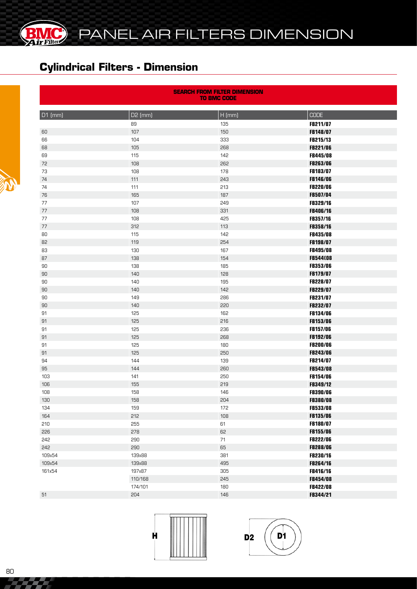

#### **Cylindrical Filters - Dimension**

**BMC** 

EŁ

| <b>SEARCH FROM FILTER DIMENSION</b><br><b>TO BMC CODE</b> |         |          |                 |  |  |  |  |  |  |
|-----------------------------------------------------------|---------|----------|-----------------|--|--|--|--|--|--|
| D1 (mm)                                                   | D2 (mm) | $H$ (mm) | <b>CODE</b>     |  |  |  |  |  |  |
|                                                           | 89      | 135      | FB211/07        |  |  |  |  |  |  |
| 60                                                        | 107     | 150      | FB148/07        |  |  |  |  |  |  |
| 66                                                        | 104     | 333      | FB215/13        |  |  |  |  |  |  |
| 68                                                        | 105     | 268      | FB221/06        |  |  |  |  |  |  |
| 69                                                        | 115     | 142      | <b>FB445/08</b> |  |  |  |  |  |  |
| 72                                                        | 108     | 262      | <b>FB263/06</b> |  |  |  |  |  |  |
| 73                                                        | 108     | 178      | FB183/07        |  |  |  |  |  |  |
| 74                                                        | 111     | 243      | FB146/06        |  |  |  |  |  |  |
| 74                                                        | 111     | 213      | FB220/06        |  |  |  |  |  |  |
| 76                                                        | 165     | 187      | FB507/04        |  |  |  |  |  |  |
| 77                                                        | 107     | 249      | FB329/16        |  |  |  |  |  |  |
| 77                                                        | 108     | 331      | FB406/16        |  |  |  |  |  |  |
| $77 \,$                                                   | 108     | 425      | FB357/16        |  |  |  |  |  |  |
| 77                                                        | 312     | 113      | FB358/16        |  |  |  |  |  |  |
| 80                                                        | 115     | 142      | <b>FB435/08</b> |  |  |  |  |  |  |
| 82                                                        | 119     | 254      | FB198/07        |  |  |  |  |  |  |
| 83                                                        | 130     | 167      | FB495/08        |  |  |  |  |  |  |
| 87                                                        | 138     | 154      | <b>FB544(08</b> |  |  |  |  |  |  |
| 90                                                        | 138     | 185      | <b>FB353/06</b> |  |  |  |  |  |  |
| 90                                                        | 140     | 128      | FB179/07        |  |  |  |  |  |  |
| 90                                                        | 140     | 195      | FB228/07        |  |  |  |  |  |  |
| 90                                                        | 140     | 142      | FB229/07        |  |  |  |  |  |  |
| 90                                                        | 149     | 286      | FB231/07        |  |  |  |  |  |  |
| 90                                                        | 140     | 220      | FB232/07        |  |  |  |  |  |  |
| 91                                                        | 125     | 162      | FB134/06        |  |  |  |  |  |  |
| 91                                                        | 125     | 216      | FB153/06        |  |  |  |  |  |  |
| 91                                                        | 125     | 236      | FB157/06        |  |  |  |  |  |  |
| 91                                                        | 125     | 268      | FB192/06        |  |  |  |  |  |  |
| 91                                                        | 125     | 180      | <b>FB200/06</b> |  |  |  |  |  |  |
| 91                                                        | 125     | 250      | <b>FB243/06</b> |  |  |  |  |  |  |
| 94                                                        | 144     | 139      | FB214/07        |  |  |  |  |  |  |
| 95                                                        | 144     | 260      | <b>FB543/08</b> |  |  |  |  |  |  |
| 103                                                       | 141     | 250      | FB154/06        |  |  |  |  |  |  |
| 106                                                       | 155     | 219      | FB349/12        |  |  |  |  |  |  |
| 108                                                       | 158     | 146      | <b>FB390/06</b> |  |  |  |  |  |  |
| 130                                                       | 158     | 204      | FB380/08        |  |  |  |  |  |  |
| 134                                                       | 159     | 172      | <b>FB533/08</b> |  |  |  |  |  |  |
| 164                                                       | 212     | 108      | <b>FB135/06</b> |  |  |  |  |  |  |
| 210                                                       | 255     | 61       | FB180/07        |  |  |  |  |  |  |
| 226                                                       | 278     | 62       | FB155/06        |  |  |  |  |  |  |
| 242                                                       | 290     | 71       | FB222/06        |  |  |  |  |  |  |
| 242                                                       | 290     | 65       | <b>FB288/06</b> |  |  |  |  |  |  |
| 109x54                                                    | 139x88  | 381      | FB230/16        |  |  |  |  |  |  |
| 109x54                                                    | 139x88  | 495      | FB264/16        |  |  |  |  |  |  |
| 161x54                                                    | 197x87  | 305      | FB416/16        |  |  |  |  |  |  |
|                                                           | 110/168 | 245      | FB454/08        |  |  |  |  |  |  |
|                                                           | 174/101 | 180      | FB422/08        |  |  |  |  |  |  |
| 51                                                        | 204     | 146      | FB344/21        |  |  |  |  |  |  |





222 Z